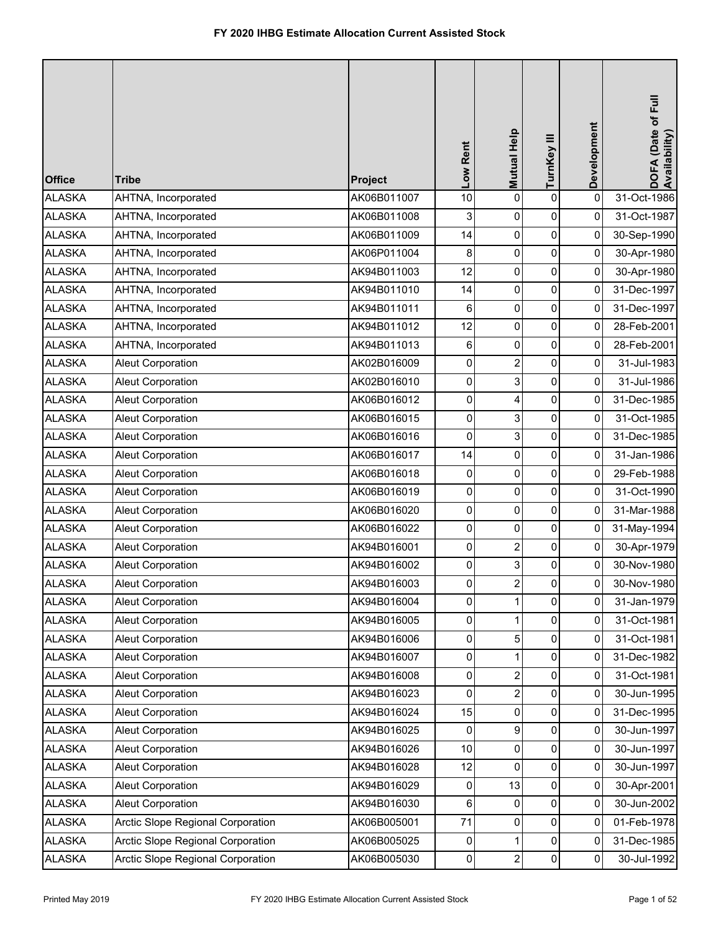| <b>Office</b> | <b>Tribe</b>                      | Project     | Low Rent | Mutual Help    | TurnKey III | Development | DOFA (Date of Full<br>Availability) |
|---------------|-----------------------------------|-------------|----------|----------------|-------------|-------------|-------------------------------------|
| <b>ALASKA</b> | AHTNA, Incorporated               | AK06B011007 | 10       | 0              | $\pmb{0}$   | $\mathbf 0$ | 31-Oct-1986                         |
| <b>ALASKA</b> | AHTNA, Incorporated               | AK06B011008 | 3        | 0              | $\pmb{0}$   | $\mathbf 0$ | 31-Oct-1987                         |
| <b>ALASKA</b> | AHTNA, Incorporated               | AK06B011009 | 14       | 0              | $\pmb{0}$   | 0           | 30-Sep-1990                         |
| <b>ALASKA</b> | AHTNA, Incorporated               | AK06P011004 | 8        | 0              | $\pmb{0}$   | 0           | 30-Apr-1980                         |
| <b>ALASKA</b> | AHTNA, Incorporated               | AK94B011003 | 12       | 0              | 0           | 0           | 30-Apr-1980                         |
| <b>ALASKA</b> | AHTNA, Incorporated               | AK94B011010 | 14       | 0              | 0           | 0           | 31-Dec-1997                         |
| <b>ALASKA</b> | AHTNA, Incorporated               | AK94B011011 | 6        | 0              | $\pmb{0}$   | 0           | 31-Dec-1997                         |
| <b>ALASKA</b> | AHTNA, Incorporated               | AK94B011012 | 12       | 0              | $\pmb{0}$   | 0           | 28-Feb-2001                         |
| <b>ALASKA</b> | AHTNA, Incorporated               | AK94B011013 | 6        | 0              | $\pmb{0}$   | 0           | 28-Feb-2001                         |
| <b>ALASKA</b> | Aleut Corporation                 | AK02B016009 | 0        | $\overline{2}$ | 0           | 0           | 31-Jul-1983                         |
| <b>ALASKA</b> | Aleut Corporation                 | AK02B016010 | 0        | 3              | $\pmb{0}$   | 0           | 31-Jul-1986                         |
| <b>ALASKA</b> | Aleut Corporation                 | AK06B016012 | 0        | 4              | 0           | 0           | 31-Dec-1985                         |
| <b>ALASKA</b> | <b>Aleut Corporation</b>          | AK06B016015 | 0        | 3              | 0           | 0           | 31-Oct-1985                         |
| <b>ALASKA</b> | <b>Aleut Corporation</b>          | AK06B016016 | 0        | 3              | $\pmb{0}$   | 0           | 31-Dec-1985                         |
| <b>ALASKA</b> | <b>Aleut Corporation</b>          | AK06B016017 | 14       | 0              | 0           | 0           | 31-Jan-1986                         |
| <b>ALASKA</b> | Aleut Corporation                 | AK06B016018 | 0        | 0              | $\pmb{0}$   | 0           | 29-Feb-1988                         |
| <b>ALASKA</b> | Aleut Corporation                 | AK06B016019 | 0        | 0              | $\pmb{0}$   | 0           | 31-Oct-1990                         |
| <b>ALASKA</b> | Aleut Corporation                 | AK06B016020 | 0        | 0              | $\pmb{0}$   | 0           | 31-Mar-1988                         |
| <b>ALASKA</b> | <b>Aleut Corporation</b>          | AK06B016022 | 0        | 0              | 0           | 0           | 31-May-1994                         |
| <b>ALASKA</b> | Aleut Corporation                 | AK94B016001 | 0        | 2              | 0           | 0           | 30-Apr-1979                         |
| <b>ALASKA</b> | <b>Aleut Corporation</b>          | AK94B016002 | 0        | 3              | 0           | 0           | 30-Nov-1980                         |
| <b>ALASKA</b> | <b>Aleut Corporation</b>          | AK94B016003 | 0        | $\overline{2}$ | 0           | 0           | 30-Nov-1980                         |
| <b>ALASKA</b> | Aleut Corporation                 | AK94B016004 | 0        |                | 0           | 0           | 31-Jan-1979                         |
| <b>ALASKA</b> | Aleut Corporation                 | AK94B016005 | 0        | 1              | $\pmb{0}$   | 0           | 31-Oct-1981                         |
| <b>ALASKA</b> | Aleut Corporation                 | AK94B016006 | 0        | 5              | 0           | 0           | 31-Oct-1981                         |
| <b>ALASKA</b> | <b>Aleut Corporation</b>          | AK94B016007 | 0        |                | 0           | 0           | 31-Dec-1982                         |
| <b>ALASKA</b> | <b>Aleut Corporation</b>          | AK94B016008 | 0        | 2              | 0           | 0           | 31-Oct-1981                         |
| <b>ALASKA</b> | <b>Aleut Corporation</b>          | AK94B016023 | 0        | $\overline{2}$ | 0           | 0           | 30-Jun-1995                         |
| <b>ALASKA</b> | Aleut Corporation                 | AK94B016024 | 15       | $\Omega$       | $\pmb{0}$   | 0           | 31-Dec-1995                         |
| <b>ALASKA</b> | Aleut Corporation                 | AK94B016025 | 0        | 9              | 0           | 0           | 30-Jun-1997                         |
| <b>ALASKA</b> | Aleut Corporation                 | AK94B016026 | 10       | 0              | 0           | 0           | 30-Jun-1997                         |
| <b>ALASKA</b> | Aleut Corporation                 | AK94B016028 | 12       | 0              | 0           | 0           | 30-Jun-1997                         |
| <b>ALASKA</b> | Aleut Corporation                 | AK94B016029 | 0        | 13             | 0           | 0           | 30-Apr-2001                         |
| <b>ALASKA</b> | Aleut Corporation                 | AK94B016030 | 6        | $\mathbf{0}$   | $\pmb{0}$   | 0           | 30-Jun-2002                         |
| <b>ALASKA</b> | Arctic Slope Regional Corporation | AK06B005001 | 71       | 0              | 0           | 0           | 01-Feb-1978                         |
| <b>ALASKA</b> | Arctic Slope Regional Corporation | AK06B005025 | 0        |                | $\pmb{0}$   | 0           | 31-Dec-1985                         |
| <b>ALASKA</b> | Arctic Slope Regional Corporation | AK06B005030 | 0        | $\overline{2}$ | $\pmb{0}$   | 0           | 30-Jul-1992                         |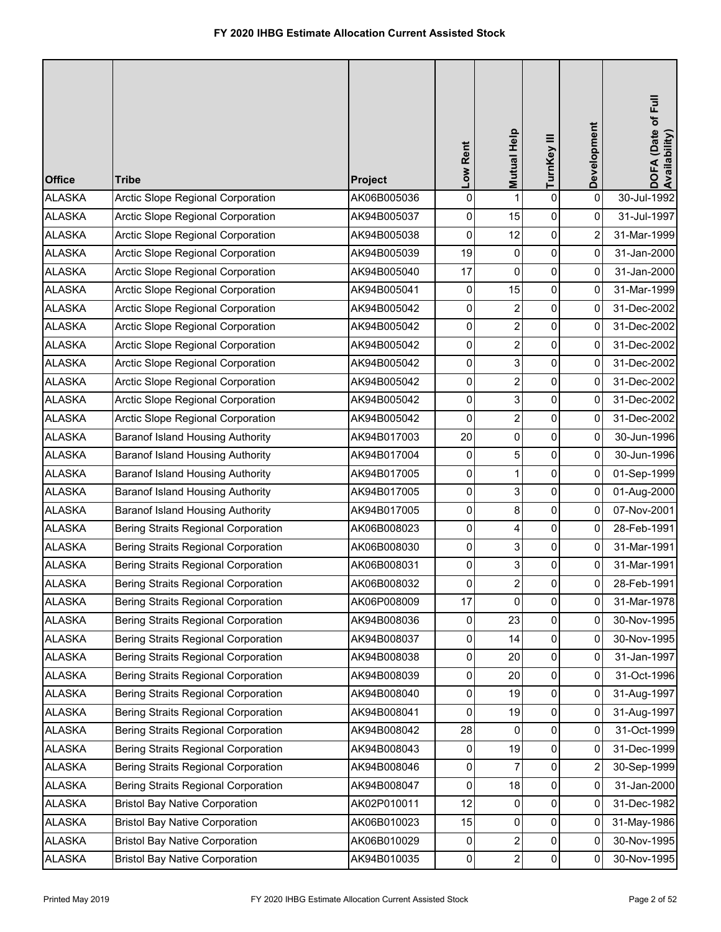| <b>Office</b> | <b>Tribe</b>                               | Project     | Low Rent | Mutual Help    | TurnKey III         | Development             | DOFA (Date of Full<br>Availability) |
|---------------|--------------------------------------------|-------------|----------|----------------|---------------------|-------------------------|-------------------------------------|
| <b>ALASKA</b> | Arctic Slope Regional Corporation          | AK06B005036 | 0        | 1              | $\pmb{0}$           | $\pmb{0}$               | 30-Jul-1992                         |
| <b>ALASKA</b> | Arctic Slope Regional Corporation          | AK94B005037 | 0        | 15             | $\pmb{0}$           | 0                       | 31-Jul-1997                         |
| <b>ALASKA</b> | Arctic Slope Regional Corporation          | AK94B005038 | 0        | 12             | $\mathsf{O}\xspace$ | $\overline{\mathbf{c}}$ | 31-Mar-1999                         |
| <b>ALASKA</b> | Arctic Slope Regional Corporation          | AK94B005039 | 19       | 0              | $\pmb{0}$           | $\mathbf 0$             | 31-Jan-2000                         |
| <b>ALASKA</b> | Arctic Slope Regional Corporation          | AK94B005040 | 17       | 0              | 0                   | 0                       | 31-Jan-2000                         |
| <b>ALASKA</b> | Arctic Slope Regional Corporation          | AK94B005041 | 0        | 15             | $\pmb{0}$           | 0                       | 31-Mar-1999                         |
| <b>ALASKA</b> | Arctic Slope Regional Corporation          | AK94B005042 | 0        | $\overline{c}$ | $\pmb{0}$           | 0                       | 31-Dec-2002                         |
| <b>ALASKA</b> | Arctic Slope Regional Corporation          | AK94B005042 | 0        | $\overline{c}$ | $\pmb{0}$           | 0                       | 31-Dec-2002                         |
| <b>ALASKA</b> | Arctic Slope Regional Corporation          | AK94B005042 | 0        | $\overline{2}$ | $\pmb{0}$           | $\mathbf 0$             | 31-Dec-2002                         |
| <b>ALASKA</b> | Arctic Slope Regional Corporation          | AK94B005042 | 0        | 3              | 0                   | 0                       | 31-Dec-2002                         |
| <b>ALASKA</b> | Arctic Slope Regional Corporation          | AK94B005042 | 0        | $\overline{c}$ | $\pmb{0}$           | 0                       | 31-Dec-2002                         |
| <b>ALASKA</b> | Arctic Slope Regional Corporation          | AK94B005042 | 0        | 3              | $\pmb{0}$           | 0                       | 31-Dec-2002                         |
| <b>ALASKA</b> | Arctic Slope Regional Corporation          | AK94B005042 | 0        | $\overline{2}$ | $\pmb{0}$           | 0                       | 31-Dec-2002                         |
| <b>ALASKA</b> | Baranof Island Housing Authority           | AK94B017003 | 20       | 0              | $\pmb{0}$           | $\mathbf 0$             | 30-Jun-1996                         |
| <b>ALASKA</b> | <b>Baranof Island Housing Authority</b>    | AK94B017004 | 0        | 5              | 0                   | 0                       | 30-Jun-1996                         |
| <b>ALASKA</b> | Baranof Island Housing Authority           | AK94B017005 | 0        | $\mathbf{1}$   | $\pmb{0}$           | 0                       | 01-Sep-1999                         |
| <b>ALASKA</b> | Baranof Island Housing Authority           | AK94B017005 | 0        | 3              | $\pmb{0}$           | 0                       | 01-Aug-2000                         |
| <b>ALASKA</b> | <b>Baranof Island Housing Authority</b>    | AK94B017005 | 0        | 8              | 0                   | 0                       | 07-Nov-2001                         |
| <b>ALASKA</b> | Bering Straits Regional Corporation        | AK06B008023 | 0        | 4              | $\pmb{0}$           | 0                       | 28-Feb-1991                         |
| <b>ALASKA</b> | Bering Straits Regional Corporation        | AK06B008030 | 0        | 3              | 0                   | 0                       | 31-Mar-1991                         |
| <b>ALASKA</b> | Bering Straits Regional Corporation        | AK06B008031 | 0        | 3              | 0                   | 0                       | 31-Mar-1991                         |
| <b>ALASKA</b> | Bering Straits Regional Corporation        | AK06B008032 | 0        | $\overline{2}$ | $\mathbf 0$         | 0                       | 28-Feb-1991                         |
| <b>ALASKA</b> | Bering Straits Regional Corporation        | AK06P008009 | 17       | 0              | $\mathbf 0$         | 0                       | 31-Mar-1978                         |
| <b>ALASKA</b> | <b>Bering Straits Regional Corporation</b> | AK94B008036 | 0        | 23             | $\pmb{0}$           | 0                       | 30-Nov-1995                         |
| <b>ALASKA</b> | Bering Straits Regional Corporation        | AK94B008037 | 0        | 14             | 0                   | 0                       | 30-Nov-1995                         |
| <b>ALASKA</b> | <b>Bering Straits Regional Corporation</b> | AK94B008038 | 0        | 20             | 0                   | 0                       | 31-Jan-1997                         |
| <b>ALASKA</b> | Bering Straits Regional Corporation        | AK94B008039 | 0        | 20             | 0                   | 0                       | 31-Oct-1996                         |
| <b>ALASKA</b> | Bering Straits Regional Corporation        | AK94B008040 | 0        | 19             | $\mathbf 0$         | 0                       | 31-Aug-1997                         |
| <b>ALASKA</b> | Bering Straits Regional Corporation        | AK94B008041 | 0        | 19             | $\pmb{0}$           | 0                       | 31-Aug-1997                         |
| <b>ALASKA</b> | Bering Straits Regional Corporation        | AK94B008042 | 28       | 0              | 0                   | 0                       | 31-Oct-1999                         |
| <b>ALASKA</b> | <b>Bering Straits Regional Corporation</b> | AK94B008043 | 0        | 19             | 0                   | 0                       | 31-Dec-1999                         |
| <b>ALASKA</b> | Bering Straits Regional Corporation        | AK94B008046 | 0        | 7              | 0                   | 2                       | 30-Sep-1999                         |
| <b>ALASKA</b> | Bering Straits Regional Corporation        | AK94B008047 | 0        | 18             | 0                   | 0                       | 31-Jan-2000                         |
| <b>ALASKA</b> | <b>Bristol Bay Native Corporation</b>      | AK02P010011 | 12       | 0              | $\pmb{0}$           | 0                       | 31-Dec-1982                         |
| <b>ALASKA</b> | <b>Bristol Bay Native Corporation</b>      | AK06B010023 | 15       | 0              | 0                   | 0                       | 31-May-1986                         |
| <b>ALASKA</b> | <b>Bristol Bay Native Corporation</b>      | AK06B010029 | 0        | $\overline{2}$ | $\pmb{0}$           | 0                       | 30-Nov-1995                         |
| <b>ALASKA</b> | <b>Bristol Bay Native Corporation</b>      | AK94B010035 | 0        | $\overline{2}$ | $\pmb{0}$           | 0                       | 30-Nov-1995                         |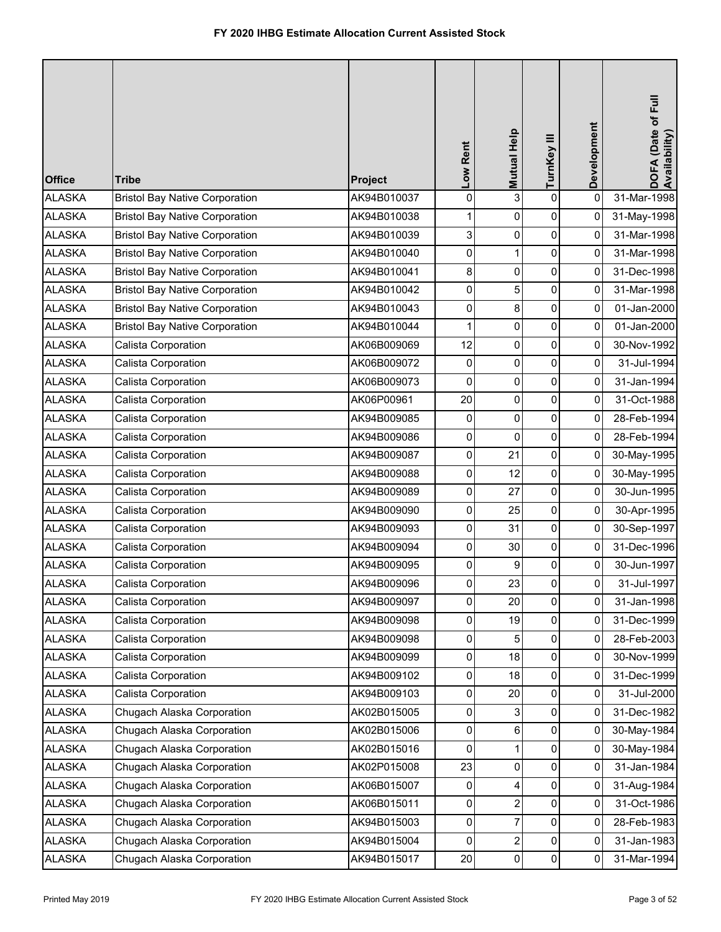| <b>Office</b> | <b>Tribe</b>                          | Project     | Low Rent       | Mutual Help    | TurnKey III    | Development    | DOFA (Date of Full<br>Availability) |
|---------------|---------------------------------------|-------------|----------------|----------------|----------------|----------------|-------------------------------------|
| <b>ALASKA</b> | <b>Bristol Bay Native Corporation</b> | AK94B010037 | $\pmb{0}$      | 3              | $\mathbf 0$    | $\mathbf 0$    | 31-Mar-1998                         |
| <b>ALASKA</b> | <b>Bristol Bay Native Corporation</b> | AK94B010038 | 1              | 0              | 0              | 0              | 31-May-1998                         |
| <b>ALASKA</b> | <b>Bristol Bay Native Corporation</b> | AK94B010039 | 3              | 0              | 0              | 0              | 31-Mar-1998                         |
| <b>ALASKA</b> | <b>Bristol Bay Native Corporation</b> | AK94B010040 | 0              | 1              | 0              | 0              | 31-Mar-1998                         |
| <b>ALASKA</b> | <b>Bristol Bay Native Corporation</b> | AK94B010041 | 8              | 0              | 0              | 0              | 31-Dec-1998                         |
| <b>ALASKA</b> | <b>Bristol Bay Native Corporation</b> | AK94B010042 | 0              | 5              | 0              | 0              | 31-Mar-1998                         |
| <b>ALASKA</b> | <b>Bristol Bay Native Corporation</b> | AK94B010043 | 0              | 8              | 0              | 0              | 01-Jan-2000                         |
| <b>ALASKA</b> | <b>Bristol Bay Native Corporation</b> | AK94B010044 | 1              | 0              | 0              | 0              | 01-Jan-2000                         |
| <b>ALASKA</b> | Calista Corporation                   | AK06B009069 | 12             | 0              | 0              | 0              | 30-Nov-1992                         |
| <b>ALASKA</b> | Calista Corporation                   | AK06B009072 | 0              | 0              | 0              | 0              | 31-Jul-1994                         |
| <b>ALASKA</b> | Calista Corporation                   | AK06B009073 | 0              | 0              | 0              | 0              | 31-Jan-1994                         |
| <b>ALASKA</b> | Calista Corporation                   | AK06P00961  | 20             | 0              | $\pmb{0}$      | 0              | 31-Oct-1988                         |
| <b>ALASKA</b> | Calista Corporation                   | AK94B009085 | 0              | 0              | 0              | 0              | 28-Feb-1994                         |
| <b>ALASKA</b> | Calista Corporation                   | AK94B009086 | 0              | 0              | 0              | 0              | 28-Feb-1994                         |
| <b>ALASKA</b> | Calista Corporation                   | AK94B009087 | 0              | 21             | 0              | 0              | 30-May-1995                         |
| <b>ALASKA</b> | Calista Corporation                   | AK94B009088 | 0              | 12             | 0              | 0              | 30-May-1995                         |
| <b>ALASKA</b> | Calista Corporation                   | AK94B009089 | 0              | 27             | 0              | 0              | 30-Jun-1995                         |
| <b>ALASKA</b> | Calista Corporation                   | AK94B009090 | $\pmb{0}$      | 25             | 0              | 0              | 30-Apr-1995                         |
| <b>ALASKA</b> | Calista Corporation                   | AK94B009093 | 0              | 31             | 0              | 0              | 30-Sep-1997                         |
| <b>ALASKA</b> | Calista Corporation                   | AK94B009094 | 0              | 30             | 0              | 0              | 31-Dec-1996                         |
| <b>ALASKA</b> | Calista Corporation                   | AK94B009095 | 0              | 9              | 0              | 0              | 30-Jun-1997                         |
| <b>ALASKA</b> | Calista Corporation                   | AK94B009096 | $\overline{0}$ | 23             | $\Omega$       | 0              | 31-Jul-1997                         |
| <b>ALASKA</b> | Calista Corporation                   | AK94B009097 | 0              | 20             | $\mathbf 0$    | $\pmb{0}$      | 31-Jan-1998                         |
| <b>ALASKA</b> | Calista Corporation                   | AK94B009098 | $\pmb{0}$      | 19             | $\mathbf 0$    | $\overline{0}$ | 31-Dec-1999                         |
| <b>ALASKA</b> | Calista Corporation                   | AK94B009098 | 0              | 5              | 0              | 0              | 28-Feb-2003                         |
| <b>ALASKA</b> | Calista Corporation                   | AK94B009099 | 0              | 18             | 0              | 0              | 30-Nov-1999                         |
| <b>ALASKA</b> | Calista Corporation                   | AK94B009102 | 0              | 18             | 0              | 0              | 31-Dec-1999                         |
| <b>ALASKA</b> | Calista Corporation                   | AK94B009103 | 0              | 20             | 0              | $\mathbf 0$    | 31-Jul-2000                         |
| <b>ALASKA</b> | Chugach Alaska Corporation            | AK02B015005 | 0              | 3              | $\mathbf 0$    | 0              | 31-Dec-1982                         |
| <b>ALASKA</b> | Chugach Alaska Corporation            | AK02B015006 | $\mathbf 0$    | 6              | 0              | 0              | 30-May-1984                         |
| <b>ALASKA</b> | Chugach Alaska Corporation            | AK02B015016 | 0              | 1              | 0              | 0              | 30-May-1984                         |
| <b>ALASKA</b> | Chugach Alaska Corporation            | AK02P015008 | 23             | 0              | 0              | 0              | 31-Jan-1984                         |
| <b>ALASKA</b> | Chugach Alaska Corporation            | AK06B015007 | 0              | 4              | 0              | 0              | 31-Aug-1984                         |
| <b>ALASKA</b> | Chugach Alaska Corporation            | AK06B015011 | 0              | 2              | 0              | $\overline{0}$ | 31-Oct-1986                         |
| <b>ALASKA</b> | Chugach Alaska Corporation            | AK94B015003 | 0              |                | 0              | 0              | 28-Feb-1983                         |
| <b>ALASKA</b> | Chugach Alaska Corporation            | AK94B015004 | $\overline{0}$ | $\overline{c}$ | 0              | 0              | 31-Jan-1983                         |
| <b>ALASKA</b> | Chugach Alaska Corporation            | AK94B015017 | 20             | 0              | $\overline{0}$ | 0              | 31-Mar-1994                         |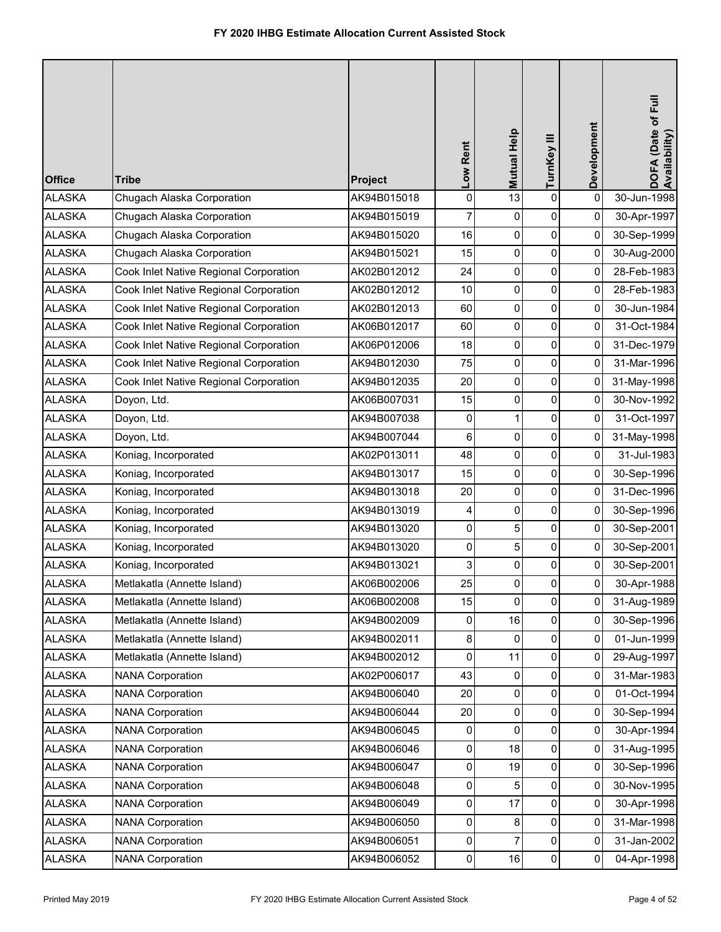| <b>Office</b> | <b>Tribe</b>                           | Project     | Low Rent       | Mutual Help | TurnKey III | Development    | DOFA (Date of Full<br>Availability) |
|---------------|----------------------------------------|-------------|----------------|-------------|-------------|----------------|-------------------------------------|
| <b>ALASKA</b> | Chugach Alaska Corporation             | AK94B015018 | $\pmb{0}$      | 13          | $\mathbf 0$ | $\mathbf 0$    | 30-Jun-1998                         |
| <b>ALASKA</b> | Chugach Alaska Corporation             | AK94B015019 | 7              | 0           | 0           | 0              | 30-Apr-1997                         |
| <b>ALASKA</b> | Chugach Alaska Corporation             | AK94B015020 | 16             | 0           | 0           | 0              | 30-Sep-1999                         |
| <b>ALASKA</b> | Chugach Alaska Corporation             | AK94B015021 | 15             | 0           | 0           | 0              | 30-Aug-2000                         |
| <b>ALASKA</b> | Cook Inlet Native Regional Corporation | AK02B012012 | 24             | 0           | 0           | 0              | 28-Feb-1983                         |
| <b>ALASKA</b> | Cook Inlet Native Regional Corporation | AK02B012012 | 10             | 0           | 0           | 0              | 28-Feb-1983                         |
| <b>ALASKA</b> | Cook Inlet Native Regional Corporation | AK02B012013 | 60             | 0           | 0           | 0              | 30-Jun-1984                         |
| <b>ALASKA</b> | Cook Inlet Native Regional Corporation | AK06B012017 | 60             | 0           | 0           | 0              | 31-Oct-1984                         |
| <b>ALASKA</b> | Cook Inlet Native Regional Corporation | AK06P012006 | 18             | 0           | 0           | 0              | 31-Dec-1979                         |
| <b>ALASKA</b> | Cook Inlet Native Regional Corporation | AK94B012030 | 75             | 0           | $\mathbf 0$ | $\overline{0}$ | 31-Mar-1996                         |
| <b>ALASKA</b> | Cook Inlet Native Regional Corporation | AK94B012035 | 20             | 0           | 0           | 0              | 31-May-1998                         |
| <b>ALASKA</b> | Doyon, Ltd.                            | AK06B007031 | 15             | 0           | 0           | 0              | 30-Nov-1992                         |
| <b>ALASKA</b> | Doyon, Ltd.                            | AK94B007038 | 0              | 1           | 0           | 0              | 31-Oct-1997                         |
| <b>ALASKA</b> | Doyon, Ltd.                            | AK94B007044 | 6              | 0           | 0           | 0              | 31-May-1998                         |
| <b>ALASKA</b> | Koniag, Incorporated                   | AK02P013011 | 48             | 0           | 0           | $\overline{0}$ | 31-Jul-1983                         |
| <b>ALASKA</b> | Koniag, Incorporated                   | AK94B013017 | 15             | 0           | 0           | 0              | 30-Sep-1996                         |
| <b>ALASKA</b> | Koniag, Incorporated                   | AK94B013018 | 20             | 0           | 0           | 0              | 31-Dec-1996                         |
| <b>ALASKA</b> | Koniag, Incorporated                   | AK94B013019 | 4              | 0           | 0           | 0              | 30-Sep-1996                         |
| <b>ALASKA</b> | Koniag, Incorporated                   | AK94B013020 | 0              | 5           | 0           | $\mathbf 0$    | 30-Sep-2001                         |
| <b>ALASKA</b> | Koniag, Incorporated                   | AK94B013020 | 0              | 5           | 0           | 0              | 30-Sep-2001                         |
| <b>ALASKA</b> | Koniag, Incorporated                   | AK94B013021 | 3              | 0           | 0           | 0              | 30-Sep-2001                         |
| <b>ALASKA</b> | Metlakatla (Annette Island)            | AK06B002006 | 25             | $\Omega$    | $\Omega$    | 0              | 30-Apr-1988                         |
| <b>ALASKA</b> | Metlakatla (Annette Island)            | AK06B002008 | 15             | 0           | 0           | $\pmb{0}$      | 31-Aug-1989                         |
| <b>ALASKA</b> | Metlakatla (Annette Island)            | AK94B002009 | 0              | 16          | 0           | 0              | 30-Sep-1996                         |
| <b>ALASKA</b> | Metlakatla (Annette Island)            | AK94B002011 | 8              | 0           | 0           | 0              | 01-Jun-1999                         |
| <b>ALASKA</b> | Metlakatla (Annette Island)            | AK94B002012 | $\pmb{0}$      | 11          | 0           | 0              | 29-Aug-1997                         |
| <b>ALASKA</b> | <b>NANA Corporation</b>                | AK02P006017 | 43             | 0           | 0           | 0              | 31-Mar-1983                         |
| <b>ALASKA</b> | <b>NANA Corporation</b>                | AK94B006040 | 20             | 0           | 0           | 0              | 01-Oct-1994                         |
| <b>ALASKA</b> | <b>NANA Corporation</b>                | AK94B006044 | 20             | 0           | 0           | 0              | 30-Sep-1994                         |
| <b>ALASKA</b> | <b>NANA Corporation</b>                | AK94B006045 | 0              | 0           | 0           | $\overline{0}$ | 30-Apr-1994                         |
| <b>ALASKA</b> | <b>NANA Corporation</b>                | AK94B006046 | $\pmb{0}$      | 18          | 0           | 0              | 31-Aug-1995                         |
| <b>ALASKA</b> | <b>NANA Corporation</b>                | AK94B006047 | 0              | 19          | 0           | 0              | 30-Sep-1996                         |
| <b>ALASKA</b> | <b>NANA Corporation</b>                | AK94B006048 | $\pmb{0}$      | 5           | 0           | $\pmb{0}$      | 30-Nov-1995                         |
| <b>ALASKA</b> | <b>NANA Corporation</b>                | AK94B006049 | 0              | 17          | 0           | 0              | 30-Apr-1998                         |
| <b>ALASKA</b> | <b>NANA Corporation</b>                | AK94B006050 | $\mathbf 0$    | 8           | 0           | 0              | 31-Mar-1998                         |
| <b>ALASKA</b> | <b>NANA Corporation</b>                | AK94B006051 | 0              | 7           | 0           | 0              | 31-Jan-2002                         |
| <b>ALASKA</b> | <b>NANA Corporation</b>                | AK94B006052 | $\overline{0}$ | 16          | 0           | $\mathbf 0$    | 04-Apr-1998                         |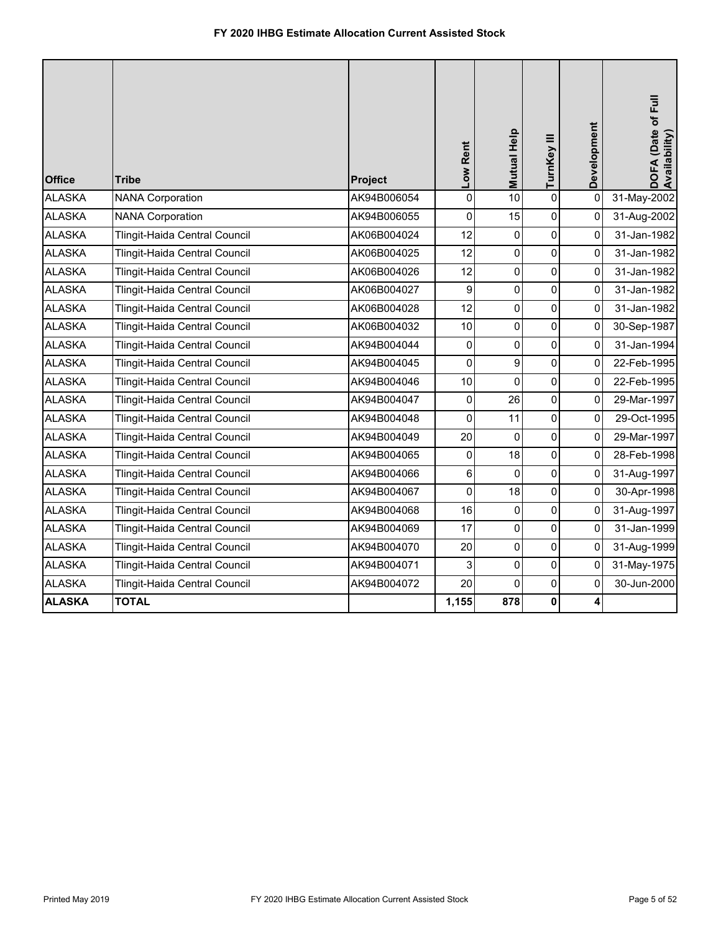| <b>Office</b> | <b>Tribe</b>                  | Project     | Low Rent            | Mutual Help | TurnKey III | Development  | DOFA (Date of Full<br>Availability) |
|---------------|-------------------------------|-------------|---------------------|-------------|-------------|--------------|-------------------------------------|
| <b>ALASKA</b> | <b>NANA Corporation</b>       | AK94B006054 | $\mathsf 0$         | 10          | $\pmb{0}$   | 0            | 31-May-2002                         |
| <b>ALASKA</b> | <b>NANA Corporation</b>       | AK94B006055 | 0                   | 15          | $\pmb{0}$   | $\mathbf 0$  | 31-Aug-2002                         |
| <b>ALASKA</b> | Tlingit-Haida Central Council | AK06B004024 | 12                  | $\mathbf 0$ | $\pmb{0}$   | 0            | 31-Jan-1982                         |
| <b>ALASKA</b> | Tlingit-Haida Central Council | AK06B004025 | 12                  | 0           | $\pmb{0}$   | 0            | 31-Jan-1982                         |
| <b>ALASKA</b> | Tlingit-Haida Central Council | AK06B004026 | 12                  | 0           | $\mathbf 0$ | 0            | 31-Jan-1982                         |
| <b>ALASKA</b> | Tlingit-Haida Central Council | AK06B004027 | 9                   | 0           | 0           | $\mathbf{0}$ | 31-Jan-1982                         |
| <b>ALASKA</b> | Tlingit-Haida Central Council | AK06B004028 | 12                  | 0           | $\mathbf 0$ | $\Omega$     | 31-Jan-1982                         |
| <b>ALASKA</b> | Tlingit-Haida Central Council | AK06B004032 | 10                  | 0           | $\mathbf 0$ | 0            | 30-Sep-1987                         |
| <b>ALASKA</b> | Tlingit-Haida Central Council | AK94B004044 | $\pmb{0}$           | 0           | $\pmb{0}$   | 0            | 31-Jan-1994                         |
| <b>ALASKA</b> | Tlingit-Haida Central Council | AK94B004045 | $\mathbf 0$         | 9           | $\mathbf 0$ | 0            | 22-Feb-1995                         |
| <b>ALASKA</b> | Tlingit-Haida Central Council | AK94B004046 | 10                  | $\mathbf 0$ | $\pmb{0}$   | 0            | 22-Feb-1995                         |
| <b>ALASKA</b> | Tlingit-Haida Central Council | AK94B004047 | $\mathsf{O}\xspace$ | 26          | $\mathbf 0$ | $\pmb{0}$    | 29-Mar-1997                         |
| <b>ALASKA</b> | Tlingit-Haida Central Council | AK94B004048 | 0                   | 11          | $\mathbf 0$ | 0            | 29-Oct-1995                         |
| <b>ALASKA</b> | Tlingit-Haida Central Council | AK94B004049 | 20                  | 0           | $\pmb{0}$   | 0            | 29-Mar-1997                         |
| <b>ALASKA</b> | Tlingit-Haida Central Council | AK94B004065 | 0                   | 18          | $\mathbf 0$ | 0            | 28-Feb-1998                         |
| <b>ALASKA</b> | Tlingit-Haida Central Council | AK94B004066 | $\mathbf 6$         | $\mathbf 0$ | $\pmb{0}$   | 0            | 31-Aug-1997                         |
| <b>ALASKA</b> | Tlingit-Haida Central Council | AK94B004067 | 0                   | 18          | $\pmb{0}$   | 0            | 30-Apr-1998                         |
| <b>ALASKA</b> | Tlingit-Haida Central Council | AK94B004068 | 16                  | 0           | $\pmb{0}$   | 0            | 31-Aug-1997                         |
| <b>ALASKA</b> | Tlingit-Haida Central Council | AK94B004069 | 17                  | 0           | 0           | 0            | 31-Jan-1999                         |
| <b>ALASKA</b> | Tlingit-Haida Central Council | AK94B004070 | 20                  | 0           | $\pmb{0}$   | 0            | 31-Aug-1999                         |
| <b>ALASKA</b> | Tlingit-Haida Central Council | AK94B004071 | 3                   | 0           | $\mathsf 0$ | 0            | 31-May-1975                         |
| <b>ALASKA</b> | Tlingit-Haida Central Council | AK94B004072 | 20                  | 0           | 0           | $\mathbf 0$  | 30-Jun-2000                         |
| <b>ALASKA</b> | <b>TOTAL</b>                  |             | 1,155               | 878         | $\mathbf 0$ | 4            |                                     |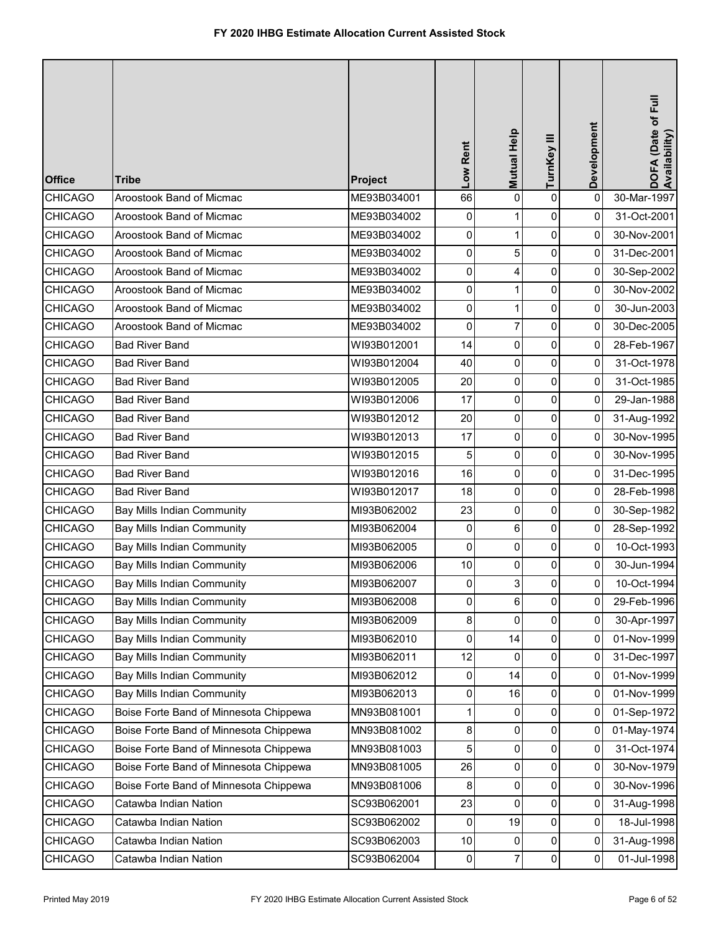| <b>Office</b>  | <b>Tribe</b>                           | Project     | Low Rent  | Mutual Help    | TurnKey III | Development    | DOFA (Date of Full<br>Availability) |
|----------------|----------------------------------------|-------------|-----------|----------------|-------------|----------------|-------------------------------------|
| <b>CHICAGO</b> | Aroostook Band of Micmac               | ME93B034001 | 66        | 0              | $\mathbf 0$ | 0              | 30-Mar-1997                         |
| <b>CHICAGO</b> | Aroostook Band of Micmac               | ME93B034002 | 0         | 1              | 0           | 0              | 31-Oct-2001                         |
| <b>CHICAGO</b> | Aroostook Band of Micmac               | ME93B034002 | 0         | $\mathbf{1}$   | 0           | 0              | 30-Nov-2001                         |
| <b>CHICAGO</b> | Aroostook Band of Micmac               | ME93B034002 | 0         | 5              | 0           | 0              | 31-Dec-2001                         |
| <b>CHICAGO</b> | Aroostook Band of Micmac               | ME93B034002 | 0         | 4              | 0           | $\overline{0}$ | 30-Sep-2002                         |
| <b>CHICAGO</b> | Aroostook Band of Micmac               | ME93B034002 | 0         | 1              | 0           | 0              | 30-Nov-2002                         |
| <b>CHICAGO</b> | Aroostook Band of Micmac               | ME93B034002 | 0         | 1              | 0           | 0              | 30-Jun-2003                         |
| <b>CHICAGO</b> | Aroostook Band of Micmac               | ME93B034002 | 0         | 7              | 0           | 0              | 30-Dec-2005                         |
| <b>CHICAGO</b> | <b>Bad River Band</b>                  | WI93B012001 | 14        | 0              | 0           | 0              | 28-Feb-1967                         |
| <b>CHICAGO</b> | <b>Bad River Band</b>                  | WI93B012004 | 40        | 0              | $\mathbf 0$ | $\overline{0}$ | 31-Oct-1978                         |
| <b>CHICAGO</b> | <b>Bad River Band</b>                  | WI93B012005 | 20        | 0              | 0           | 0              | 31-Oct-1985                         |
| <b>CHICAGO</b> | <b>Bad River Band</b>                  | WI93B012006 | 17        | 0              | 0           | 0              | 29-Jan-1988                         |
| <b>CHICAGO</b> | <b>Bad River Band</b>                  | WI93B012012 | 20        | 0              | 0           | 0              | 31-Aug-1992                         |
| CHICAGO        | <b>Bad River Band</b>                  | WI93B012013 | 17        | 0              | 0           | 0              | 30-Nov-1995                         |
| <b>CHICAGO</b> | <b>Bad River Band</b>                  | WI93B012015 | 5         | 0              | 0           | $\overline{0}$ | 30-Nov-1995                         |
| <b>CHICAGO</b> | <b>Bad River Band</b>                  | WI93B012016 | 16        | 0              | 0           | 0              | 31-Dec-1995                         |
| <b>CHICAGO</b> | <b>Bad River Band</b>                  | WI93B012017 | 18        | 0              | 0           | 0              | 28-Feb-1998                         |
| <b>CHICAGO</b> | Bay Mills Indian Community             | MI93B062002 | 23        | 0              | 0           | 0              | 30-Sep-1982                         |
| <b>CHICAGO</b> | <b>Bay Mills Indian Community</b>      | MI93B062004 | 0         | 6              | 0           | 0              | 28-Sep-1992                         |
| <b>CHICAGO</b> | Bay Mills Indian Community             | MI93B062005 | 0         | 0              | 0           | 0              | 10-Oct-1993                         |
| <b>CHICAGO</b> | Bay Mills Indian Community             | MI93B062006 | 10        | 0              | 0           | 0              | 30-Jun-1994                         |
| <b>CHICAGO</b> | <b>Bay Mills Indian Community</b>      | MI93B062007 | $\pmb{0}$ | 3 <sub>1</sub> | $\Omega$    | $\pmb{0}$      | 10-Oct-1994                         |
| <b>CHICAGO</b> | Bay Mills Indian Community             | MI93B062008 | 0         | 6              | 0           | 0              | 29-Feb-1996                         |
| <b>CHICAGO</b> | Bay Mills Indian Community             | MI93B062009 | 8         | 0              | 0           | 0              | 30-Apr-1997                         |
| <b>CHICAGO</b> | Bay Mills Indian Community             | MI93B062010 | 0         | 14             | 0           | 0              | 01-Nov-1999                         |
| <b>CHICAGO</b> | Bay Mills Indian Community             | MI93B062011 | 12        | $\mathbf{0}$   | 0           | 0              | 31-Dec-1997                         |
| <b>CHICAGO</b> | <b>Bay Mills Indian Community</b>      | MI93B062012 | 0         | 14             | 0           | 0              | 01-Nov-1999                         |
| <b>CHICAGO</b> | Bay Mills Indian Community             | MI93B062013 | 0         | 16             | 0           | 0              | 01-Nov-1999                         |
| <b>CHICAGO</b> | Boise Forte Band of Minnesota Chippewa | MN93B081001 | 1         | 0              | 0           | 0              | 01-Sep-1972                         |
| <b>CHICAGO</b> | Boise Forte Band of Minnesota Chippewa | MN93B081002 | 8         | 0              | 0           | 0              | 01-May-1974                         |
| <b>CHICAGO</b> | Boise Forte Band of Minnesota Chippewa | MN93B081003 | 5         | 0              | 0           | 0              | 31-Oct-1974                         |
| <b>CHICAGO</b> | Boise Forte Band of Minnesota Chippewa | MN93B081005 | 26        | 0              | 0           | 0              | 30-Nov-1979                         |
| <b>CHICAGO</b> | Boise Forte Band of Minnesota Chippewa | MN93B081006 | 8         | 0              | 0           | $\mathbf 0$    | 30-Nov-1996                         |
| <b>CHICAGO</b> | Catawba Indian Nation                  | SC93B062001 | 23        | 0              | 0           | 0              | 31-Aug-1998                         |
| <b>CHICAGO</b> | Catawba Indian Nation                  | SC93B062002 | 0         | 19             | 0           | 0              | 18-Jul-1998                         |
| CHICAGO        | Catawba Indian Nation                  | SC93B062003 | $10$      | 0              | 0           | 0              | 31-Aug-1998                         |
| <b>CHICAGO</b> | Catawba Indian Nation                  | SC93B062004 | $\pmb{0}$ | 7              | 0           | $\mathbf 0$    | 01-Jul-1998                         |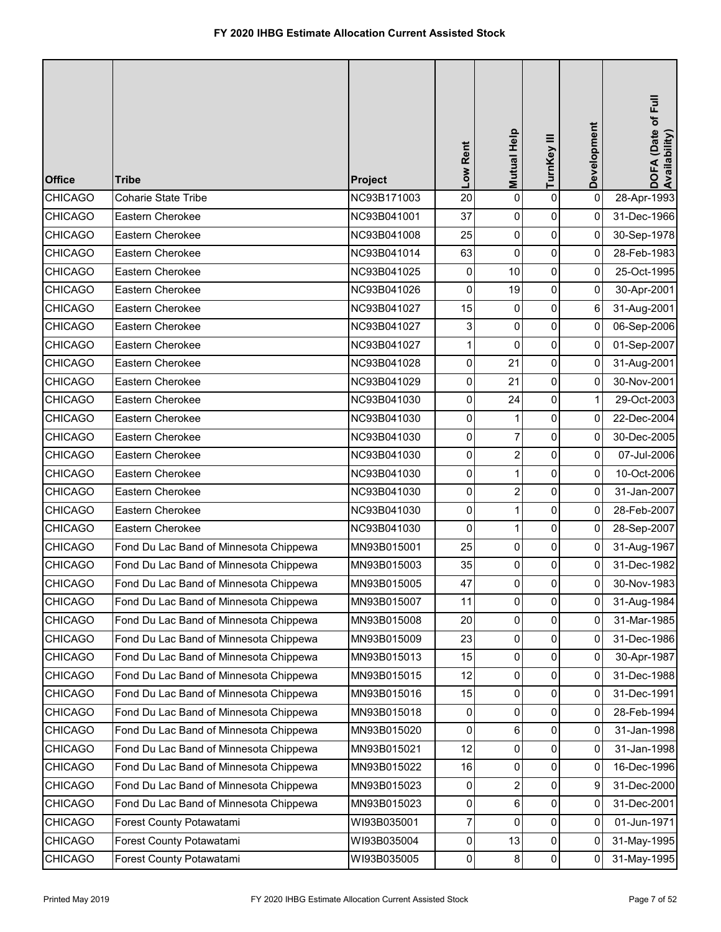| <b>Office</b>  | <b>Tribe</b>                           | Project     | Low Rent | Mutual Help    | TurnKey III    | Development         | DOFA (Date of Full<br>Availability) |
|----------------|----------------------------------------|-------------|----------|----------------|----------------|---------------------|-------------------------------------|
| <b>CHICAGO</b> | Coharie State Tribe                    | NC93B171003 | 20       | 0              | $\pmb{0}$      | 0                   | 28-Apr-1993                         |
| <b>CHICAGO</b> | Eastern Cherokee                       | NC93B041001 | 37       | 0              | $\pmb{0}$      | $\mathbf 0$         | 31-Dec-1966                         |
| <b>CHICAGO</b> | Eastern Cherokee                       | NC93B041008 | 25       | 0              | $\pmb{0}$      | $\mathbf 0$         | 30-Sep-1978                         |
| <b>CHICAGO</b> | Eastern Cherokee                       | NC93B041014 | 63       | 0              | $\pmb{0}$      | 0                   | 28-Feb-1983                         |
| <b>CHICAGO</b> | Eastern Cherokee                       | NC93B041025 | 0        | 10             | 0              | 0                   | 25-Oct-1995                         |
| <b>CHICAGO</b> | Eastern Cherokee                       | NC93B041026 | 0        | 19             | $\pmb{0}$      | 0                   | 30-Apr-2001                         |
| <b>CHICAGO</b> | Eastern Cherokee                       | NC93B041027 | 15       | 0              | $\pmb{0}$      | 6                   | 31-Aug-2001                         |
| <b>CHICAGO</b> | Eastern Cherokee                       | NC93B041027 | 3        | 0              | $\pmb{0}$      | $\pmb{0}$           | 06-Sep-2006                         |
| <b>CHICAGO</b> | Eastern Cherokee                       | NC93B041027 | 1        | $\mathbf 0$    | $\pmb{0}$      | 0                   | 01-Sep-2007                         |
| <b>CHICAGO</b> | Eastern Cherokee                       | NC93B041028 | 0        | 21             | 0              | 0                   | 31-Aug-2001                         |
| <b>CHICAGO</b> | Eastern Cherokee                       | NC93B041029 | 0        | 21             | $\pmb{0}$      | 0                   | 30-Nov-2001                         |
| <b>CHICAGO</b> | Eastern Cherokee                       | NC93B041030 | 0        | 24             | 0              | 1                   | 29-Oct-2003                         |
| <b>CHICAGO</b> | Eastern Cherokee                       | NC93B041030 | 0        | 1              | $\pmb{0}$      | 0                   | 22-Dec-2004                         |
| CHICAGO        | Eastern Cherokee                       | NC93B041030 | 0        | $\overline{7}$ | $\pmb{0}$      | 0                   | 30-Dec-2005                         |
| <b>CHICAGO</b> | Eastern Cherokee                       | NC93B041030 | 0        | $\overline{c}$ | 0              | 0                   | 07-Jul-2006                         |
| <b>CHICAGO</b> | Eastern Cherokee                       | NC93B041030 | 0        | $\mathbf{1}$   | $\pmb{0}$      | 0                   | 10-Oct-2006                         |
| <b>CHICAGO</b> | Eastern Cherokee                       | NC93B041030 | 0        | $\overline{c}$ | $\pmb{0}$      | 0                   | 31-Jan-2007                         |
| <b>CHICAGO</b> | Eastern Cherokee                       | NC93B041030 | 0        | 1              | $\pmb{0}$      | 0                   | 28-Feb-2007                         |
| <b>CHICAGO</b> | Eastern Cherokee                       | NC93B041030 | 0        | $\mathbf{1}$   | $\pmb{0}$      | 0                   | 28-Sep-2007                         |
| <b>CHICAGO</b> | Fond Du Lac Band of Minnesota Chippewa | MN93B015001 | 25       | 0              | 0              | 0                   | 31-Aug-1967                         |
| <b>CHICAGO</b> | Fond Du Lac Band of Minnesota Chippewa | MN93B015003 | 35       | 0              | 0              | 0                   | 31-Dec-1982                         |
| <b>CHICAGO</b> | Fond Du Lac Band of Minnesota Chippewa | MN93B015005 | 47       | $\overline{0}$ | 0              | ٥I                  | 30-Nov-1983                         |
| <b>CHICAGO</b> | Fond Du Lac Band of Minnesota Chippewa | MN93B015007 | 11       | 0              | $\mathbf 0$    | $\mathsf{O}\xspace$ | 31-Aug-1984                         |
| <b>CHICAGO</b> | Fond Du Lac Band of Minnesota Chippewa | MN93B015008 | 20       | 0              | $\pmb{0}$      | 0                   | 31-Mar-1985                         |
| <b>CHICAGO</b> | Fond Du Lac Band of Minnesota Chippewa | MN93B015009 | 23       | 0              | 0              | 0                   | 31-Dec-1986                         |
| <b>CHICAGO</b> | Fond Du Lac Band of Minnesota Chippewa | MN93B015013 | 15       | 0              | 0              | 0                   | 30-Apr-1987                         |
| <b>CHICAGO</b> | Fond Du Lac Band of Minnesota Chippewa | MN93B015015 | 12       | 0              | 0              | 0                   | 31-Dec-1988                         |
| <b>CHICAGO</b> | Fond Du Lac Band of Minnesota Chippewa | MN93B015016 | 15       | 0              | $\mathbf 0$    | 0                   | 31-Dec-1991                         |
| <b>CHICAGO</b> | Fond Du Lac Band of Minnesota Chippewa | MN93B015018 | 0        | $\Omega$       | 0              | 0                   | 28-Feb-1994                         |
| <b>CHICAGO</b> | Fond Du Lac Band of Minnesota Chippewa | MN93B015020 | 0        | 6              | 0              | 0                   | 31-Jan-1998                         |
| <b>CHICAGO</b> | Fond Du Lac Band of Minnesota Chippewa | MN93B015021 | 12       | 0              | 0              | 0                   | 31-Jan-1998                         |
| <b>CHICAGO</b> | Fond Du Lac Band of Minnesota Chippewa | MN93B015022 | 16       | 0              | 0              | 0                   | 16-Dec-1996                         |
| <b>CHICAGO</b> | Fond Du Lac Band of Minnesota Chippewa | MN93B015023 | 0        | $\overline{2}$ | 0              | 9                   | 31-Dec-2000                         |
| <b>CHICAGO</b> | Fond Du Lac Band of Minnesota Chippewa | MN93B015023 | 0        | 6              | $\pmb{0}$      | 0                   | 31-Dec-2001                         |
| <b>CHICAGO</b> | Forest County Potawatami               | WI93B035001 | 7        | 0              | 0              | 0                   | 01-Jun-1971                         |
| <b>CHICAGO</b> | Forest County Potawatami               | WI93B035004 | 0        | 13             | $\pmb{0}$      | 0                   | 31-May-1995                         |
| <b>CHICAGO</b> | Forest County Potawatami               | WI93B035005 | 0        | $\bf 8$        | $\overline{0}$ | 0                   | 31-May-1995                         |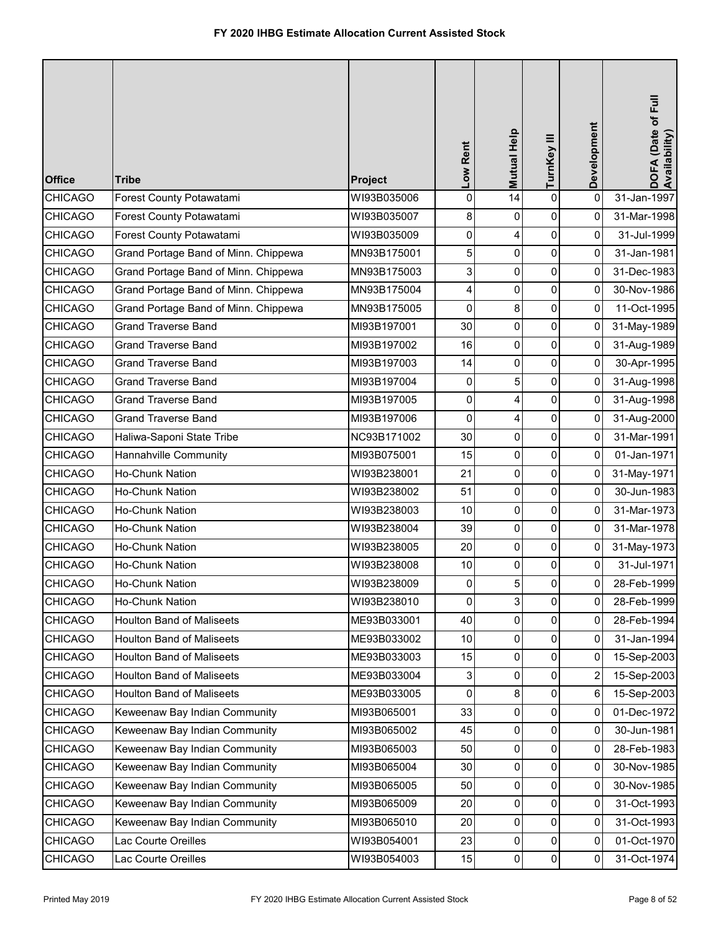| <b>Office</b>  | <b>Tribe</b>                         | Project     | Low Rent            | Mutual Help    | TurnKey III    | Development    | DOFA (Date of Full<br>Availability) |
|----------------|--------------------------------------|-------------|---------------------|----------------|----------------|----------------|-------------------------------------|
| <b>CHICAGO</b> | Forest County Potawatami             | WI93B035006 | 0                   | 14             | $\pmb{0}$      | 0              | 31-Jan-1997                         |
| <b>CHICAGO</b> | Forest County Potawatami             | WI93B035007 | 8                   | 0              | $\pmb{0}$      | 0              | 31-Mar-1998                         |
| <b>CHICAGO</b> | Forest County Potawatami             | WI93B035009 | $\mathsf{O}\xspace$ | 4              | 0              | $\Omega$       | 31-Jul-1999                         |
| <b>CHICAGO</b> | Grand Portage Band of Minn. Chippewa | MN93B175001 | 5                   | 0              | 0              | 0              | 31-Jan-1981                         |
| <b>CHICAGO</b> | Grand Portage Band of Minn. Chippewa | MN93B175003 | 3                   | 0              | 0              | 0              | 31-Dec-1983                         |
| <b>CHICAGO</b> | Grand Portage Band of Minn. Chippewa | MN93B175004 | 4                   | 0              | $\pmb{0}$      | 0              | 30-Nov-1986                         |
| <b>CHICAGO</b> | Grand Portage Band of Minn. Chippewa | MN93B175005 | 0                   | 8              | $\pmb{0}$      | 0              | 11-Oct-1995                         |
| <b>CHICAGO</b> | <b>Grand Traverse Band</b>           | MI93B197001 | 30                  | 0              | $\mathbf 0$    | $\pmb{0}$      | 31-May-1989                         |
| <b>CHICAGO</b> | Grand Traverse Band                  | MI93B197002 | 16                  | 0              | 0              | 0              | 31-Aug-1989                         |
| <b>CHICAGO</b> | <b>Grand Traverse Band</b>           | MI93B197003 | 14                  | 0              | 0              | 0              | 30-Apr-1995                         |
| <b>CHICAGO</b> | <b>Grand Traverse Band</b>           | MI93B197004 | 0                   | 5              | 0              | $\pmb{0}$      | 31-Aug-1998                         |
| <b>CHICAGO</b> | <b>Grand Traverse Band</b>           | MI93B197005 | 0                   | 4              | $\pmb{0}$      | 0              | 31-Aug-1998                         |
| <b>CHICAGO</b> | <b>Grand Traverse Band</b>           | MI93B197006 | $\mathbf 0$         | 4              | $\mathbf 0$    | $\overline{0}$ | 31-Aug-2000                         |
| <b>CHICAGO</b> | Haliwa-Saponi State Tribe            | NC93B171002 | 30                  | 0              | 0              | 0              | 31-Mar-1991                         |
| <b>CHICAGO</b> | Hannahville Community                | MI93B075001 | 15                  | 0              | 0              | 0              | 01-Jan-1971                         |
| <b>CHICAGO</b> | Ho-Chunk Nation                      | WI93B238001 | 21                  | 0              | $\pmb{0}$      | 0              | 31-May-1971                         |
| <b>CHICAGO</b> | Ho-Chunk Nation                      | WI93B238002 | 51                  | 0              | $\pmb{0}$      | 0              | 30-Jun-1983                         |
| <b>CHICAGO</b> | Ho-Chunk Nation                      | WI93B238003 | 10                  | 0              | $\mathbf 0$    | 0              | 31-Mar-1973                         |
| <b>CHICAGO</b> | Ho-Chunk Nation                      | WI93B238004 | 39                  | 0              | 0              | 0              | 31-Mar-1978                         |
| <b>CHICAGO</b> | Ho-Chunk Nation                      | WI93B238005 | 20                  | 0              | $\pmb{0}$      | 0              | 31-May-1973                         |
| <b>CHICAGO</b> | Ho-Chunk Nation                      | WI93B238008 | $10$                | 0              | 0              | 0              | 31-Jul-1971                         |
| <b>CHICAGO</b> | Ho-Chunk Nation                      | WI93B238009 | $\Omega$            | 5              | $\Omega$       | $\Omega$       | 28-Feb-1999                         |
| <b>CHICAGO</b> | Ho-Chunk Nation                      | WI93B238010 | $\mathbf 0$         | $\overline{3}$ | $\mathbf 0$    | 0              | 28-Feb-1999                         |
| <b>CHICAGO</b> | <b>Houlton Band of Maliseets</b>     | ME93B033001 | 40                  | $\overline{0}$ | 0              | 0              | 28-Feb-1994                         |
| <b>CHICAGO</b> | <b>Houlton Band of Maliseets</b>     | ME93B033002 | 10                  | 0              | 0              | 0              | 31-Jan-1994                         |
| <b>CHICAGO</b> | <b>Houlton Band of Maliseets</b>     | ME93B033003 | 15                  | 0              | $\pmb{0}$      | 0              | 15-Sep-2003                         |
| <b>CHICAGO</b> | <b>Houlton Band of Maliseets</b>     | ME93B033004 | 3                   | 0              | 0              | 2              | 15-Sep-2003                         |
| <b>CHICAGO</b> | Houlton Band of Maliseets            | ME93B033005 | $\overline{0}$      | 8              | 0              | 6              | 15-Sep-2003                         |
| <b>CHICAGO</b> | Keweenaw Bay Indian Community        | MI93B065001 | 33                  | 0              | 0              | 0              | 01-Dec-1972                         |
| <b>CHICAGO</b> | Keweenaw Bay Indian Community        | MI93B065002 | 45                  | 0              | 0              | 0              | 30-Jun-1981                         |
| <b>CHICAGO</b> | Keweenaw Bay Indian Community        | MI93B065003 | 50                  | 0              | $\pmb{0}$      | 0              | 28-Feb-1983                         |
| <b>CHICAGO</b> | Keweenaw Bay Indian Community        | MI93B065004 | 30                  | 0              | 0              | 0              | 30-Nov-1985                         |
| <b>CHICAGO</b> | Keweenaw Bay Indian Community        | MI93B065005 | 50                  | $\overline{0}$ | 0              | 0              | 30-Nov-1985                         |
| <b>CHICAGO</b> | Keweenaw Bay Indian Community        | MI93B065009 | 20                  | 0              | 0              | 0              | 31-Oct-1993                         |
| <b>CHICAGO</b> | Keweenaw Bay Indian Community        | MI93B065010 | 20                  | 0              | 0              | 0              | 31-Oct-1993                         |
| <b>CHICAGO</b> | Lac Courte Oreilles                  | WI93B054001 | 23                  | 0              | 0              | 0              | 01-Oct-1970                         |
| <b>CHICAGO</b> | Lac Courte Oreilles                  | WI93B054003 | 15                  | 0              | $\overline{0}$ | 0              | 31-Oct-1974                         |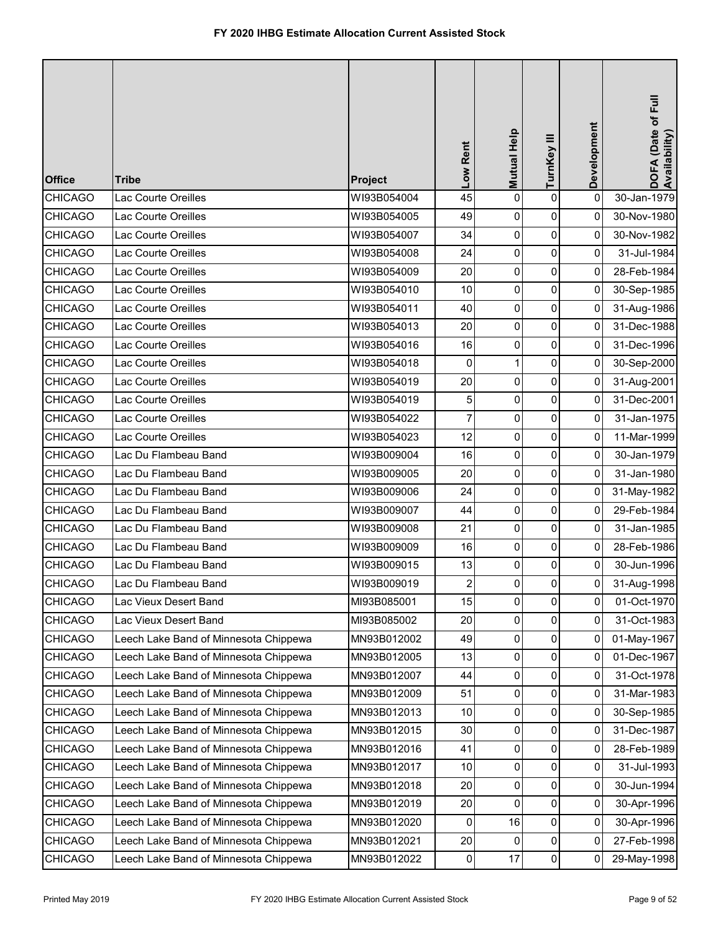| <b>Office</b>  | <b>Tribe</b>                          | Project     | Low Rent       | Mutual Help | TurnKey III    | Development         | DOFA (Date of Full<br>Availability) |
|----------------|---------------------------------------|-------------|----------------|-------------|----------------|---------------------|-------------------------------------|
| <b>CHICAGO</b> | Lac Courte Oreilles                   | WI93B054004 | 45             | 0           | $\pmb{0}$      | 0                   | 30-Jan-1979                         |
| <b>CHICAGO</b> | Lac Courte Oreilles                   | WI93B054005 | 49             | 0           | 0              | 0                   | 30-Nov-1980                         |
| <b>CHICAGO</b> | Lac Courte Oreilles                   | WI93B054007 | 34             | 0           | $\overline{0}$ | 0                   | 30-Nov-1982                         |
| <b>CHICAGO</b> | Lac Courte Oreilles                   | WI93B054008 | 24             | 0           | $\pmb{0}$      | 0                   | 31-Jul-1984                         |
| <b>CHICAGO</b> | Lac Courte Oreilles                   | WI93B054009 | 20             | 0           | $\overline{0}$ | $\overline{0}$      | 28-Feb-1984                         |
| <b>CHICAGO</b> | Lac Courte Oreilles                   | WI93B054010 | 10             | 0           | $\overline{0}$ | 0                   | 30-Sep-1985                         |
| <b>CHICAGO</b> | Lac Courte Oreilles                   | WI93B054011 | 40             | 0           | 0              | $\overline{0}$      | 31-Aug-1986                         |
| <b>CHICAGO</b> | Lac Courte Oreilles                   | WI93B054013 | 20             | 0           | $\overline{0}$ | $\pmb{0}$           | 31-Dec-1988                         |
| <b>CHICAGO</b> | Lac Courte Oreilles                   | WI93B054016 | 16             | 0           | $\pmb{0}$      | 0                   | 31-Dec-1996                         |
| <b>CHICAGO</b> | Lac Courte Oreilles                   | WI93B054018 | 0              | 1           | $\overline{0}$ | $\overline{0}$      | 30-Sep-2000                         |
| <b>CHICAGO</b> | Lac Courte Oreilles                   | WI93B054019 | 20             | 0           | $\overline{0}$ | 0                   | 31-Aug-2001                         |
| <b>CHICAGO</b> | Lac Courte Oreilles                   | WI93B054019 | 5              | 0           | $\pmb{0}$      | 0                   | 31-Dec-2001                         |
| <b>CHICAGO</b> | Lac Courte Oreilles                   | WI93B054022 | $\overline{7}$ | 0           | $\overline{0}$ | 0                   | 31-Jan-1975                         |
| <b>CHICAGO</b> | Lac Courte Oreilles                   | WI93B054023 | 12             | 0           | $\pmb{0}$      | 0                   | 11-Mar-1999                         |
| <b>CHICAGO</b> | Lac Du Flambeau Band                  | WI93B009004 | 16             | 0           | $\overline{0}$ | $\overline{0}$      | 30-Jan-1979                         |
| <b>CHICAGO</b> | Lac Du Flambeau Band                  | WI93B009005 | 20             | 0           | $\overline{0}$ | 0                   | 31-Jan-1980                         |
| <b>CHICAGO</b> | Lac Du Flambeau Band                  | WI93B009006 | 24             | 0           | 0              | $\overline{0}$      | 31-May-1982                         |
| <b>CHICAGO</b> | Lac Du Flambeau Band                  | WI93B009007 | 44             | 0           | $\overline{0}$ | 0                   | 29-Feb-1984                         |
| <b>CHICAGO</b> | Lac Du Flambeau Band                  | WI93B009008 | 21             | 0           | 0              | 0                   | 31-Jan-1985                         |
| <b>CHICAGO</b> | Lac Du Flambeau Band                  | WI93B009009 | 16             | 0           | 0              | 0                   | 28-Feb-1986                         |
| <b>CHICAGO</b> | Lac Du Flambeau Band                  | WI93B009015 | 13             | 0           | $\overline{0}$ | 0                   | 30-Jun-1996                         |
| <b>CHICAGO</b> | Lac Du Flambeau Band                  | WI93B009019 | $\overline{a}$ | $\Omega$    | $\overline{0}$ | $\overline{0}$      | 31-Aug-1998                         |
| <b>CHICAGO</b> | Lac Vieux Desert Band                 | MI93B085001 | 15             | 0           | $\pmb{0}$      | $\mathsf{O}\xspace$ | 01-Oct-1970                         |
| <b>CHICAGO</b> | Lac Vieux Desert Band                 | MI93B085002 | 20             | 0           | $\pmb{0}$      | 0                   | 31-Oct-1983                         |
| <b>CHICAGO</b> | Leech Lake Band of Minnesota Chippewa | MN93B012002 | 49             | 0           | $\overline{0}$ | $\overline{0}$      | 01-May-1967                         |
| <b>CHICAGO</b> | Leech Lake Band of Minnesota Chippewa | MN93B012005 | 13             | 0           | $\overline{0}$ | 0                   | 01-Dec-1967                         |
| <b>CHICAGO</b> | Leech Lake Band of Minnesota Chippewa | MN93B012007 | 44             | 0           | 0              | 0                   | 31-Oct-1978                         |
| <b>CHICAGO</b> | Leech Lake Band of Minnesota Chippewa | MN93B012009 | 51             | 0           | 0              | 0                   | 31-Mar-1983                         |
| <b>CHICAGO</b> | Leech Lake Band of Minnesota Chippewa | MN93B012013 | 10             | 0           | $\pmb{0}$      | 0                   | 30-Sep-1985                         |
| <b>CHICAGO</b> | Leech Lake Band of Minnesota Chippewa | MN93B012015 | 30             | 0           | $\overline{0}$ | 0                   | 31-Dec-1987                         |
| <b>CHICAGO</b> | Leech Lake Band of Minnesota Chippewa | MN93B012016 | 41             | 0           | $\overline{0}$ | 0                   | 28-Feb-1989                         |
| <b>CHICAGO</b> | Leech Lake Band of Minnesota Chippewa | MN93B012017 | 10             | 0           | 0              | 0                   | 31-Jul-1993                         |
| <b>CHICAGO</b> | Leech Lake Band of Minnesota Chippewa | MN93B012018 | 20             | 0           | 0              | 0                   | 30-Jun-1994                         |
| <b>CHICAGO</b> | Leech Lake Band of Minnesota Chippewa | MN93B012019 | 20             | 0           | $\pmb{0}$      | 0                   | 30-Apr-1996                         |
| <b>CHICAGO</b> | Leech Lake Band of Minnesota Chippewa | MN93B012020 | 0              | 16          | 0              | $\overline{0}$      | 30-Apr-1996                         |
| <b>CHICAGO</b> | Leech Lake Band of Minnesota Chippewa | MN93B012021 | 20             | 0           | 0              | 0                   | 27-Feb-1998                         |
| <b>CHICAGO</b> | Leech Lake Band of Minnesota Chippewa | MN93B012022 | $\overline{0}$ | 17          | $\overline{0}$ | $\overline{0}$      | 29-May-1998                         |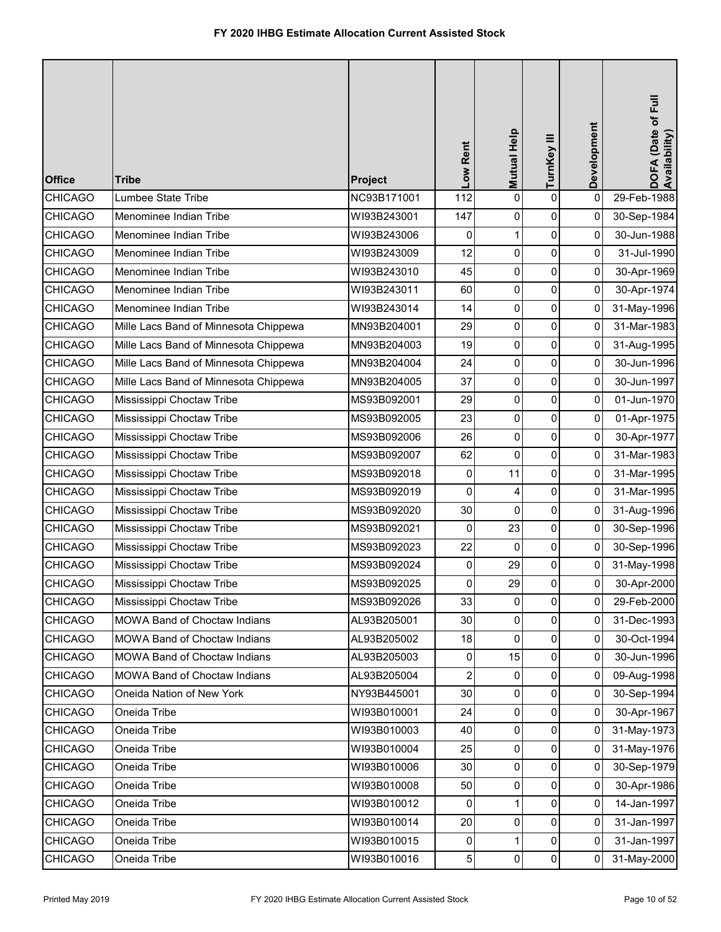| <b>Office</b>  | <b>Tribe</b>                          | Project     | Low Rent       | Mutual Help  | TurnKey III  | Development  | DOFA (Date of Full<br>Availability) |
|----------------|---------------------------------------|-------------|----------------|--------------|--------------|--------------|-------------------------------------|
| <b>CHICAGO</b> | Lumbee State Tribe                    | NC93B171001 | 112            | 0            | $\pmb{0}$    | $\pmb{0}$    | 29-Feb-1988                         |
| <b>CHICAGO</b> | Menominee Indian Tribe                | WI93B243001 | 147            | 0            | $\pmb{0}$    | 0            | 30-Sep-1984                         |
| <b>CHICAGO</b> | Menominee Indian Tribe                | WI93B243006 | 0              | $\mathbf{1}$ | $\pmb{0}$    | 0            | 30-Jun-1988                         |
| <b>CHICAGO</b> | Menominee Indian Tribe                | WI93B243009 | 12             | $\mathbf 0$  | $\mathsf 0$  | 0            | 31-Jul-1990                         |
| <b>CHICAGO</b> | Menominee Indian Tribe                | WI93B243010 | 45             | 0            | 0            | 0            | 30-Apr-1969                         |
| <b>CHICAGO</b> | Menominee Indian Tribe                | WI93B243011 | 60             | 0            | $\pmb{0}$    | 0            | 30-Apr-1974                         |
| <b>CHICAGO</b> | Menominee Indian Tribe                | WI93B243014 | 14             | 0            | $\pmb{0}$    | 0            | 31-May-1996                         |
| <b>CHICAGO</b> | Mille Lacs Band of Minnesota Chippewa | MN93B204001 | 29             | 0            | $\pmb{0}$    | 0            | 31-Mar-1983                         |
| <b>CHICAGO</b> | Mille Lacs Band of Minnesota Chippewa | MN93B204003 | 19             | $\mathbf 0$  | $\pmb{0}$    | 0            | 31-Aug-1995                         |
| <b>CHICAGO</b> | Mille Lacs Band of Minnesota Chippewa | MN93B204004 | 24             | 0            | 0            | 0            | 30-Jun-1996                         |
| <b>CHICAGO</b> | Mille Lacs Band of Minnesota Chippewa | MN93B204005 | 37             | 0            | $\pmb{0}$    | 0            | 30-Jun-1997                         |
| <b>CHICAGO</b> | Mississippi Choctaw Tribe             | MS93B092001 | 29             | 0            | $\pmb{0}$    | 0            | 01-Jun-1970                         |
| <b>CHICAGO</b> | Mississippi Choctaw Tribe             | MS93B092005 | 23             | 0            | 0            | 0            | 01-Apr-1975                         |
| <b>CHICAGO</b> | Mississippi Choctaw Tribe             | MS93B092006 | 26             | 0            | $\pmb{0}$    | 0            | 30-Apr-1977                         |
| <b>CHICAGO</b> | Mississippi Choctaw Tribe             | MS93B092007 | 62             | 0            | 0            | 0            | 31-Mar-1983                         |
| <b>CHICAGO</b> | Mississippi Choctaw Tribe             | MS93B092018 | 0              | 11           | $\pmb{0}$    | 0            | 31-Mar-1995                         |
| <b>CHICAGO</b> | Mississippi Choctaw Tribe             | MS93B092019 | 0              | 4            | $\pmb{0}$    | 0            | 31-Mar-1995                         |
| <b>CHICAGO</b> | Mississippi Choctaw Tribe             | MS93B092020 | 30             | 0            | 0            | 0            | 31-Aug-1996                         |
| <b>CHICAGO</b> | Mississippi Choctaw Tribe             | MS93B092021 | 0              | 23           | $\pmb{0}$    | 0            | 30-Sep-1996                         |
| <b>CHICAGO</b> | Mississippi Choctaw Tribe             | MS93B092023 | 22             | $\Omega$     | 0            | 0            | 30-Sep-1996                         |
| <b>CHICAGO</b> | Mississippi Choctaw Tribe             | MS93B092024 | 0              | 29           | 0            | 0            | 31-May-1998                         |
| <b>CHICAGO</b> | Mississippi Choctaw Tribe             | MS93B092025 | 0              | 29           | $\mathbf{0}$ | 0            | 30-Apr-2000                         |
| <b>CHICAGO</b> | Mississippi Choctaw Tribe             | MS93B092026 | 33             | 0            | $\mathsf{O}$ | $\mathbf{0}$ | 29-Feb-2000                         |
| <b>CHICAGO</b> | MOWA Band of Choctaw Indians          | AL93B205001 | 30             | $\mathbf 0$  | $\pmb{0}$    | 0            | 31-Dec-1993                         |
| <b>CHICAGO</b> | MOWA Band of Choctaw Indians          | AL93B205002 | 18             | 0            | 0            | 0            | 30-Oct-1994                         |
| <b>CHICAGO</b> | MOWA Band of Choctaw Indians          | AL93B205003 | 0              | 15           | 0            | 0            | 30-Jun-1996                         |
| <b>CHICAGO</b> | MOWA Band of Choctaw Indians          | AL93B205004 | $\overline{c}$ | 0            | 0            | 0            | 09-Aug-1998                         |
| <b>CHICAGO</b> | Oneida Nation of New York             | NY93B445001 | 30             | 0            | 0            | 0            | 30-Sep-1994                         |
| <b>CHICAGO</b> | Oneida Tribe                          | WI93B010001 | 24             | $\Omega$     | $\mathbf 0$  | $\pmb{0}$    | 30-Apr-1967                         |
| <b>CHICAGO</b> | Oneida Tribe                          | WI93B010003 | 40             | 0            | 0            | $\mathbf 0$  | 31-May-1973                         |
| <b>CHICAGO</b> | Oneida Tribe                          | WI93B010004 | 25             | 0            | 0            | 0            | 31-May-1976                         |
| <b>CHICAGO</b> | Oneida Tribe                          | WI93B010006 | 30             | 0            | 0            | 0            | 30-Sep-1979                         |
| <b>CHICAGO</b> | Oneida Tribe                          | WI93B010008 | 50             | 0            | 0            | $\mathbf 0$  | 30-Apr-1986                         |
| <b>CHICAGO</b> | Oneida Tribe                          | WI93B010012 | $\mathbf 0$    | 1            | 0            | $\mathbf 0$  | 14-Jan-1997                         |
| <b>CHICAGO</b> | Oneida Tribe                          | WI93B010014 | 20             | 0            | 0            | 0            | 31-Jan-1997                         |
| <b>CHICAGO</b> | Oneida Tribe                          | WI93B010015 | 0              | 1            | $\pmb{0}$    | 0            | 31-Jan-1997                         |
| <b>CHICAGO</b> | Oneida Tribe                          | WI93B010016 | 5              | 0            | $\pmb{0}$    | 0            | 31-May-2000                         |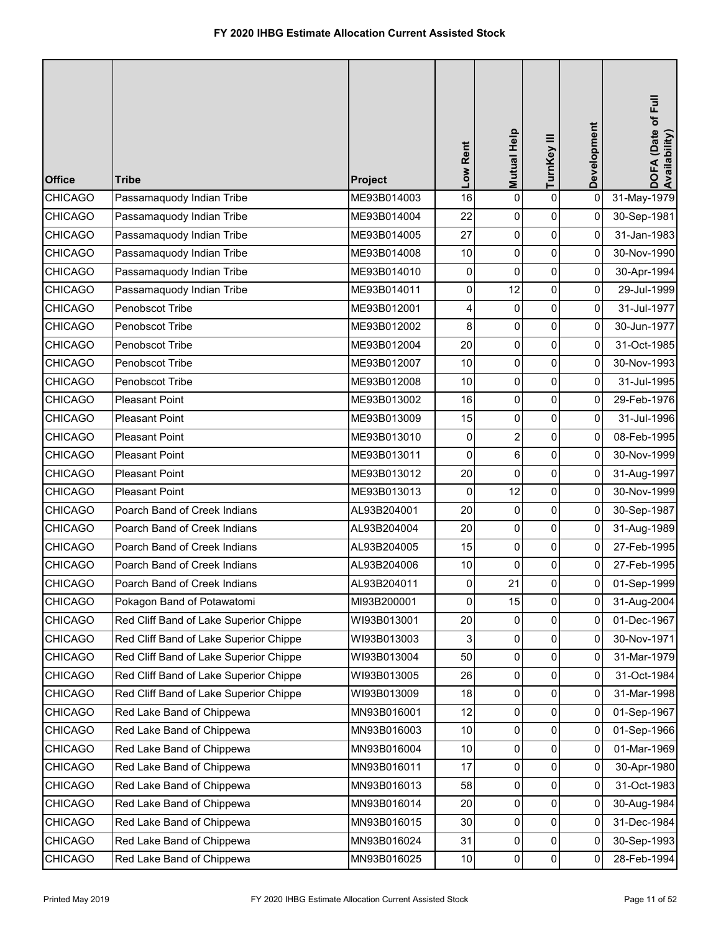| <b>Office</b>  | <b>Tribe</b>                           | Project     | Low Rent       | Mutual Help    | TurnKey III | Development    | DOFA (Date of Full<br>Availability) |
|----------------|----------------------------------------|-------------|----------------|----------------|-------------|----------------|-------------------------------------|
| <b>CHICAGO</b> | Passamaquody Indian Tribe              | ME93B014003 | 16             | 0              | $\mathbf 0$ | $\pmb{0}$      | 31-May-1979                         |
| <b>CHICAGO</b> | Passamaquody Indian Tribe              | ME93B014004 | 22             | 0              | 0           | 0              | 30-Sep-1981                         |
| <b>CHICAGO</b> | Passamaquody Indian Tribe              | ME93B014005 | 27             | 0              | 0           | 0              | 31-Jan-1983                         |
| <b>CHICAGO</b> | Passamaquody Indian Tribe              | ME93B014008 | 10             | 0              | $\pmb{0}$   | 0              | 30-Nov-1990                         |
| <b>CHICAGO</b> | Passamaquody Indian Tribe              | ME93B014010 | 0              | 0              | 0           | $\overline{0}$ | 30-Apr-1994                         |
| <b>CHICAGO</b> | Passamaquody Indian Tribe              | ME93B014011 | 0              | 12             | 0           | 0              | 29-Jul-1999                         |
| <b>CHICAGO</b> | Penobscot Tribe                        | ME93B012001 | 4              | $\mathbf 0$    | 0           | 0              | 31-Jul-1977                         |
| <b>CHICAGO</b> | Penobscot Tribe                        | ME93B012002 | 8              | 0              | 0           | 0              | 30-Jun-1977                         |
| <b>CHICAGO</b> | Penobscot Tribe                        | ME93B012004 | 20             | 0              | 0           | 0              | 31-Oct-1985                         |
| <b>CHICAGO</b> | Penobscot Tribe                        | ME93B012007 | 10             | 0              | $\mathbf 0$ | $\overline{0}$ | 30-Nov-1993                         |
| CHICAGO        | Penobscot Tribe                        | ME93B012008 | 10             | 0              | 0           | 0              | 31-Jul-1995                         |
| <b>CHICAGO</b> | <b>Pleasant Point</b>                  | ME93B013002 | 16             | 0              | 0           | 0              | 29-Feb-1976                         |
| <b>CHICAGO</b> | <b>Pleasant Point</b>                  | ME93B013009 | 15             | 0              | 0           | 0              | 31-Jul-1996                         |
| CHICAGO        | <b>Pleasant Point</b>                  | ME93B013010 | $\pmb{0}$      | $\overline{2}$ | 0           | 0              | 08-Feb-1995                         |
| <b>CHICAGO</b> | <b>Pleasant Point</b>                  | ME93B013011 | $\overline{0}$ | 6              | 0           | $\overline{0}$ | 30-Nov-1999                         |
| <b>CHICAGO</b> | <b>Pleasant Point</b>                  | ME93B013012 | 20             | $\mathbf{0}$   | 0           | 0              | 31-Aug-1997                         |
| <b>CHICAGO</b> | <b>Pleasant Point</b>                  | ME93B013013 | 0              | 12             | 0           | 0              | 30-Nov-1999                         |
| <b>CHICAGO</b> | Poarch Band of Creek Indians           | AL93B204001 | 20             | 0              | 0           | 0              | 30-Sep-1987                         |
| <b>CHICAGO</b> | Poarch Band of Creek Indians           | AL93B204004 | 20             | 0              | 0           | 0              | 31-Aug-1989                         |
| <b>CHICAGO</b> | Poarch Band of Creek Indians           | AL93B204005 | 15             | 0              | 0           | 0              | 27-Feb-1995                         |
| <b>CHICAGO</b> | Poarch Band of Creek Indians           | AL93B204006 | 10             | $\mathbf 0$    | 0           | 0              | 27-Feb-1995                         |
| <b>CHICAGO</b> | Poarch Band of Creek Indians           | AL93B204011 | $\pmb{0}$      | 21             | $\Omega$    | 0              | 01-Sep-1999                         |
| <b>CHICAGO</b> | Pokagon Band of Potawatomi             | MI93B200001 | $\mathbf 0$    | 15             | 0           | 0              | 31-Aug-2004                         |
| <b>CHICAGO</b> | Red Cliff Band of Lake Superior Chippe | WI93B013001 | 20             | 0              | 0           | 0              | 01-Dec-1967                         |
| <b>CHICAGO</b> | Red Cliff Band of Lake Superior Chippe | WI93B013003 | 3              | 0              | 0           | 0              | 30-Nov-1971                         |
| <b>CHICAGO</b> | Red Cliff Band of Lake Superior Chippe | WI93B013004 | 50             | 0              | 0           | 0              | 31-Mar-1979                         |
| <b>CHICAGO</b> | Red Cliff Band of Lake Superior Chippe | WI93B013005 | 26             | 0              | 0           | 0              | 31-Oct-1984                         |
| <b>CHICAGO</b> | Red Cliff Band of Lake Superior Chippe | WI93B013009 | 18             | 0              | 0           | 0              | 31-Mar-1998                         |
| <b>CHICAGO</b> | Red Lake Band of Chippewa              | MN93B016001 | 12             | 0              | 0           | 0              | 01-Sep-1967                         |
| <b>CHICAGO</b> | Red Lake Band of Chippewa              | MN93B016003 | 10             | 0              | 0           | 0              | 01-Sep-1966                         |
| <b>CHICAGO</b> | Red Lake Band of Chippewa              | MN93B016004 | 10             | 0              | 0           | 0              | 01-Mar-1969                         |
| <b>CHICAGO</b> | Red Lake Band of Chippewa              | MN93B016011 | 17             | 0              | 0           | 0              | 30-Apr-1980                         |
| <b>CHICAGO</b> | Red Lake Band of Chippewa              | MN93B016013 | 58             | 0              | 0           | $\pmb{0}$      | 31-Oct-1983                         |
| <b>CHICAGO</b> | Red Lake Band of Chippewa              | MN93B016014 | 20             | 0              | 0           | 0              | 30-Aug-1984                         |
| <b>CHICAGO</b> | Red Lake Band of Chippewa              | MN93B016015 | 30             | 0              | 0           | 0              | 31-Dec-1984                         |
| <b>CHICAGO</b> | Red Lake Band of Chippewa              | MN93B016024 | 31             | $\mathbf 0$    | 0           | 0              | 30-Sep-1993                         |
| <b>CHICAGO</b> | Red Lake Band of Chippewa              | MN93B016025 | 10             | 0              | 0           | 0              | 28-Feb-1994                         |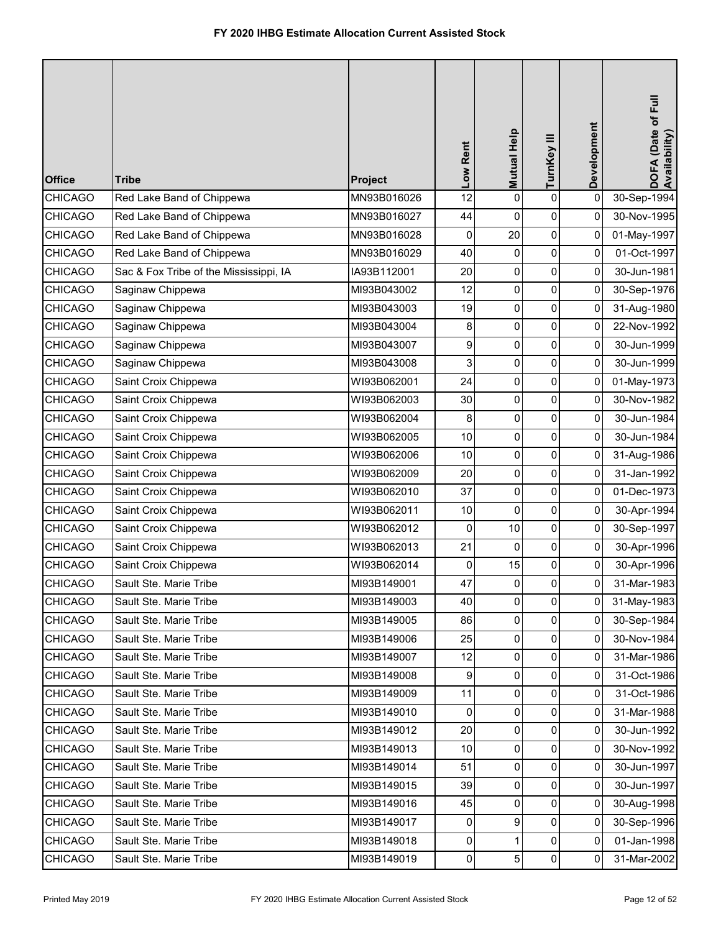| <b>Office</b>  | <b>Tribe</b>                           | Project     | Low Rent         | Mutual Help | TurnKey III    | Development    | DOFA (Date of Full<br>Availability) |
|----------------|----------------------------------------|-------------|------------------|-------------|----------------|----------------|-------------------------------------|
| <b>CHICAGO</b> | Red Lake Band of Chippewa              | MN93B016026 | 12               | 0           | $\mathbf 0$    | 0              | 30-Sep-1994                         |
| <b>CHICAGO</b> | Red Lake Band of Chippewa              | MN93B016027 | 44               | 0           | 0              | 0              | 30-Nov-1995                         |
| <b>CHICAGO</b> | Red Lake Band of Chippewa              | MN93B016028 | 0                | 20          | 0              | 0              | 01-May-1997                         |
| <b>CHICAGO</b> | Red Lake Band of Chippewa              | MN93B016029 | 40               | 0           | $\pmb{0}$      | 0              | 01-Oct-1997                         |
| <b>CHICAGO</b> | Sac & Fox Tribe of the Mississippi, IA | IA93B112001 | 20               | 0           | 0              | $\overline{0}$ | 30-Jun-1981                         |
| <b>CHICAGO</b> | Saginaw Chippewa                       | MI93B043002 | 12               | 0           | 0              | 0              | 30-Sep-1976                         |
| <b>CHICAGO</b> | Saginaw Chippewa                       | MI93B043003 | 19               | 0           | $\pmb{0}$      | 0              | 31-Aug-1980                         |
| <b>CHICAGO</b> | Saginaw Chippewa                       | MI93B043004 | 8                | 0           | 0              | 0              | 22-Nov-1992                         |
| <b>CHICAGO</b> | Saginaw Chippewa                       | MI93B043007 | 9                | 0           | $\pmb{0}$      | 0              | 30-Jun-1999                         |
| <b>CHICAGO</b> | Saginaw Chippewa                       | MI93B043008 | 3                | 0           | 0              | $\overline{0}$ | 30-Jun-1999                         |
| <b>CHICAGO</b> | Saint Croix Chippewa                   | WI93B062001 | 24               | 0           | 0              | 0              | 01-May-1973                         |
| <b>CHICAGO</b> | Saint Croix Chippewa                   | WI93B062003 | 30               | 0           | 0              | 0              | 30-Nov-1982                         |
| <b>CHICAGO</b> | Saint Croix Chippewa                   | WI93B062004 | 8                | 0           | 0              | 0              | 30-Jun-1984                         |
| <b>CHICAGO</b> | Saint Croix Chippewa                   | WI93B062005 | 10               | 0           | $\pmb{0}$      | 0              | 30-Jun-1984                         |
| <b>CHICAGO</b> | Saint Croix Chippewa                   | WI93B062006 | 10               | 0           | 0              | $\overline{0}$ | 31-Aug-1986                         |
| <b>CHICAGO</b> | Saint Croix Chippewa                   | WI93B062009 | 20               | 0           | 0              | 0              | 31-Jan-1992                         |
| <b>CHICAGO</b> | Saint Croix Chippewa                   | WI93B062010 | 37               | 0           | 0              | 0              | 01-Dec-1973                         |
| <b>CHICAGO</b> | Saint Croix Chippewa                   | WI93B062011 | 10               | 0           | 0              | 0              | 30-Apr-1994                         |
| <b>CHICAGO</b> | Saint Croix Chippewa                   | WI93B062012 | $\mathbf 0$      | 10          | 0              | 0              | 30-Sep-1997                         |
| <b>CHICAGO</b> | Saint Croix Chippewa                   | WI93B062013 | 21               | 0           | 0              | 0              | 30-Apr-1996                         |
| <b>CHICAGO</b> | Saint Croix Chippewa                   | WI93B062014 | 0                | 15          | 0              | 0              | 30-Apr-1996                         |
| <b>CHICAGO</b> | Sault Ste. Marie Tribe                 | MI93B149001 | 47               | 0           | $\Omega$       | 0              | 31-Mar-1983                         |
| <b>CHICAGO</b> | Sault Ste. Marie Tribe                 | MI93B149003 | 40               | 0           | 0              | 0              | 31-May-1983                         |
| <b>CHICAGO</b> | Sault Ste. Marie Tribe                 | MI93B149005 | 86               | 0           | 0              | 0              | 30-Sep-1984                         |
| <b>CHICAGO</b> | Sault Ste. Marie Tribe                 | MI93B149006 | 25               | 0           | 0              | $\overline{0}$ | 30-Nov-1984                         |
| <b>CHICAGO</b> | Sault Ste. Marie Tribe                 | MI93B149007 | 12               | 0           | 0              | 0              | 31-Mar-1986                         |
| <b>CHICAGO</b> | Sault Ste. Marie Tribe                 | MI93B149008 | $\boldsymbol{9}$ | 0           | 0              | $\overline{0}$ | 31-Oct-1986                         |
| <b>CHICAGO</b> | Sault Ste. Marie Tribe                 | MI93B149009 | 11               | 0           | 0              | $\overline{0}$ | 31-Oct-1986                         |
| <b>CHICAGO</b> | Sault Ste. Marie Tribe                 | MI93B149010 | $\mathbf 0$      | 0           | 0              | 0              | 31-Mar-1988                         |
| <b>CHICAGO</b> | Sault Ste. Marie Tribe                 | MI93B149012 | 20               | 0           | 0              | $\overline{0}$ | 30-Jun-1992                         |
| <b>CHICAGO</b> | Sault Ste. Marie Tribe                 | MI93B149013 | 10               | 0           | $\overline{0}$ | 0              | 30-Nov-1992                         |
| <b>CHICAGO</b> | Sault Ste. Marie Tribe                 | MI93B149014 | 51               | 0           | 0              | 0              | 30-Jun-1997                         |
| <b>CHICAGO</b> | Sault Ste. Marie Tribe                 | MI93B149015 | 39               | 0           | $\overline{0}$ | $\overline{0}$ | 30-Jun-1997                         |
| <b>CHICAGO</b> | Sault Ste. Marie Tribe                 | MI93B149016 | 45               | 0           | 0              | 0              | 30-Aug-1998                         |
| <b>CHICAGO</b> | Sault Ste. Marie Tribe                 | MI93B149017 | $\overline{0}$   | 9           | 0              | $\overline{0}$ | 30-Sep-1996                         |
| <b>CHICAGO</b> | Sault Ste. Marie Tribe                 | MI93B149018 | $\pmb{0}$        | 1           | 0              | 0              | 01-Jan-1998                         |
| <b>CHICAGO</b> | Sault Ste. Marie Tribe                 | MI93B149019 | $\overline{0}$   | 5           | $\pmb{0}$      | $\mathbf 0$    | 31-Mar-2002                         |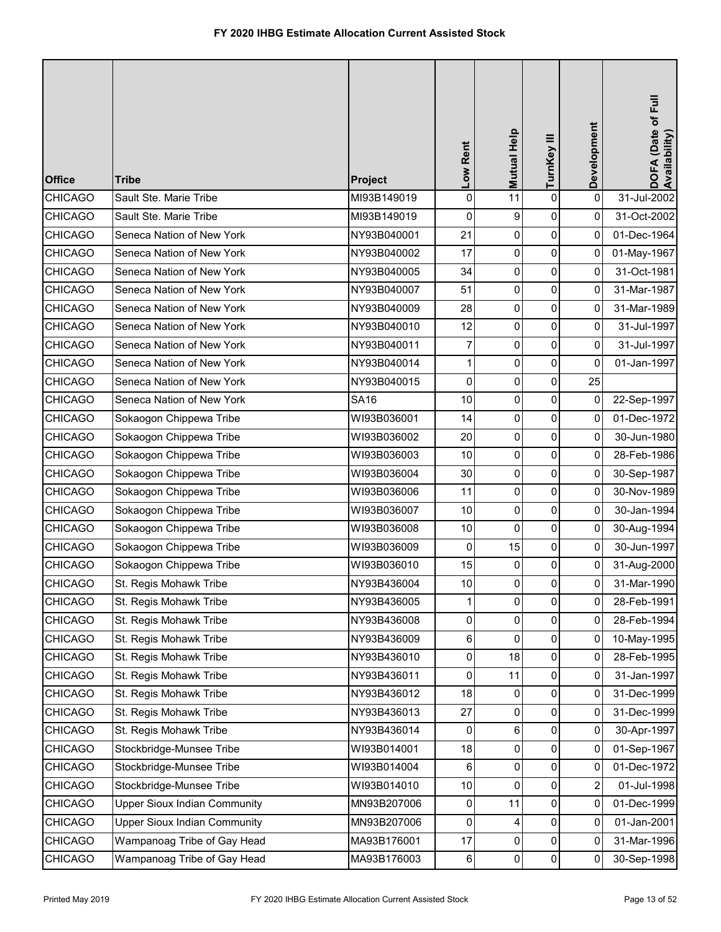| <b>Office</b>  | <b>Tribe</b>                        | Project     | Low Rent        | Mutual Help | TurnKey III | Development | DOFA (Date of Full<br>Availability) |
|----------------|-------------------------------------|-------------|-----------------|-------------|-------------|-------------|-------------------------------------|
| <b>CHICAGO</b> | Sault Ste. Marie Tribe              | MI93B149019 | 0               | 11          | $\pmb{0}$   | $\pmb{0}$   | 31-Jul-2002                         |
| <b>CHICAGO</b> | Sault Ste. Marie Tribe              | MI93B149019 | 0               | 9           | $\pmb{0}$   | $\mathbf 0$ | 31-Oct-2002                         |
| <b>CHICAGO</b> | Seneca Nation of New York           | NY93B040001 | 21              | 0           | $\pmb{0}$   | 0           | 01-Dec-1964                         |
| <b>CHICAGO</b> | Seneca Nation of New York           | NY93B040002 | 17              | 0           | $\pmb{0}$   | 0           | 01-May-1967                         |
| <b>CHICAGO</b> | Seneca Nation of New York           | NY93B040005 | 34              | 0           | 0           | 0           | 31-Oct-1981                         |
| <b>CHICAGO</b> | Seneca Nation of New York           | NY93B040007 | 51              | 0           | $\pmb{0}$   | 0           | 31-Mar-1987                         |
| <b>CHICAGO</b> | Seneca Nation of New York           | NY93B040009 | 28              | 0           | $\pmb{0}$   | 0           | 31-Mar-1989                         |
| <b>CHICAGO</b> | Seneca Nation of New York           | NY93B040010 | 12              | 0           | $\pmb{0}$   | 0           | 31-Jul-1997                         |
| <b>CHICAGO</b> | Seneca Nation of New York           | NY93B040011 | 7               | 0           | $\pmb{0}$   | 0           | 31-Jul-1997                         |
| <b>CHICAGO</b> | Seneca Nation of New York           | NY93B040014 | 1               | 0           | 0           | 0           | 01-Jan-1997                         |
| <b>CHICAGO</b> | Seneca Nation of New York           | NY93B040015 | 0               | 0           | $\pmb{0}$   | 25          |                                     |
| <b>CHICAGO</b> | Seneca Nation of New York           | <b>SA16</b> | 10              | 0           | 0           | 0           | 22-Sep-1997                         |
| <b>CHICAGO</b> | Sokaogon Chippewa Tribe             | WI93B036001 | 14              | 0           | 0           | 0           | 01-Dec-1972                         |
| <b>CHICAGO</b> | Sokaogon Chippewa Tribe             | WI93B036002 | 20              | 0           | $\pmb{0}$   | 0           | 30-Jun-1980                         |
| <b>CHICAGO</b> | Sokaogon Chippewa Tribe             | WI93B036003 | 10              | 0           | 0           | 0           | 28-Feb-1986                         |
| <b>CHICAGO</b> | Sokaogon Chippewa Tribe             | WI93B036004 | 30              | 0           | $\pmb{0}$   | 0           | 30-Sep-1987                         |
| <b>CHICAGO</b> | Sokaogon Chippewa Tribe             | WI93B036006 | 11              | 0           | $\pmb{0}$   | 0           | 30-Nov-1989                         |
| <b>CHICAGO</b> | Sokaogon Chippewa Tribe             | WI93B036007 | 10              | 0           | 0           | 0           | 30-Jan-1994                         |
| <b>CHICAGO</b> | Sokaogon Chippewa Tribe             | WI93B036008 | 10              | $\mathbf 0$ | 0           | 0           | 30-Aug-1994                         |
| <b>CHICAGO</b> | Sokaogon Chippewa Tribe             | WI93B036009 | 0               | 15          | 0           | 0           | 30-Jun-1997                         |
| <b>CHICAGO</b> | Sokaogon Chippewa Tribe             | WI93B036010 | 15              | 0           | 0           | 0           | 31-Aug-2000                         |
| <b>CHICAGO</b> | St. Regis Mohawk Tribe              | NY93B436004 | 10 <sup>1</sup> | $\Omega$    | 0           | 0           | 31-Mar-1990                         |
| <b>CHICAGO</b> | St. Regis Mohawk Tribe              | NY93B436005 | 1               | 0           | 0           | 0           | 28-Feb-1991                         |
| <b>CHICAGO</b> | St. Regis Mohawk Tribe              | NY93B436008 | 0               | 0           | 0           | 0           | 28-Feb-1994                         |
| <b>CHICAGO</b> | St. Regis Mohawk Tribe              | NY93B436009 | 6               | 0           | 0           | 0           | 10-May-1995                         |
| <b>CHICAGO</b> | St. Regis Mohawk Tribe              | NY93B436010 | 0               | 18          | 0           | 0           | 28-Feb-1995                         |
| <b>CHICAGO</b> | St. Regis Mohawk Tribe              | NY93B436011 | 0               | 11          | 0           | 0           | 31-Jan-1997                         |
| <b>CHICAGO</b> | St. Regis Mohawk Tribe              | NY93B436012 | 18              | 0           | 0           | 0           | 31-Dec-1999                         |
| <b>CHICAGO</b> | St. Regis Mohawk Tribe              | NY93B436013 | 27              | 0           | $\mathbf 0$ | 0           | 31-Dec-1999                         |
| <b>CHICAGO</b> | St. Regis Mohawk Tribe              | NY93B436014 | 0               | 6           | 0           | 0           | 30-Apr-1997                         |
| <b>CHICAGO</b> | Stockbridge-Munsee Tribe            | WI93B014001 | 18              | 0           | 0           | 0           | 01-Sep-1967                         |
| <b>CHICAGO</b> | Stockbridge-Munsee Tribe            | WI93B014004 | 6               | 0           | 0           | 0           | 01-Dec-1972                         |
| <b>CHICAGO</b> | Stockbridge-Munsee Tribe            | WI93B014010 | 10              | 0           | 0           | 2           | 01-Jul-1998                         |
| <b>CHICAGO</b> | <b>Upper Sioux Indian Community</b> | MN93B207006 | 0               | 11          | $\pmb{0}$   | 0           | 01-Dec-1999                         |
| <b>CHICAGO</b> | <b>Upper Sioux Indian Community</b> | MN93B207006 | 0               | 4           | 0           | 0           | 01-Jan-2001                         |
| CHICAGO        | Wampanoag Tribe of Gay Head         | MA93B176001 | 17              | 0           | 0           | 0           | 31-Mar-1996                         |
| <b>CHICAGO</b> | Wampanoag Tribe of Gay Head         | MA93B176003 | $\,6$           | 0           | $\pmb{0}$   | 0           | 30-Sep-1998                         |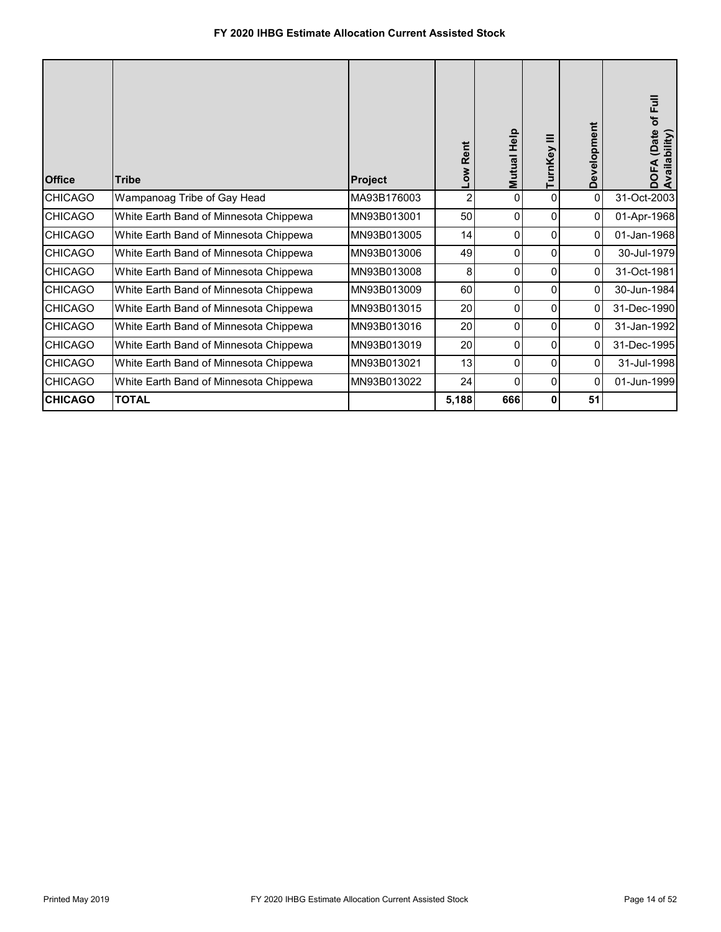| <b>Office</b>  | <b>Tribe</b>                           | <b>Project</b> | Rent<br><b>No7</b> | Help<br><b>Mutual</b> | ≡<br>rnKey | Development | (Date of Full<br>DOFA (Date<br>Availability) |
|----------------|----------------------------------------|----------------|--------------------|-----------------------|------------|-------------|----------------------------------------------|
| <b>CHICAGO</b> | Wampanoag Tribe of Gay Head            | MA93B176003    | 2                  | $\mathbf{0}$          | $\Omega$   | 0           | 31-Oct-2003                                  |
| <b>CHICAGO</b> | White Earth Band of Minnesota Chippewa | MN93B013001    | 50                 | 0                     | 0          | 0           | 01-Apr-1968                                  |
| <b>CHICAGO</b> | White Earth Band of Minnesota Chippewa | MN93B013005    | 14                 | $\Omega$              | 0          | 0           | 01-Jan-1968                                  |
| <b>CHICAGO</b> | White Earth Band of Minnesota Chippewa | MN93B013006    | 49                 | $\Omega$              | 0          | 0           | 30-Jul-1979                                  |
| <b>CHICAGO</b> | White Earth Band of Minnesota Chippewa | MN93B013008    | 8                  | $\Omega$              | 0          | 0           | 31-Oct-1981                                  |
| <b>CHICAGO</b> | White Earth Band of Minnesota Chippewa | MN93B013009    | 60                 | $\Omega$              | 0          | 0           | 30-Jun-1984                                  |
| <b>CHICAGO</b> | White Earth Band of Minnesota Chippewa | MN93B013015    | 20                 | $\Omega$              | 0          | 0           | 31-Dec-1990                                  |
| <b>CHICAGO</b> | White Earth Band of Minnesota Chippewa | MN93B013016    | 20                 | $\mathbf{0}$          | $\Omega$   | 0           | 31-Jan-1992                                  |
| <b>CHICAGO</b> | White Earth Band of Minnesota Chippewa | MN93B013019    | 20                 | $\Omega$              | 0          | 0           | 31-Dec-1995                                  |
| <b>CHICAGO</b> | White Earth Band of Minnesota Chippewa | MN93B013021    | 13                 | 0                     | 0          | 0           | 31-Jul-1998                                  |
| <b>CHICAGO</b> | White Earth Band of Minnesota Chippewa | MN93B013022    | 24                 | 0                     | $\Omega$   | 0           | 01-Jun-1999                                  |
| <b>CHICAGO</b> | <b>TOTAL</b>                           |                | 5,188              | 666                   | 0          | 51          |                                              |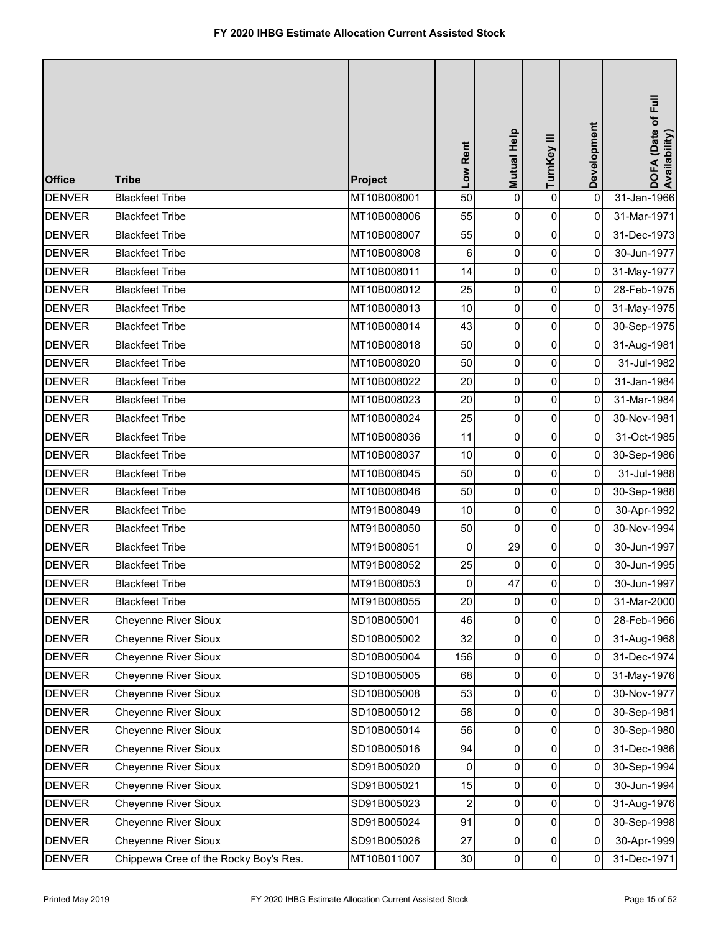| <b>Office</b> | <b>Tribe</b>                          | Project     | Low Rent                | Mutual Help | TurnKey III    | Development    | DOFA (Date of Full<br>Availability) |
|---------------|---------------------------------------|-------------|-------------------------|-------------|----------------|----------------|-------------------------------------|
| <b>DENVER</b> | <b>Blackfeet Tribe</b>                | MT10B008001 | 50                      | 0           | $\mathsf 0$    | $\mathbf 0$    | 31-Jan-1966                         |
| <b>DENVER</b> | <b>Blackfeet Tribe</b>                | MT10B008006 | 55                      | 0           | 0              | 0              | 31-Mar-1971                         |
| <b>DENVER</b> | <b>Blackfeet Tribe</b>                | MT10B008007 | 55                      | 0           | $\pmb{0}$      | 0              | 31-Dec-1973                         |
| <b>DENVER</b> | <b>Blackfeet Tribe</b>                | MT10B008008 | 6                       | 0           | $\pmb{0}$      | $\mathbf 0$    | 30-Jun-1977                         |
| <b>DENVER</b> | <b>Blackfeet Tribe</b>                | MT10B008011 | 14                      | 0           | $\pmb{0}$      | 0              | 31-May-1977                         |
| <b>DENVER</b> | <b>Blackfeet Tribe</b>                | MT10B008012 | 25                      | 0           | $\pmb{0}$      | 0              | 28-Feb-1975                         |
| <b>DENVER</b> | <b>Blackfeet Tribe</b>                | MT10B008013 | 10                      | 0           | $\pmb{0}$      | 0              | 31-May-1975                         |
| <b>DENVER</b> | <b>Blackfeet Tribe</b>                | MT10B008014 | 43                      | 0           | $\pmb{0}$      | 0              | 30-Sep-1975                         |
| <b>DENVER</b> | <b>Blackfeet Tribe</b>                | MT10B008018 | 50                      | 0           | $\pmb{0}$      | 0              | 31-Aug-1981                         |
| <b>DENVER</b> | <b>Blackfeet Tribe</b>                | MT10B008020 | 50                      | 0           | $\pmb{0}$      | 0              | 31-Jul-1982                         |
| <b>DENVER</b> | <b>Blackfeet Tribe</b>                | MT10B008022 | 20                      | 0           | 0              | 0              | 31-Jan-1984                         |
| <b>DENVER</b> | <b>Blackfeet Tribe</b>                | MT10B008023 | 20                      | 0           | $\pmb{0}$      | 0              | 31-Mar-1984                         |
| <b>DENVER</b> | <b>Blackfeet Tribe</b>                | MT10B008024 | 25                      | 0           | 0              | 0              | 30-Nov-1981                         |
| <b>DENVER</b> | <b>Blackfeet Tribe</b>                | MT10B008036 | 11                      | 0           | $\pmb{0}$      | 0              | 31-Oct-1985                         |
| <b>DENVER</b> | <b>Blackfeet Tribe</b>                | MT10B008037 | 10                      | 0           | $\pmb{0}$      | 0              | 30-Sep-1986                         |
| <b>DENVER</b> | <b>Blackfeet Tribe</b>                | MT10B008045 | 50                      | 0           | $\pmb{0}$      | 0              | 31-Jul-1988                         |
| <b>DENVER</b> | <b>Blackfeet Tribe</b>                | MT10B008046 | 50                      | 0           | $\pmb{0}$      | 0              | 30-Sep-1988                         |
| <b>DENVER</b> | <b>Blackfeet Tribe</b>                | MT91B008049 | 10                      | 0           | $\pmb{0}$      | 0              | 30-Apr-1992                         |
| <b>DENVER</b> | <b>Blackfeet Tribe</b>                | MT91B008050 | 50                      | $\mathbf 0$ | $\pmb{0}$      | 0              | 30-Nov-1994                         |
| <b>DENVER</b> | <b>Blackfeet Tribe</b>                | MT91B008051 | 0                       | 29          | $\pmb{0}$      | 0              | 30-Jun-1997                         |
| <b>DENVER</b> | <b>Blackfeet Tribe</b>                | MT91B008052 | 25                      | 0           | 0              | 0              | 30-Jun-1995                         |
| <b>DENVER</b> | <b>Blackfeet Tribe</b>                | MT91B008053 | $\mathsf{O}\xspace$     | 47          | $\overline{0}$ | $\overline{0}$ | 30-Jun-1997                         |
| <b>DENVER</b> | <b>Blackfeet Tribe</b>                | MT91B008055 | 20                      | 0           | 0              | 0              | 31-Mar-2000                         |
| <b>DENVER</b> | <b>Cheyenne River Sioux</b>           | SD10B005001 | 46                      | $\mathbf 0$ | $\pmb{0}$      | 0              | 28-Feb-1966                         |
| <b>DENVER</b> | <b>Cheyenne River Sioux</b>           | SD10B005002 | 32                      | 0           | 0              | 0              | 31-Aug-1968                         |
| <b>DENVER</b> | Cheyenne River Sioux                  | SD10B005004 | 156                     | 0           | 0              | 0              | 31-Dec-1974                         |
| <b>DENVER</b> | <b>Cheyenne River Sioux</b>           | SD10B005005 | 68                      | 0           | 0              | 0              | 31-May-1976                         |
| <b>DENVER</b> | Cheyenne River Sioux                  | SD10B005008 | 53                      | 0           | 0              | 0              | 30-Nov-1977                         |
| <b>DENVER</b> | <b>Cheyenne River Sioux</b>           | SD10B005012 | 58                      | 0           | $\pmb{0}$      | 0              | 30-Sep-1981                         |
| <b>DENVER</b> | <b>Cheyenne River Sioux</b>           | SD10B005014 | 56                      | 0           | 0              | 0              | 30-Sep-1980                         |
| <b>DENVER</b> | <b>Cheyenne River Sioux</b>           | SD10B005016 | 94                      | 0           | 0              | 0              | 31-Dec-1986                         |
| <b>DENVER</b> | <b>Cheyenne River Sioux</b>           | SD91B005020 | 0                       | 0           | 0              | 0              | 30-Sep-1994                         |
| <b>DENVER</b> | Cheyenne River Sioux                  | SD91B005021 | 15                      | 0           | $\pmb{0}$      | 0              | 30-Jun-1994                         |
| <b>DENVER</b> | <b>Cheyenne River Sioux</b>           | SD91B005023 | $\overline{\mathbf{c}}$ | 0           | $\pmb{0}$      | 0              | 31-Aug-1976                         |
| <b>DENVER</b> | <b>Cheyenne River Sioux</b>           | SD91B005024 | 91                      | 0           | 0              | 0              | 30-Sep-1998                         |
| <b>DENVER</b> | <b>Cheyenne River Sioux</b>           | SD91B005026 | 27                      | 0           | 0              | 0              | 30-Apr-1999                         |
| <b>DENVER</b> | Chippewa Cree of the Rocky Boy's Res. | MT10B011007 | 30                      | $\pmb{0}$   | $\pmb{0}$      | 0              | 31-Dec-1971                         |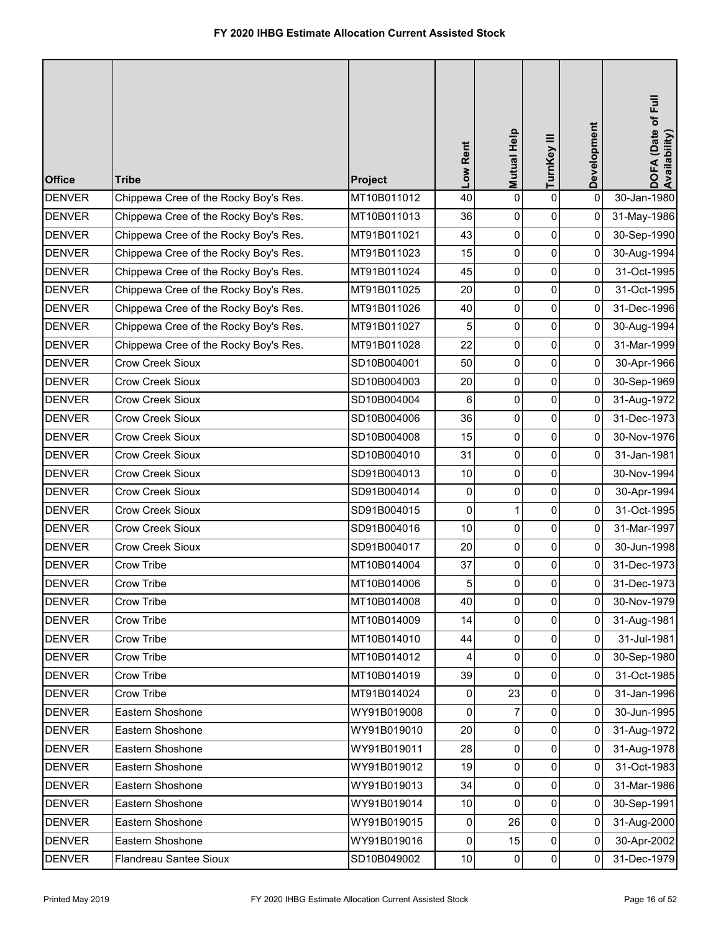| <b>Office</b> | <b>Tribe</b>                          | Project     | Low Rent       | Mutual Help | TurnKey III    | Development    | DOFA (Date of Full<br>Availability) |
|---------------|---------------------------------------|-------------|----------------|-------------|----------------|----------------|-------------------------------------|
| <b>DENVER</b> | Chippewa Cree of the Rocky Boy's Res. | MT10B011012 | 40             | 0           | 0              | 0              | 30-Jan-1980                         |
| <b>DENVER</b> | Chippewa Cree of the Rocky Boy's Res. | MT10B011013 | 36             | 0           | 0              | 0              | 31-May-1986                         |
| <b>DENVER</b> | Chippewa Cree of the Rocky Boy's Res. | MT91B011021 | 43             | 0           | $\overline{0}$ | $\overline{0}$ | 30-Sep-1990                         |
| <b>DENVER</b> | Chippewa Cree of the Rocky Boy's Res. | MT91B011023 | 15             | 0           | 0              | 0              | 30-Aug-1994                         |
| <b>DENVER</b> | Chippewa Cree of the Rocky Boy's Res. | MT91B011024 | 45             | 0           | 0              | $\overline{0}$ | 31-Oct-1995                         |
| <b>DENVER</b> | Chippewa Cree of the Rocky Boy's Res. | MT91B011025 | 20             | 0           | 0              | 0              | 31-Oct-1995                         |
| <b>DENVER</b> | Chippewa Cree of the Rocky Boy's Res. | MT91B011026 | 40             | 0           | 0              | $\overline{0}$ | 31-Dec-1996                         |
| <b>DENVER</b> | Chippewa Cree of the Rocky Boy's Res. | MT91B011027 | 5              | 0           | $\overline{0}$ | $\overline{0}$ | 30-Aug-1994                         |
| <b>DENVER</b> | Chippewa Cree of the Rocky Boy's Res. | MT91B011028 | 22             | 0           | 0              | $\overline{0}$ | 31-Mar-1999                         |
| <b>DENVER</b> | <b>Crow Creek Sioux</b>               | SD10B004001 | 50             | 0           | $\mathbf 0$    | $\overline{0}$ | 30-Apr-1966                         |
| <b>DENVER</b> | Crow Creek Sioux                      | SD10B004003 | 20             | 0           | 0              | $\overline{0}$ | 30-Sep-1969                         |
| <b>DENVER</b> | Crow Creek Sioux                      | SD10B004004 | 6              | 0           | 0              | $\overline{0}$ | 31-Aug-1972                         |
| <b>DENVER</b> | Crow Creek Sioux                      | SD10B004006 | 36             | 0           | $\overline{0}$ | $\overline{0}$ | 31-Dec-1973                         |
| <b>DENVER</b> | Crow Creek Sioux                      | SD10B004008 | 15             | 0           | 0              | $\mathbf 0$    | 30-Nov-1976                         |
| <b>DENVER</b> | <b>Crow Creek Sioux</b>               | SD10B004010 | 31             | 0           | 0              | $\overline{0}$ | 31-Jan-1981                         |
| <b>DENVER</b> | Crow Creek Sioux                      | SD91B004013 | 10             | 0           | 0              |                | 30-Nov-1994                         |
| <b>DENVER</b> | Crow Creek Sioux                      | SD91B004014 | 0              | 0           | 0              | $\mathbf{0}$   | 30-Apr-1994                         |
| <b>DENVER</b> | Crow Creek Sioux                      | SD91B004015 | 0              | 1           | $\overline{0}$ | $\overline{0}$ | 31-Oct-1995                         |
| <b>DENVER</b> | Crow Creek Sioux                      | SD91B004016 | 10             | 0           | 0              | 0              | 31-Mar-1997                         |
| <b>DENVER</b> | <b>Crow Creek Sioux</b>               | SD91B004017 | 20             | 0           | $\overline{0}$ | $\overline{0}$ | 30-Jun-1998                         |
| <b>DENVER</b> | Crow Tribe                            | MT10B014004 | 37             | 0           | 0              | 0              | 31-Dec-1973                         |
| <b>DENVER</b> | Crow Tribe                            | MT10B014006 | 5 <sup>1</sup> | 0           | $\Omega$       | $\overline{0}$ | 31-Dec-1973                         |
| <b>DENVER</b> | Crow Tribe                            | MT10B014008 | 40             | 0           | 0              | $\overline{0}$ | 30-Nov-1979                         |
| <b>DENVER</b> | Crow Tribe                            | MT10B014009 | 14             | 0           | $\pmb{0}$      | $\overline{0}$ | 31-Aug-1981                         |
| <b>DENVER</b> | Crow Tribe                            | MT10B014010 | 44             | 0           | $\mathbf 0$    | $\overline{0}$ | 31-Jul-1981                         |
| <b>DENVER</b> | Crow Tribe                            | MT10B014012 | 4              | 0           | 0              | $\overline{0}$ | 30-Sep-1980                         |
| <b>DENVER</b> | Crow Tribe                            | MT10B014019 | 39             | 0           | 0              | $\overline{0}$ | 31-Oct-1985                         |
| <b>DENVER</b> | Crow Tribe                            | MT91B014024 | 0              | 23          | $\mathbf 0$    | $\overline{0}$ | 31-Jan-1996                         |
| <b>DENVER</b> | Eastern Shoshone                      | WY91B019008 | 0              | 7           | $\pmb{0}$      | $\overline{0}$ | 30-Jun-1995                         |
| <b>DENVER</b> | Eastern Shoshone                      | WY91B019010 | 20             | 0           | $\mathbf 0$    | $\overline{0}$ | 31-Aug-1972                         |
| <b>DENVER</b> | Eastern Shoshone                      | WY91B019011 | 28             | 0           | $\overline{0}$ | $\mathbf{0}$   | 31-Aug-1978                         |
| <b>DENVER</b> | Eastern Shoshone                      | WY91B019012 | 19             | 0           | 0              | $\overline{0}$ | 31-Oct-1983                         |
| <b>DENVER</b> | Eastern Shoshone                      | WY91B019013 | 34             | 0           | $\mathbf 0$    | $\overline{0}$ | 31-Mar-1986                         |
| <b>DENVER</b> | Eastern Shoshone                      | WY91B019014 | 10             | 0           | $\pmb{0}$      | $\overline{0}$ | 30-Sep-1991                         |
| <b>DENVER</b> | Eastern Shoshone                      | WY91B019015 | 0              | 26          | $\overline{0}$ | $\overline{0}$ | 31-Aug-2000                         |
| <b>DENVER</b> | Eastern Shoshone                      | WY91B019016 | 0              | 15          | 0              | 0              | 30-Apr-2002                         |
| <b>DENVER</b> | Flandreau Santee Sioux                | SD10B049002 | 10             | 0           | 0              | $\overline{0}$ | 31-Dec-1979                         |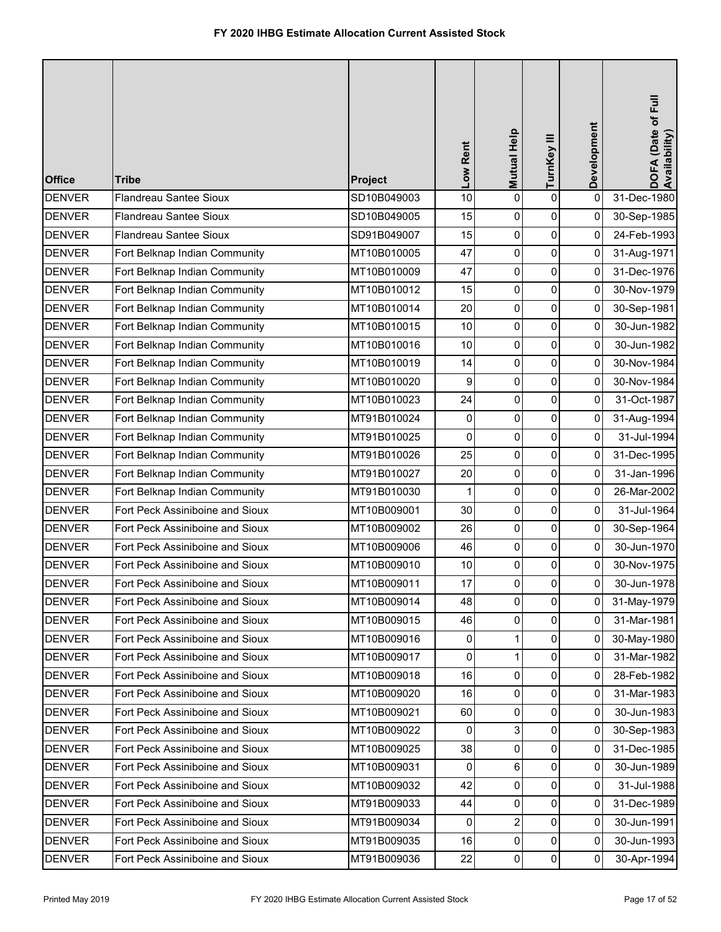| <b>Office</b> | <b>Tribe</b>                    | Project     | Low Rent | Mutual Help    | TurnKey III | Development    | DOFA (Date of Full<br>Availability) |
|---------------|---------------------------------|-------------|----------|----------------|-------------|----------------|-------------------------------------|
| <b>DENVER</b> | <b>Flandreau Santee Sioux</b>   | SD10B049003 | 10       | 0              | $\pmb{0}$   | $\mathbf 0$    | 31-Dec-1980                         |
| <b>DENVER</b> | <b>Flandreau Santee Sioux</b>   | SD10B049005 | 15       | 0              | 0           | 0              | 30-Sep-1985                         |
| <b>DENVER</b> | Flandreau Santee Sioux          | SD91B049007 | 15       | 0              | $\pmb{0}$   | 0              | 24-Feb-1993                         |
| <b>DENVER</b> | Fort Belknap Indian Community   | MT10B010005 | 47       | 0              | $\pmb{0}$   | 0              | 31-Aug-1971                         |
| <b>DENVER</b> | Fort Belknap Indian Community   | MT10B010009 | 47       | 0              | $\pmb{0}$   | 0              | 31-Dec-1976                         |
| <b>DENVER</b> | Fort Belknap Indian Community   | MT10B010012 | 15       | 0              | $\pmb{0}$   | 0              | 30-Nov-1979                         |
| <b>DENVER</b> | Fort Belknap Indian Community   | MT10B010014 | 20       | 0              | $\pmb{0}$   | 0              | 30-Sep-1981                         |
| <b>DENVER</b> | Fort Belknap Indian Community   | MT10B010015 | 10       | 0              | $\pmb{0}$   | 0              | 30-Jun-1982                         |
| <b>DENVER</b> | Fort Belknap Indian Community   | MT10B010016 | 10       | $\pmb{0}$      | $\pmb{0}$   | 0              | 30-Jun-1982                         |
| <b>DENVER</b> | Fort Belknap Indian Community   | MT10B010019 | 14       | 0              | $\pmb{0}$   | 0              | 30-Nov-1984                         |
| <b>DENVER</b> | Fort Belknap Indian Community   | MT10B010020 | 9        | 0              | $\pmb{0}$   | 0              | 30-Nov-1984                         |
| <b>DENVER</b> | Fort Belknap Indian Community   | MT10B010023 | 24       | 0              | $\pmb{0}$   | 0              | 31-Oct-1987                         |
| <b>DENVER</b> | Fort Belknap Indian Community   | MT91B010024 | 0        | 0              | 0           | 0              | 31-Aug-1994                         |
| <b>DENVER</b> | Fort Belknap Indian Community   | MT91B010025 | 0        | 0              | $\pmb{0}$   | 0              | 31-Jul-1994                         |
| <b>DENVER</b> | Fort Belknap Indian Community   | MT91B010026 | 25       | 0              | $\pmb{0}$   | 0              | 31-Dec-1995                         |
| <b>DENVER</b> | Fort Belknap Indian Community   | MT91B010027 | 20       | 0              | $\pmb{0}$   | 0              | 31-Jan-1996                         |
| <b>DENVER</b> | Fort Belknap Indian Community   | MT91B010030 | 1        | 0              | $\pmb{0}$   | 0              | 26-Mar-2002                         |
| <b>DENVER</b> | Fort Peck Assiniboine and Sioux | MT10B009001 | 30       | 0              | 0           | 0              | 31-Jul-1964                         |
| <b>DENVER</b> | Fort Peck Assiniboine and Sioux | MT10B009002 | 26       | 0              | $\pmb{0}$   | 0              | 30-Sep-1964                         |
| <b>DENVER</b> | Fort Peck Assiniboine and Sioux | MT10B009006 | 46       | 0              | $\pmb{0}$   | 0              | 30-Jun-1970                         |
| <b>DENVER</b> | Fort Peck Assiniboine and Sioux | MT10B009010 | 10       | 0              | 0           | 0              | 30-Nov-1975                         |
| <b>DENVER</b> | Fort Peck Assiniboine and Sioux | MT10B009011 | 17       | $\Omega$       | $\pmb{0}$   | 0              | 30-Jun-1978                         |
| <b>DENVER</b> | Fort Peck Assiniboine and Sioux | MT10B009014 | 48       | $\mathbf 0$    | $\mathbf 0$ | 0              | 31-May-1979                         |
| <b>DENVER</b> | Fort Peck Assiniboine and Sioux | MT10B009015 | 46       | $\overline{0}$ | $\pmb{0}$   | $\mathbf 0$    | 31-Mar-1981                         |
| <b>DENVER</b> | Fort Peck Assiniboine and Sioux | MT10B009016 | 0        | 1              | 0           | 0              | 30-May-1980                         |
| <b>DENVER</b> | Fort Peck Assiniboine and Sioux | MT10B009017 | 0        | $\mathbf{1}$   | 0           | 0              | 31-Mar-1982                         |
| <b>DENVER</b> | Fort Peck Assiniboine and Sioux | MT10B009018 | 16       | 0              | 0           | 0              | 28-Feb-1982                         |
| <b>DENVER</b> | Fort Peck Assiniboine and Sioux | MT10B009020 | 16       | 0              | 0           | 0              | 31-Mar-1983                         |
| <b>DENVER</b> | Fort Peck Assiniboine and Sioux | MT10B009021 | 60       | 0              | 0           | 0              | 30-Jun-1983                         |
| <b>DENVER</b> | Fort Peck Assiniboine and Sioux | MT10B009022 | 0        | 3              | 0           | $\overline{0}$ | 30-Sep-1983                         |
| <b>DENVER</b> | Fort Peck Assiniboine and Sioux | MT10B009025 | 38       | 0              | 0           | 0              | 31-Dec-1985                         |
| <b>DENVER</b> | Fort Peck Assiniboine and Sioux | MT10B009031 | 0        | 6              | 0           | 0              | 30-Jun-1989                         |
| <b>DENVER</b> | Fort Peck Assiniboine and Sioux | MT10B009032 | 42       | 0              | $\pmb{0}$   | 0              | 31-Jul-1988                         |
| <b>DENVER</b> | Fort Peck Assiniboine and Sioux | MT91B009033 | 44       | 0              | $\pmb{0}$   | 0              | 31-Dec-1989                         |
| <b>DENVER</b> | Fort Peck Assiniboine and Sioux | MT91B009034 | 0        | $\overline{2}$ | 0           | 0              | 30-Jun-1991                         |
| <b>DENVER</b> | Fort Peck Assiniboine and Sioux | MT91B009035 | 16       | 0              | 0           | 0              | 30-Jun-1993                         |
| <b>DENVER</b> | Fort Peck Assiniboine and Sioux | MT91B009036 | 22       | 0              | $\pmb{0}$   | 0              | 30-Apr-1994                         |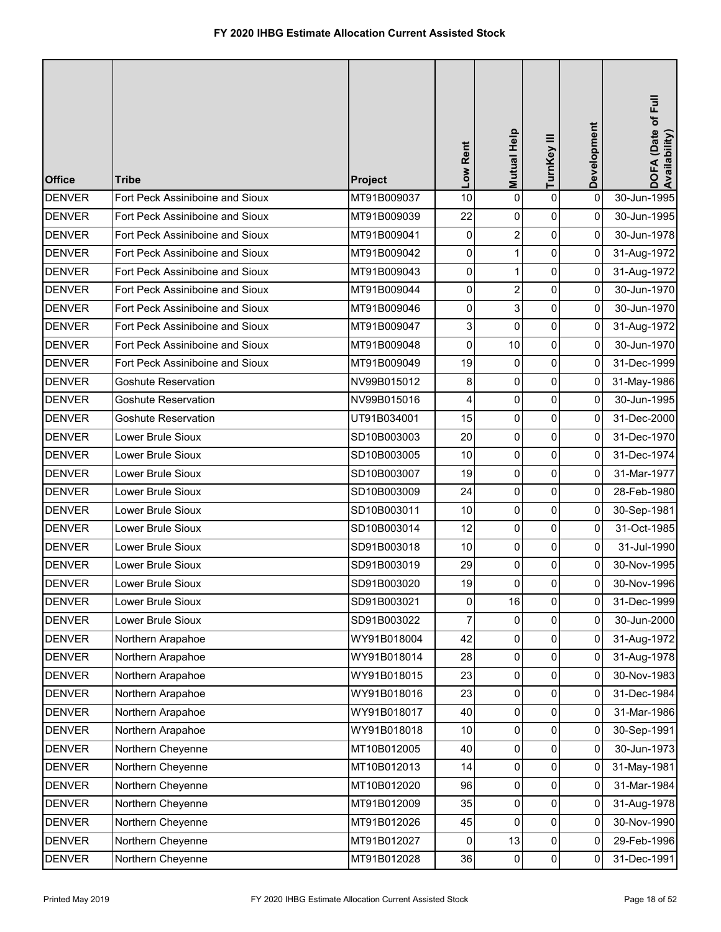| <b>Office</b> | <b>Tribe</b>                    | Project     | Low Rent            | Mutual Help    | TurnKey III         | Development | DOFA (Date of Full<br>Availability) |
|---------------|---------------------------------|-------------|---------------------|----------------|---------------------|-------------|-------------------------------------|
| <b>DENVER</b> | Fort Peck Assiniboine and Sioux | MT91B009037 | 10                  | 0              | $\mathsf 0$         | $\mathbf 0$ | 30-Jun-1995                         |
| <b>DENVER</b> | Fort Peck Assiniboine and Sioux | MT91B009039 | 22                  | 0              | $\pmb{0}$           | 0           | 30-Jun-1995                         |
| <b>DENVER</b> | Fort Peck Assiniboine and Sioux | MT91B009041 | 0                   | $\overline{2}$ | $\pmb{0}$           | 0           | 30-Jun-1978                         |
| <b>DENVER</b> | Fort Peck Assiniboine and Sioux | MT91B009042 | 0                   | $\mathbf{1}$   | $\pmb{0}$           | 0           | 31-Aug-1972                         |
| <b>DENVER</b> | Fort Peck Assiniboine and Sioux | MT91B009043 | $\mathsf{O}\xspace$ | 1              | $\pmb{0}$           | 0           | 31-Aug-1972                         |
| <b>DENVER</b> | Fort Peck Assiniboine and Sioux | MT91B009044 | 0                   | $\overline{2}$ | $\pmb{0}$           | $\mathbf 0$ | 30-Jun-1970                         |
| <b>DENVER</b> | Fort Peck Assiniboine and Sioux | MT91B009046 | 0                   | 3              | $\pmb{0}$           | 0           | 30-Jun-1970                         |
| <b>DENVER</b> | Fort Peck Assiniboine and Sioux | MT91B009047 | 3                   | 0              | $\pmb{0}$           | 0           | 31-Aug-1972                         |
| <b>DENVER</b> | Fort Peck Assiniboine and Sioux | MT91B009048 | 0                   | 10             | $\pmb{0}$           | 0           | 30-Jun-1970                         |
| <b>DENVER</b> | Fort Peck Assiniboine and Sioux | MT91B009049 | 19                  | 0              | $\pmb{0}$           | 0           | 31-Dec-1999                         |
| <b>DENVER</b> | <b>Goshute Reservation</b>      | NV99B015012 | 8                   | 0              | $\pmb{0}$           | 0           | 31-May-1986                         |
| <b>DENVER</b> | <b>Goshute Reservation</b>      | NV99B015016 | 4                   | 0              | $\pmb{0}$           | 0           | 30-Jun-1995                         |
| <b>DENVER</b> | <b>Goshute Reservation</b>      | UT91B034001 | 15                  | 0              | $\pmb{0}$           | 0           | 31-Dec-2000                         |
| <b>DENVER</b> | Lower Brule Sioux               | SD10B003003 | 20                  | 0              | $\pmb{0}$           | 0           | 31-Dec-1970                         |
| <b>DENVER</b> | Lower Brule Sioux               | SD10B003005 | 10                  | 0              | $\pmb{0}$           | 0           | 31-Dec-1974                         |
| <b>DENVER</b> | Lower Brule Sioux               | SD10B003007 | 19                  | 0              | $\pmb{0}$           | 0           | 31-Mar-1977                         |
| <b>DENVER</b> | Lower Brule Sioux               | SD10B003009 | 24                  | 0              | $\pmb{0}$           | 0           | 28-Feb-1980                         |
| <b>DENVER</b> | Lower Brule Sioux               | SD10B003011 | 10                  | 0              | $\pmb{0}$           | 0           | 30-Sep-1981                         |
| <b>DENVER</b> | Lower Brule Sioux               | SD10B003014 | 12                  | 0              | $\pmb{0}$           | 0           | 31-Oct-1985                         |
| <b>DENVER</b> | Lower Brule Sioux               | SD91B003018 | 10                  | $\overline{0}$ | $\pmb{0}$           | 0           | 31-Jul-1990                         |
| <b>DENVER</b> | Lower Brule Sioux               | SD91B003019 | 29                  | 0              | 0                   | 0           | 30-Nov-1995                         |
| <b>DENVER</b> | ower Brule Sioux                | SD91B003020 | 19                  | ΩI             | $\pmb{0}$           | 0           | 30-Nov-1996                         |
| <b>DENVER</b> | Lower Brule Sioux               | SD91B003021 | 0                   | 16             | 0                   | 0           | 31-Dec-1999                         |
| <b>DENVER</b> | Lower Brule Sioux               | SD91B003022 | 7                   | 0              | $\pmb{0}$           | 0           | 30-Jun-2000                         |
| <b>DENVER</b> | Northern Arapahoe               | WY91B018004 | 42                  | 0              | 0                   | 0           | 31-Aug-1972                         |
| <b>DENVER</b> | Northern Arapahoe               | WY91B018014 | 28                  | 0              | 0                   | 0           | 31-Aug-1978                         |
| <b>DENVER</b> | Northern Arapahoe               | WY91B018015 | 23                  | 0              | 0                   | 0           | 30-Nov-1983                         |
| <b>DENVER</b> | Northern Arapahoe               | WY91B018016 | 23                  | 0              | 0                   | 0           | 31-Dec-1984                         |
| <b>DENVER</b> | Northern Arapahoe               | WY91B018017 | 40                  | 0              | $\pmb{0}$           | 0           | 31-Mar-1986                         |
| <b>DENVER</b> | Northern Arapahoe               | WY91B018018 | 10                  | 0              | 0                   | 0           | 30-Sep-1991                         |
| <b>DENVER</b> | Northern Cheyenne               | MT10B012005 | 40                  | 0              | $\pmb{0}$           | 0           | 30-Jun-1973                         |
| <b>DENVER</b> | Northern Cheyenne               | MT10B012013 | 14                  | 0              | 0                   | 0           | 31-May-1981                         |
| <b>DENVER</b> | Northern Cheyenne               | MT10B012020 | 96                  | 0              | $\mathsf{O}\xspace$ | 0           | 31-Mar-1984                         |
| <b>DENVER</b> | Northern Cheyenne               | MT91B012009 | 35                  | 0              | $\pmb{0}$           | 0           | 31-Aug-1978                         |
| <b>DENVER</b> | Northern Cheyenne               | MT91B012026 | 45                  | 0              | 0                   | 0           | 30-Nov-1990                         |
| <b>DENVER</b> | Northern Cheyenne               | MT91B012027 | 0                   | 13             | $\pmb{0}$           | 0           | 29-Feb-1996                         |
| <b>DENVER</b> | Northern Cheyenne               | MT91B012028 | 36                  | 0              | $\pmb{0}$           | 0           | 31-Dec-1991                         |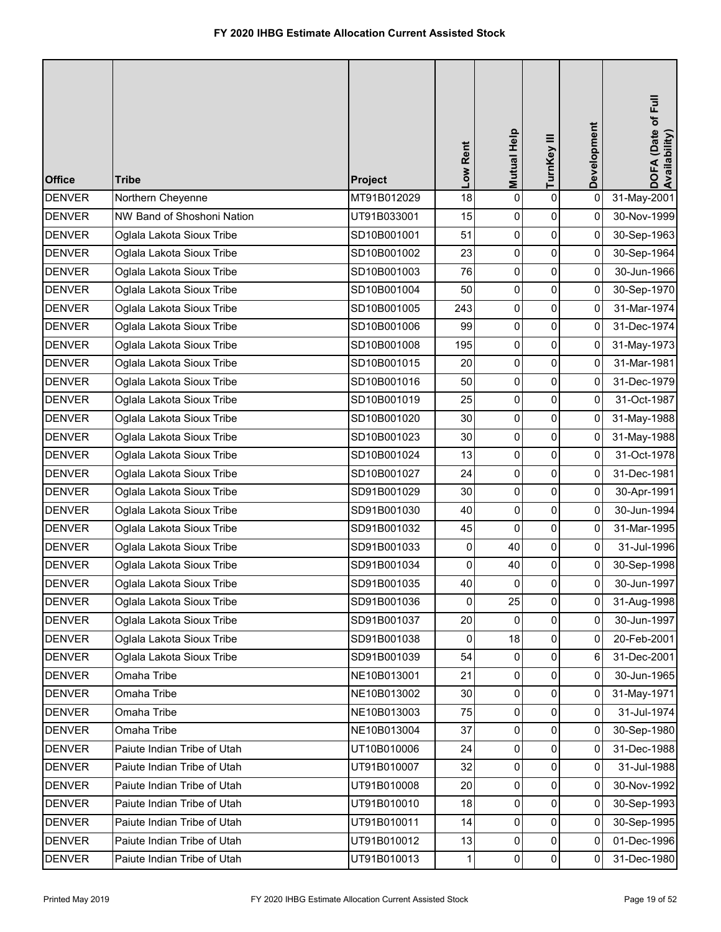| <b>Office</b> | <b>Tribe</b>                | Project     | Low Rent       | Mutual Help    | TurnKey III    | Development    | DOFA (Date of Full<br>Availability) |
|---------------|-----------------------------|-------------|----------------|----------------|----------------|----------------|-------------------------------------|
| <b>DENVER</b> | Northern Cheyenne           | MT91B012029 | 18             | 0              | $\pmb{0}$      | $\pmb{0}$      | 31-May-2001                         |
| <b>DENVER</b> | NW Band of Shoshoni Nation  | UT91B033001 | 15             | 0              | $\pmb{0}$      | 0              | 30-Nov-1999                         |
| <b>DENVER</b> | Oglala Lakota Sioux Tribe   | SD10B001001 | 51             | 0              | $\pmb{0}$      | 0              | 30-Sep-1963                         |
| <b>DENVER</b> | Oglala Lakota Sioux Tribe   | SD10B001002 | 23             | 0              | $\pmb{0}$      | $\mathbf 0$    | 30-Sep-1964                         |
| <b>DENVER</b> | Oglala Lakota Sioux Tribe   | SD10B001003 | 76             | 0              | 0              | 0              | 30-Jun-1966                         |
| <b>DENVER</b> | Oglala Lakota Sioux Tribe   | SD10B001004 | 50             | 0              | $\pmb{0}$      | 0              | 30-Sep-1970                         |
| <b>DENVER</b> | Oglala Lakota Sioux Tribe   | SD10B001005 | 243            | 0              | $\pmb{0}$      | 0              | 31-Mar-1974                         |
| <b>DENVER</b> | Oglala Lakota Sioux Tribe   | SD10B001006 | 99             | 0              | $\pmb{0}$      | 0              | 31-Dec-1974                         |
| <b>DENVER</b> | Oglala Lakota Sioux Tribe   | SD10B001008 | 195            | 0              | $\pmb{0}$      | 0              | 31-May-1973                         |
| <b>DENVER</b> | Oglala Lakota Sioux Tribe   | SD10B001015 | 20             | 0              | 0              | 0              | 31-Mar-1981                         |
| <b>DENVER</b> | Oglala Lakota Sioux Tribe   | SD10B001016 | 50             | 0              | $\pmb{0}$      | 0              | 31-Dec-1979                         |
| <b>DENVER</b> | Oglala Lakota Sioux Tribe   | SD10B001019 | 25             | 0              | $\pmb{0}$      | 0              | 31-Oct-1987                         |
| <b>DENVER</b> | Oglala Lakota Sioux Tribe   | SD10B001020 | 30             | 0              | $\pmb{0}$      | 0              | 31-May-1988                         |
| <b>DENVER</b> | Oglala Lakota Sioux Tribe   | SD10B001023 | 30             | 0              | $\pmb{0}$      | 0              | 31-May-1988                         |
| <b>DENVER</b> | Oglala Lakota Sioux Tribe   | SD10B001024 | 13             | 0              | $\pmb{0}$      | 0              | 31-Oct-1978                         |
| <b>DENVER</b> | Oglala Lakota Sioux Tribe   | SD10B001027 | 24             | 0              | $\pmb{0}$      | 0              | 31-Dec-1981                         |
| <b>DENVER</b> | Oglala Lakota Sioux Tribe   | SD91B001029 | 30             | 0              | $\pmb{0}$      | 0              | 30-Apr-1991                         |
| <b>DENVER</b> | Oglala Lakota Sioux Tribe   | SD91B001030 | 40             | 0              | $\pmb{0}$      | 0              | 30-Jun-1994                         |
| <b>DENVER</b> | Oglala Lakota Sioux Tribe   | SD91B001032 | 45             | $\mathbf 0$    | $\pmb{0}$      | 0              | 31-Mar-1995                         |
| <b>DENVER</b> | Oglala Lakota Sioux Tribe   | SD91B001033 | 0              | 40             | 0              | 0              | 31-Jul-1996                         |
| <b>DENVER</b> | Oglala Lakota Sioux Tribe   | SD91B001034 | 0              | 40             | 0              | 0              | 30-Sep-1998                         |
| <b>DENVER</b> | Oglala Lakota Sioux Tribe   | SD91B001035 | 40             | 0              | 0              | 0              | 30-Jun-1997                         |
| <b>DENVER</b> | Oglala Lakota Sioux Tribe   | SD91B001036 | $\overline{0}$ | 25             | $\mathsf{O}$   | 0              | 31-Aug-1998                         |
| <b>DENVER</b> | Oglala Lakota Sioux Tribe   | SD91B001037 | 20             | $\Omega$       | $\pmb{0}$      | $\Omega$       | 30-Jun-1997                         |
| <b>DENVER</b> | Oglala Lakota Sioux Tribe   | SD91B001038 | $\mathbf{0}$   | 18             | 0              | 0              | 20-Feb-2001                         |
| <b>DENVER</b> | Oglala Lakota Sioux Tribe   | SD91B001039 | 54             | $\Omega$       | 0              | 6              | 31-Dec-2001                         |
| <b>DENVER</b> | Omaha Tribe                 | NE10B013001 | 21             | 0              | 0              | 0              | 30-Jun-1965                         |
| <b>DENVER</b> | Omaha Tribe                 | NE10B013002 | 30             | $\overline{0}$ | 0              | $\overline{0}$ | 31-May-1971                         |
| <b>DENVER</b> | Omaha Tribe                 | NE10B013003 | 75             | $\Omega$       | $\mathbf 0$    | $\Omega$       | 31-Jul-1974                         |
| <b>DENVER</b> | Omaha Tribe                 | NE10B013004 | 37             | 0              | 0              | 0              | 30-Sep-1980                         |
| <b>DENVER</b> | Paiute Indian Tribe of Utah | UT10B010006 | 24             | $\overline{0}$ | 0              | 0              | 31-Dec-1988                         |
| <b>DENVER</b> | Paiute Indian Tribe of Utah | UT91B010007 | 32             | 0              | 0              | 0              | 31-Jul-1988                         |
| <b>DENVER</b> | Paiute Indian Tribe of Utah | UT91B010008 | 20             | 0              | 0              | $\mathbf 0$    | 30-Nov-1992                         |
| <b>DENVER</b> | Paiute Indian Tribe of Utah | UT91B010010 | 18             | $\overline{0}$ | $\pmb{0}$      | 0              | 30-Sep-1993                         |
| <b>DENVER</b> | Paiute Indian Tribe of Utah | UT91B010011 | 14             | 0              | 0              | 0              | 30-Sep-1995                         |
| <b>DENVER</b> | Paiute Indian Tribe of Utah | UT91B010012 | 13             | $\Omega$       | $\pmb{0}$      | 0              | 01-Dec-1996                         |
| <b>DENVER</b> | Paiute Indian Tribe of Utah | UT91B010013 | 1              | 0              | $\overline{0}$ | 0              | 31-Dec-1980                         |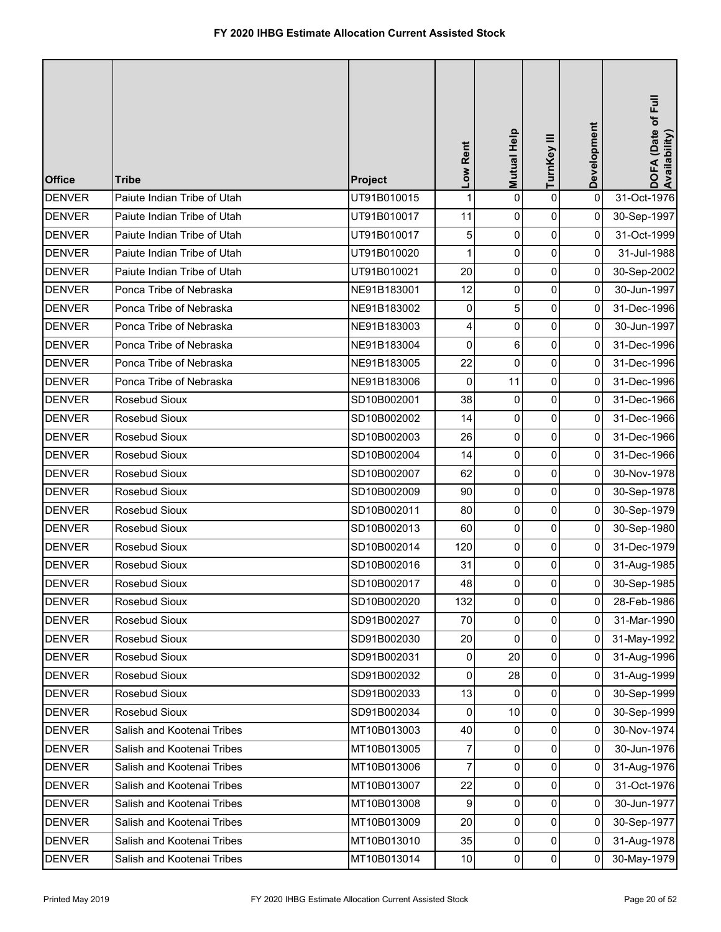| <b>Office</b> | <b>Tribe</b>                | Project     | Low Rent  | Mutual Help | TurnKey III    | Development    | DOFA (Date of Full<br>Availability) |
|---------------|-----------------------------|-------------|-----------|-------------|----------------|----------------|-------------------------------------|
| <b>DENVER</b> | Paiute Indian Tribe of Utah | UT91B010015 | 1         | 0           | 0              | $\pmb{0}$      | 31-Oct-1976                         |
| <b>DENVER</b> | Paiute Indian Tribe of Utah | UT91B010017 | 11        | 0           | 0              | 0              | 30-Sep-1997                         |
| <b>DENVER</b> | Paiute Indian Tribe of Utah | UT91B010017 | 5         | 0           | 0              | $\overline{0}$ | 31-Oct-1999                         |
| <b>DENVER</b> | Paiute Indian Tribe of Utah | UT91B010020 | 1         | 0           | 0              | $\mathbf 0$    | 31-Jul-1988                         |
| <b>DENVER</b> | Paiute Indian Tribe of Utah | UT91B010021 | 20        | 0           | $\mathbf 0$    | $\overline{0}$ | 30-Sep-2002                         |
| <b>DENVER</b> | Ponca Tribe of Nebraska     | NE91B183001 | 12        | 0           | 0              | 0              | 30-Jun-1997                         |
| <b>DENVER</b> | Ponca Tribe of Nebraska     | NE91B183002 | 0         | 5           | 0              | $\overline{0}$ | 31-Dec-1996                         |
| <b>DENVER</b> | Ponca Tribe of Nebraska     | NE91B183003 | 4         | 0           | 0              | $\overline{0}$ | 30-Jun-1997                         |
| <b>DENVER</b> | Ponca Tribe of Nebraska     | NE91B183004 | $\pmb{0}$ | 6           | 0              | $\overline{0}$ | 31-Dec-1996                         |
| <b>DENVER</b> | Ponca Tribe of Nebraska     | NE91B183005 | 22        | 0           | $\mathbf 0$    | $\overline{0}$ | 31-Dec-1996                         |
| <b>DENVER</b> | Ponca Tribe of Nebraska     | NE91B183006 | 0         | 11          | 0              | $\overline{0}$ | 31-Dec-1996                         |
| <b>DENVER</b> | Rosebud Sioux               | SD10B002001 | 38        | 0           | 0              | $\overline{0}$ | 31-Dec-1966                         |
| <b>DENVER</b> | Rosebud Sioux               | SD10B002002 | 14        | 0           | $\overline{0}$ | $\overline{0}$ | 31-Dec-1966                         |
| <b>DENVER</b> | Rosebud Sioux               | SD10B002003 | 26        | 0           | $\pmb{0}$      | $\overline{0}$ | 31-Dec-1966                         |
| <b>DENVER</b> | Rosebud Sioux               | SD10B002004 | 14        | 0           | $\mathbf 0$    | $\overline{0}$ | 31-Dec-1966                         |
| <b>DENVER</b> | Rosebud Sioux               | SD10B002007 | 62        | 0           | 0              | 0              | 30-Nov-1978                         |
| <b>DENVER</b> | Rosebud Sioux               | SD10B002009 | 90        | 0           | 0              | $\overline{0}$ | 30-Sep-1978                         |
| <b>DENVER</b> | Rosebud Sioux               | SD10B002011 | 80        | 0           | $\pmb{0}$      | $\overline{0}$ | 30-Sep-1979                         |
| <b>DENVER</b> | Rosebud Sioux               | SD10B002013 | 60        | 0           | 0              | $\overline{0}$ | 30-Sep-1980                         |
| <b>DENVER</b> | Rosebud Sioux               | SD10B002014 | 120       | 0           | $\overline{0}$ | $\overline{0}$ | 31-Dec-1979                         |
| <b>DENVER</b> | Rosebud Sioux               | SD10B002016 | 31        | 0           | 0              | 0              | 31-Aug-1985                         |
| <b>DENVER</b> | Rosebud Sioux               | SD10B002017 | 48        | $\Omega$    | $\Omega$       | $\overline{0}$ | 30-Sep-1985                         |
| <b>DENVER</b> | Rosebud Sioux               | SD10B002020 | 132       | 0           | 0              | $\overline{0}$ | 28-Feb-1986                         |
| <b>DENVER</b> | Rosebud Sioux               | SD91B002027 | 70        | 0           | 0              | $\overline{0}$ | 31-Mar-1990                         |
| <b>DENVER</b> | Rosebud Sioux               | SD91B002030 | 20        | 0           | $\overline{0}$ | $\overline{0}$ | 31-May-1992                         |
| <b>DENVER</b> | Rosebud Sioux               | SD91B002031 | 0         | 20          | $\overline{0}$ | $\overline{0}$ | 31-Aug-1996                         |
| <b>DENVER</b> | Rosebud Sioux               | SD91B002032 | 0         | 28          | 0              | $\overline{0}$ | 31-Aug-1999                         |
| <b>DENVER</b> | Rosebud Sioux               | SD91B002033 | 13        | 0           | $\overline{0}$ | $\Omega$       | 30-Sep-1999                         |
| <b>DENVER</b> | Rosebud Sioux               | SD91B002034 | 0         | 10          | 0              | 0              | 30-Sep-1999                         |
| <b>DENVER</b> | Salish and Kootenai Tribes  | MT10B013003 | 40        | 0           | $\overline{0}$ | $\overline{0}$ | 30-Nov-1974                         |
| <b>DENVER</b> | Salish and Kootenai Tribes  | MT10B013005 | 7         | 0           | $\overline{0}$ | $\Omega$       | 30-Jun-1976                         |
| <b>DENVER</b> | Salish and Kootenai Tribes  | MT10B013006 | 7         | 0           | 0              | $\Omega$       | 31-Aug-1976                         |
| <b>DENVER</b> | Salish and Kootenai Tribes  | MT10B013007 | 22        | 0           | $\mathbf 0$    | $\overline{0}$ | 31-Oct-1976                         |
| <b>DENVER</b> | Salish and Kootenai Tribes  | MT10B013008 | 9         | 0           | $\pmb{0}$      | $\overline{0}$ | 30-Jun-1977                         |
| <b>DENVER</b> | Salish and Kootenai Tribes  | MT10B013009 | 20        | 0           | $\overline{0}$ | 0              | 30-Sep-1977                         |
| <b>DENVER</b> | Salish and Kootenai Tribes  | MT10B013010 | 35        | 0           | 0              | $\overline{0}$ | 31-Aug-1978                         |
| <b>DENVER</b> | Salish and Kootenai Tribes  | MT10B013014 | 10        | 0           | $\overline{0}$ | $\Omega$       | 30-May-1979                         |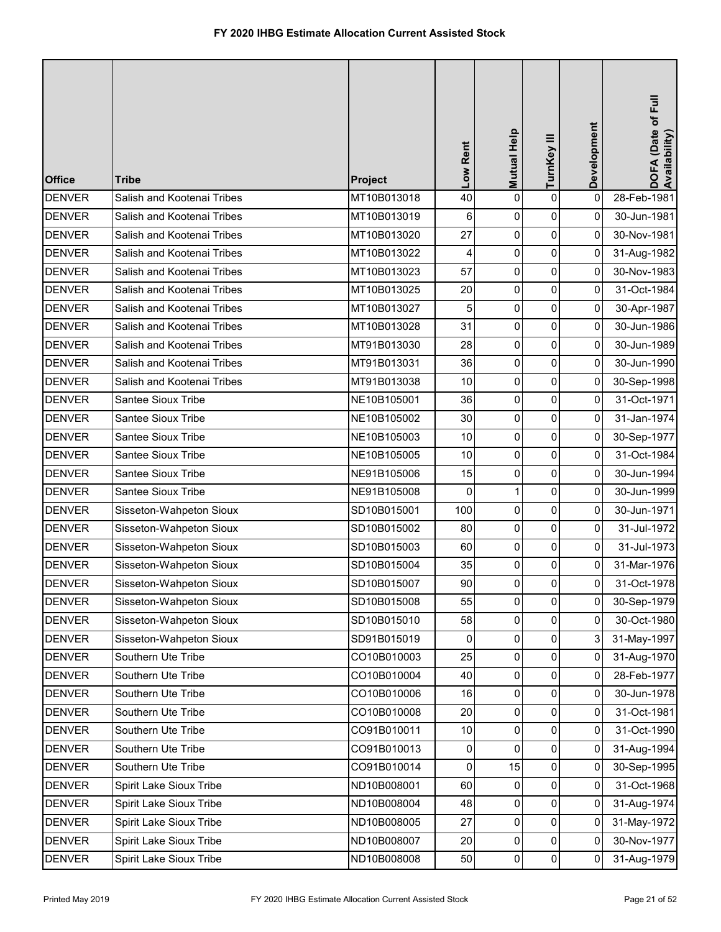| <b>Office</b> | <b>Tribe</b>               | Project     | Low Rent        | Mutual Help    | TurnKey III    | Development    | DOFA (Date of Full<br>Availability) |
|---------------|----------------------------|-------------|-----------------|----------------|----------------|----------------|-------------------------------------|
| <b>DENVER</b> | Salish and Kootenai Tribes | MT10B013018 | 40              | 0              | 0              | 0              | 28-Feb-1981                         |
| <b>DENVER</b> | Salish and Kootenai Tribes | MT10B013019 | 6               | 0              | 0              | 0              | 30-Jun-1981                         |
| <b>DENVER</b> | Salish and Kootenai Tribes | MT10B013020 | 27              | 0              | $\overline{0}$ | $\overline{0}$ | 30-Nov-1981                         |
| <b>DENVER</b> | Salish and Kootenai Tribes | MT10B013022 | 4               | $\overline{0}$ | $\mathbf 0$    | 0              | 31-Aug-1982                         |
| <b>DENVER</b> | Salish and Kootenai Tribes | MT10B013023 | 57              | 0              | 0              | $\overline{0}$ | 30-Nov-1983                         |
| <b>DENVER</b> | Salish and Kootenai Tribes | MT10B013025 | 20              | 0              | 0              | 0              | 31-Oct-1984                         |
| <b>DENVER</b> | Salish and Kootenai Tribes | MT10B013027 | 5               | 0              | 0              | $\overline{0}$ | 30-Apr-1987                         |
| <b>DENVER</b> | Salish and Kootenai Tribes | MT10B013028 | 31              | 0              | $\mathbf 0$    | $\overline{0}$ | 30-Jun-1986                         |
| <b>DENVER</b> | Salish and Kootenai Tribes | MT91B013030 | 28              | 0              | 0              | $\overline{0}$ | 30-Jun-1989                         |
| <b>DENVER</b> | Salish and Kootenai Tribes | MT91B013031 | 36              | 0              | 0              | $\Omega$       | 30-Jun-1990                         |
| <b>DENVER</b> | Salish and Kootenai Tribes | MT91B013038 | 10              | 0              | 0              | $\overline{0}$ | 30-Sep-1998                         |
| <b>DENVER</b> | Santee Sioux Tribe         | NE10B105001 | 36              | 0              | 0              | $\overline{0}$ | 31-Oct-1971                         |
| <b>DENVER</b> | Santee Sioux Tribe         | NE10B105002 | 30              | 0              | $\mathbf 0$    | $\overline{0}$ | 31-Jan-1974                         |
| <b>DENVER</b> | Santee Sioux Tribe         | NE10B105003 | 10              | 0              | 0              | $\overline{0}$ | 30-Sep-1977                         |
| <b>DENVER</b> | Santee Sioux Tribe         | NE10B105005 | 10              | 0              | 0              | $\overline{0}$ | 31-Oct-1984                         |
| <b>DENVER</b> | Santee Sioux Tribe         | NE91B105006 | 15              | 0              | 0              | $\overline{0}$ | 30-Jun-1994                         |
| <b>DENVER</b> | Santee Sioux Tribe         | NE91B105008 | 0               | 1              | 0              | $\overline{0}$ | 30-Jun-1999                         |
| <b>DENVER</b> | Sisseton-Wahpeton Sioux    | SD10B015001 | 100             | 0              | 0              | 0              | 30-Jun-1971                         |
| <b>DENVER</b> | Sisseton-Wahpeton Sioux    | SD10B015002 | 80              | 0              | 0              | 0              | 31-Jul-1972                         |
| <b>DENVER</b> | Sisseton-Wahpeton Sioux    | SD10B015003 | 60              | 0              | 0              | $\Omega$       | 31-Jul-1973                         |
| <b>DENVER</b> | Sisseton-Wahpeton Sioux    | SD10B015004 | 35              | 0              | 0              | 0              | 31-Mar-1976                         |
| <b>DENVER</b> | Sisseton-Wahpeton Sioux    | SD10B015007 | 90 <sup>1</sup> | 0              | $\Omega$       | $\overline{0}$ | 31-Oct-1978                         |
| <b>DENVER</b> | Sisseton-Wahpeton Sioux    | SD10B015008 | 55              | 0              | $\mathbf 0$    | $\overline{0}$ | 30-Sep-1979                         |
| <b>DENVER</b> | Sisseton-Wahpeton Sioux    | SD10B015010 | 58              | 0              | $\mathbf 0$    | $\overline{0}$ | 30-Oct-1980                         |
| <b>DENVER</b> | Sisseton-Wahpeton Sioux    | SD91B015019 | 0               | 0              | 0              | 3              | 31-May-1997                         |
| <b>DENVER</b> | Southern Ute Tribe         | CO10B010003 | 25              | 0              | 0              | $\overline{0}$ | 31-Aug-1970                         |
| <b>DENVER</b> | Southern Ute Tribe         | CO10B010004 | 40              | 0              | 0              | $\overline{0}$ | 28-Feb-1977                         |
| <b>DENVER</b> | Southern Ute Tribe         | CO10B010006 | 16              | 0              | $\mathbf 0$    | $\overline{0}$ | 30-Jun-1978                         |
| <b>DENVER</b> | Southern Ute Tribe         | CO10B010008 | 20              | 0              | $\overline{0}$ | $\overline{0}$ | 31-Oct-1981                         |
| <b>DENVER</b> | Southern Ute Tribe         | CO91B010011 | 10              | 0              | 0              | $\overline{0}$ | 31-Oct-1990                         |
| <b>DENVER</b> | Southern Ute Tribe         | CO91B010013 | 0               | 0              | $\overline{0}$ | $\overline{0}$ | 31-Aug-1994                         |
| <b>DENVER</b> | Southern Ute Tribe         | CO91B010014 | 0               | 15             | 0              | $\mathbf{0}$   | 30-Sep-1995                         |
| <b>DENVER</b> | Spirit Lake Sioux Tribe    | ND10B008001 | 60              | 0              | 0              | $\overline{0}$ | 31-Oct-1968                         |
| <b>DENVER</b> | Spirit Lake Sioux Tribe    | ND10B008004 | 48              | 0              | $\mathbf 0$    | $\overline{0}$ | 31-Aug-1974                         |
| <b>DENVER</b> | Spirit Lake Sioux Tribe    | ND10B008005 | 27              | 0              | $\overline{0}$ | $\overline{0}$ | 31-May-1972                         |
| <b>DENVER</b> | Spirit Lake Sioux Tribe    | ND10B008007 | 20              | 0              | 0              | $\overline{0}$ | 30-Nov-1977                         |
| <b>DENVER</b> | Spirit Lake Sioux Tribe    | ND10B008008 | 50              | 0              | $\overline{0}$ | $\overline{0}$ | 31-Aug-1979                         |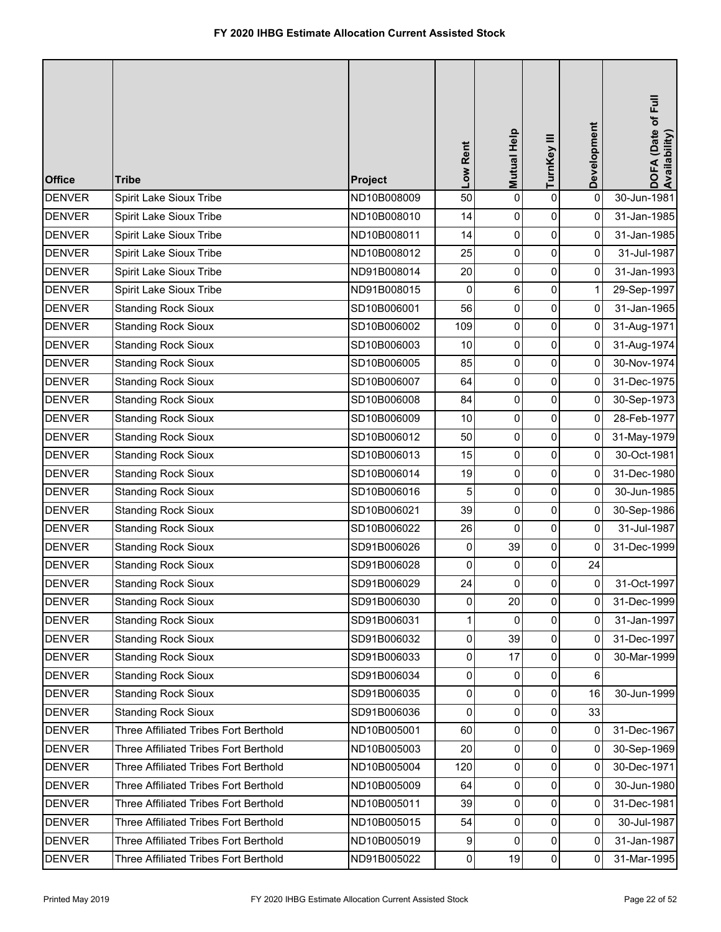| <b>Office</b> | <b>Tribe</b>                          | Project     | Low Rent       | Mutual Help | TurnKey III         | Development    | DOFA (Date of Full<br>Availability) |
|---------------|---------------------------------------|-------------|----------------|-------------|---------------------|----------------|-------------------------------------|
| <b>DENVER</b> | Spirit Lake Sioux Tribe               | ND10B008009 | 50             | 0           | $\pmb{0}$           | $\pmb{0}$      | 30-Jun-1981                         |
| <b>DENVER</b> | Spirit Lake Sioux Tribe               | ND10B008010 | 14             | 0           | 0                   | 0              | 31-Jan-1985                         |
| <b>DENVER</b> | Spirit Lake Sioux Tribe               | ND10B008011 | 14             | 0           | $\overline{0}$      | 0              | 31-Jan-1985                         |
| <b>DENVER</b> | Spirit Lake Sioux Tribe               | ND10B008012 | 25             | 0           | $\mathsf{O}\xspace$ | 0              | 31-Jul-1987                         |
| <b>DENVER</b> | Spirit Lake Sioux Tribe               | ND91B008014 | 20             | 0           | $\pmb{0}$           | 0              | 31-Jan-1993                         |
| <b>DENVER</b> | Spirit Lake Sioux Tribe               | ND91B008015 | 0              | 6           | $\overline{0}$      | 1              | 29-Sep-1997                         |
| <b>DENVER</b> | <b>Standing Rock Sioux</b>            | SD10B006001 | 56             | 0           | $\pmb{0}$           | 0              | 31-Jan-1965                         |
| <b>DENVER</b> | <b>Standing Rock Sioux</b>            | SD10B006002 | 109            | 0           | $\overline{0}$      | 0              | 31-Aug-1971                         |
| <b>DENVER</b> | <b>Standing Rock Sioux</b>            | SD10B006003 | 10             | 0           | $\overline{0}$      | 0              | 31-Aug-1974                         |
| <b>DENVER</b> | <b>Standing Rock Sioux</b>            | SD10B006005 | 85             | 0           | $\overline{0}$      | 0              | 30-Nov-1974                         |
| <b>DENVER</b> | <b>Standing Rock Sioux</b>            | SD10B006007 | 64             | 0           | $\overline{0}$      | 0              | 31-Dec-1975                         |
| <b>DENVER</b> | <b>Standing Rock Sioux</b>            | SD10B006008 | 84             | 0           | $\pmb{0}$           | 0              | 30-Sep-1973                         |
| <b>DENVER</b> | <b>Standing Rock Sioux</b>            | SD10B006009 | 10             | 0           | $\overline{0}$      | 0              | 28-Feb-1977                         |
| <b>DENVER</b> | <b>Standing Rock Sioux</b>            | SD10B006012 | 50             | 0           | $\overline{0}$      | 0              | 31-May-1979                         |
| <b>DENVER</b> | <b>Standing Rock Sioux</b>            | SD10B006013 | 15             | 0           | $\overline{0}$      | $\overline{0}$ | 30-Oct-1981                         |
| <b>DENVER</b> | <b>Standing Rock Sioux</b>            | SD10B006014 | 19             | 0           | $\overline{0}$      | 0              | 31-Dec-1980                         |
| <b>DENVER</b> | <b>Standing Rock Sioux</b>            | SD10B006016 | 5              | 0           | $\pmb{0}$           | 0              | 30-Jun-1985                         |
| <b>DENVER</b> | <b>Standing Rock Sioux</b>            | SD10B006021 | 39             | 0           | $\overline{0}$      | 0              | 30-Sep-1986                         |
| <b>DENVER</b> | <b>Standing Rock Sioux</b>            | SD10B006022 | 26             | 0           | $\pmb{0}$           | 0              | 31-Jul-1987                         |
| <b>DENVER</b> | <b>Standing Rock Sioux</b>            | SD91B006026 | 0              | 39          | 0                   | 0              | 31-Dec-1999                         |
| <b>DENVER</b> | <b>Standing Rock Sioux</b>            | SD91B006028 | 0              | $\mathbf 0$ | 0                   | 24             |                                     |
| <b>DENVER</b> | <b>Standing Rock Sioux</b>            | SD91B006029 | 24             | 0           | $\overline{0}$      | $\overline{0}$ | 31-Oct-1997                         |
| <b>DENVER</b> | <b>Standing Rock Sioux</b>            | SD91B006030 | $\mathbf 0$    | 20          | $\overline{0}$      | $\overline{0}$ | 31-Dec-1999                         |
| <b>DENVER</b> | <b>Standing Rock Sioux</b>            | SD91B006031 | $\mathbf{1}$   | $\Omega$    | $\overline{0}$      | $\Omega$       | 31-Jan-1997                         |
| <b>DENVER</b> | <b>Standing Rock Sioux</b>            | SD91B006032 | $\overline{0}$ | 39          | $\overline{0}$      | 0              | 31-Dec-1997                         |
| <b>DENVER</b> | <b>Standing Rock Sioux</b>            | SD91B006033 | $\overline{0}$ | 17          | $\overline{0}$      | 0              | 30-Mar-1999                         |
| <b>DENVER</b> | <b>Standing Rock Sioux</b>            | SD91B006034 | 0              | 0           | 0                   | 6              |                                     |
| <b>DENVER</b> | <b>Standing Rock Sioux</b>            | SD91B006035 | 0              | 0           | $\overline{0}$      | 16             | 30-Jun-1999                         |
| <b>DENVER</b> | <b>Standing Rock Sioux</b>            | SD91B006036 | $\overline{0}$ | 0           | $\overline{0}$      | 33             |                                     |
| <b>DENVER</b> | Three Affiliated Tribes Fort Berthold | ND10B005001 | 60             | 0           | $\overline{0}$      | 0              | 31-Dec-1967                         |
| <b>DENVER</b> | Three Affiliated Tribes Fort Berthold | ND10B005003 | 20             | 0           | $\overline{0}$      | 0              | 30-Sep-1969                         |
| <b>DENVER</b> | Three Affiliated Tribes Fort Berthold | ND10B005004 | 120            | 0           | 0                   | 0              | 30-Dec-1971                         |
| <b>DENVER</b> | Three Affiliated Tribes Fort Berthold | ND10B005009 | 64             | 0           | $\overline{0}$      | $\overline{0}$ | 30-Jun-1980                         |
| <b>DENVER</b> | Three Affiliated Tribes Fort Berthold | ND10B005011 | 39             | 0           | $\overline{0}$      | $\overline{0}$ | 31-Dec-1981                         |
| <b>DENVER</b> | Three Affiliated Tribes Fort Berthold | ND10B005015 | 54             | 0           | $\overline{0}$      | 0              | 30-Jul-1987                         |
| <b>DENVER</b> | Three Affiliated Tribes Fort Berthold | ND10B005019 | 9              | 0           | $\overline{0}$      | 0              | 31-Jan-1987                         |
| <b>DENVER</b> | Three Affiliated Tribes Fort Berthold | ND91B005022 | $\overline{0}$ | 19          | $\overline{0}$      | $\overline{0}$ | 31-Mar-1995                         |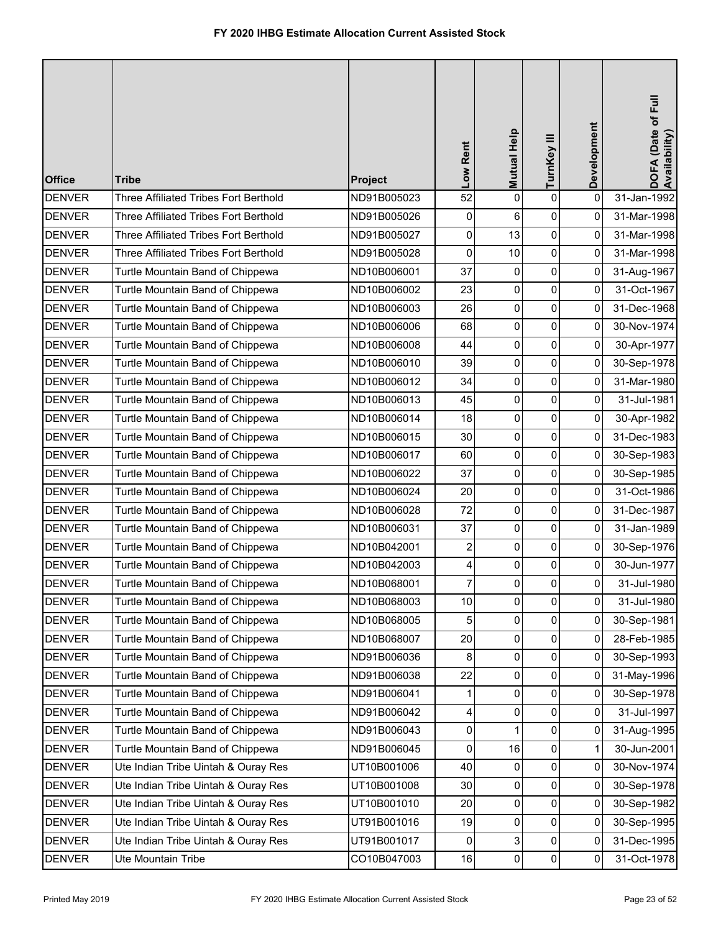| <b>Office</b> | <b>Tribe</b>                          | Project     | Low Rent       | Mutual Help         | TurnKey III         | Development    | DOFA (Date of Full<br>Availability) |
|---------------|---------------------------------------|-------------|----------------|---------------------|---------------------|----------------|-------------------------------------|
| <b>DENVER</b> | Three Affiliated Tribes Fort Berthold | ND91B005023 | 52             | 0                   | $\pmb{0}$           | $\mathbf 0$    | 31-Jan-1992                         |
| <b>DENVER</b> | Three Affiliated Tribes Fort Berthold | ND91B005026 | 0              | 6                   | $\pmb{0}$           | 0              | 31-Mar-1998                         |
| <b>DENVER</b> | Three Affiliated Tribes Fort Berthold | ND91B005027 | 0              | 13                  | $\pmb{0}$           | 0              | 31-Mar-1998                         |
| <b>DENVER</b> | Three Affiliated Tribes Fort Berthold | ND91B005028 | $\pmb{0}$      | 10                  | $\pmb{0}$           | 0              | 31-Mar-1998                         |
| <b>DENVER</b> | Turtle Mountain Band of Chippewa      | ND10B006001 | 37             | 0                   | $\pmb{0}$           | 0              | 31-Aug-1967                         |
| <b>DENVER</b> | Turtle Mountain Band of Chippewa      | ND10B006002 | 23             | 0                   | $\pmb{0}$           | 0              | 31-Oct-1967                         |
| <b>DENVER</b> | Turtle Mountain Band of Chippewa      | ND10B006003 | 26             | 0                   | $\pmb{0}$           | 0              | 31-Dec-1968                         |
| <b>DENVER</b> | Turtle Mountain Band of Chippewa      | ND10B006006 | 68             | 0                   | $\mathsf{O}\xspace$ | 0              | 30-Nov-1974                         |
| <b>DENVER</b> | Turtle Mountain Band of Chippewa      | ND10B006008 | 44             | 0                   | $\pmb{0}$           | 0              | 30-Apr-1977                         |
| <b>DENVER</b> | Turtle Mountain Band of Chippewa      | ND10B006010 | 39             | $\mathsf{O}\xspace$ | $\mathbf 0$         | $\overline{0}$ | 30-Sep-1978                         |
| <b>DENVER</b> | Turtle Mountain Band of Chippewa      | ND10B006012 | 34             | 0                   | 0                   | 0              | 31-Mar-1980                         |
| <b>DENVER</b> | Turtle Mountain Band of Chippewa      | ND10B006013 | 45             | 0                   | $\pmb{0}$           | 0              | 31-Jul-1981                         |
| <b>DENVER</b> | Turtle Mountain Band of Chippewa      | ND10B006014 | 18             | 0                   | $\mathsf{O}\xspace$ | 0              | 30-Apr-1982                         |
| <b>DENVER</b> | Turtle Mountain Band of Chippewa      | ND10B006015 | 30             | 0                   | $\pmb{0}$           | 0              | 31-Dec-1983                         |
| <b>DENVER</b> | Turtle Mountain Band of Chippewa      | ND10B006017 | 60             | 0                   | $\pmb{0}$           | 0              | 30-Sep-1983                         |
| <b>DENVER</b> | Turtle Mountain Band of Chippewa      | ND10B006022 | 37             | 0                   | 0                   | 0              | 30-Sep-1985                         |
| <b>DENVER</b> | Turtle Mountain Band of Chippewa      | ND10B006024 | 20             | 0                   | $\pmb{0}$           | 0              | 31-Oct-1986                         |
| <b>DENVER</b> | Turtle Mountain Band of Chippewa      | ND10B006028 | 72             | 0                   | $\mathsf{O}\xspace$ | 0              | 31-Dec-1987                         |
| <b>DENVER</b> | Turtle Mountain Band of Chippewa      | ND10B006031 | 37             | 0                   | $\mathsf 0$         | 0              | 31-Jan-1989                         |
| <b>DENVER</b> | Turtle Mountain Band of Chippewa      | ND10B042001 | 2              | 0                   | $\pmb{0}$           | 0              | 30-Sep-1976                         |
| <b>DENVER</b> | Turtle Mountain Band of Chippewa      | ND10B042003 | 4              | 0                   | 0                   | 0              | 30-Jun-1977                         |
| <b>DENVER</b> | Turtle Mountain Band of Chippewa      | ND10B068001 | $\overline{7}$ | $\Omega$            | $\pmb{0}$           | 0              | 31-Jul-1980                         |
| <b>DENVER</b> | Turtle Mountain Band of Chippewa      | ND10B068003 | $10$           | 0                   | 0                   | 0              | 31-Jul-1980                         |
| <b>DENVER</b> | Turtle Mountain Band of Chippewa      | ND10B068005 | 5              | $\overline{0}$      | $\pmb{0}$           | 0              | 30-Sep-1981                         |
| <b>DENVER</b> | Turtle Mountain Band of Chippewa      | ND10B068007 | 20             | 0                   | 0                   | 0              | 28-Feb-1985                         |
| <b>DENVER</b> | Turtle Mountain Band of Chippewa      | ND91B006036 | 8              | 0                   | 0                   | 0              | 30-Sep-1993                         |
| <b>DENVER</b> | Turtle Mountain Band of Chippewa      | ND91B006038 | 22             | 0                   | $\pmb{0}$           | 0              | 31-May-1996                         |
| <b>DENVER</b> | Turtle Mountain Band of Chippewa      | ND91B006041 | 1              | 0                   | 0                   | 0              | 30-Sep-1978                         |
| <b>DENVER</b> | Turtle Mountain Band of Chippewa      | ND91B006042 | 4              | 0                   | $\pmb{0}$           | 0              | 31-Jul-1997                         |
| <b>DENVER</b> | Turtle Mountain Band of Chippewa      | ND91B006043 | 0              |                     | 0                   | 0              | 31-Aug-1995                         |
| <b>DENVER</b> | Turtle Mountain Band of Chippewa      | ND91B006045 | 0              | 16                  | 0                   | 1              | 30-Jun-2001                         |
| <b>DENVER</b> | Ute Indian Tribe Uintah & Ouray Res   | UT10B001006 | 40             | 0                   | 0                   | 0              | 30-Nov-1974                         |
| <b>DENVER</b> | Ute Indian Tribe Uintah & Ouray Res   | UT10B001008 | 30             | 0                   | 0                   | 0              | 30-Sep-1978                         |
| <b>DENVER</b> | Ute Indian Tribe Uintah & Ouray Res   | UT10B001010 | 20             | 0                   | $\pmb{0}$           | 0              | 30-Sep-1982                         |
| <b>DENVER</b> | Ute Indian Tribe Uintah & Ouray Res   | UT91B001016 | 19             | $\overline{0}$      | 0                   | 0              | 30-Sep-1995                         |
| <b>DENVER</b> | Ute Indian Tribe Uintah & Ouray Res   | UT91B001017 | 0              | 3                   | 0                   | 0              | 31-Dec-1995                         |
| <b>DENVER</b> | Ute Mountain Tribe                    | CO10B047003 | 16             | 0                   | $\pmb{0}$           | 0              | 31-Oct-1978                         |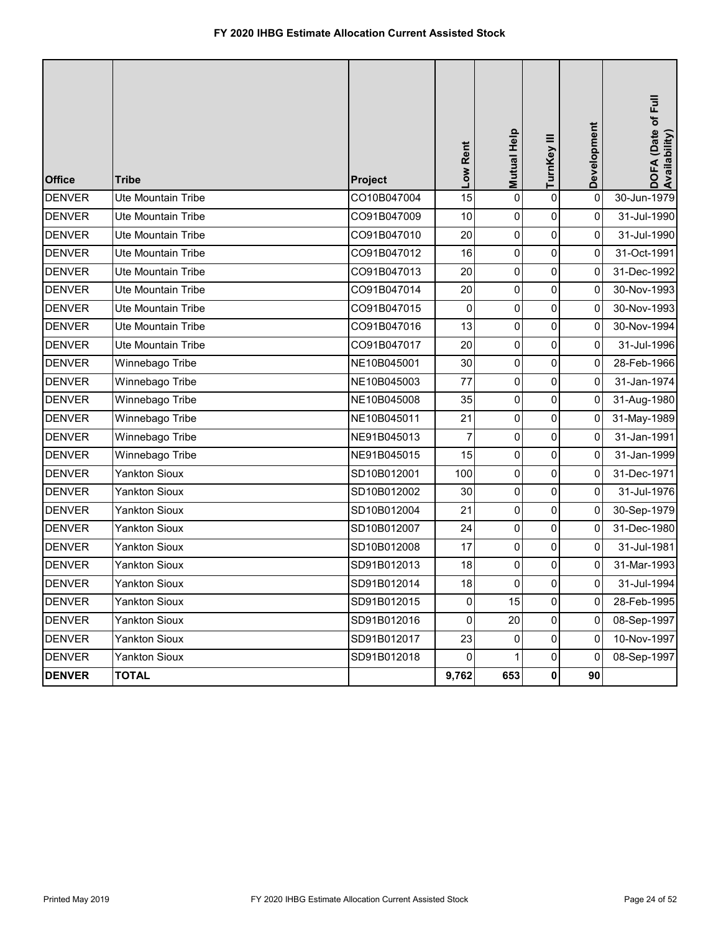| <b>Office</b> | <b>Tribe</b>         | Project     | Low Rent       | Mutual Help    | TurnKey III    | Development    | DOFA (Date of Full<br>Availability) |
|---------------|----------------------|-------------|----------------|----------------|----------------|----------------|-------------------------------------|
| <b>DENVER</b> | Ute Mountain Tribe   | CO10B047004 | 15             | $\overline{0}$ | $\mathbf 0$    | 0              | 30-Jun-1979                         |
| <b>DENVER</b> | Ute Mountain Tribe   | CO91B047009 | 10             | 0              | $\pmb{0}$      | 0              | 31-Jul-1990                         |
| <b>DENVER</b> | Ute Mountain Tribe   | CO91B047010 | 20             | 0              | $\pmb{0}$      | 0              | 31-Jul-1990                         |
| <b>DENVER</b> | Ute Mountain Tribe   | CO91B047012 | 16             | 0              | 0              | 0              | 31-Oct-1991                         |
| <b>DENVER</b> | Ute Mountain Tribe   | CO91B047013 | 20             | 0              | $\pmb{0}$      | 0              | 31-Dec-1992                         |
| <b>DENVER</b> | Ute Mountain Tribe   | CO91B047014 | 20             | $\mathbf 0$    | $\pmb{0}$      | 0              | 30-Nov-1993                         |
| <b>DENVER</b> | Ute Mountain Tribe   | CO91B047015 | 0              | $\overline{0}$ | 0              | 0              | 30-Nov-1993                         |
| <b>DENVER</b> | Ute Mountain Tribe   | CO91B047016 | 13             | 0              | $\pmb{0}$      | 0              | 30-Nov-1994                         |
| <b>DENVER</b> | Ute Mountain Tribe   | CO91B047017 | 20             | 0              | 0              | 0              | 31-Jul-1996                         |
| <b>DENVER</b> | Winnebago Tribe      | NE10B045001 | 30             | 0              | $\pmb{0}$      | 0              | 28-Feb-1966                         |
| <b>DENVER</b> | Winnebago Tribe      | NE10B045003 | 77             | $\mathbf 0$    | $\pmb{0}$      | 0              | 31-Jan-1974                         |
| <b>DENVER</b> | Winnebago Tribe      | NE10B045008 | 35             | $\overline{0}$ | 0              | 0              | 31-Aug-1980                         |
| <b>DENVER</b> | Winnebago Tribe      | NE10B045011 | 21             | 0              | $\pmb{0}$      | 0              | 31-May-1989                         |
| <b>DENVER</b> | Winnebago Tribe      | NE91B045013 | 7              | 0              | 0              | 0              | 31-Jan-1991                         |
| <b>DENVER</b> | Winnebago Tribe      | NE91B045015 | 15             | 0              | $\pmb{0}$      | 0              | 31-Jan-1999                         |
| <b>DENVER</b> | <b>Yankton Sioux</b> | SD10B012001 | 100            | $\mathbf 0$    | $\pmb{0}$      | 0              | 31-Dec-1971                         |
| <b>DENVER</b> | <b>Yankton Sioux</b> | SD10B012002 | 30             | $\overline{0}$ | $\pmb{0}$      | 0              | 31-Jul-1976                         |
| <b>DENVER</b> | Yankton Sioux        | SD10B012004 | 21             | 0              | $\pmb{0}$      | 0              | 30-Sep-1979                         |
| <b>DENVER</b> | <b>Yankton Sioux</b> | SD10B012007 | 24             | 0              | $\pmb{0}$      | 0              | 31-Dec-1980                         |
| <b>DENVER</b> | <b>Yankton Sioux</b> | SD10B012008 | 17             | 0              | $\pmb{0}$      | 0              | 31-Jul-1981                         |
| <b>DENVER</b> | <b>Yankton Sioux</b> | SD91B012013 | 18             | 0              | $\pmb{0}$      | 0              | 31-Mar-1993                         |
| <b>DENVER</b> | Yankton Sioux        | SD91B012014 | 18             | $\overline{0}$ | $\overline{0}$ | 0              | 31-Jul-1994                         |
| <b>DENVER</b> | <b>Yankton Sioux</b> | SD91B012015 | 0              | 15             | $\mathbf 0$    | $\Omega$       | 28-Feb-1995                         |
| <b>DENVER</b> | <b>Yankton Sioux</b> | SD91B012016 | $\overline{0}$ | 20             | 0              | $\overline{0}$ | 08-Sep-1997                         |
| <b>DENVER</b> | <b>Yankton Sioux</b> | SD91B012017 | 23             | $\overline{0}$ | $\overline{0}$ | $\overline{0}$ | 10-Nov-1997                         |
| <b>DENVER</b> | <b>Yankton Sioux</b> | SD91B012018 | $\overline{0}$ |                | 0              | 0              | 08-Sep-1997                         |
| <b>DENVER</b> | <b>TOTAL</b>         |             | 9,762          | 653            | 0              | 90             |                                     |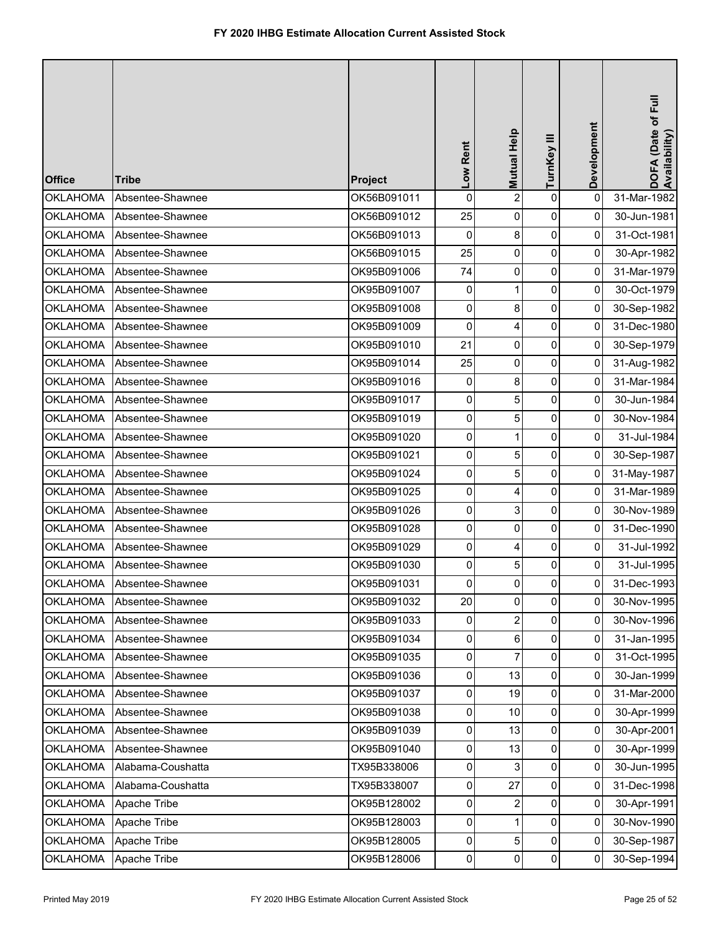| <b>Office</b>   | <b>Tribe</b>      | Project     | Low Rent       | Mutual Help    | TurnKey III    | Development    | DOFA (Date of Full<br>Availability) |
|-----------------|-------------------|-------------|----------------|----------------|----------------|----------------|-------------------------------------|
| <b>OKLAHOMA</b> | Absentee-Shawnee  | OK56B091011 | $\mathbf 0$    | $\overline{c}$ | $\pmb{0}$      | $\pmb{0}$      | 31-Mar-1982                         |
| <b>OKLAHOMA</b> | Absentee-Shawnee  | OK56B091012 | 25             | 0              | 0              | 0              | 30-Jun-1981                         |
| <b>OKLAHOMA</b> | Absentee-Shawnee  | OK56B091013 | 0              | 8              | 0              | $\pmb{0}$      | 31-Oct-1981                         |
| <b>OKLAHOMA</b> | Absentee-Shawnee  | OK56B091015 | 25             | 0              | 0              | 0              | 30-Apr-1982                         |
| <b>OKLAHOMA</b> | Absentee-Shawnee  | OK95B091006 | 74             | 0              | 0              | $\overline{0}$ | 31-Mar-1979                         |
| <b>OKLAHOMA</b> | Absentee-Shawnee  | OK95B091007 | 0              | $\mathbf{1}$   | 0              | 0              | 30-Oct-1979                         |
| <b>OKLAHOMA</b> | Absentee-Shawnee  | OK95B091008 | 0              | 8              | 0              | 0              | 30-Sep-1982                         |
| <b>OKLAHOMA</b> | Absentee-Shawnee  | OK95B091009 | $\pmb{0}$      | 4              | $\pmb{0}$      | 0              | 31-Dec-1980                         |
| <b>OKLAHOMA</b> | Absentee-Shawnee  | OK95B091010 | 21             | 0              | $\pmb{0}$      | 0              | 30-Sep-1979                         |
| <b>OKLAHOMA</b> | Absentee-Shawnee  | OK95B091014 | 25             | 0              | 0              | $\overline{0}$ | 31-Aug-1982                         |
| <b>OKLAHOMA</b> | Absentee-Shawnee  | OK95B091016 | 0              | 8              | 0              | 0              | 31-Mar-1984                         |
| <b>OKLAHOMA</b> | Absentee-Shawnee  | OK95B091017 | 0              | 5              | 0              | 0              | 30-Jun-1984                         |
| <b>OKLAHOMA</b> | Absentee-Shawnee  | OK95B091019 | $\pmb{0}$      | 5              | 0              | 0              | 30-Nov-1984                         |
| <b>OKLAHOMA</b> | Absentee-Shawnee  | OK95B091020 | $\pmb{0}$      | 1              | $\pmb{0}$      | 0              | 31-Jul-1984                         |
| <b>OKLAHOMA</b> | Absentee-Shawnee  | OK95B091021 | 0              | 5              | 0              | $\overline{0}$ | 30-Sep-1987                         |
| <b>OKLAHOMA</b> | Absentee-Shawnee  | OK95B091024 | 0              | 5              | 0              | 0              | 31-May-1987                         |
| <b>OKLAHOMA</b> | Absentee-Shawnee  | OK95B091025 | 0              | 4              | 0              | 0              | 31-Mar-1989                         |
| <b>OKLAHOMA</b> | Absentee-Shawnee  | OK95B091026 | $\pmb{0}$      | 3              | 0              | 0              | 30-Nov-1989                         |
| <b>OKLAHOMA</b> | Absentee-Shawnee  | OK95B091028 | $\pmb{0}$      | 0              | 0              | 0              | 31-Dec-1990                         |
| <b>OKLAHOMA</b> | Absentee-Shawnee  | OK95B091029 | 0              | 4              | 0              | 0              | 31-Jul-1992                         |
| <b>OKLAHOMA</b> | Absentee-Shawnee  | OK95B091030 | 0              | 5              | 0              | 0              | 31-Jul-1995                         |
| <b>OKLAHOMA</b> | Absentee-Shawnee  | OK95B091031 | $\overline{0}$ | 0              | $\mathbf 0$    | $\overline{0}$ | 31-Dec-1993                         |
| <b>OKLAHOMA</b> | Absentee-Shawnee  | OK95B091032 | 20             | 0              | $\mathbf 0$    | 0              | 30-Nov-1995                         |
| <b>OKLAHOMA</b> | Absentee-Shawnee  | OK95B091033 | $\pmb{0}$      | $\overline{2}$ | $\overline{0}$ | $\overline{0}$ | 30-Nov-1996                         |
| <b>OKLAHOMA</b> | Absentee-Shawnee  | OK95B091034 | 0              | 6              | 0              | $\overline{0}$ | 31-Jan-1995                         |
| <b>OKLAHOMA</b> | Absentee-Shawnee  | OK95B091035 | $\pmb{0}$      | 7              | 0              | $\overline{0}$ | 31-Oct-1995                         |
| <b>OKLAHOMA</b> | Absentee-Shawnee  | OK95B091036 | 0              | 13             | 0              | 0              | 30-Jan-1999                         |
| <b>OKLAHOMA</b> | Absentee-Shawnee  | OK95B091037 | 0              | 19             | $\overline{0}$ | $\overline{0}$ | 31-Mar-2000                         |
| <b>OKLAHOMA</b> | Absentee-Shawnee  | OK95B091038 | $\pmb{0}$      | 10             | $\mathbf 0$    | $\overline{0}$ | 30-Apr-1999                         |
| <b>OKLAHOMA</b> | Absentee-Shawnee  | OK95B091039 | 0              | 13             | 0              | $\overline{0}$ | 30-Apr-2001                         |
| <b>OKLAHOMA</b> | Absentee-Shawnee  | OK95B091040 | 0              | 13             | 0              | $\overline{0}$ | 30-Apr-1999                         |
| <b>OKLAHOMA</b> | Alabama-Coushatta | TX95B338006 | 0              | 3              | 0              | 0              | 30-Jun-1995                         |
| <b>OKLAHOMA</b> | Alabama-Coushatta | TX95B338007 | 0              | 27             | $\overline{0}$ | $\overline{0}$ | 31-Dec-1998                         |
| <b>OKLAHOMA</b> | Apache Tribe      | OK95B128002 | $\pmb{0}$      | $\overline{c}$ | $\overline{0}$ | $\overline{0}$ | 30-Apr-1991                         |
| <b>OKLAHOMA</b> | Apache Tribe      | OK95B128003 | 0              |                | 0              | 0              | 30-Nov-1990                         |
| <b>OKLAHOMA</b> | Apache Tribe      | OK95B128005 | 0              | 5              | 0              | 0              | 30-Sep-1987                         |
| <b>OKLAHOMA</b> | Apache Tribe      | OK95B128006 | $\overline{0}$ | 0              | $\overline{0}$ | $\overline{0}$ | 30-Sep-1994                         |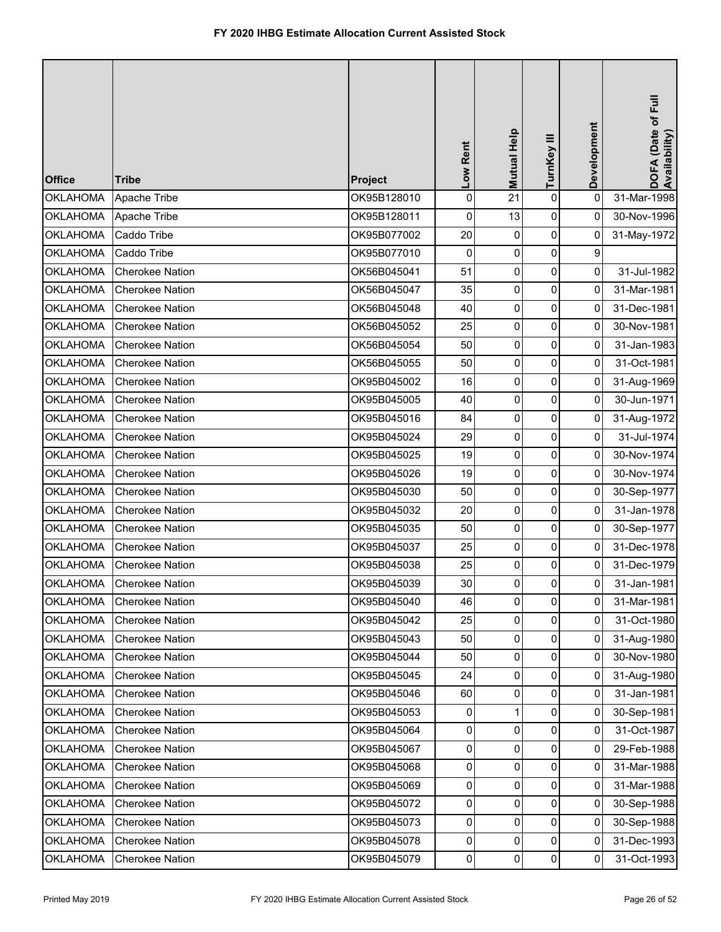| <b>Office</b>   | <b>Tribe</b>           | Project     | Low Rent       | Mutual Help | TurnKey III | Development    | DOFA (Date of Full<br>Availability) |
|-----------------|------------------------|-------------|----------------|-------------|-------------|----------------|-------------------------------------|
| <b>OKLAHOMA</b> | Apache Tribe           | OK95B128010 | $\mathsf 0$    | 21          | $\mathbf 0$ | 0              | 31-Mar-1998                         |
| <b>OKLAHOMA</b> | Apache Tribe           | OK95B128011 | 0              | 13          | 0           | 0              | 30-Nov-1996                         |
| <b>OKLAHOMA</b> | Caddo Tribe            | OK95B077002 | 20             | 0           | $\pmb{0}$   | 0              | 31-May-1972                         |
| <b>OKLAHOMA</b> | Caddo Tribe            | OK95B077010 | 0              | 0           | 0           | 9              |                                     |
| <b>OKLAHOMA</b> | <b>Cherokee Nation</b> | OK56B045041 | 51             | 0           | $\pmb{0}$   | $\overline{0}$ | 31-Jul-1982                         |
| <b>OKLAHOMA</b> | Cherokee Nation        | OK56B045047 | 35             | 0           | 0           | 0              | 31-Mar-1981                         |
| <b>OKLAHOMA</b> | <b>Cherokee Nation</b> | OK56B045048 | 40             | 0           | 0           | 0              | 31-Dec-1981                         |
| <b>OKLAHOMA</b> | <b>Cherokee Nation</b> | OK56B045052 | 25             | 0           | 0           | 0              | 30-Nov-1981                         |
| <b>OKLAHOMA</b> | Cherokee Nation        | OK56B045054 | 50             | 0           | 0           | 0              | 31-Jan-1983                         |
| <b>OKLAHOMA</b> | <b>Cherokee Nation</b> | OK56B045055 | 50             | 0           | $\mathbf 0$ | $\overline{0}$ | 31-Oct-1981                         |
| <b>OKLAHOMA</b> | Cherokee Nation        | OK95B045002 | 16             | 0           | 0           | 0              | 31-Aug-1969                         |
| <b>OKLAHOMA</b> | Cherokee Nation        | OK95B045005 | 40             | 0           | 0           | 0              | 30-Jun-1971                         |
| <b>OKLAHOMA</b> | <b>Cherokee Nation</b> | OK95B045016 | 84             | 0           | 0           | $\pmb{0}$      | 31-Aug-1972                         |
| <b>OKLAHOMA</b> | Cherokee Nation        | OK95B045024 | 29             | 0           | 0           | 0              | 31-Jul-1974                         |
| <b>OKLAHOMA</b> | <b>Cherokee Nation</b> | OK95B045025 | 19             | 0           | $\pmb{0}$   | $\overline{0}$ | 30-Nov-1974                         |
| <b>OKLAHOMA</b> | <b>Cherokee Nation</b> | OK95B045026 | 19             | 0           | 0           | 0              | 30-Nov-1974                         |
| <b>OKLAHOMA</b> | <b>Cherokee Nation</b> | OK95B045030 | 50             | 0           | 0           | 0              | 30-Sep-1977                         |
| <b>OKLAHOMA</b> | <b>Cherokee Nation</b> | OK95B045032 | 20             | 0           | 0           | 0              | 31-Jan-1978                         |
| <b>OKLAHOMA</b> | <b>Cherokee Nation</b> | OK95B045035 | 50             | 0           | $\pmb{0}$   | 0              | 30-Sep-1977                         |
| <b>OKLAHOMA</b> | <b>Cherokee Nation</b> | OK95B045037 | 25             | 0           | 0           | 0              | 31-Dec-1978                         |
| <b>OKLAHOMA</b> | <b>Cherokee Nation</b> | OK95B045038 | 25             | 0           | 0           | 0              | 31-Dec-1979                         |
| <b>OKLAHOMA</b> | <b>Cherokee Nation</b> | OK95B045039 | 30             | 0           | $\Omega$    | $\overline{0}$ | 31-Jan-1981                         |
| <b>OKLAHOMA</b> | <b>Cherokee Nation</b> | OK95B045040 | 46             | 0           | 0           | $\pmb{0}$      | 31-Mar-1981                         |
| <b>OKLAHOMA</b> | <b>Cherokee Nation</b> | OK95B045042 | 25             | 0           | 0           | 0              | 31-Oct-1980                         |
| <b>OKLAHOMA</b> | <b>Cherokee Nation</b> | OK95B045043 | 50             | 0           | 0           | $\overline{0}$ | 31-Aug-1980                         |
| <b>OKLAHOMA</b> | <b>Cherokee Nation</b> | OK95B045044 | 50             | 0           | 0           | 0              | 30-Nov-1980                         |
| <b>OKLAHOMA</b> | <b>Cherokee Nation</b> | OK95B045045 | 24             | 0           | 0           | $\mathbf{0}$   | 31-Aug-1980                         |
| <b>OKLAHOMA</b> | <b>Cherokee Nation</b> | OK95B045046 | 60             | 0           | 0           | $\mathbf{0}$   | 31-Jan-1981                         |
| <b>OKLAHOMA</b> | <b>Cherokee Nation</b> | OK95B045053 | 0              | 1           | 0           | 0              | 30-Sep-1981                         |
| <b>OKLAHOMA</b> | <b>Cherokee Nation</b> | OK95B045064 | $\mathbf{0}$   | 0           | 0           | $\overline{0}$ | 31-Oct-1987                         |
| <b>OKLAHOMA</b> | <b>Cherokee Nation</b> | OK95B045067 | $\pmb{0}$      | 0           | 0           | $\mathbf{0}$   | 29-Feb-1988                         |
| <b>OKLAHOMA</b> | Cherokee Nation        | OK95B045068 | 0              | 0           | 0           | $\overline{0}$ | 31-Mar-1988                         |
| <b>OKLAHOMA</b> | Cherokee Nation        | OK95B045069 | $\pmb{0}$      | 0           | 0           | $\mathbf{0}$   | 31-Mar-1988                         |
| <b>OKLAHOMA</b> | Cherokee Nation        | OK95B045072 | 0              | 0           | 0           | $\overline{0}$ | 30-Sep-1988                         |
| <b>OKLAHOMA</b> | <b>Cherokee Nation</b> | OK95B045073 | $\mathbf{0}$   | 0           | 0           | $\overline{0}$ | 30-Sep-1988                         |
| <b>OKLAHOMA</b> | <b>Cherokee Nation</b> | OK95B045078 | $\pmb{0}$      | 0           | 0           | 0              | 31-Dec-1993                         |
| <b>OKLAHOMA</b> | Cherokee Nation        | OK95B045079 | $\overline{0}$ | 0           | $\pmb{0}$   | $\mathbf 0$    | 31-Oct-1993                         |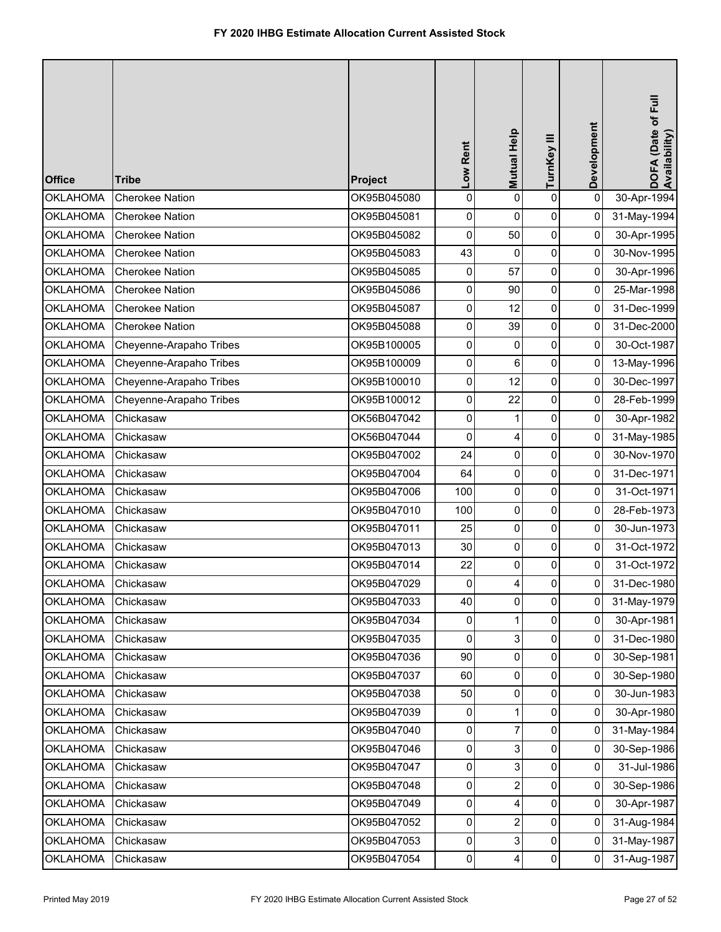| <b>Office</b>   | <b>Tribe</b>            | Project     | Low Rent            | Mutual Help    | TurnKey III    | Development    | DOFA (Date of Full<br>Availability) |
|-----------------|-------------------------|-------------|---------------------|----------------|----------------|----------------|-------------------------------------|
| <b>OKLAHOMA</b> | <b>Cherokee Nation</b>  | OK95B045080 | $\pmb{0}$           | 0              | $\mathbf 0$    | $\pmb{0}$      | 30-Apr-1994                         |
| <b>OKLAHOMA</b> | <b>Cherokee Nation</b>  | OK95B045081 | 0                   | 0              | 0              | 0              | 31-May-1994                         |
| <b>OKLAHOMA</b> | <b>Cherokee Nation</b>  | OK95B045082 | 0                   | 50             | 0              | $\pmb{0}$      | 30-Apr-1995                         |
| <b>OKLAHOMA</b> | <b>Cherokee Nation</b>  | OK95B045083 | 43                  | $\mathbf{0}$   | 0              | 0              | 30-Nov-1995                         |
| <b>OKLAHOMA</b> | <b>Cherokee Nation</b>  | OK95B045085 | 0                   | 57             | 0              | $\overline{0}$ | 30-Apr-1996                         |
| <b>OKLAHOMA</b> | <b>Cherokee Nation</b>  | OK95B045086 | 0                   | 90             | 0              | 0              | 25-Mar-1998                         |
| <b>OKLAHOMA</b> | Cherokee Nation         | OK95B045087 | 0                   | 12             | 0              | 0              | 31-Dec-1999                         |
| <b>OKLAHOMA</b> | <b>Cherokee Nation</b>  | OK95B045088 | $\mathsf{O}\xspace$ | 39             | 0              | 0              | 31-Dec-2000                         |
| <b>OKLAHOMA</b> | Cheyenne-Arapaho Tribes | OK95B100005 | 0                   | 0              | 0              | 0              | 30-Oct-1987                         |
| <b>OKLAHOMA</b> | Cheyenne-Arapaho Tribes | OK95B100009 | 0                   | 6              | 0              | $\overline{0}$ | 13-May-1996                         |
| <b>OKLAHOMA</b> | Cheyenne-Arapaho Tribes | OK95B100010 | 0                   | 12             | 0              | 0              | 30-Dec-1997                         |
| <b>OKLAHOMA</b> | Cheyenne-Arapaho Tribes | OK95B100012 | 0                   | 22             | 0              | 0              | 28-Feb-1999                         |
| <b>OKLAHOMA</b> | Chickasaw               | OK56B047042 | $\pmb{0}$           | 1              | 0              | 0              | 30-Apr-1982                         |
| <b>OKLAHOMA</b> | Chickasaw               | OK56B047044 | 0                   | 4              | 0              | $\overline{0}$ | 31-May-1985                         |
| <b>OKLAHOMA</b> | Chickasaw               | OK95B047002 | 24                  | 0              | 0              | 0              | 30-Nov-1970                         |
| <b>OKLAHOMA</b> | Chickasaw               | OK95B047004 | 64                  | 0              | 0              | 0              | 31-Dec-1971                         |
| <b>OKLAHOMA</b> | Chickasaw               | OK95B047006 | 100                 | 0              | 0              | 0              | 31-Oct-1971                         |
| <b>OKLAHOMA</b> | Chickasaw               | OK95B047010 | 100                 | 0              | 0              | 0              | 28-Feb-1973                         |
| <b>OKLAHOMA</b> | Chickasaw               | OK95B047011 | 25                  | 0              | 0              | 0              | 30-Jun-1973                         |
| <b>OKLAHOMA</b> | Chickasaw               | OK95B047013 | 30                  | 0              | 0              | 0              | 31-Oct-1972                         |
| <b>OKLAHOMA</b> | Chickasaw               | OK95B047014 | 22                  | $\mathbf 0$    | 0              | 0              | 31-Oct-1972                         |
| <b>OKLAHOMA</b> | Chickasaw               | OK95B047029 | $\mathbf 0$         | 4              | $\overline{0}$ | $\overline{0}$ | 31-Dec-1980                         |
| <b>OKLAHOMA</b> | Chickasaw               | OK95B047033 | 40                  | 0              | $\mathbf 0$    | 0              | 31-May-1979                         |
| <b>OKLAHOMA</b> | Chickasaw               | OK95B047034 | 0                   | 1              | $\mathbf 0$    | $\overline{0}$ | 30-Apr-1981                         |
| <b>OKLAHOMA</b> | Chickasaw               | OK95B047035 | 0                   | 3              | 0              | $\overline{0}$ | 31-Dec-1980                         |
| <b>OKLAHOMA</b> | Chickasaw               | OK95B047036 | 90                  | 0              | 0              | 0              | 30-Sep-1981                         |
| <b>OKLAHOMA</b> | Chickasaw               | OK95B047037 | 60                  | 0              | 0              | 0              | 30-Sep-1980                         |
| <b>OKLAHOMA</b> | Chickasaw               | OK95B047038 | 50                  | 0              | 0              | $\overline{0}$ | 30-Jun-1983                         |
| <b>OKLAHOMA</b> | Chickasaw               | OK95B047039 | 0                   | 1              | $\overline{0}$ | $\overline{0}$ | 30-Apr-1980                         |
| <b>OKLAHOMA</b> | Chickasaw               | OK95B047040 | $\overline{0}$      | 7              | 0              | $\overline{0}$ | 31-May-1984                         |
| <b>OKLAHOMA</b> | Chickasaw               | OK95B047046 | 0                   | 3              | 0              | 0              | 30-Sep-1986                         |
| <b>OKLAHOMA</b> | Chickasaw               | OK95B047047 | 0                   | 3              | 0              | 0              | 31-Jul-1986                         |
| <b>OKLAHOMA</b> | Chickasaw               | OK95B047048 | 0                   | $\overline{2}$ | 0              | 0              | 30-Sep-1986                         |
| <b>OKLAHOMA</b> | Chickasaw               | OK95B047049 | $\pmb{0}$           | 4              | 0              | $\overline{0}$ | 30-Apr-1987                         |
| <b>OKLAHOMA</b> | Chickasaw               | OK95B047052 | 0                   | 2              | 0              | 0              | 31-Aug-1984                         |
| <b>OKLAHOMA</b> | Chickasaw               | OK95B047053 | 0                   | 3              | 0              | $\mathbf 0$    | 31-May-1987                         |
| <b>OKLAHOMA</b> | Chickasaw               | OK95B047054 | $\pmb{0}$           | 4              | 0              | 0              | 31-Aug-1987                         |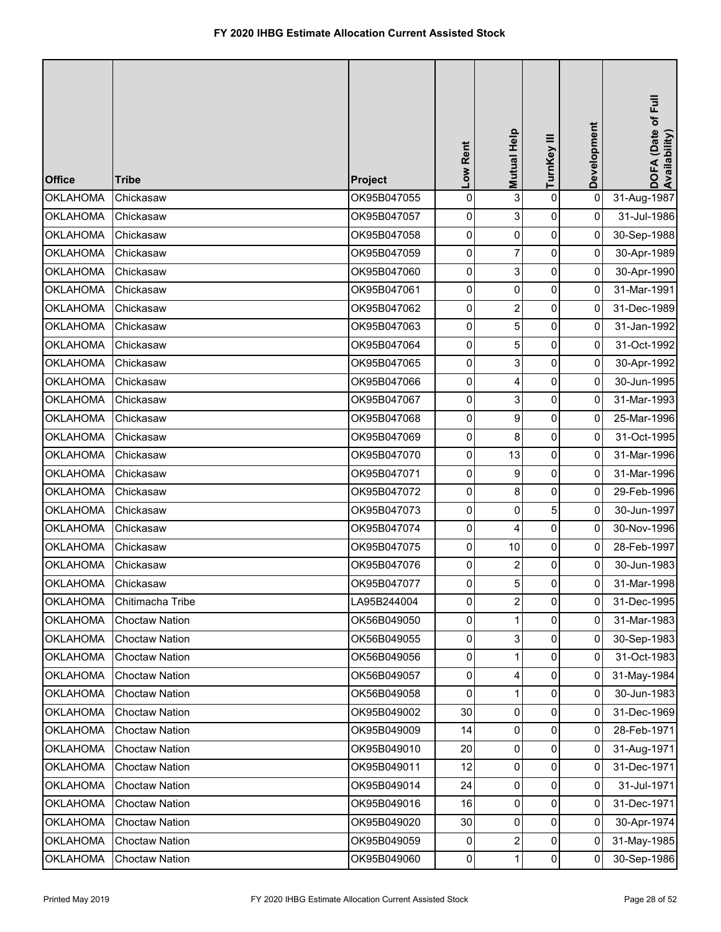| <b>Office</b>   | <b>Tribe</b>          | Project     | Low Rent       | Mutual Help             | TurnKey III    | Development    | DOFA (Date of Full<br>Availability) |
|-----------------|-----------------------|-------------|----------------|-------------------------|----------------|----------------|-------------------------------------|
| <b>OKLAHOMA</b> | Chickasaw             | OK95B047055 | 0              | 3                       | $\mathbf 0$    | $\pmb{0}$      | 31-Aug-1987                         |
| <b>OKLAHOMA</b> | Chickasaw             | OK95B047057 | 0              | 3                       | 0              | 0              | 31-Jul-1986                         |
| <b>OKLAHOMA</b> | Chickasaw             | OK95B047058 | 0              | 0                       | 0              | 0              | 30-Sep-1988                         |
| <b>OKLAHOMA</b> | Chickasaw             | OK95B047059 | 0              | 7                       | 0              | 0              | 30-Apr-1989                         |
| <b>OKLAHOMA</b> | Chickasaw             | OK95B047060 | 0              | 3                       | $\pmb{0}$      | $\overline{0}$ | 30-Apr-1990                         |
| <b>OKLAHOMA</b> | Chickasaw             | OK95B047061 | 0              | 0                       | 0              | 0              | 31-Mar-1991                         |
| <b>OKLAHOMA</b> | Chickasaw             | OK95B047062 | 0              | $\overline{\mathbf{c}}$ | 0              | 0              | 31-Dec-1989                         |
| <b>OKLAHOMA</b> | Chickasaw             | OK95B047063 | $\pmb{0}$      | 5                       | 0              | 0              | 31-Jan-1992                         |
| <b>OKLAHOMA</b> | Chickasaw             | OK95B047064 | 0              | 5                       | 0              | 0              | 31-Oct-1992                         |
| <b>OKLAHOMA</b> | Chickasaw             | OK95B047065 | $\overline{0}$ | 3                       | $\pmb{0}$      | $\overline{0}$ | 30-Apr-1992                         |
| <b>OKLAHOMA</b> | Chickasaw             | OK95B047066 | 0              | 4                       | 0              | 0              | 30-Jun-1995                         |
| <b>OKLAHOMA</b> | Chickasaw             | OK95B047067 | 0              | 3                       | 0              | 0              | 31-Mar-1993                         |
| <b>OKLAHOMA</b> | Chickasaw             | OK95B047068 | 0              | 9                       | 0              | 0              | 25-Mar-1996                         |
| <b>OKLAHOMA</b> | Chickasaw             | OK95B047069 | 0              | 8                       | 0              | 0              | 31-Oct-1995                         |
| <b>OKLAHOMA</b> | Chickasaw             | OK95B047070 | 0              | 13                      | $\pmb{0}$      | $\overline{0}$ | 31-Mar-1996                         |
| <b>OKLAHOMA</b> | Chickasaw             | OK95B047071 | 0              | 9                       | 0              | 0              | 31-Mar-1996                         |
| <b>OKLAHOMA</b> | Chickasaw             | OK95B047072 | 0              | 8                       | 0              | 0              | 29-Feb-1996                         |
| <b>OKLAHOMA</b> | Chickasaw             | OK95B047073 | 0              | 0                       | 5              | 0              | 30-Jun-1997                         |
| <b>OKLAHOMA</b> | Chickasaw             | OK95B047074 | 0              | 4                       | $\pmb{0}$      | 0              | 30-Nov-1996                         |
| <b>OKLAHOMA</b> | Chickasaw             | OK95B047075 | $\overline{0}$ | 10                      | 0              | 0              | 28-Feb-1997                         |
| <b>OKLAHOMA</b> | Chickasaw             | OK95B047076 | 0              | $\overline{2}$          | 0              | 0              | 30-Jun-1983                         |
| <b>OKLAHOMA</b> | Chickasaw             | OK95B047077 | $\overline{0}$ | 5                       | $\overline{0}$ | $\overline{0}$ | 31-Mar-1998                         |
| <b>OKLAHOMA</b> | Chitimacha Tribe      | LA95B244004 | 0              | $\overline{c}$          | 0              | 0              | 31-Dec-1995                         |
| <b>OKLAHOMA</b> | <b>Choctaw Nation</b> | OK56B049050 | 0              | 1                       | 0              | 0              | 31-Mar-1983                         |
| <b>OKLAHOMA</b> | <b>Choctaw Nation</b> | OK56B049055 | $\overline{0}$ | 3                       | 0              | $\overline{0}$ | 30-Sep-1983                         |
| <b>OKLAHOMA</b> | <b>Choctaw Nation</b> | OK56B049056 | $\pmb{0}$      | 1                       | 0              | 0              | 31-Oct-1983                         |
| <b>OKLAHOMA</b> | <b>Choctaw Nation</b> | OK56B049057 | 0              | 4                       | 0              | $\overline{0}$ | 31-May-1984                         |
| <b>OKLAHOMA</b> | <b>Choctaw Nation</b> | OK56B049058 | 0              | $\mathbf{1}$            | 0              | $\mathbf 0$    | 30-Jun-1983                         |
| <b>OKLAHOMA</b> | <b>Choctaw Nation</b> | OK95B049002 | 30             | 0                       | 0              | 0              | 31-Dec-1969                         |
| <b>OKLAHOMA</b> | <b>Choctaw Nation</b> | OK95B049009 | 14             | 0                       | 0              | $\overline{0}$ | 28-Feb-1971                         |
| <b>OKLAHOMA</b> | <b>Choctaw Nation</b> | OK95B049010 | 20             | 0                       | 0              | $\overline{0}$ | 31-Aug-1971                         |
| <b>OKLAHOMA</b> | <b>Choctaw Nation</b> | OK95B049011 | 12             | 0                       | 0              | $\overline{0}$ | 31-Dec-1971                         |
| <b>OKLAHOMA</b> | <b>Choctaw Nation</b> | OK95B049014 | 24             | 0                       | 0              | 0              | 31-Jul-1971                         |
| <b>OKLAHOMA</b> | <b>Choctaw Nation</b> | OK95B049016 | 16             | 0                       | 0              | 0              | 31-Dec-1971                         |
| <b>OKLAHOMA</b> | <b>Choctaw Nation</b> | OK95B049020 | 30             | 0                       | 0              | $\overline{0}$ | 30-Apr-1974                         |
| <b>OKLAHOMA</b> | <b>Choctaw Nation</b> | OK95B049059 | 0              | 2                       | 0              | 0              | 31-May-1985                         |
| <b>OKLAHOMA</b> | <b>Choctaw Nation</b> | OK95B049060 | $\overline{0}$ | 1                       | $\overline{0}$ | $\mathbf 0$    | 30-Sep-1986                         |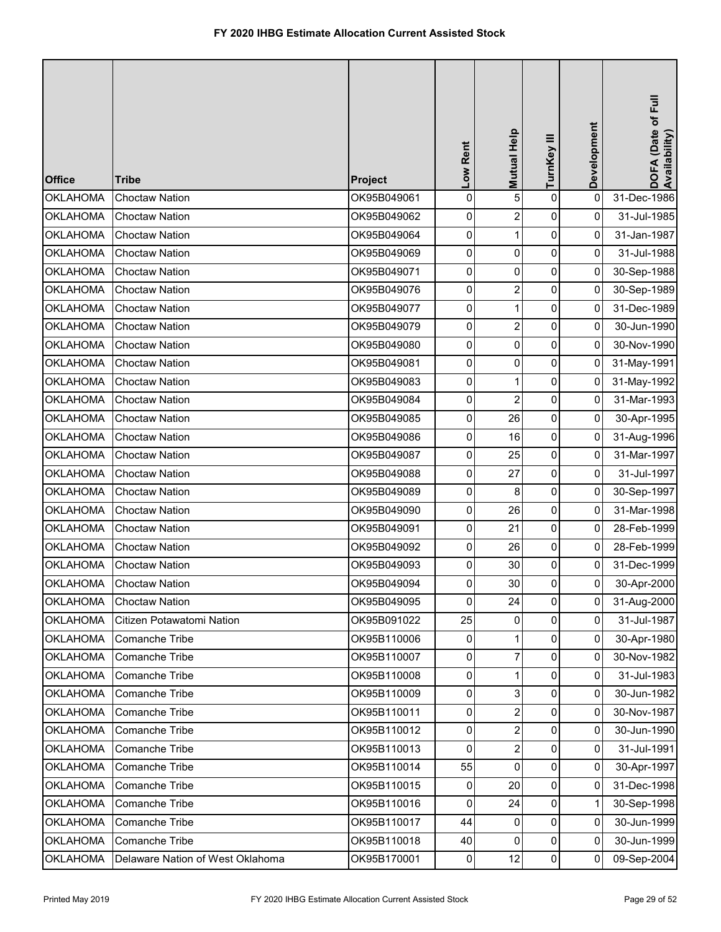| <b>Office</b>   | <b>Tribe</b>                     | Project     | Low Rent            | Mutual Help             | TurnKey III    | Development    | DOFA (Date of Full<br>Availability) |
|-----------------|----------------------------------|-------------|---------------------|-------------------------|----------------|----------------|-------------------------------------|
| <b>OKLAHOMA</b> | <b>Choctaw Nation</b>            | OK95B049061 | 0                   | 5                       | $\mathbf 0$    | $\pmb{0}$      | 31-Dec-1986                         |
| <b>OKLAHOMA</b> | <b>Choctaw Nation</b>            | OK95B049062 | 0                   | $\overline{\mathbf{c}}$ | 0              | 0              | 31-Jul-1985                         |
| <b>OKLAHOMA</b> | <b>Choctaw Nation</b>            | OK95B049064 | 0                   | $\mathbf{1}$            | 0              | 0              | 31-Jan-1987                         |
| <b>OKLAHOMA</b> | <b>Choctaw Nation</b>            | OK95B049069 | 0                   | 0                       | 0              | 0              | 31-Jul-1988                         |
| <b>OKLAHOMA</b> | <b>Choctaw Nation</b>            | OK95B049071 | 0                   | 0                       | $\pmb{0}$      | $\overline{0}$ | 30-Sep-1988                         |
| <b>OKLAHOMA</b> | <b>Choctaw Nation</b>            | OK95B049076 | 0                   | $\overline{2}$          | 0              | 0              | 30-Sep-1989                         |
| <b>OKLAHOMA</b> | <b>Choctaw Nation</b>            | OK95B049077 | 0                   | 1                       | 0              | 0              | 31-Dec-1989                         |
| <b>OKLAHOMA</b> | <b>Choctaw Nation</b>            | OK95B049079 | $\mathsf{O}\xspace$ | $\overline{c}$          | 0              | 0              | 30-Jun-1990                         |
| <b>OKLAHOMA</b> | <b>Choctaw Nation</b>            | OK95B049080 | 0                   | 0                       | 0              | 0              | 30-Nov-1990                         |
| <b>OKLAHOMA</b> | <b>Choctaw Nation</b>            | OK95B049081 | $\overline{0}$      | 0                       | $\mathbf 0$    | $\overline{0}$ | 31-May-1991                         |
| <b>OKLAHOMA</b> | <b>Choctaw Nation</b>            | OK95B049083 | 0                   | 1                       | 0              | $\pmb{0}$      | 31-May-1992                         |
| <b>OKLAHOMA</b> | <b>Choctaw Nation</b>            | OK95B049084 | 0                   | $\overline{\mathbf{c}}$ | 0              | 0              | 31-Mar-1993                         |
| <b>OKLAHOMA</b> | <b>Choctaw Nation</b>            | OK95B049085 | 0                   | 26                      | 0              | 0              | 30-Apr-1995                         |
| <b>OKLAHOMA</b> | <b>Choctaw Nation</b>            | OK95B049086 | 0                   | 16                      | 0              | 0              | 31-Aug-1996                         |
| <b>OKLAHOMA</b> | <b>Choctaw Nation</b>            | OK95B049087 | 0                   | 25                      | $\pmb{0}$      | $\overline{0}$ | 31-Mar-1997                         |
| <b>OKLAHOMA</b> | <b>Choctaw Nation</b>            | OK95B049088 | 0                   | 27                      | 0              | 0              | 31-Jul-1997                         |
| <b>OKLAHOMA</b> | <b>Choctaw Nation</b>            | OK95B049089 | 0                   | 8                       | 0              | 0              | 30-Sep-1997                         |
| <b>OKLAHOMA</b> | <b>Choctaw Nation</b>            | OK95B049090 | $\mathsf{O}\xspace$ | 26                      | 0              | 0              | 31-Mar-1998                         |
| <b>OKLAHOMA</b> | <b>Choctaw Nation</b>            | OK95B049091 | 0                   | 21                      | 0              | 0              | 28-Feb-1999                         |
| <b>OKLAHOMA</b> | <b>Choctaw Nation</b>            | OK95B049092 | 0                   | 26                      | 0              | 0              | 28-Feb-1999                         |
| <b>OKLAHOMA</b> | <b>Choctaw Nation</b>            | OK95B049093 | 0                   | 30                      | 0              | 0              | 31-Dec-1999                         |
| <b>OKLAHOMA</b> | <b>Choctaw Nation</b>            | OK95B049094 | $\overline{0}$      | 30                      | $\overline{0}$ | $\overline{0}$ | 30-Apr-2000                         |
| <b>OKLAHOMA</b> | <b>Choctaw Nation</b>            | OK95B049095 | $\mathbf 0$         | 24                      | 0              | $\pmb{0}$      | 31-Aug-2000                         |
| <b>OKLAHOMA</b> | Citizen Potawatomi Nation        | OK95B091022 | 25                  | $\Omega$                | 0              | 0              | 31-Jul-1987                         |
| <b>OKLAHOMA</b> | Comanche Tribe                   | OK95B110006 | $\overline{0}$      | 1                       | 0              | $\overline{0}$ | 30-Apr-1980                         |
| <b>OKLAHOMA</b> | Comanche Tribe                   | OK95B110007 | 0                   | 7                       | 0              | 0              | 30-Nov-1982                         |
| <b>OKLAHOMA</b> | Comanche Tribe                   | OK95B110008 | 0                   | 1                       | 0              | 0              | 31-Jul-1983                         |
| <b>OKLAHOMA</b> | Comanche Tribe                   | OK95B110009 | 0                   | 3                       | 0              | $\mathbf{0}$   | 30-Jun-1982                         |
| <b>OKLAHOMA</b> | Comanche Tribe                   | OK95B110011 | 0                   | $\overline{2}$          | 0              | 0              | 30-Nov-1987                         |
| <b>OKLAHOMA</b> | Comanche Tribe                   | OK95B110012 | 0                   | 2                       | 0              | $\overline{0}$ | 30-Jun-1990                         |
| <b>OKLAHOMA</b> | Comanche Tribe                   | OK95B110013 | $\overline{0}$      | $\overline{2}$          | $\overline{0}$ | $\mathbf{0}$   | 31-Jul-1991                         |
| <b>OKLAHOMA</b> | Comanche Tribe                   | OK95B110014 | 55                  | 0                       | 0              | $\overline{0}$ | 30-Apr-1997                         |
| <b>OKLAHOMA</b> | Comanche Tribe                   | OK95B110015 | 0                   | 20                      | $\overline{0}$ | $\pmb{0}$      | 31-Dec-1998                         |
| <b>OKLAHOMA</b> | Comanche Tribe                   | OK95B110016 | 0                   | 24                      | $\pmb{0}$      | 1              | 30-Sep-1998                         |
| <b>OKLAHOMA</b> | Comanche Tribe                   | OK95B110017 | 44                  | 0                       | 0              | $\overline{0}$ | 30-Jun-1999                         |
| <b>OKLAHOMA</b> | Comanche Tribe                   | OK95B110018 | 40                  | $\mathbf 0$             | 0              | 0              | 30-Jun-1999                         |
| <b>OKLAHOMA</b> | Delaware Nation of West Oklahoma | OK95B170001 | $\pmb{0}$           | 12                      | $\mathbf 0$    | $\mathbf 0$    | 09-Sep-2004                         |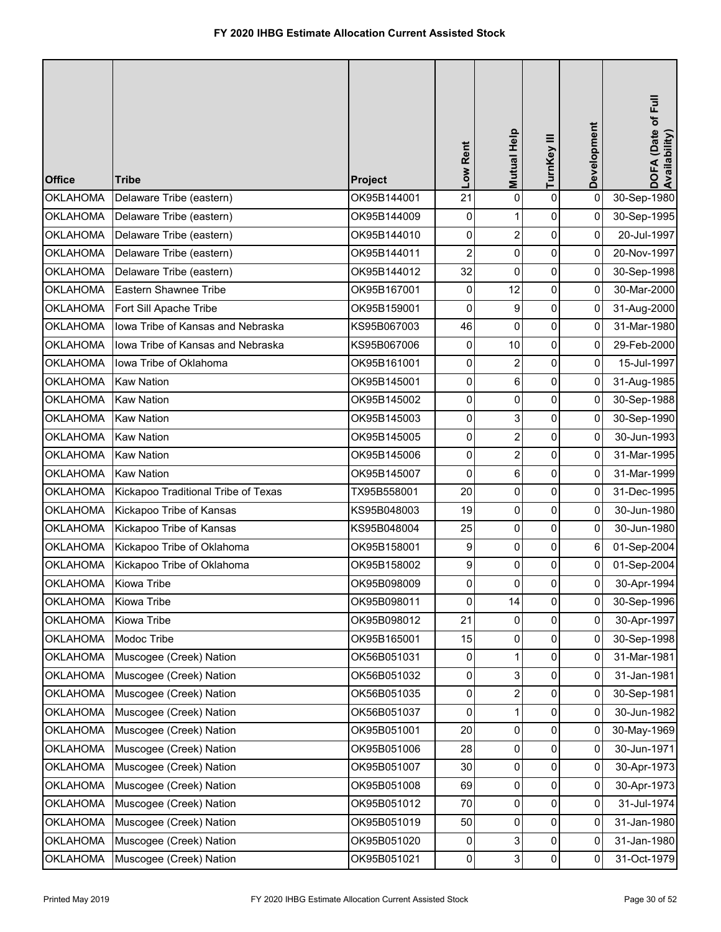| <b>Office</b>   | <b>Tribe</b>                        | Project     | Low Rent       | Mutual Help             | TurnKey III    | Development    | DOFA (Date of Full<br>Availability) |
|-----------------|-------------------------------------|-------------|----------------|-------------------------|----------------|----------------|-------------------------------------|
| <b>OKLAHOMA</b> | Delaware Tribe (eastern)            | OK95B144001 | 21             | 0                       | 0              | 0              | 30-Sep-1980                         |
| <b>OKLAHOMA</b> | Delaware Tribe (eastern)            | OK95B144009 | 0              |                         | 0              | 0              | 30-Sep-1995                         |
| <b>OKLAHOMA</b> | Delaware Tribe (eastern)            | OK95B144010 | 0              | $\overline{2}$          | 0              | $\overline{0}$ | 20-Jul-1997                         |
| <b>OKLAHOMA</b> | Delaware Tribe (eastern)            | OK95B144011 | $\overline{c}$ | $\mathbf 0$             | $\mathbf 0$    | 0              | 20-Nov-1997                         |
| <b>OKLAHOMA</b> | Delaware Tribe (eastern)            | OK95B144012 | 32             | 0                       | 0              | $\overline{0}$ | 30-Sep-1998                         |
| <b>OKLAHOMA</b> | Eastern Shawnee Tribe               | OK95B167001 | 0              | 12                      | 0              | 0              | 30-Mar-2000                         |
| <b>OKLAHOMA</b> | Fort Sill Apache Tribe              | OK95B159001 | 0              | 9                       | 0              | $\overline{0}$ | 31-Aug-2000                         |
| <b>OKLAHOMA</b> | lowa Tribe of Kansas and Nebraska   | KS95B067003 | 46             | 0                       | 0              | $\overline{0}$ | 31-Mar-1980                         |
| <b>OKLAHOMA</b> | lowa Tribe of Kansas and Nebraska   | KS95B067006 | $\pmb{0}$      | 10                      | $\mathbf 0$    | $\overline{0}$ | 29-Feb-2000                         |
| <b>OKLAHOMA</b> | Iowa Tribe of Oklahoma              | OK95B161001 | 0              | 2                       | 0              | $\Omega$       | 15-Jul-1997                         |
| <b>OKLAHOMA</b> | <b>Kaw Nation</b>                   | OK95B145001 | 0              | 6                       | 0              | $\overline{0}$ | 31-Aug-1985                         |
| <b>OKLAHOMA</b> | <b>Kaw Nation</b>                   | OK95B145002 | 0              | 0                       | 0              | $\overline{0}$ | 30-Sep-1988                         |
| <b>OKLAHOMA</b> | <b>Kaw Nation</b>                   | OK95B145003 | 0              | 3                       | 0              | $\overline{0}$ | 30-Sep-1990                         |
| <b>OKLAHOMA</b> | <b>Kaw Nation</b>                   | OK95B145005 | 0              | $\overline{2}$          | 0              | $\overline{0}$ | 30-Jun-1993                         |
| <b>OKLAHOMA</b> | <b>Kaw Nation</b>                   | OK95B145006 | 0              | $\overline{2}$          | 0              | $\overline{0}$ | 31-Mar-1995                         |
| <b>OKLAHOMA</b> | <b>Kaw Nation</b>                   | OK95B145007 | 0              | 6                       | 0              | 0              | 31-Mar-1999                         |
| <b>OKLAHOMA</b> | Kickapoo Traditional Tribe of Texas | TX95B558001 | 20             | 0                       | 0              | $\overline{0}$ | 31-Dec-1995                         |
| <b>OKLAHOMA</b> | Kickapoo Tribe of Kansas            | KS95B048003 | 19             | 0                       | 0              | $\overline{0}$ | 30-Jun-1980                         |
| <b>OKLAHOMA</b> | Kickapoo Tribe of Kansas            | KS95B048004 | 25             | 0                       | 0              | $\overline{0}$ | 30-Jun-1980                         |
| <b>OKLAHOMA</b> | Kickapoo Tribe of Oklahoma          | OK95B158001 | 9              | $\mathbf 0$             | 0              | 6              | 01-Sep-2004                         |
| <b>OKLAHOMA</b> | Kickapoo Tribe of Oklahoma          | OK95B158002 | 9              | 0                       | 0              | $\overline{0}$ | 01-Sep-2004                         |
| <b>OKLAHOMA</b> | Kiowa Tribe                         | OK95B098009 | 0              | $\Omega$                | $\Omega$       | $\overline{0}$ | 30-Apr-1994                         |
| OKLAHOMA        | Kiowa Tribe                         | OK95B098011 | 0              | 14                      | $\overline{0}$ | 0              | 30-Sep-1996                         |
| <b>OKLAHOMA</b> | Kiowa Tribe                         | OK95B098012 | 21             | $\mathbf 0$             | $\overline{0}$ | $\overline{0}$ | 30-Apr-1997                         |
| <b>OKLAHOMA</b> | Modoc Tribe                         | OK95B165001 | 15             | 0                       | 0              | $\overline{0}$ | 30-Sep-1998                         |
| <b>OKLAHOMA</b> | Muscogee (Creek) Nation             | OK56B051031 | 0              |                         | 0              | $\overline{0}$ | 31-Mar-1981                         |
| <b>OKLAHOMA</b> | Muscogee (Creek) Nation             | OK56B051032 | 0              | 3                       | 0              | $\overline{0}$ | 31-Jan-1981                         |
| <b>OKLAHOMA</b> | Muscogee (Creek) Nation             | OK56B051035 | 0              | $\overline{\mathbf{c}}$ | $\mathbf 0$    | $\overline{0}$ | 30-Sep-1981                         |
| <b>OKLAHOMA</b> | Muscogee (Creek) Nation             | OK56B051037 | 0              |                         | 0              | $\overline{0}$ | 30-Jun-1982                         |
| <b>OKLAHOMA</b> | Muscogee (Creek) Nation             | OK95B051001 | 20             | 0                       | 0              | $\overline{0}$ | 30-May-1969                         |
| <b>OKLAHOMA</b> | Muscogee (Creek) Nation             | OK95B051006 | 28             | 0                       | 0              | 0              | 30-Jun-1971                         |
| <b>OKLAHOMA</b> | Muscogee (Creek) Nation             | OK95B051007 | 30             | 0                       | 0              | 0              | 30-Apr-1973                         |
| <b>OKLAHOMA</b> | Muscogee (Creek) Nation             | OK95B051008 | 69             | 0                       | 0              | $\overline{0}$ | 30-Apr-1973                         |
| <b>OKLAHOMA</b> | Muscogee (Creek) Nation             | OK95B051012 | 70             | 0                       | 0              | $\overline{0}$ | 31-Jul-1974                         |
| <b>OKLAHOMA</b> | Muscogee (Creek) Nation             | OK95B051019 | 50             | 0                       | 0              | $\overline{0}$ | 31-Jan-1980                         |
| <b>OKLAHOMA</b> | Muscogee (Creek) Nation             | OK95B051020 | 0              | 3                       | 0              | 0              | 31-Jan-1980                         |
| <b>OKLAHOMA</b> | Muscogee (Creek) Nation             | OK95B051021 | $\overline{0}$ | 3                       | $\overline{0}$ | $\Omega$       | 31-Oct-1979                         |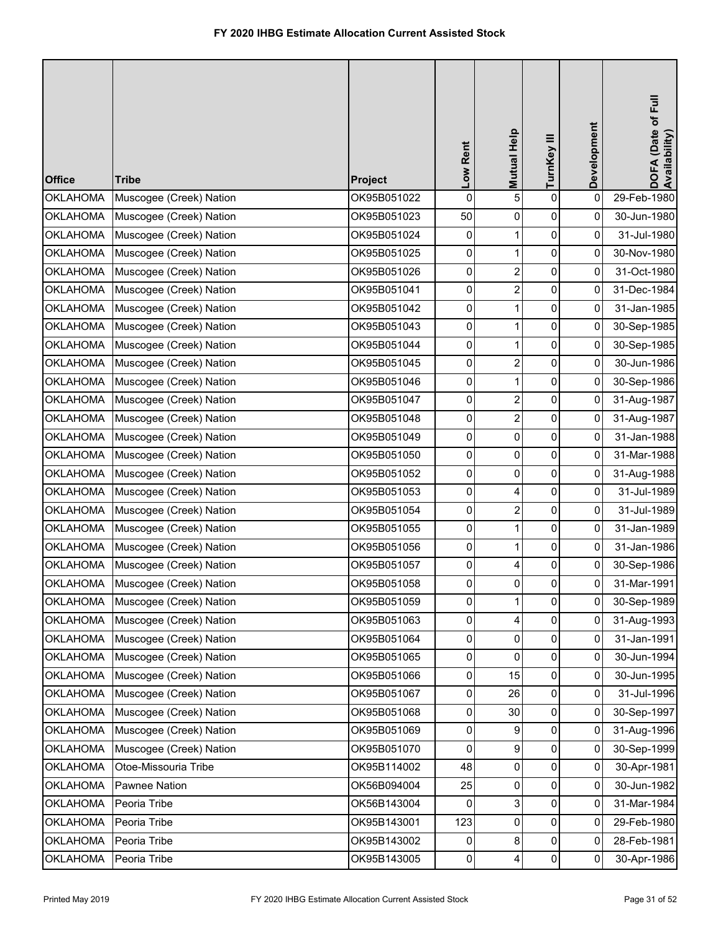| <b>Office</b>   | <b>Tribe</b>            | Project     | Low Rent | Mutual Help             | TurnKey III         | Development | DOFA (Date of Full<br>Availability) |
|-----------------|-------------------------|-------------|----------|-------------------------|---------------------|-------------|-------------------------------------|
| <b>OKLAHOMA</b> | Muscogee (Creek) Nation | OK95B051022 | 0        | 5                       | $\pmb{0}$           | 0           | 29-Feb-1980                         |
| <b>OKLAHOMA</b> | Muscogee (Creek) Nation | OK95B051023 | 50       | 0                       | $\pmb{0}$           | 0           | 30-Jun-1980                         |
| <b>OKLAHOMA</b> | Muscogee (Creek) Nation | OK95B051024 | 0        | $\mathbf{1}$            | $\pmb{0}$           | 0           | 31-Jul-1980                         |
| <b>OKLAHOMA</b> | Muscogee (Creek) Nation | OK95B051025 | 0        | $\mathbf{1}$            | $\pmb{0}$           | $\mathbf 0$ | 30-Nov-1980                         |
| <b>OKLAHOMA</b> | Muscogee (Creek) Nation | OK95B051026 | 0        | $\overline{2}$          | 0                   | 0           | 31-Oct-1980                         |
| <b>OKLAHOMA</b> | Muscogee (Creek) Nation | OK95B051041 | 0        | $\overline{a}$          | $\pmb{0}$           | 0           | 31-Dec-1984                         |
| <b>OKLAHOMA</b> | Muscogee (Creek) Nation | OK95B051042 | 0        | $\mathbf{1}$            | $\pmb{0}$           | 0           | 31-Jan-1985                         |
| <b>OKLAHOMA</b> | Muscogee (Creek) Nation | OK95B051043 | 0        | $\mathbf{1}$            | $\pmb{0}$           | 0           | 30-Sep-1985                         |
| <b>OKLAHOMA</b> | Muscogee (Creek) Nation | OK95B051044 | 0        | $\mathbf{1}$            | $\pmb{0}$           | 0           | 30-Sep-1985                         |
| <b>OKLAHOMA</b> | Muscogee (Creek) Nation | OK95B051045 | 0        | $\overline{2}$          | 0                   | 0           | 30-Jun-1986                         |
| <b>OKLAHOMA</b> | Muscogee (Creek) Nation | OK95B051046 | 0        | $\mathbf{1}$            | $\pmb{0}$           | 0           | 30-Sep-1986                         |
| <b>OKLAHOMA</b> | Muscogee (Creek) Nation | OK95B051047 | 0        | $\overline{\mathbf{c}}$ | $\pmb{0}$           | 0           | 31-Aug-1987                         |
| <b>OKLAHOMA</b> | Muscogee (Creek) Nation | OK95B051048 | 0        | $\overline{c}$          | $\mathsf{O}\xspace$ | 0           | 31-Aug-1987                         |
| <b>OKLAHOMA</b> | Muscogee (Creek) Nation | OK95B051049 | 0        | 0                       | $\pmb{0}$           | 0           | 31-Jan-1988                         |
| <b>OKLAHOMA</b> | Muscogee (Creek) Nation | OK95B051050 | 0        | 0                       | $\pmb{0}$           | 0           | 31-Mar-1988                         |
| <b>OKLAHOMA</b> | Muscogee (Creek) Nation | OK95B051052 | 0        | 0                       | $\pmb{0}$           | 0           | 31-Aug-1988                         |
| <b>OKLAHOMA</b> | Muscogee (Creek) Nation | OK95B051053 | 0        | 4                       | $\pmb{0}$           | 0           | 31-Jul-1989                         |
| <b>OKLAHOMA</b> | Muscogee (Creek) Nation | OK95B051054 | 0        | $\overline{c}$          | $\mathsf{O}\xspace$ | 0           | 31-Jul-1989                         |
| <b>OKLAHOMA</b> | Muscogee (Creek) Nation | OK95B051055 | 0        | $\mathbf{1}$            | $\pmb{0}$           | $\mathbf 0$ | 31-Jan-1989                         |
| <b>OKLAHOMA</b> | Muscogee (Creek) Nation | OK95B051056 | 0        | 1                       | 0                   | 0           | 31-Jan-1986                         |
| <b>OKLAHOMA</b> | Muscogee (Creek) Nation | OK95B051057 | 0        | 4                       | 0                   | 0           | 30-Sep-1986                         |
| <b>OKLAHOMA</b> | Muscogee (Creek) Nation | OK95B051058 | 0        | $\Omega$                | 0                   | 0           | 31-Mar-1991                         |
| OKLAHOMA        | Muscogee (Creek) Nation | OK95B051059 | 0        | 1                       | $\overline{0}$      | 0           | 30-Sep-1989                         |
| <b>OKLAHOMA</b> | Muscogee (Creek) Nation | OK95B051063 | 0        | $\overline{4}$          | $\pmb{0}$           | 0           | 31-Aug-1993                         |
| <b>OKLAHOMA</b> | Muscogee (Creek) Nation | OK95B051064 | 0        | 0                       | 0                   | 0           | 31-Jan-1991                         |
| <b>OKLAHOMA</b> | Muscogee (Creek) Nation | OK95B051065 | 0        | 0                       | 0                   | 0           | 30-Jun-1994                         |
| <b>OKLAHOMA</b> | Muscogee (Creek) Nation | OK95B051066 | 0        | 15                      | 0                   | 0           | 30-Jun-1995                         |
| <b>OKLAHOMA</b> | Muscogee (Creek) Nation | OK95B051067 | 0        | 26                      | 0                   | 0           | 31-Jul-1996                         |
| <b>OKLAHOMA</b> | Muscogee (Creek) Nation | OK95B051068 | 0        | 30                      | $\pmb{0}$           | 0           | 30-Sep-1997                         |
| <b>OKLAHOMA</b> | Muscogee (Creek) Nation | OK95B051069 | 0        | 9                       | 0                   | 0           | 31-Aug-1996                         |
| <b>OKLAHOMA</b> | Muscogee (Creek) Nation | OK95B051070 | 0        | 9                       | 0                   | 0           | 30-Sep-1999                         |
| <b>OKLAHOMA</b> | Otoe-Missouria Tribe    | OK95B114002 | 48       | 0                       | 0                   | 0           | 30-Apr-1981                         |
| <b>OKLAHOMA</b> | Pawnee Nation           | OK56B094004 | 25       | 0                       | 0                   | 0           | 30-Jun-1982                         |
| <b>OKLAHOMA</b> | Peoria Tribe            | OK56B143004 | 0        | 3                       | $\pmb{0}$           | 0           | 31-Mar-1984                         |
| <b>OKLAHOMA</b> | Peoria Tribe            | OK95B143001 | 123      | 0                       | 0                   | 0           | 29-Feb-1980                         |
| <b>OKLAHOMA</b> | Peoria Tribe            | OK95B143002 | 0        | 8                       | $\pmb{0}$           | 0           | 28-Feb-1981                         |
| <b>OKLAHOMA</b> | Peoria Tribe            | OK95B143005 | 0        | $\overline{4}$          | $\pmb{0}$           | 0           | 30-Apr-1986                         |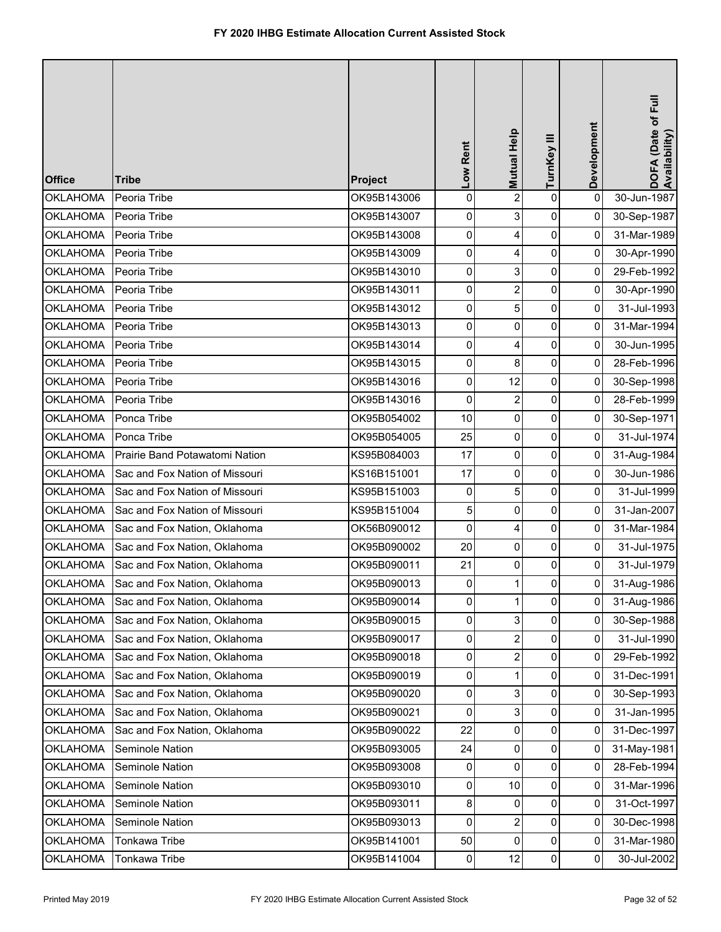| <b>Office</b>   | <b>Tribe</b>                   | Project     | Low Rent       | Mutual Help             | TurnKey III    | Development    | DOFA (Date of Full<br>Availability) |
|-----------------|--------------------------------|-------------|----------------|-------------------------|----------------|----------------|-------------------------------------|
| <b>OKLAHOMA</b> | Peoria Tribe                   | OK95B143006 | $\mathbf 0$    | $\overline{2}$          | $\mathbf 0$    | 0              | 30-Jun-1987                         |
| <b>OKLAHOMA</b> | Peoria Tribe                   | OK95B143007 | 0              | 3                       | 0              | 0              | 30-Sep-1987                         |
| <b>OKLAHOMA</b> | Peoria Tribe                   | OK95B143008 | 0              | 4                       | 0              | 0              | 31-Mar-1989                         |
| <b>OKLAHOMA</b> | Peoria Tribe                   | OK95B143009 | 0              | 4                       | $\pmb{0}$      | 0              | 30-Apr-1990                         |
| <b>OKLAHOMA</b> | Peoria Tribe                   | OK95B143010 | 0              | 3                       | $\pmb{0}$      | $\overline{0}$ | 29-Feb-1992                         |
| <b>OKLAHOMA</b> | Peoria Tribe                   | OK95B143011 | 0              | $\overline{2}$          | 0              | 0              | 30-Apr-1990                         |
| <b>OKLAHOMA</b> | Peoria Tribe                   | OK95B143012 | 0              | 5                       | 0              | 0              | 31-Jul-1993                         |
| <b>OKLAHOMA</b> | Peoria Tribe                   | OK95B143013 | $\pmb{0}$      | 0                       | 0              | 0              | 31-Mar-1994                         |
| <b>OKLAHOMA</b> | Peoria Tribe                   | OK95B143014 | 0              | 4                       | 0              | 0              | 30-Jun-1995                         |
| <b>OKLAHOMA</b> | Peoria Tribe                   | OK95B143015 | $\overline{0}$ | 8                       | $\mathbf 0$    | $\overline{0}$ | 28-Feb-1996                         |
| <b>OKLAHOMA</b> | Peoria Tribe                   | OK95B143016 | 0              | 12                      | 0              | 0              | 30-Sep-1998                         |
| <b>OKLAHOMA</b> | Peoria Tribe                   | OK95B143016 | 0              | $\overline{\mathbf{c}}$ | 0              | 0              | 28-Feb-1999                         |
| <b>OKLAHOMA</b> | Ponca Tribe                    | OK95B054002 | 10             | 0                       | 0              | $\pmb{0}$      | 30-Sep-1971                         |
| <b>OKLAHOMA</b> | Ponca Tribe                    | OK95B054005 | 25             | 0                       | 0              | $\mathbf{0}$   | 31-Jul-1974                         |
| <b>OKLAHOMA</b> | Prairie Band Potawatomi Nation | KS95B084003 | 17             | 0                       | $\pmb{0}$      | $\overline{0}$ | 31-Aug-1984                         |
| <b>OKLAHOMA</b> | Sac and Fox Nation of Missouri | KS16B151001 | 17             | 0                       | 0              | 0              | 30-Jun-1986                         |
| <b>OKLAHOMA</b> | Sac and Fox Nation of Missouri | KS95B151003 | $\pmb{0}$      | 5                       | 0              | 0              | 31-Jul-1999                         |
| <b>OKLAHOMA</b> | Sac and Fox Nation of Missouri | KS95B151004 | 5              | 0                       | 0              | 0              | 31-Jan-2007                         |
| <b>OKLAHOMA</b> | Sac and Fox Nation, Oklahoma   | OK56B090012 | 0              | 4                       | $\pmb{0}$      | 0              | 31-Mar-1984                         |
| <b>OKLAHOMA</b> | Sac and Fox Nation, Oklahoma   | OK95B090002 | 20             | 0                       | 0              | 0              | 31-Jul-1975                         |
| <b>OKLAHOMA</b> | Sac and Fox Nation, Oklahoma   | OK95B090011 | 21             | 0                       | 0              | 0              | 31-Jul-1979                         |
| <b>OKLAHOMA</b> | Sac and Fox Nation, Oklahoma   | OK95B090013 | $\pmb{0}$      | 1                       | $\overline{0}$ | $\overline{0}$ | 31-Aug-1986                         |
| <b>OKLAHOMA</b> | Sac and Fox Nation, Oklahoma   | OK95B090014 | 0              | 1                       | 0              | $\pmb{0}$      | 31-Aug-1986                         |
| <b>OKLAHOMA</b> | Sac and Fox Nation, Oklahoma   | OK95B090015 | 0              | 3                       | 0              | 0              | 30-Sep-1988                         |
| <b>OKLAHOMA</b> | Sac and Fox Nation, Oklahoma   | OK95B090017 | $\mathbf{0}$   | 2                       | 0              | $\overline{0}$ | 31-Jul-1990                         |
| <b>OKLAHOMA</b> | Sac and Fox Nation, Oklahoma   | OK95B090018 | $\pmb{0}$      | $\overline{c}$          | 0              | 0              | 29-Feb-1992                         |
| <b>OKLAHOMA</b> | Sac and Fox Nation, Oklahoma   | OK95B090019 | 0              | 1                       | 0              | 0              | 31-Dec-1991                         |
| <b>OKLAHOMA</b> | Sac and Fox Nation, Oklahoma   | OK95B090020 | 0              | 3                       | 0              | 0              | 30-Sep-1993                         |
| <b>OKLAHOMA</b> | Sac and Fox Nation, Oklahoma   | OK95B090021 | 0              | 3                       | 0              | 0              | 31-Jan-1995                         |
| <b>OKLAHOMA</b> | Sac and Fox Nation, Oklahoma   | OK95B090022 | 22             | 0                       | 0              | $\overline{0}$ | 31-Dec-1997                         |
| <b>OKLAHOMA</b> | Seminole Nation                | OK95B093005 | 24             | 0                       | 0              | 0              | 31-May-1981                         |
| <b>OKLAHOMA</b> | Seminole Nation                | OK95B093008 | 0              | 0                       | 0              | 0              | 28-Feb-1994                         |
| <b>OKLAHOMA</b> | Seminole Nation                | OK95B093010 | $\pmb{0}$      | 10                      | 0              | 0              | 31-Mar-1996                         |
| <b>OKLAHOMA</b> | Seminole Nation                | OK95B093011 | 8              | 0                       | 0              | 0              | 31-Oct-1997                         |
| <b>OKLAHOMA</b> | Seminole Nation                | OK95B093013 | $\overline{0}$ | 2                       | 0              | 0              | 30-Dec-1998                         |
| <b>OKLAHOMA</b> | Tonkawa Tribe                  | OK95B141001 | 50             | $\mathbf 0$             | 0              | 0              | 31-Mar-1980                         |
| <b>OKLAHOMA</b> | Tonkawa Tribe                  | OK95B141004 | $\pmb{0}$      | 12                      | $\pmb{0}$      | $\mathbf 0$    | 30-Jul-2002                         |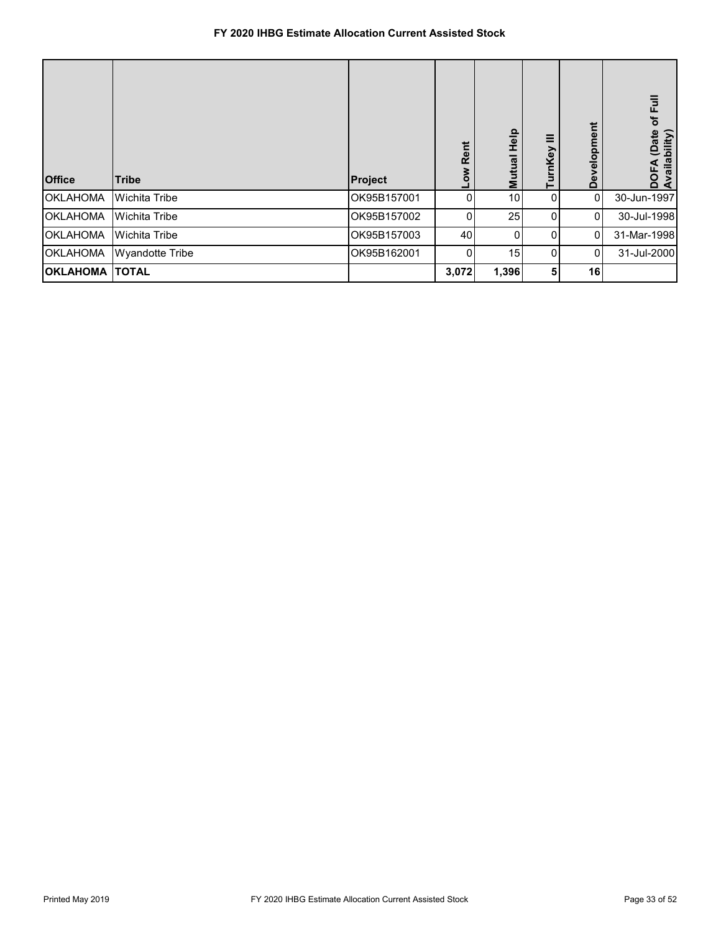| <b>Office</b>         | <b>Tribe</b>           | Project     | Rent<br><b>NOT</b> | $\frac{P}{T}$<br>Mutual | ≡<br>rnKey | Development     | of Full<br>DOFA (Date of<br>Availability) |
|-----------------------|------------------------|-------------|--------------------|-------------------------|------------|-----------------|-------------------------------------------|
| <b>OKLAHOMA</b>       | <b>Wichita Tribe</b>   | OK95B157001 | 0                  | 10                      | 0          | 0               | 30-Jun-1997                               |
| <b>OKLAHOMA</b>       | <b>Wichita Tribe</b>   | OK95B157002 | 0                  | 25                      | $\Omega$   | 0               | 30-Jul-1998                               |
| <b>OKLAHOMA</b>       | <b>Wichita Tribe</b>   | OK95B157003 | 40                 | 0                       | $\Omega$   | 0               | 31-Mar-1998                               |
| <b>OKLAHOMA</b>       | <b>Wyandotte Tribe</b> | OK95B162001 | 0                  | 15                      | 0          | <sup>0</sup>    | 31-Jul-2000                               |
| <b>OKLAHOMA TOTAL</b> |                        |             | 3,072              | 1,396                   | 51         | 16 <sup>l</sup> |                                           |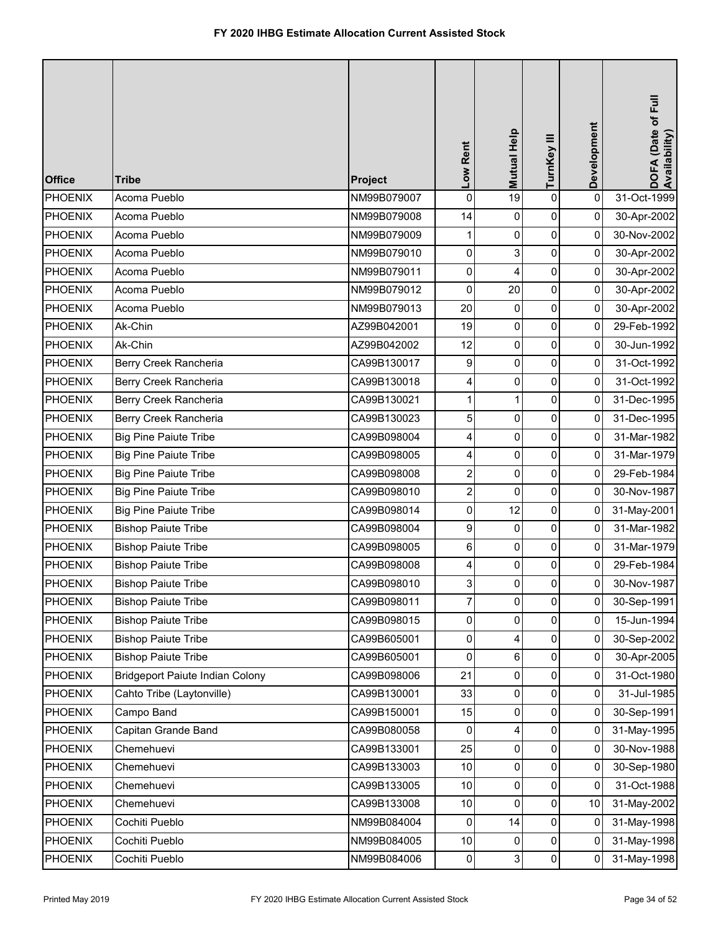| <b>Office</b>  | <b>Tribe</b>                           | Project     | Low Rent       | Mutual Help | TurnKey III | Development    | DOFA (Date of Full<br>Availability) |
|----------------|----------------------------------------|-------------|----------------|-------------|-------------|----------------|-------------------------------------|
| <b>PHOENIX</b> | Acoma Pueblo                           | NM99B079007 | $\mathbf 0$    | 19          | $\mathbf 0$ | $\mathbf 0$    | 31-Oct-1999                         |
| <b>PHOENIX</b> | Acoma Pueblo                           | NM99B079008 | 14             | 0           | 0           | 0              | 30-Apr-2002                         |
| <b>PHOENIX</b> | Acoma Pueblo                           | NM99B079009 |                | 0           | 0           | 0              | 30-Nov-2002                         |
| <b>PHOENIX</b> | Acoma Pueblo                           | NM99B079010 | 0              | 3           | 0           | 0              | 30-Apr-2002                         |
| <b>PHOENIX</b> | Acoma Pueblo                           | NM99B079011 | 0              | 4           | $\pmb{0}$   | $\overline{0}$ | 30-Apr-2002                         |
| <b>PHOENIX</b> | Acoma Pueblo                           | NM99B079012 | 0              | 20          | 0           | 0              | 30-Apr-2002                         |
| <b>PHOENIX</b> | Acoma Pueblo                           | NM99B079013 | 20             | 0           | 0           | 0              | 30-Apr-2002                         |
| <b>PHOENIX</b> | Ak-Chin                                | AZ99B042001 | 19             | 0           | 0           | $\pmb{0}$      | 29-Feb-1992                         |
| <b>PHOENIX</b> | Ak-Chin                                | AZ99B042002 | 12             | 0           | 0           | 0              | 30-Jun-1992                         |
| <b>PHOENIX</b> | Berry Creek Rancheria                  | CA99B130017 | 9              | 0           | $\mathbf 0$ | $\overline{0}$ | 31-Oct-1992                         |
| <b>PHOENIX</b> | Berry Creek Rancheria                  | CA99B130018 | 4              | 0           | 0           | 0              | 31-Oct-1992                         |
| <b>PHOENIX</b> | Berry Creek Rancheria                  | CA99B130021 | 1              | 1           | 0           | 0              | 31-Dec-1995                         |
| <b>PHOENIX</b> | Berry Creek Rancheria                  | CA99B130023 | 5              | 0           | 0           | 0              | 31-Dec-1995                         |
| <b>PHOENIX</b> | <b>Big Pine Paiute Tribe</b>           | CA99B098004 | 4              | 0           | 0           | 0              | 31-Mar-1982                         |
| <b>PHOENIX</b> | <b>Big Pine Paiute Tribe</b>           | CA99B098005 | 4              | 0           | $\pmb{0}$   | $\overline{0}$ | 31-Mar-1979                         |
| <b>PHOENIX</b> | <b>Big Pine Paiute Tribe</b>           | CA99B098008 | $\overline{c}$ | 0           | 0           | 0              | 29-Feb-1984                         |
| <b>PHOENIX</b> | <b>Big Pine Paiute Tribe</b>           | CA99B098010 | $\overline{c}$ | 0           | 0           | 0              | 30-Nov-1987                         |
| <b>PHOENIX</b> | <b>Big Pine Paiute Tribe</b>           | CA99B098014 | 0              | 12          | 0           | 0              | 31-May-2001                         |
| <b>PHOENIX</b> | <b>Bishop Paiute Tribe</b>             | CA99B098004 | 9              | 0           | $\pmb{0}$   | 0              | 31-Mar-1982                         |
| PHOENIX        | <b>Bishop Paiute Tribe</b>             | CA99B098005 | 6              | 0           | 0           | 0              | 31-Mar-1979                         |
| <b>PHOENIX</b> | <b>Bishop Paiute Tribe</b>             | CA99B098008 | 4              | 0           | 0           | 0              | 29-Feb-1984                         |
| PHOENIX        | <b>Bishop Paiute Tribe</b>             | CA99B098010 | 3 <sup>1</sup> | $\Omega$    | $\Omega$    | 0              | 30-Nov-1987                         |
| <b>PHOENIX</b> | <b>Bishop Paiute Tribe</b>             | CA99B098011 | 7              | 0           | 0           | 0              | 30-Sep-1991                         |
| <b>PHOENIX</b> | <b>Bishop Paiute Tribe</b>             | CA99B098015 | 0              | 0           | 0           | 0              | 15-Jun-1994                         |
| <b>PHOENIX</b> | <b>Bishop Paiute Tribe</b>             | CA99B605001 | $\mathbf{0}$   | 4           | 0           | 0              | 30-Sep-2002                         |
| <b>PHOENIX</b> | <b>Bishop Paiute Tribe</b>             | CA99B605001 | 0              | 6           | 0           | 0              | 30-Apr-2005                         |
| <b>PHOENIX</b> | <b>Bridgeport Paiute Indian Colony</b> | CA99B098006 | 21             | 0           | 0           | 0              | 31-Oct-1980                         |
| <b>PHOENIX</b> | Cahto Tribe (Laytonville)              | CA99B130001 | 33             | 0           | 0           | $\mathbf{0}$   | 31-Jul-1985                         |
| <b>PHOENIX</b> | Campo Band                             | CA99B150001 | 15             | 0           | 0           | 0              | 30-Sep-1991                         |
| <b>PHOENIX</b> | Capitan Grande Band                    | CA99B080058 | 0              | 4           | 0           | $\overline{0}$ | 31-May-1995                         |
| <b>PHOENIX</b> | Chemehuevi                             | CA99B133001 | 25             | 0           | 0           | 0              | 30-Nov-1988                         |
| <b>PHOENIX</b> | Chemehuevi                             | CA99B133003 | $10$           | 0           | 0           | 0              | 30-Sep-1980                         |
| <b>PHOENIX</b> | Chemehuevi                             | CA99B133005 | $10$           | 0           | 0           | $\pmb{0}$      | 31-Oct-1988                         |
| <b>PHOENIX</b> | Chemehuevi                             | CA99B133008 | $10$           | 0           | 0           | 10             | 31-May-2002                         |
| <b>PHOENIX</b> | Cochiti Pueblo                         | NM99B084004 | $\overline{0}$ | 14          | 0           | 0              | 31-May-1998                         |
| <b>PHOENIX</b> | Cochiti Pueblo                         | NM99B084005 | $10$           | 0           | 0           | 0              | 31-May-1998                         |
| <b>PHOENIX</b> | Cochiti Pueblo                         | NM99B084006 | $\pmb{0}$      | 3           | $\pmb{0}$   | $\mathbf 0$    | 31-May-1998                         |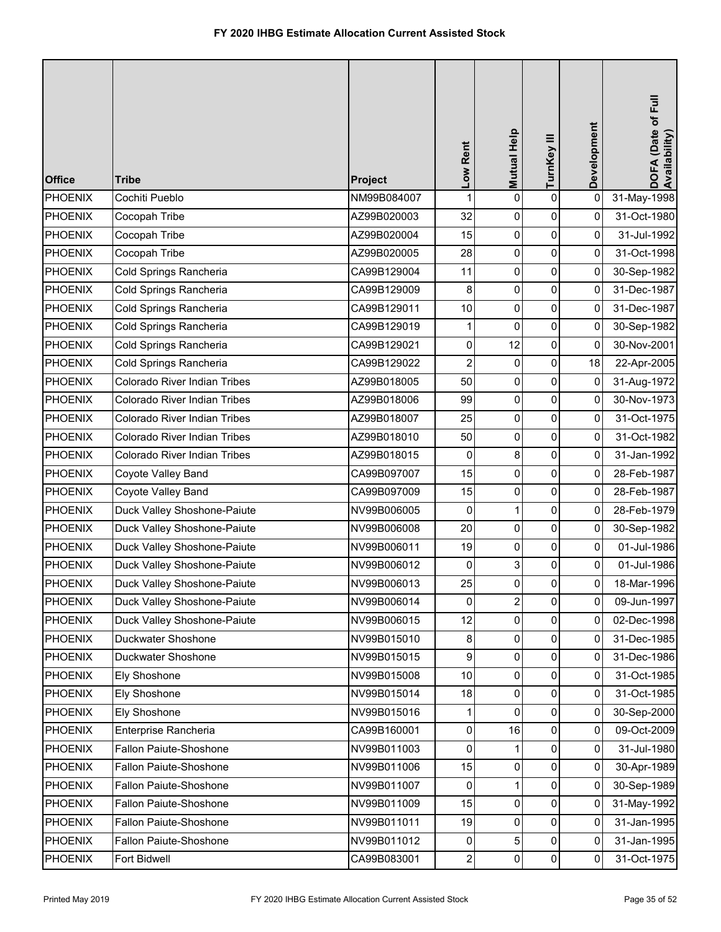| <b>Office</b>  | <b>Tribe</b>                 | Project     | Low Rent         | Mutual Help    | TurnKey III         | Development         | DOFA (Date of Full<br>Availability) |
|----------------|------------------------------|-------------|------------------|----------------|---------------------|---------------------|-------------------------------------|
| <b>PHOENIX</b> | Cochiti Pueblo               | NM99B084007 | 1                | 0              | $\mathsf 0$         | $\mathsf 0$         | 31-May-1998                         |
| <b>PHOENIX</b> | Cocopah Tribe                | AZ99B020003 | 32               | 0              | $\pmb{0}$           | 0                   | 31-Oct-1980                         |
| <b>PHOENIX</b> | Cocopah Tribe                | AZ99B020004 | 15               | 0              | $\pmb{0}$           | 0                   | 31-Jul-1992                         |
| <b>PHOENIX</b> | Cocopah Tribe                | AZ99B020005 | 28               | 0              | $\pmb{0}$           | 0                   | 31-Oct-1998                         |
| <b>PHOENIX</b> | Cold Springs Rancheria       | CA99B129004 | 11               | 0              | 0                   | 0                   | 30-Sep-1982                         |
| <b>PHOENIX</b> | Cold Springs Rancheria       | CA99B129009 | 8                | 0              | $\pmb{0}$           | 0                   | 31-Dec-1987                         |
| <b>PHOENIX</b> | Cold Springs Rancheria       | CA99B129011 | 10               | 0              | $\pmb{0}$           | 0                   | 31-Dec-1987                         |
| <b>PHOENIX</b> | Cold Springs Rancheria       | CA99B129019 | 1                | 0              | $\pmb{0}$           | 0                   | 30-Sep-1982                         |
| <b>PHOENIX</b> | Cold Springs Rancheria       | CA99B129021 | 0                | 12             | $\pmb{0}$           | 0                   | 30-Nov-2001                         |
| <b>PHOENIX</b> | Cold Springs Rancheria       | CA99B129022 | 2                | 0              | 0                   | 18                  | 22-Apr-2005                         |
| <b>PHOENIX</b> | Colorado River Indian Tribes | AZ99B018005 | 50               | 0              | $\pmb{0}$           | 0                   | 31-Aug-1972                         |
| <b>PHOENIX</b> | Colorado River Indian Tribes | AZ99B018006 | 99               | 0              | $\pmb{0}$           | 0                   | 30-Nov-1973                         |
| <b>PHOENIX</b> | Colorado River Indian Tribes | AZ99B018007 | 25               | 0              | $\pmb{0}$           | 0                   | 31-Oct-1975                         |
| <b>PHOENIX</b> | Colorado River Indian Tribes | AZ99B018010 | 50               | 0              | $\pmb{0}$           | 0                   | 31-Oct-1982                         |
| <b>PHOENIX</b> | Colorado River Indian Tribes | AZ99B018015 | 0                | 8              | 0                   | 0                   | 31-Jan-1992                         |
| <b>PHOENIX</b> | Coyote Valley Band           | CA99B097007 | 15               | 0              | $\pmb{0}$           | 0                   | 28-Feb-1987                         |
| <b>PHOENIX</b> | Coyote Valley Band           | CA99B097009 | 15               | 0              | $\pmb{0}$           | 0                   | 28-Feb-1987                         |
| <b>PHOENIX</b> | Duck Valley Shoshone-Paiute  | NV99B006005 | 0                | 1              | $\pmb{0}$           | 0                   | 28-Feb-1979                         |
| <b>PHOENIX</b> | Duck Valley Shoshone-Paiute  | NV99B006008 | 20               | 0              | $\pmb{0}$           | 0                   | 30-Sep-1982                         |
| <b>PHOENIX</b> | Duck Valley Shoshone-Paiute  | NV99B006011 | 19               | 0              | 0                   | 0                   | 01-Jul-1986                         |
| <b>PHOENIX</b> | Duck Valley Shoshone-Paiute  | NV99B006012 | 0                | 3              | 0                   | 0                   | 01-Jul-1986                         |
| PHOENIX        | Duck Valley Shoshone-Paiute  | NV99B006013 | 25               | $\Omega$       | $\mathbf 0$         | 01                  | 18-Mar-1996                         |
| <b>PHOENIX</b> | Duck Valley Shoshone-Paiute  | NV99B006014 | 0                | $\overline{2}$ | $\mathbf 0$         | $\mathsf{O}\xspace$ | 09-Jun-1997                         |
| <b>PHOENIX</b> | Duck Valley Shoshone-Paiute  | NV99B006015 | 12               | $\mathbf 0$    | $\pmb{0}$           | 0                   | 02-Dec-1998                         |
| <b>PHOENIX</b> | Duckwater Shoshone           | NV99B015010 | 8                | 0              | 0                   | 0                   | 31-Dec-1985                         |
| <b>PHOENIX</b> | Duckwater Shoshone           | NV99B015015 | $\boldsymbol{9}$ | 0              | 0                   | 0                   | 31-Dec-1986                         |
| <b>PHOENIX</b> | Ely Shoshone                 | NV99B015008 | 10               | 0              | 0                   | 0                   | 31-Oct-1985                         |
| <b>PHOENIX</b> | Ely Shoshone                 | NV99B015014 | 18               | 0              | $\mathsf{O}\xspace$ | 0                   | 31-Oct-1985                         |
| <b>PHOENIX</b> | Ely Shoshone                 | NV99B015016 | 1                | $\mathbf 0$    | $\pmb{0}$           | 0                   | 30-Sep-2000                         |
| <b>PHOENIX</b> | Enterprise Rancheria         | CA99B160001 | 0                | 16             | 0                   | 0                   | 09-Oct-2009                         |
| <b>PHOENIX</b> | Fallon Paiute-Shoshone       | NV99B011003 | 0                | 1              | 0                   | 0                   | 31-Jul-1980                         |
| <b>PHOENIX</b> | Fallon Paiute-Shoshone       | NV99B011006 | 15               | 0              | 0                   | 0                   | 30-Apr-1989                         |
| <b>PHOENIX</b> | Fallon Paiute-Shoshone       | NV99B011007 | 0                |                | 0                   | 0                   | 30-Sep-1989                         |
| <b>PHOENIX</b> | Fallon Paiute-Shoshone       | NV99B011009 | 15               | 0              | $\pmb{0}$           | 0                   | 31-May-1992                         |
| <b>PHOENIX</b> | Fallon Paiute-Shoshone       | NV99B011011 | 19               | 0              | 0                   | 0                   | 31-Jan-1995                         |
| <b>PHOENIX</b> | Fallon Paiute-Shoshone       | NV99B011012 | 0                | 5              | $\pmb{0}$           | 0                   | 31-Jan-1995                         |
| <b>PHOENIX</b> | Fort Bidwell                 | CA99B083001 | $\mathbf{2}$     | 0              | $\pmb{0}$           | 0                   | 31-Oct-1975                         |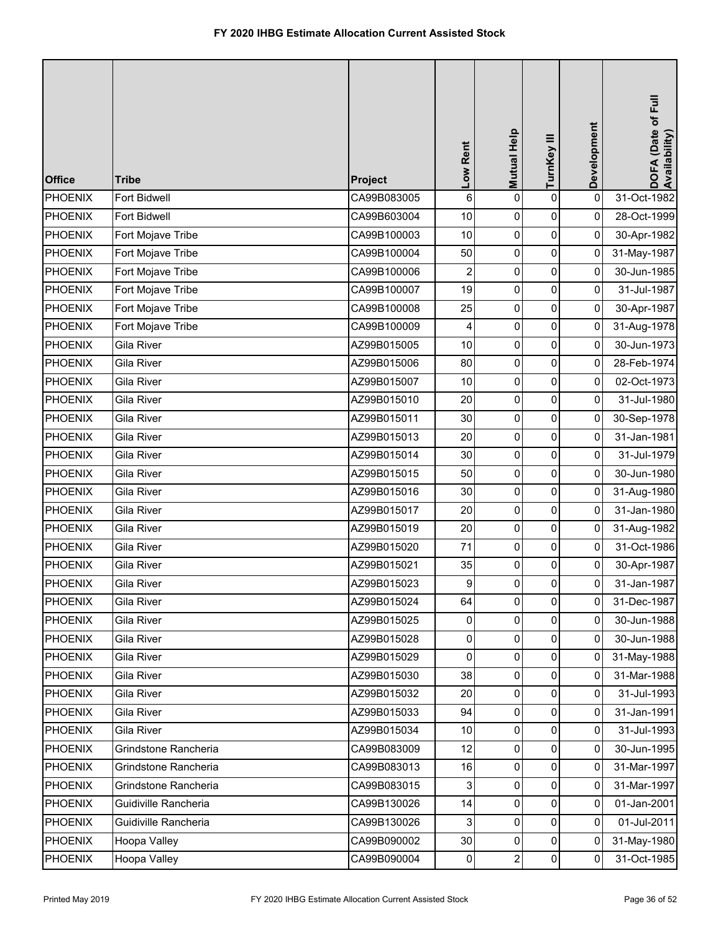| <b>Office</b>  | <b>Tribe</b>         | Project     | Low Rent       | Mutual Help    | TurnKey III         | Development  | DOFA (Date of Full<br>Availability) |
|----------------|----------------------|-------------|----------------|----------------|---------------------|--------------|-------------------------------------|
| <b>PHOENIX</b> | Fort Bidwell         | CA99B083005 | $\,6$          | 0              | $\mathsf 0$         | 0            | 31-Oct-1982                         |
| <b>PHOENIX</b> | Fort Bidwell         | CA99B603004 | $10$           | 0              | 0                   | 0            | 28-Oct-1999                         |
| <b>PHOENIX</b> | Fort Mojave Tribe    | CA99B100003 | 10             | 0              | $\pmb{0}$           | 0            | 30-Apr-1982                         |
| <b>PHOENIX</b> | Fort Mojave Tribe    | CA99B100004 | 50             | 0              | $\pmb{0}$           | 0            | 31-May-1987                         |
| <b>PHOENIX</b> | Fort Mojave Tribe    | CA99B100006 | 2              | 0              | $\pmb{0}$           | 0            | 30-Jun-1985                         |
| <b>PHOENIX</b> | Fort Mojave Tribe    | CA99B100007 | 19             | 0              | $\pmb{0}$           | 0            | 31-Jul-1987                         |
| <b>PHOENIX</b> | Fort Mojave Tribe    | CA99B100008 | 25             | 0              | $\pmb{0}$           | 0            | 30-Apr-1987                         |
| <b>PHOENIX</b> | Fort Mojave Tribe    | CA99B100009 | 4              | 0              | $\pmb{0}$           | 0            | 31-Aug-1978                         |
| <b>PHOENIX</b> | <b>Gila River</b>    | AZ99B015005 | 10             | 0              | $\pmb{0}$           | 0            | 30-Jun-1973                         |
| <b>PHOENIX</b> | Gila River           | AZ99B015006 | 80             | 0              | $\pmb{0}$           | 0            | 28-Feb-1974                         |
| <b>PHOENIX</b> | Gila River           | AZ99B015007 | 10             | 0              | $\pmb{0}$           | 0            | 02-Oct-1973                         |
| <b>PHOENIX</b> | Gila River           | AZ99B015010 | 20             | 0              | $\pmb{0}$           | 0            | 31-Jul-1980                         |
| <b>PHOENIX</b> | Gila River           | AZ99B015011 | 30             | 0              | $\mathsf{O}\xspace$ | 0            | 30-Sep-1978                         |
| <b>PHOENIX</b> | Gila River           | AZ99B015013 | 20             | 0              | $\pmb{0}$           | 0            | 31-Jan-1981                         |
| <b>PHOENIX</b> | Gila River           | AZ99B015014 | 30             | 0              | $\pmb{0}$           | 0            | 31-Jul-1979                         |
| <b>PHOENIX</b> | Gila River           | AZ99B015015 | 50             | 0              | 0                   | 0            | 30-Jun-1980                         |
| <b>PHOENIX</b> | Gila River           | AZ99B015016 | 30             | 0              | $\pmb{0}$           | 0            | 31-Aug-1980                         |
| <b>PHOENIX</b> | Gila River           | AZ99B015017 | 20             | 0              | $\pmb{0}$           | 0            | 31-Jan-1980                         |
| <b>PHOENIX</b> | Gila River           | AZ99B015019 | 20             | 0              | $\pmb{0}$           | 0            | 31-Aug-1982                         |
| <b>PHOENIX</b> | Gila River           | AZ99B015020 | 71             | $\overline{0}$ | $\pmb{0}$           | 0            | 31-Oct-1986                         |
| <b>PHOENIX</b> | Gila River           | AZ99B015021 | 35             | 0              | 0                   | 0            | 30-Apr-1987                         |
| PHOENIX        | Gila River           | AZ99B015023 | $\overline{9}$ | $\Omega$       | $\pmb{0}$           | 0            | 31-Jan-1987                         |
| <b>PHOENIX</b> | Gila River           | AZ99B015024 | 64             | $\mathbf 0$    | $\mathbf 0$         | 0            | 31-Dec-1987                         |
| <b>PHOENIX</b> | Gila River           | AZ99B015025 | 0              | $\mathbf 0$    | $\pmb{0}$           | 0            | 30-Jun-1988                         |
| <b>PHOENIX</b> | Gila River           | AZ99B015028 | $\overline{0}$ | $\overline{0}$ | $\mathbf 0$         | $\Omega$     | 30-Jun-1988                         |
| <b>PHOENIX</b> | Gila River           | AZ99B015029 | $\pmb{0}$      | 0              | 0                   | 0            | 31-May-1988                         |
| <b>PHOENIX</b> | Gila River           | AZ99B015030 | 38             | 0              | 0                   | 0            | 31-Mar-1988                         |
| <b>PHOENIX</b> | Gila River           | AZ99B015032 | 20             | $\overline{0}$ | 0                   | $\mathbf{0}$ | 31-Jul-1993                         |
| <b>PHOENIX</b> | Gila River           | AZ99B015033 | 94             | $\overline{0}$ | 0                   | 0            | 31-Jan-1991                         |
| <b>PHOENIX</b> | Gila River           | AZ99B015034 | 10             | $\overline{0}$ | $\pmb{0}$           | 0            | 31-Jul-1993                         |
| <b>PHOENIX</b> | Grindstone Rancheria | CA99B083009 | 12             | 0              | 0                   | 0            | 30-Jun-1995                         |
| <b>PHOENIX</b> | Grindstone Rancheria | CA99B083013 | 16             | 0              | 0                   | 0            | 31-Mar-1997                         |
| <b>PHOENIX</b> | Grindstone Rancheria | CA99B083015 | 3              | 0              | 0                   | 0            | 31-Mar-1997                         |
| <b>PHOENIX</b> | Guidiville Rancheria | CA99B130026 | 14             | 0              | $\pmb{0}$           | 0            | 01-Jan-2001                         |
| <b>PHOENIX</b> | Guidiville Rancheria | CA99B130026 | 3              | 0              | 0                   | $\Omega$     | 01-Jul-2011                         |
| <b>PHOENIX</b> | Hoopa Valley         | CA99B090002 | 30             | 0              | 0                   | 0            | 31-May-1980                         |
| <b>PHOENIX</b> | Hoopa Valley         | CA99B090004 | $\pmb{0}$      | $2\vert$       | $\pmb{0}$           | $\Omega$     | 31-Oct-1985                         |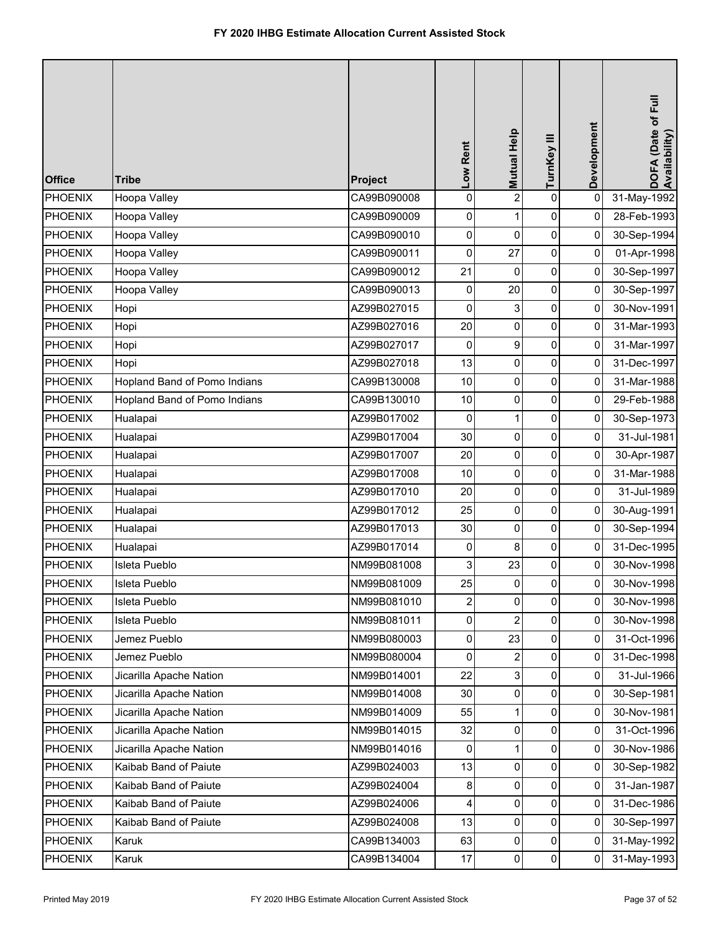| <b>Office</b>  | <b>Tribe</b>                 | Project     | Low Rent       | Mutual Help    | TurnKey III    | Development    | DOFA (Date of Full<br>Availability) |
|----------------|------------------------------|-------------|----------------|----------------|----------------|----------------|-------------------------------------|
| <b>PHOENIX</b> | Hoopa Valley                 | CA99B090008 | $\mathbf 0$    | $\overline{2}$ | $\mathbf 0$    | 0              | 31-May-1992                         |
| <b>PHOENIX</b> | Hoopa Valley                 | CA99B090009 | 0              | 1              | 0              | 0              | 28-Feb-1993                         |
| <b>PHOENIX</b> | Hoopa Valley                 | CA99B090010 | 0              | 0              | 0              | 0              | 30-Sep-1994                         |
| <b>PHOENIX</b> | Hoopa Valley                 | CA99B090011 | 0              | 27             | 0              | 0              | 01-Apr-1998                         |
| <b>PHOENIX</b> | Hoopa Valley                 | CA99B090012 | 21             | 0              | $\pmb{0}$      | $\overline{0}$ | 30-Sep-1997                         |
| <b>PHOENIX</b> | Hoopa Valley                 | CA99B090013 | 0              | 20             | 0              | 0              | 30-Sep-1997                         |
| <b>PHOENIX</b> | Hopi                         | AZ99B027015 | 0              | 3              | 0              | 0              | 30-Nov-1991                         |
| <b>PHOENIX</b> | Hopi                         | AZ99B027016 | 20             | 0              | 0              | 0              | 31-Mar-1993                         |
| <b>PHOENIX</b> | Hopi                         | AZ99B027017 | 0              | 9              | 0              | 0              | 31-Mar-1997                         |
| <b>PHOENIX</b> | Hopi                         | AZ99B027018 | 13             | 0              | $\pmb{0}$      | $\overline{0}$ | 31-Dec-1997                         |
| <b>PHOENIX</b> | Hopland Band of Pomo Indians | CA99B130008 | 10             | 0              | 0              | 0              | 31-Mar-1988                         |
| <b>PHOENIX</b> | Hopland Band of Pomo Indians | CA99B130010 | 10             | 0              | 0              | 0              | 29-Feb-1988                         |
| <b>PHOENIX</b> | Hualapai                     | AZ99B017002 | 0              | 1              | 0              | 0              | 30-Sep-1973                         |
| <b>PHOENIX</b> | Hualapai                     | AZ99B017004 | 30             | 0              | 0              | 0              | 31-Jul-1981                         |
| <b>PHOENIX</b> | Hualapai                     | AZ99B017007 | 20             | 0              | $\pmb{0}$      | $\overline{0}$ | 30-Apr-1987                         |
| <b>PHOENIX</b> | Hualapai                     | AZ99B017008 | 10             | 0              | 0              | 0              | 31-Mar-1988                         |
| <b>PHOENIX</b> | Hualapai                     | AZ99B017010 | 20             | 0              | 0              | 0              | 31-Jul-1989                         |
| <b>PHOENIX</b> | Hualapai                     | AZ99B017012 | 25             | 0              | 0              | 0              | 30-Aug-1991                         |
| <b>PHOENIX</b> | Hualapai                     | AZ99B017013 | 30             | 0              | 0              | 0              | 30-Sep-1994                         |
| <b>PHOENIX</b> | Hualapai                     | AZ99B017014 | 0              | 8              | 0              | 0              | 31-Dec-1995                         |
| <b>PHOENIX</b> | Isleta Pueblo                | NM99B081008 | 3              | 23             | 0              | 0              | 30-Nov-1998                         |
| PHOENIX        | Isleta Pueblo                | NM99B081009 | 25             | 0              | $\Omega$       | 0              | 30-Nov-1998                         |
| <b>PHOENIX</b> | Isleta Pueblo                | NM99B081010 | $\overline{c}$ | 0              | 0              | 0              | 30-Nov-1998                         |
| <b>PHOENIX</b> | Isleta Pueblo                | NM99B081011 | $\pmb{0}$      | $\overline{2}$ | 0              | 0              | 30-Nov-1998                         |
| <b>PHOENIX</b> | Jemez Pueblo                 | NM99B080003 | $\mathbf{0}$   | 23             | 0              | $\overline{0}$ | 31-Oct-1996                         |
| <b>PHOENIX</b> | Jemez Pueblo                 | NM99B080004 | 0              | 2              | 0              | 0              | 31-Dec-1998                         |
| <b>PHOENIX</b> | Jicarilla Apache Nation      | NM99B014001 | 22             | 3              | 0              | 0              | 31-Jul-1966                         |
| <b>PHOENIX</b> | Jicarilla Apache Nation      | NM99B014008 | 30             | 0              | 0              | 0              | 30-Sep-1981                         |
| <b>PHOENIX</b> | Jicarilla Apache Nation      | NM99B014009 | 55             | 1              | 0              | 0              | 30-Nov-1981                         |
| <b>PHOENIX</b> | Jicarilla Apache Nation      | NM99B014015 | 32             | 0              | 0              | $\overline{0}$ | 31-Oct-1996                         |
| <b>PHOENIX</b> | Jicarilla Apache Nation      | NM99B014016 | 0              | 1              | 0              | 0              | 30-Nov-1986                         |
| <b>PHOENIX</b> | Kaibab Band of Paiute        | AZ99B024003 | 13             | 0              | 0              | 0              | 30-Sep-1982                         |
| <b>PHOENIX</b> | Kaibab Band of Paiute        | AZ99B024004 | 8              | 0              | 0              | $\pmb{0}$      | 31-Jan-1987                         |
| <b>PHOENIX</b> | Kaibab Band of Paiute        | AZ99B024006 | 4              | 0              | 0              | 0              | 31-Dec-1986                         |
| <b>PHOENIX</b> | Kaibab Band of Paiute        | AZ99B024008 | 13             | 0              | 0              | $\overline{0}$ | 30-Sep-1997                         |
| <b>PHOENIX</b> | Karuk                        | CA99B134003 | 63             | 0              | 0              | 0              | 31-May-1992                         |
| <b>PHOENIX</b> | Karuk                        | CA99B134004 | 17             | 0              | $\overline{0}$ | $\mathbf 0$    | 31-May-1993                         |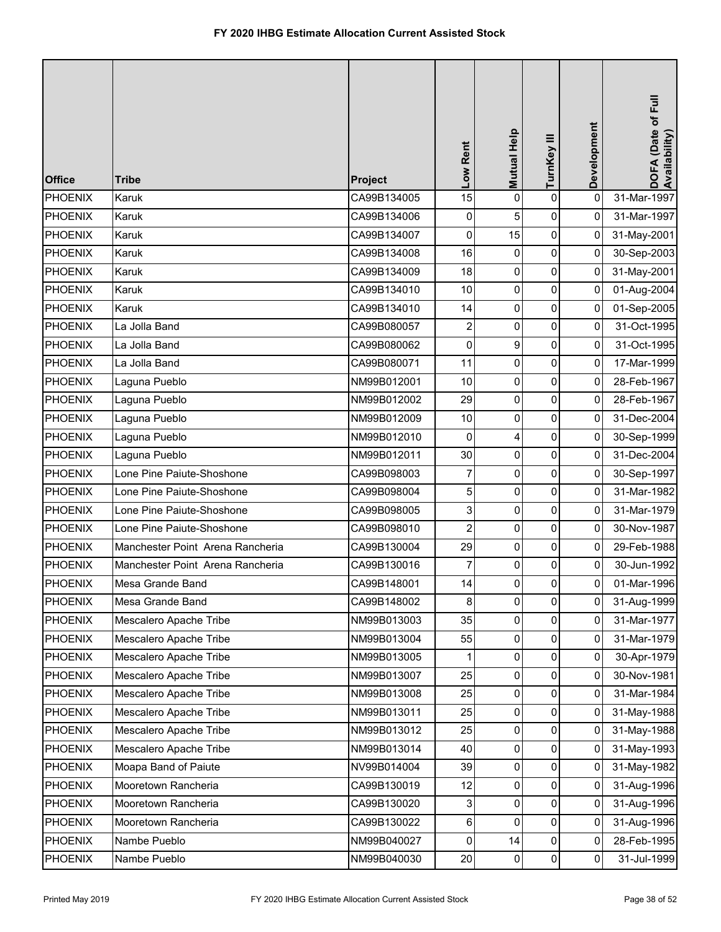| <b>Office</b>  | <b>Tribe</b>                     | Project     | Low Rent                | Mutual Help | TurnKey III | Development | DOFA (Date of Full<br>Availability) |
|----------------|----------------------------------|-------------|-------------------------|-------------|-------------|-------------|-------------------------------------|
| <b>PHOENIX</b> | Karuk                            | CA99B134005 | 15                      | 0           | $\pmb{0}$   | 0           | 31-Mar-1997                         |
| <b>PHOENIX</b> | Karuk                            | CA99B134006 | 0                       | 5           | 0           | 0           | 31-Mar-1997                         |
| <b>PHOENIX</b> | Karuk                            | CA99B134007 | 0                       | 15          | $\pmb{0}$   | 0           | 31-May-2001                         |
| <b>PHOENIX</b> | Karuk                            | CA99B134008 | 16                      | 0           | $\pmb{0}$   | 0           | 30-Sep-2003                         |
| <b>PHOENIX</b> | Karuk                            | CA99B134009 | 18                      | 0           | $\pmb{0}$   | $\mathbf 0$ | 31-May-2001                         |
| <b>PHOENIX</b> | Karuk                            | CA99B134010 | 10                      | 0           | $\pmb{0}$   | 0           | 01-Aug-2004                         |
| <b>PHOENIX</b> | Karuk                            | CA99B134010 | 14                      | 0           | $\pmb{0}$   | 0           | 01-Sep-2005                         |
| <b>PHOENIX</b> | La Jolla Band                    | CA99B080057 | 2                       | 0           | $\pmb{0}$   | 0           | 31-Oct-1995                         |
| <b>PHOENIX</b> | La Jolla Band                    | CA99B080062 | 0                       | 9           | $\pmb{0}$   | $\mathbf 0$ | 31-Oct-1995                         |
| <b>PHOENIX</b> | La Jolla Band                    | CA99B080071 | 11                      | 0           | $\pmb{0}$   | 0           | 17-Mar-1999                         |
| <b>PHOENIX</b> | Laguna Pueblo                    | NM99B012001 | 10                      | 0           | $\pmb{0}$   | 0           | 28-Feb-1967                         |
| <b>PHOENIX</b> | Laguna Pueblo                    | NM99B012002 | 29                      | 0           | $\pmb{0}$   | 0           | 28-Feb-1967                         |
| <b>PHOENIX</b> | Laguna Pueblo                    | NM99B012009 | 10                      | 0           | 0           | 0           | 31-Dec-2004                         |
| <b>PHOENIX</b> | Laguna Pueblo                    | NM99B012010 | $\mathbf 0$             | 4           | $\pmb{0}$   | 0           | 30-Sep-1999                         |
| <b>PHOENIX</b> | Laguna Pueblo                    | NM99B012011 | 30                      | 0           | $\pmb{0}$   | 0           | 31-Dec-2004                         |
| <b>PHOENIX</b> | Lone Pine Paiute-Shoshone        | CA99B098003 | 7                       | 0           | $\pmb{0}$   | 0           | 30-Sep-1997                         |
| <b>PHOENIX</b> | Lone Pine Paiute-Shoshone        | CA99B098004 | 5                       | 0           | $\pmb{0}$   | 0           | 31-Mar-1982                         |
| <b>PHOENIX</b> | Lone Pine Paiute-Shoshone        | CA99B098005 | 3                       | 0           | $\pmb{0}$   | 0           | 31-Mar-1979                         |
| <b>PHOENIX</b> | Lone Pine Paiute-Shoshone        | CA99B098010 | $\overline{\mathbf{c}}$ | 0           | $\pmb{0}$   | 0           | 30-Nov-1987                         |
| <b>PHOENIX</b> | Manchester Point Arena Rancheria | CA99B130004 | 29                      | 0           | $\pmb{0}$   | 0           | 29-Feb-1988                         |
| <b>PHOENIX</b> | Manchester Point Arena Rancheria | CA99B130016 | 7                       | 0           | 0           | 0           | 30-Jun-1992                         |
| PHOENIX        | Mesa Grande Band                 | CA99B148001 | 14                      | $\Omega$    | $\pmb{0}$   | 0           | 01-Mar-1996                         |
| <b>PHOENIX</b> | Mesa Grande Band                 | CA99B148002 | 8                       | 0           | $\mathbf 0$ | 0           | 31-Aug-1999                         |
| <b>PHOENIX</b> | Mescalero Apache Tribe           | NM99B013003 | 35                      | $\mathbf 0$ | $\pmb{0}$   | 0           | 31-Mar-1977                         |
| <b>PHOENIX</b> | Mescalero Apache Tribe           | NM99B013004 | 55                      | 0           | 0           | 0           | 31-Mar-1979                         |
| <b>PHOENIX</b> | Mescalero Apache Tribe           | NM99B013005 | 1                       | 0           | 0           | 0           | 30-Apr-1979                         |
| <b>PHOENIX</b> | Mescalero Apache Tribe           | NM99B013007 | 25                      | 0           | 0           | 0           | 30-Nov-1981                         |
| <b>PHOENIX</b> | Mescalero Apache Tribe           | NM99B013008 | 25                      | 0           | 0           | 0           | 31-Mar-1984                         |
| <b>PHOENIX</b> | Mescalero Apache Tribe           | NM99B013011 | 25                      | 0           | $\pmb{0}$   | 0           | 31-May-1988                         |
| <b>PHOENIX</b> | Mescalero Apache Tribe           | NM99B013012 | 25                      | 0           | $\pmb{0}$   | 0           | 31-May-1988                         |
| <b>PHOENIX</b> | Mescalero Apache Tribe           | NM99B013014 | 40                      | 0           | $\pmb{0}$   | 0           | 31-May-1993                         |
| <b>PHOENIX</b> | Moapa Band of Paiute             | NV99B014004 | 39                      | 0           | 0           | 0           | 31-May-1982                         |
| <b>PHOENIX</b> | Mooretown Rancheria              | CA99B130019 | 12                      | 0           | $\pmb{0}$   | 0           | 31-Aug-1996                         |
| <b>PHOENIX</b> | Mooretown Rancheria              | CA99B130020 | 3                       | 0           | $\pmb{0}$   | 0           | 31-Aug-1996                         |
| <b>PHOENIX</b> | Mooretown Rancheria              | CA99B130022 | 6                       | 0           | 0           | 0           | 31-Aug-1996                         |
| <b>PHOENIX</b> | Nambe Pueblo                     | NM99B040027 | 0                       | 14          | 0           | 0           | 28-Feb-1995                         |
| <b>PHOENIX</b> | Nambe Pueblo                     | NM99B040030 | 20                      | 0           | $\pmb{0}$   | 0           | 31-Jul-1999                         |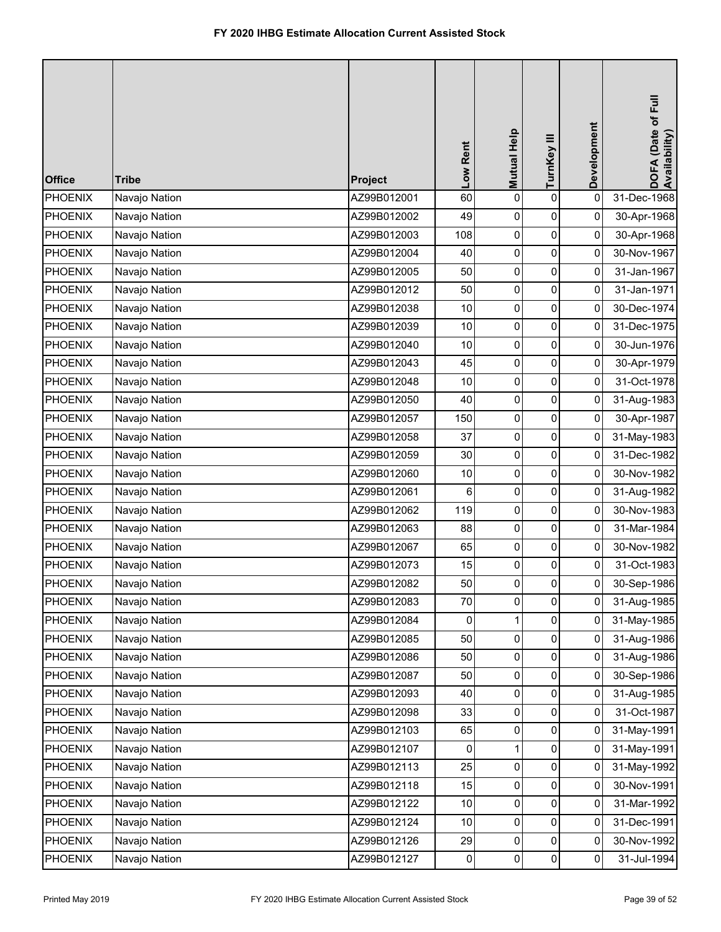| <b>Office</b>  | <b>Tribe</b>  | Project     | Low Rent  | Mutual Help | TurnKey III | Development         | DOFA (Date of Full<br>Availability) |
|----------------|---------------|-------------|-----------|-------------|-------------|---------------------|-------------------------------------|
| <b>PHOENIX</b> | Navajo Nation | AZ99B012001 | 60        | 0           | $\mathbf 0$ | 0                   | 31-Dec-1968                         |
| <b>PHOENIX</b> | Navajo Nation | AZ99B012002 | 49        | 0           | 0           | 0                   | 30-Apr-1968                         |
| <b>PHOENIX</b> | Navajo Nation | AZ99B012003 | 108       | 0           | 0           | 0                   | 30-Apr-1968                         |
| <b>PHOENIX</b> | Navajo Nation | AZ99B012004 | 40        | 0           | 0           | 0                   | 30-Nov-1967                         |
| <b>PHOENIX</b> | Navajo Nation | AZ99B012005 | 50        | 0           | 0           | $\mathbf{0}$        | 31-Jan-1967                         |
| <b>PHOENIX</b> | Navajo Nation | AZ99B012012 | 50        | 0           | 0           | 0                   | 31-Jan-1971                         |
| <b>PHOENIX</b> | Navajo Nation | AZ99B012038 | 10        | 0           | 0           | 0                   | 30-Dec-1974                         |
| <b>PHOENIX</b> | Navajo Nation | AZ99B012039 | 10        | 0           | 0           | 0                   | 31-Dec-1975                         |
| <b>PHOENIX</b> | Navajo Nation | AZ99B012040 | 10        | 0           | 0           | 0                   | 30-Jun-1976                         |
| <b>PHOENIX</b> | Navajo Nation | AZ99B012043 | 45        | 0           | $\pmb{0}$   | $\overline{0}$      | 30-Apr-1979                         |
| <b>PHOENIX</b> | Navajo Nation | AZ99B012048 | 10        | 0           | 0           | 0                   | 31-Oct-1978                         |
| <b>PHOENIX</b> | Navajo Nation | AZ99B012050 | 40        | 0           | 0           | 0                   | 31-Aug-1983                         |
| <b>PHOENIX</b> | Navajo Nation | AZ99B012057 | 150       | 0           | 0           | $\pmb{0}$           | 30-Apr-1987                         |
| <b>PHOENIX</b> | Navajo Nation | AZ99B012058 | 37        | 0           | 0           | 0                   | 31-May-1983                         |
| <b>PHOENIX</b> | Navajo Nation | AZ99B012059 | 30        | 0           | $\pmb{0}$   | $\mathbf{0}$        | 31-Dec-1982                         |
| <b>PHOENIX</b> | Navajo Nation | AZ99B012060 | 10        | 0           | 0           | 0                   | 30-Nov-1982                         |
| <b>PHOENIX</b> | Navajo Nation | AZ99B012061 | 6         | 0           | 0           | 0                   | 31-Aug-1982                         |
| <b>PHOENIX</b> | Navajo Nation | AZ99B012062 | 119       | 0           | 0           | 0                   | 30-Nov-1983                         |
| <b>PHOENIX</b> | Navajo Nation | AZ99B012063 | 88        | 0           | 0           | 0                   | 31-Mar-1984                         |
| <b>PHOENIX</b> | Navajo Nation | AZ99B012067 | 65        | 0           | 0           | 0                   | 30-Nov-1982                         |
| <b>PHOENIX</b> | Navajo Nation | AZ99B012073 | 15        | 0           | 0           | 0                   | 31-Oct-1983                         |
| PHOENIX        | Navajo Nation | AZ99B012082 | 50        | 0           | 0           | 0                   | 30-Sep-1986                         |
| <b>PHOENIX</b> | Navajo Nation | AZ99B012083 | 70        | 0           | 0           | $\mathsf{O}\xspace$ | 31-Aug-1985                         |
| <b>PHOENIX</b> | Navajo Nation | AZ99B012084 | 0         | 1           | 0           | 0                   | 31-May-1985                         |
| <b>PHOENIX</b> | Navajo Nation | AZ99B012085 | 50        | 0           | 0           | 0                   | 31-Aug-1986                         |
| <b>PHOENIX</b> | Navajo Nation | AZ99B012086 | 50        | 0           | $\pmb{0}$   | 0                   | 31-Aug-1986                         |
| <b>PHOENIX</b> | Navajo Nation | AZ99B012087 | 50        | 0           | 0           | 0                   | 30-Sep-1986                         |
| <b>PHOENIX</b> | Navajo Nation | AZ99B012093 | 40        | 0           | 0           | 0                   | 31-Aug-1985                         |
| <b>PHOENIX</b> | Navajo Nation | AZ99B012098 | 33        | 0           | 0           | 0                   | 31-Oct-1987                         |
| <b>PHOENIX</b> | Navajo Nation | AZ99B012103 | 65        | 0           | 0           | $\mathbf{0}$        | 31-May-1991                         |
| <b>PHOENIX</b> | Navajo Nation | AZ99B012107 | 0         | 1           | 0           | 0                   | 31-May-1991                         |
| <b>PHOENIX</b> | Navajo Nation | AZ99B012113 | 25        | 0           | 0           | 0                   | 31-May-1992                         |
| <b>PHOENIX</b> | Navajo Nation | AZ99B012118 | 15        | 0           | 0           | 0                   | 30-Nov-1991                         |
| <b>PHOENIX</b> | Navajo Nation | AZ99B012122 | $10$      | 0           | 0           | 0                   | 31-Mar-1992                         |
| <b>PHOENIX</b> | Navajo Nation | AZ99B012124 | 10        | 0           | 0           | 0                   | 31-Dec-1991                         |
| <b>PHOENIX</b> | Navajo Nation | AZ99B012126 | 29        | 0           | 0           | 0                   | 30-Nov-1992                         |
| <b>PHOENIX</b> | Navajo Nation | AZ99B012127 | $\pmb{0}$ | 0           | $\pmb{0}$   | $\mathbf 0$         | 31-Jul-1994                         |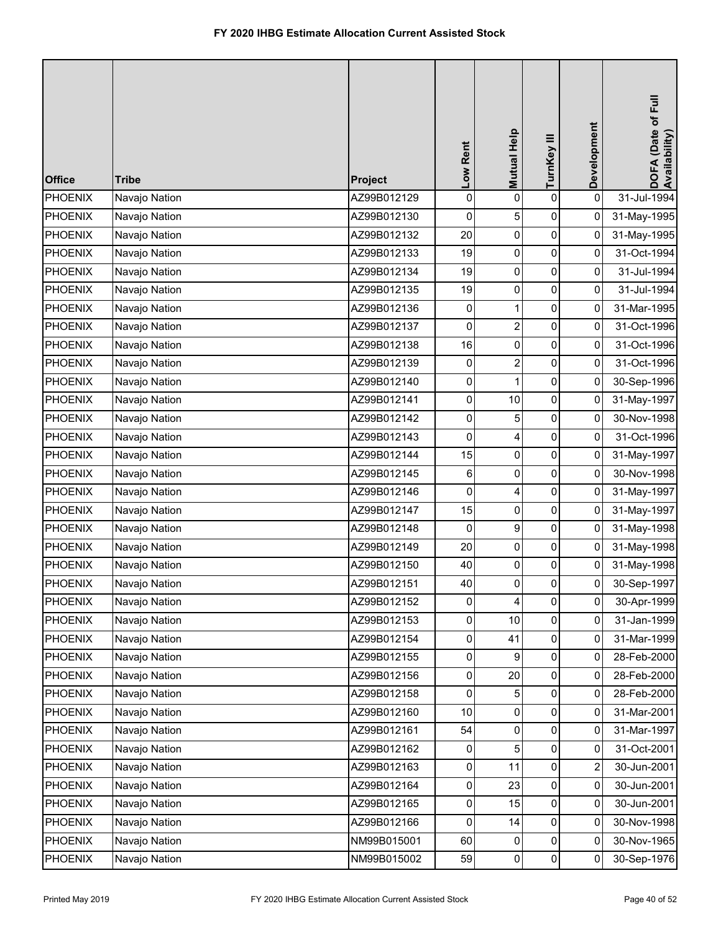| <b>Office</b>  | <b>Tribe</b>  | Project     | Low Rent       | Mutual Help    | TurnKey III    | Development         | DOFA (Date of Full<br>Availability) |
|----------------|---------------|-------------|----------------|----------------|----------------|---------------------|-------------------------------------|
| <b>PHOENIX</b> | Navajo Nation | AZ99B012129 | $\mathbf 0$    | 0              | $\mathbf 0$    | $\mathbf 0$         | 31-Jul-1994                         |
| <b>PHOENIX</b> | Navajo Nation | AZ99B012130 | 0              | 5              | 0              | 0                   | 31-May-1995                         |
| <b>PHOENIX</b> | Navajo Nation | AZ99B012132 | 20             | 0              | 0              | 0                   | 31-May-1995                         |
| <b>PHOENIX</b> | Navajo Nation | AZ99B012133 | 19             | 0              | $\pmb{0}$      | 0                   | 31-Oct-1994                         |
| <b>PHOENIX</b> | Navajo Nation | AZ99B012134 | 19             | 0              | 0              | 0                   | 31-Jul-1994                         |
| <b>PHOENIX</b> | Navajo Nation | AZ99B012135 | 19             | 0              | 0              | 0                   | 31-Jul-1994                         |
| <b>PHOENIX</b> | Navajo Nation | AZ99B012136 | 0              | 1              | 0              | 0                   | 31-Mar-1995                         |
| <b>PHOENIX</b> | Navajo Nation | AZ99B012137 | 0              | $\overline{2}$ | 0              | 0                   | 31-Oct-1996                         |
| <b>PHOENIX</b> | Navajo Nation | AZ99B012138 | 16             | 0              | 0              | 0                   | 31-Oct-1996                         |
| <b>PHOENIX</b> | Navajo Nation | AZ99B012139 | $\overline{0}$ | $\overline{c}$ | $\pmb{0}$      | $\overline{0}$      | 31-Oct-1996                         |
| <b>PHOENIX</b> | Navajo Nation | AZ99B012140 | 0              | 1              | 0              | 0                   | 30-Sep-1996                         |
| <b>PHOENIX</b> | Navajo Nation | AZ99B012141 | 0              | 10             | 0              | 0                   | 31-May-1997                         |
| <b>PHOENIX</b> | Navajo Nation | AZ99B012142 | 0              | 5              | 0              | 0                   | 30-Nov-1998                         |
| <b>PHOENIX</b> | Navajo Nation | AZ99B012143 | $\pmb{0}$      | 4              | 0              | 0                   | 31-Oct-1996                         |
| <b>PHOENIX</b> | Navajo Nation | AZ99B012144 | 15             | 0              | $\pmb{0}$      | $\mathbf{0}$        | 31-May-1997                         |
| <b>PHOENIX</b> | Navajo Nation | AZ99B012145 | 6              | 0              | 0              | 0                   | 30-Nov-1998                         |
| <b>PHOENIX</b> | Navajo Nation | AZ99B012146 | 0              | 4              | 0              | 0                   | 31-May-1997                         |
| <b>PHOENIX</b> | Navajo Nation | AZ99B012147 | 15             | 0              | 0              | 0                   | 31-May-1997                         |
| <b>PHOENIX</b> | Navajo Nation | AZ99B012148 | 0              | 9              | 0              | 0                   | 31-May-1998                         |
| <b>PHOENIX</b> | Navajo Nation | AZ99B012149 | 20             | 0              | 0              | 0                   | 31-May-1998                         |
| <b>PHOENIX</b> | Navajo Nation | AZ99B012150 | 40             | 0              | 0              | 0                   | 31-May-1998                         |
| PHOENIX        | Navajo Nation | AZ99B012151 | 40             | 0              | $\Omega$       | 0                   | 30-Sep-1997                         |
| <b>PHOENIX</b> | Navajo Nation | AZ99B012152 | 0              | 4              | 0              | $\mathsf{O}\xspace$ | 30-Apr-1999                         |
| <b>PHOENIX</b> | Navajo Nation | AZ99B012153 | $\pmb{0}$      | 10             | 0              | 0                   | 31-Jan-1999                         |
| <b>PHOENIX</b> | Navajo Nation | AZ99B012154 | $\overline{0}$ | 41             | 0              | 0                   | 31-Mar-1999                         |
| <b>PHOENIX</b> | Navajo Nation | AZ99B012155 | $\pmb{0}$      | 9              | 0              | 0                   | 28-Feb-2000                         |
| <b>PHOENIX</b> | Navajo Nation | AZ99B012156 | 0              | 20             | 0              | 0                   | 28-Feb-2000                         |
| <b>PHOENIX</b> | Navajo Nation | AZ99B012158 | 0              | 5              | 0              | 0                   | 28-Feb-2000                         |
| <b>PHOENIX</b> | Navajo Nation | AZ99B012160 | 10             | 0              | 0              | 0                   | 31-Mar-2001                         |
| <b>PHOENIX</b> | Navajo Nation | AZ99B012161 | 54             | 0              | 0              | 0                   | 31-Mar-1997                         |
| <b>PHOENIX</b> | Navajo Nation | AZ99B012162 | 0              | 5              | 0              | 0                   | 31-Oct-2001                         |
| <b>PHOENIX</b> | Navajo Nation | AZ99B012163 | 0              | 11             | 0              | 2                   | 30-Jun-2001                         |
| <b>PHOENIX</b> | Navajo Nation | AZ99B012164 | $\pmb{0}$      | 23             | 0              | $\pmb{0}$           | 30-Jun-2001                         |
| <b>PHOENIX</b> | Navajo Nation | AZ99B012165 | 0              | 15             | 0              | 0                   | 30-Jun-2001                         |
| <b>PHOENIX</b> | Navajo Nation | AZ99B012166 | $\overline{0}$ | 14             | 0              | 0                   | 30-Nov-1998                         |
| <b>PHOENIX</b> | Navajo Nation | NM99B015001 | 60             | 0              | 0              | 0                   | 30-Nov-1965                         |
| <b>PHOENIX</b> | Navajo Nation | NM99B015002 | 59             | 0              | $\overline{0}$ | $\overline{0}$      | 30-Sep-1976                         |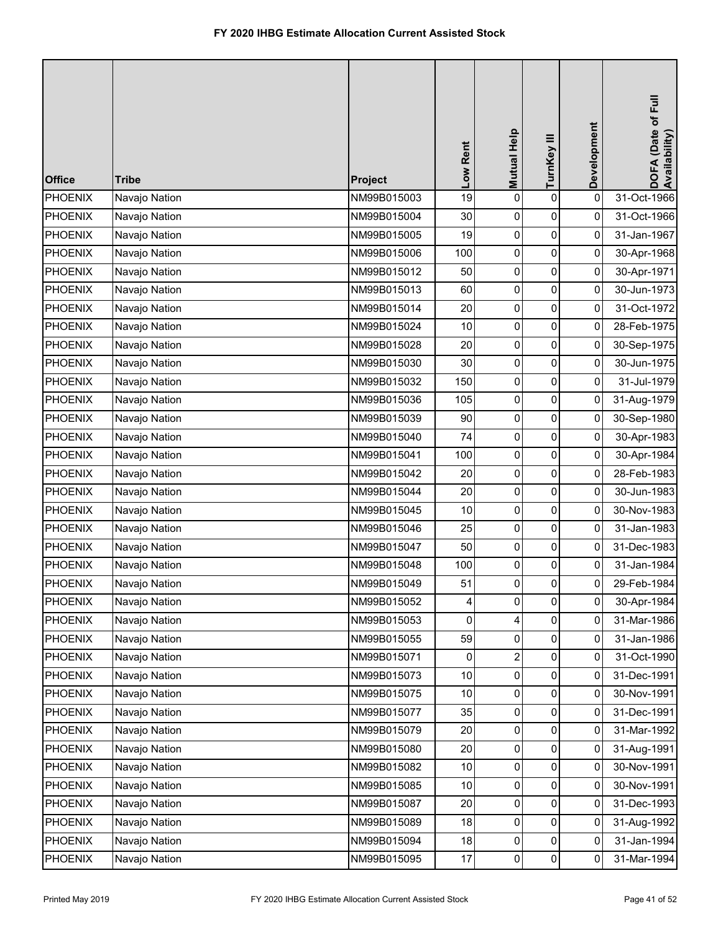| <b>Office</b>  | <b>Tribe</b>  | Project     | Low Rent | Mutual Help    | TurnKey III | Development    | DOFA (Date of Full<br>Availability) |
|----------------|---------------|-------------|----------|----------------|-------------|----------------|-------------------------------------|
| <b>PHOENIX</b> | Navajo Nation | NM99B015003 | 19       | 0              | $\mathbf 0$ | $\pmb{0}$      | 31-Oct-1966                         |
| <b>PHOENIX</b> | Navajo Nation | NM99B015004 | 30       | 0              | 0           | 0              | 31-Oct-1966                         |
| <b>PHOENIX</b> | Navajo Nation | NM99B015005 | 19       | 0              | 0           | 0              | 31-Jan-1967                         |
| <b>PHOENIX</b> | Navajo Nation | NM99B015006 | 100      | 0              | 0           | 0              | 30-Apr-1968                         |
| <b>PHOENIX</b> | Navajo Nation | NM99B015012 | 50       | 0              | 0           | $\overline{0}$ | 30-Apr-1971                         |
| <b>PHOENIX</b> | Navajo Nation | NM99B015013 | 60       | 0              | 0           | 0              | 30-Jun-1973                         |
| <b>PHOENIX</b> | Navajo Nation | NM99B015014 | 20       | 0              | 0           | 0              | 31-Oct-1972                         |
| <b>PHOENIX</b> | Navajo Nation | NM99B015024 | 10       | 0              | 0           | 0              | 28-Feb-1975                         |
| <b>PHOENIX</b> | Navajo Nation | NM99B015028 | 20       | 0              | 0           | 0              | 30-Sep-1975                         |
| <b>PHOENIX</b> | Navajo Nation | NM99B015030 | 30       | 0              | $\pmb{0}$   | $\overline{0}$ | 30-Jun-1975                         |
| <b>PHOENIX</b> | Navajo Nation | NM99B015032 | 150      | 0              | 0           | 0              | 31-Jul-1979                         |
| <b>PHOENIX</b> | Navajo Nation | NM99B015036 | 105      | 0              | 0           | 0              | 31-Aug-1979                         |
| <b>PHOENIX</b> | Navajo Nation | NM99B015039 | 90       | 0              | 0           | 0              | 30-Sep-1980                         |
| <b>PHOENIX</b> | Navajo Nation | NM99B015040 | 74       | 0              | 0           | 0              | 30-Apr-1983                         |
| <b>PHOENIX</b> | Navajo Nation | NM99B015041 | 100      | 0              | $\pmb{0}$   | $\overline{0}$ | 30-Apr-1984                         |
| <b>PHOENIX</b> | Navajo Nation | NM99B015042 | 20       | 0              | 0           | 0              | 28-Feb-1983                         |
| <b>PHOENIX</b> | Navajo Nation | NM99B015044 | 20       | 0              | 0           | 0              | 30-Jun-1983                         |
| <b>PHOENIX</b> | Navajo Nation | NM99B015045 | 10       | 0              | 0           | 0              | 30-Nov-1983                         |
| <b>PHOENIX</b> | Navajo Nation | NM99B015046 | 25       | 0              | 0           | 0              | 31-Jan-1983                         |
| <b>PHOENIX</b> | Navajo Nation | NM99B015047 | 50       | 0              | 0           | 0              | 31-Dec-1983                         |
| <b>PHOENIX</b> | Navajo Nation | NM99B015048 | 100      | 0              | 0           | 0              | 31-Jan-1984                         |
| PHOENIX        | Navajo Nation | NM99B015049 | 51       | 0              | $\Omega$    | 0              | 29-Feb-1984                         |
| <b>PHOENIX</b> | Navajo Nation | NM99B015052 | 4        | 0              | 0           | 0              | 30-Apr-1984                         |
| <b>PHOENIX</b> | Navajo Nation | NM99B015053 | 0        | 4              | 0           | 0              | 31-Mar-1986                         |
| <b>PHOENIX</b> | Navajo Nation | NM99B015055 | 59       | 0              | 0           | 0              | 31-Jan-1986                         |
| <b>PHOENIX</b> | Navajo Nation | NM99B015071 | 0        | $\overline{c}$ | 0           | 0              | 31-Oct-1990                         |
| <b>PHOENIX</b> | Navajo Nation | NM99B015073 | 10       | 0              | 0           | 0              | 31-Dec-1991                         |
| <b>PHOENIX</b> | Navajo Nation | NM99B015075 | 10       | 0              | 0           | 0              | 30-Nov-1991                         |
| <b>PHOENIX</b> | Navajo Nation | NM99B015077 | 35       | 0              | 0           | 0              | 31-Dec-1991                         |
| <b>PHOENIX</b> | Navajo Nation | NM99B015079 | 20       | 0              | 0           | 0              | 31-Mar-1992                         |
| <b>PHOENIX</b> | Navajo Nation | NM99B015080 | 20       | 0              | 0           | 0              | 31-Aug-1991                         |
| <b>PHOENIX</b> | Navajo Nation | NM99B015082 | 10       | 0              | 0           | 0              | 30-Nov-1991                         |
| <b>PHOENIX</b> | Navajo Nation | NM99B015085 | $10$     | 0              | 0           | 0              | 30-Nov-1991                         |
| <b>PHOENIX</b> | Navajo Nation | NM99B015087 | 20       | 0              | 0           | 0              | 31-Dec-1993                         |
| <b>PHOENIX</b> | Navajo Nation | NM99B015089 | 18       | 0              | 0           | 0              | 31-Aug-1992                         |
| <b>PHOENIX</b> | Navajo Nation | NM99B015094 | 18       | 0              | 0           | 0              | 31-Jan-1994                         |
| <b>PHOENIX</b> | Navajo Nation | NM99B015095 | 17       | 0              | $\pmb{0}$   | $\mathbf 0$    | 31-Mar-1994                         |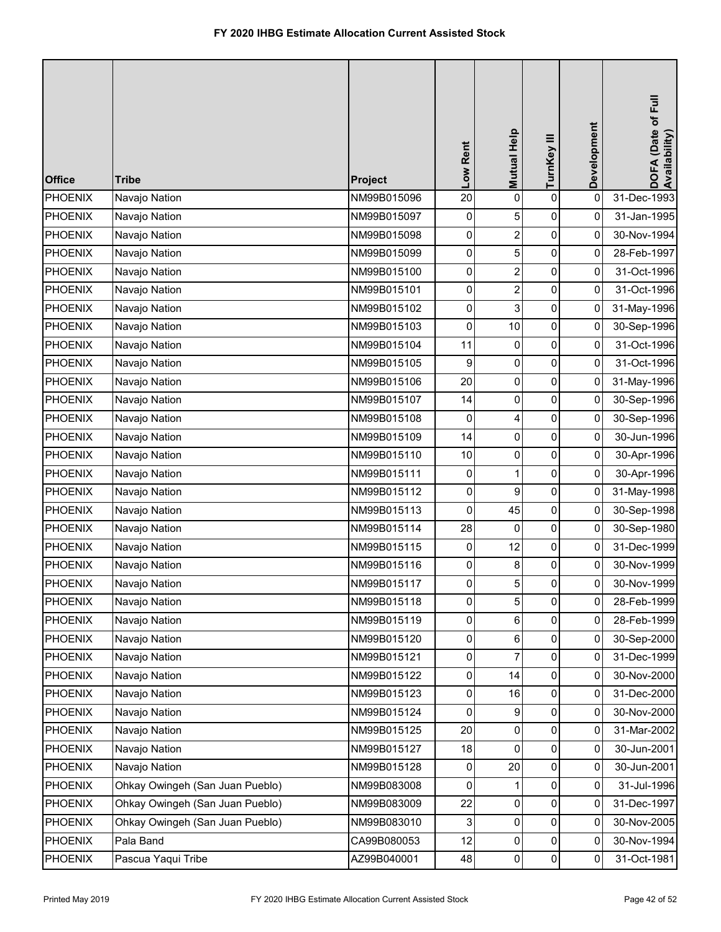| <b>Office</b>  | <b>Tribe</b>                    | Project     | Low Rent       | Mutual Help             | TurnKey III    | Development    | DOFA (Date of Full<br>Availability) |
|----------------|---------------------------------|-------------|----------------|-------------------------|----------------|----------------|-------------------------------------|
| <b>PHOENIX</b> | Navajo Nation                   | NM99B015096 | 20             | 0                       | 0              | 0              | 31-Dec-1993                         |
| <b>PHOENIX</b> | Navajo Nation                   | NM99B015097 | 0              | 5                       | 0              | 0              | 31-Jan-1995                         |
| <b>PHOENIX</b> | Navajo Nation                   | NM99B015098 | 0              | $\overline{2}$          | 0              | 0              | 30-Nov-1994                         |
| <b>PHOENIX</b> | Navajo Nation                   | NM99B015099 | $\pmb{0}$      | 5                       | $\pmb{0}$      | 0              | 28-Feb-1997                         |
| <b>PHOENIX</b> | Navajo Nation                   | NM99B015100 | 0              | $\overline{c}$          | 0              | $\overline{0}$ | 31-Oct-1996                         |
| <b>PHOENIX</b> | Navajo Nation                   | NM99B015101 | 0              | $\overline{\mathbf{c}}$ | 0              | 0              | 31-Oct-1996                         |
| <b>PHOENIX</b> | Navajo Nation                   | NM99B015102 | 0              | 3                       | 0              | 0              | 31-May-1996                         |
| <b>PHOENIX</b> | Navajo Nation                   | NM99B015103 | 0              | 10                      | 0              | $\overline{0}$ | 30-Sep-1996                         |
| <b>PHOENIX</b> | Navajo Nation                   | NM99B015104 | 11             | 0                       | $\pmb{0}$      | 0              | 31-Oct-1996                         |
| <b>PHOENIX</b> | Navajo Nation                   | NM99B015105 | 9              | 0                       | 0              | $\overline{0}$ | 31-Oct-1996                         |
| <b>PHOENIX</b> | Navajo Nation                   | NM99B015106 | 20             | 0                       | 0              | 0              | 31-May-1996                         |
| <b>PHOENIX</b> | Navajo Nation                   | NM99B015107 | 14             | 0                       | 0              | $\overline{0}$ | 30-Sep-1996                         |
| <b>PHOENIX</b> | Navajo Nation                   | NM99B015108 | 0              | 4                       | 0              | $\overline{0}$ | 30-Sep-1996                         |
| <b>PHOENIX</b> | Navajo Nation                   | NM99B015109 | 14             | 0                       | $\pmb{0}$      | $\pmb{0}$      | 30-Jun-1996                         |
| <b>PHOENIX</b> | Navajo Nation                   | NM99B015110 | $10$           | 0                       | 0              | $\overline{0}$ | 30-Apr-1996                         |
| <b>PHOENIX</b> | Navajo Nation                   | NM99B015111 | 0              | 1                       | 0              | 0              | 30-Apr-1996                         |
| <b>PHOENIX</b> | Navajo Nation                   | NM99B015112 | 0              | 9                       | 0              | $\overline{0}$ | 31-May-1998                         |
| <b>PHOENIX</b> | Navajo Nation                   | NM99B015113 | 0              | 45                      | 0              | $\overline{0}$ | 30-Sep-1998                         |
| <b>PHOENIX</b> | Navajo Nation                   | NM99B015114 | 28             | $\mathbf 0$             | 0              | 0              | 30-Sep-1980                         |
| <b>PHOENIX</b> | Navajo Nation                   | NM99B015115 | 0              | 12                      | 0              | $\overline{0}$ | 31-Dec-1999                         |
| <b>PHOENIX</b> | Navajo Nation                   | NM99B015116 | 0              | 8                       | 0              | 0              | 30-Nov-1999                         |
| PHOENIX        | Navajo Nation                   | NM99B015117 | $\overline{0}$ | 5                       | $\Omega$       | $\overline{0}$ | 30-Nov-1999                         |
| <b>PHOENIX</b> | Navajo Nation                   | NM99B015118 | 0              | 5                       | 0              | $\overline{0}$ | 28-Feb-1999                         |
| <b>PHOENIX</b> | Navajo Nation                   | NM99B015119 | 0              | 6                       | $\pmb{0}$      | 0              | 28-Feb-1999                         |
| <b>PHOENIX</b> | Navajo Nation                   | NM99B015120 | 0              | 6                       | 0              | 0              | 30-Sep-2000                         |
| <b>PHOENIX</b> | Navajo Nation                   | NM99B015121 | 0              | 7                       | 0              | $\overline{0}$ | 31-Dec-1999                         |
| <b>PHOENIX</b> | Navajo Nation                   | NM99B015122 | 0              | 14                      | 0              | $\overline{0}$ | 30-Nov-2000                         |
| <b>PHOENIX</b> | Navajo Nation                   | NM99B015123 | 0              | 16                      | $\mathbf 0$    | $\overline{0}$ | 31-Dec-2000                         |
| <b>PHOENIX</b> | Navajo Nation                   | NM99B015124 | 0              | 9                       | 0              | 0              | 30-Nov-2000                         |
| <b>PHOENIX</b> | Navajo Nation                   | NM99B015125 | 20             | 0                       | $\overline{0}$ | $\overline{0}$ | 31-Mar-2002                         |
| <b>PHOENIX</b> | Navajo Nation                   | NM99B015127 | 18             | 0                       | 0              | $\overline{0}$ | 30-Jun-2001                         |
| <b>PHOENIX</b> | Navajo Nation                   | NM99B015128 | 0              | 20                      | 0              | $\overline{0}$ | 30-Jun-2001                         |
| <b>PHOENIX</b> | Ohkay Owingeh (San Juan Pueblo) | NM99B083008 | 0              |                         | 0              | $\overline{0}$ | 31-Jul-1996                         |
| <b>PHOENIX</b> | Ohkay Owingeh (San Juan Pueblo) | NM99B083009 | 22             | 0                       | 0              | 0              | 31-Dec-1997                         |
| <b>PHOENIX</b> | Ohkay Owingeh (San Juan Pueblo) | NM99B083010 | 3              | 0                       | 0              | 0              | 30-Nov-2005                         |
| <b>PHOENIX</b> | Pala Band                       | CA99B080053 | 12             | 0                       | 0              | 0              | 30-Nov-1994                         |
| <b>PHOENIX</b> | Pascua Yaqui Tribe              | AZ99B040001 | 48             | 0                       | 0              | $\overline{0}$ | 31-Oct-1981                         |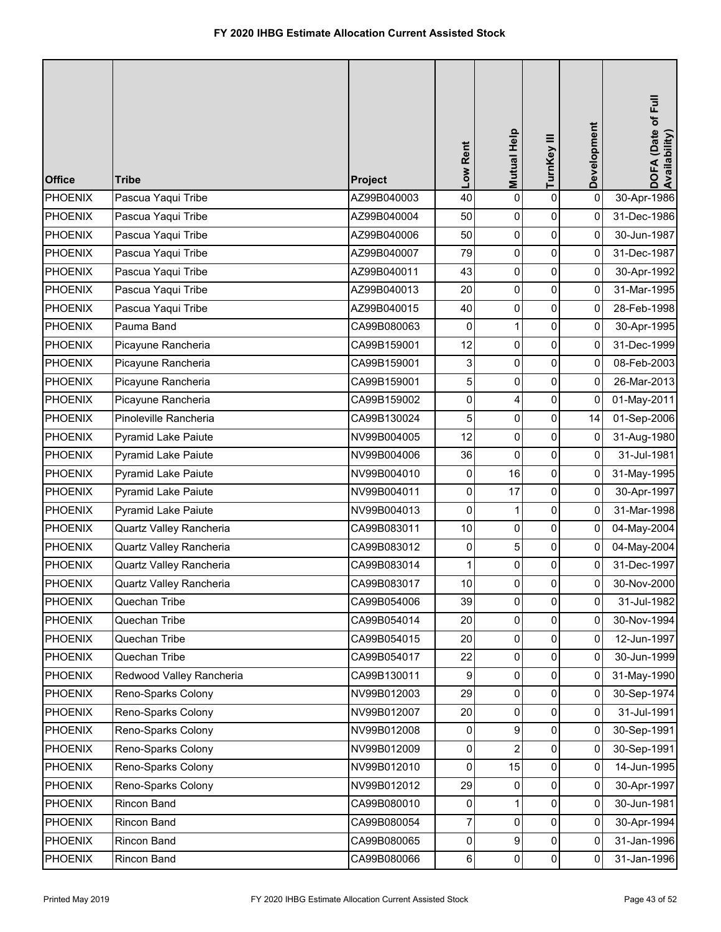| <b>Office</b>  | <b>Tribe</b>               | Project     | Low Rent | Mutual Help    | TurnKey III         | Development | DOFA (Date of Full<br>Availability) |
|----------------|----------------------------|-------------|----------|----------------|---------------------|-------------|-------------------------------------|
| <b>PHOENIX</b> | Pascua Yaqui Tribe         | AZ99B040003 | 40       | 0              | $\pmb{0}$           | $\pmb{0}$   | 30-Apr-1986                         |
| <b>PHOENIX</b> | Pascua Yaqui Tribe         | AZ99B040004 | 50       | 0              | $\pmb{0}$           | 0           | 31-Dec-1986                         |
| <b>PHOENIX</b> | Pascua Yaqui Tribe         | AZ99B040006 | 50       | 0              | $\pmb{0}$           | 0           | 30-Jun-1987                         |
| <b>PHOENIX</b> | Pascua Yaqui Tribe         | AZ99B040007 | 79       | 0              | $\pmb{0}$           | 0           | 31-Dec-1987                         |
| <b>PHOENIX</b> | Pascua Yaqui Tribe         | AZ99B040011 | 43       | 0              | 0                   | 0           | 30-Apr-1992                         |
| <b>PHOENIX</b> | Pascua Yaqui Tribe         | AZ99B040013 | 20       | 0              | $\pmb{0}$           | 0           | 31-Mar-1995                         |
| <b>PHOENIX</b> | Pascua Yaqui Tribe         | AZ99B040015 | 40       | 0              | $\pmb{0}$           | 0           | 28-Feb-1998                         |
| <b>PHOENIX</b> | Pauma Band                 | CA99B080063 | 0        | 1              | $\pmb{0}$           | 0           | 30-Apr-1995                         |
| <b>PHOENIX</b> | Picayune Rancheria         | CA99B159001 | 12       | 0              | $\pmb{0}$           | 0           | 31-Dec-1999                         |
| <b>PHOENIX</b> | Picayune Rancheria         | CA99B159001 | 3        | 0              | 0                   | 0           | 08-Feb-2003                         |
| <b>PHOENIX</b> | Picayune Rancheria         | CA99B159001 | 5        | 0              | $\pmb{0}$           | 0           | 26-Mar-2013                         |
| <b>PHOENIX</b> | Picayune Rancheria         | CA99B159002 | 0        | 4              | $\pmb{0}$           | 0           | 01-May-2011                         |
| <b>PHOENIX</b> | Pinoleville Rancheria      | CA99B130024 | 5        | 0              | $\mathsf{O}\xspace$ | 14          | 01-Sep-2006                         |
| <b>PHOENIX</b> | Pyramid Lake Paiute        | NV99B004005 | 12       | 0              | $\pmb{0}$           | 0           | 31-Aug-1980                         |
| <b>PHOENIX</b> | <b>Pyramid Lake Paiute</b> | NV99B004006 | 36       | 0              | $\pmb{0}$           | 0           | 31-Jul-1981                         |
| <b>PHOENIX</b> | Pyramid Lake Paiute        | NV99B004010 | 0        | 16             | $\pmb{0}$           | 0           | 31-May-1995                         |
| <b>PHOENIX</b> | <b>Pyramid Lake Paiute</b> | NV99B004011 | 0        | 17             | $\pmb{0}$           | 0           | 30-Apr-1997                         |
| <b>PHOENIX</b> | Pyramid Lake Paiute        | NV99B004013 | 0        | 1              | $\pmb{0}$           | 0           | 31-Mar-1998                         |
| <b>PHOENIX</b> | Quartz Valley Rancheria    | CA99B083011 | 10       | 0              | $\pmb{0}$           | 0           | 04-May-2004                         |
| <b>PHOENIX</b> | Quartz Valley Rancheria    | CA99B083012 | 0        | 5              | 0                   | 0           | 04-May-2004                         |
| <b>PHOENIX</b> | Quartz Valley Rancheria    | CA99B083014 | 1        | 0              | 0                   | 0           | 31-Dec-1997                         |
| PHOENIX        | Quartz Valley Rancheria    | CA99B083017 | 10       | $\overline{0}$ | $\mathbf{0}$        | 0           | 30-Nov-2000                         |
| <b>PHOENIX</b> | Quechan Tribe              | CA99B054006 | 39       | 0              | $\mathsf{O}$        | 0           | 31-Jul-1982                         |
| <b>PHOENIX</b> | Quechan Tribe              | CA99B054014 | 20       | $\mathbf 0$    | $\pmb{0}$           | 0           | 30-Nov-1994                         |
| <b>PHOENIX</b> | Quechan Tribe              | CA99B054015 | 20       | 0              | 0                   | 0           | 12-Jun-1997                         |
| <b>PHOENIX</b> | Quechan Tribe              | CA99B054017 | 22       | 0              | 0                   | 0           | 30-Jun-1999                         |
| <b>PHOENIX</b> | Redwood Valley Rancheria   | CA99B130011 | 9        | 0              | 0                   | 0           | 31-May-1990                         |
| <b>PHOENIX</b> | Reno-Sparks Colony         | NV99B012003 | 29       | 0              | $\mathbf 0$         | 0           | 30-Sep-1974                         |
| <b>PHOENIX</b> | Reno-Sparks Colony         | NV99B012007 | 20       | 0              | $\mathbf 0$         | $\mathbf 0$ | 31-Jul-1991                         |
| <b>PHOENIX</b> | Reno-Sparks Colony         | NV99B012008 | 0        | 9              | 0                   | 0           | 30-Sep-1991                         |
| <b>PHOENIX</b> | Reno-Sparks Colony         | NV99B012009 | 0        | $\overline{2}$ | 0                   | 0           | 30-Sep-1991                         |
| <b>PHOENIX</b> | Reno-Sparks Colony         | NV99B012010 | 0        | 15             | 0                   | 0           | 14-Jun-1995                         |
| <b>PHOENIX</b> | Reno-Sparks Colony         | NV99B012012 | 29       | 0              | 0                   | 0           | 30-Apr-1997                         |
| <b>PHOENIX</b> | Rincon Band                | CA99B080010 | 0        | 1              | $\pmb{0}$           | 0           | 30-Jun-1981                         |
| <b>PHOENIX</b> | Rincon Band                | CA99B080054 | 7        | 0              | 0                   | 0           | 30-Apr-1994                         |
| <b>PHOENIX</b> | Rincon Band                | CA99B080065 | 0        | 9              | $\pmb{0}$           | 0           | 31-Jan-1996                         |
| <b>PHOENIX</b> | Rincon Band                | CA99B080066 | $6 \mid$ | 0              | $\pmb{0}$           | 0           | 31-Jan-1996                         |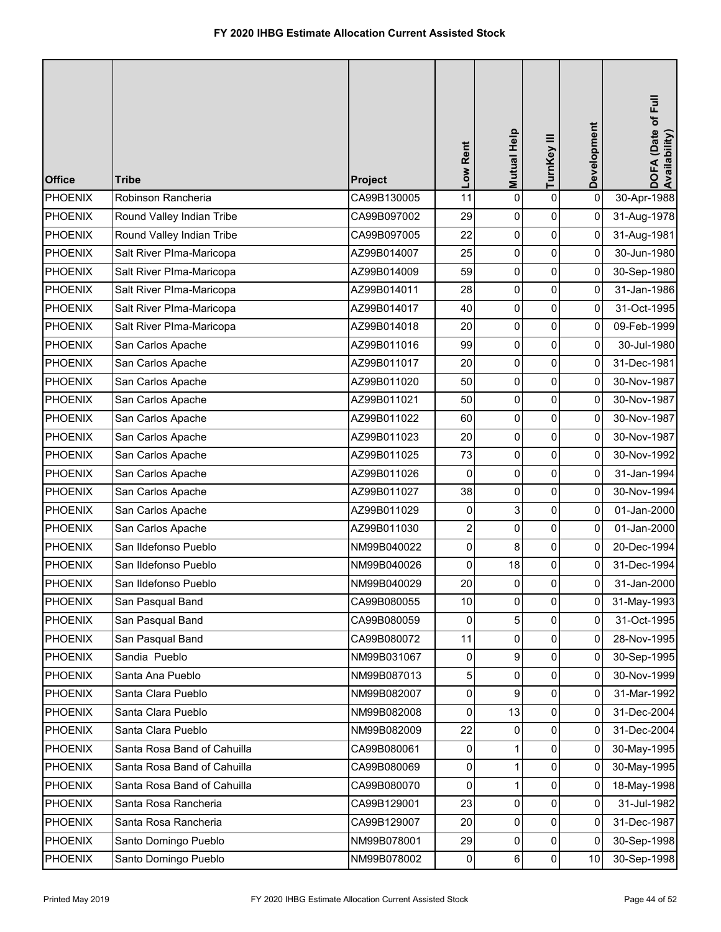| <b>Office</b>  | <b>Tribe</b>                | Project     | Low Rent                | Mutual Help | TurnKey III | Development    | DOFA (Date of Full<br>Availability) |
|----------------|-----------------------------|-------------|-------------------------|-------------|-------------|----------------|-------------------------------------|
| <b>PHOENIX</b> | Robinson Rancheria          | CA99B130005 | 11                      | 0           | $\mathsf 0$ | $\pmb{0}$      | 30-Apr-1988                         |
| <b>PHOENIX</b> | Round Valley Indian Tribe   | CA99B097002 | 29                      | 0           | 0           | 0              | 31-Aug-1978                         |
| <b>PHOENIX</b> | Round Valley Indian Tribe   | CA99B097005 | 22                      | 0           | 0           | $\pmb{0}$      | 31-Aug-1981                         |
| <b>PHOENIX</b> | Salt River Plma-Maricopa    | AZ99B014007 | 25                      | 0           | $\mathbf 0$ | 0              | 30-Jun-1980                         |
| <b>PHOENIX</b> | Salt River Plma-Maricopa    | AZ99B014009 | 59                      | 0           | 0           | 0              | 30-Sep-1980                         |
| <b>PHOENIX</b> | Salt River Plma-Maricopa    | AZ99B014011 | 28                      | 0           | 0           | 0              | 31-Jan-1986                         |
| <b>PHOENIX</b> | Salt River Plma-Maricopa    | AZ99B014017 | 40                      | 0           | 0           | 0              | 31-Oct-1995                         |
| <b>PHOENIX</b> | Salt River Plma-Maricopa    | AZ99B014018 | 20                      | 0           | 0           | 0              | 09-Feb-1999                         |
| <b>PHOENIX</b> | San Carlos Apache           | AZ99B011016 | 99                      | 0           | 0           | 0              | 30-Jul-1980                         |
| <b>PHOENIX</b> | San Carlos Apache           | AZ99B011017 | 20                      | 0           | 0           | 0              | 31-Dec-1981                         |
| <b>PHOENIX</b> | San Carlos Apache           | AZ99B011020 | 50                      | 0           | 0           | 0              | 30-Nov-1987                         |
| <b>PHOENIX</b> | San Carlos Apache           | AZ99B011021 | 50                      | 0           | $\pmb{0}$   | 0              | 30-Nov-1987                         |
| <b>PHOENIX</b> | San Carlos Apache           | AZ99B011022 | 60                      | 0           | 0           | 0              | 30-Nov-1987                         |
| PHOENIX        | San Carlos Apache           | AZ99B011023 | 20                      | 0           | 0           | 0              | 30-Nov-1987                         |
| <b>PHOENIX</b> | San Carlos Apache           | AZ99B011025 | 73                      | 0           | 0           | 0              | 30-Nov-1992                         |
| <b>PHOENIX</b> | San Carlos Apache           | AZ99B011026 | 0                       | 0           | 0           | 0              | 31-Jan-1994                         |
| <b>PHOENIX</b> | San Carlos Apache           | AZ99B011027 | 38                      | 0           | $\pmb{0}$   | 0              | 30-Nov-1994                         |
| <b>PHOENIX</b> | San Carlos Apache           | AZ99B011029 | 0                       | 3           | 0           | 0              | 01-Jan-2000                         |
| <b>PHOENIX</b> | San Carlos Apache           | AZ99B011030 | $\overline{\mathbf{c}}$ | 0           | 0           | 0              | 01-Jan-2000                         |
| <b>PHOENIX</b> | San Ildefonso Pueblo        | NM99B040022 | 0                       | 8           | 0           | 0              | 20-Dec-1994                         |
| <b>PHOENIX</b> | San Ildefonso Pueblo        | NM99B040026 | 0                       | 18          | 0           | 0              | 31-Dec-1994                         |
| PHOENIX        | San Ildefonso Pueblo        | NM99B040029 | 20                      | 0           | 0           | $\overline{0}$ | 31-Jan-2000                         |
| <b>PHOENIX</b> | San Pasqual Band            | CA99B080055 | 10                      | 0           | 0           | 0              | 31-May-1993                         |
| <b>PHOENIX</b> | San Pasqual Band            | CA99B080059 | 0                       | 5           | 0           | 0              | 31-Oct-1995                         |
| <b>PHOENIX</b> | San Pasqual Band            | CA99B080072 | 11                      | 0           | 0           | 0              | 28-Nov-1995                         |
| <b>PHOENIX</b> | Sandia Pueblo               | NM99B031067 | 0                       | 9           | 0           | 0              | 30-Sep-1995                         |
| <b>PHOENIX</b> | Santa Ana Pueblo            | NM99B087013 | 5                       | 0           | 0           | 0              | 30-Nov-1999                         |
| <b>PHOENIX</b> | Santa Clara Pueblo          | NM99B082007 | 0                       | 9           | 0           | $\mathbf{0}$   | 31-Mar-1992                         |
| <b>PHOENIX</b> | Santa Clara Pueblo          | NM99B082008 | $\pmb{0}$               | 13          | $\pmb{0}$   | $\overline{0}$ | 31-Dec-2004                         |
| <b>PHOENIX</b> | Santa Clara Pueblo          | NM99B082009 | 22                      | 0           | 0           | 0              | 31-Dec-2004                         |
| <b>PHOENIX</b> | Santa Rosa Band of Cahuilla | CA99B080061 | 0                       | 1           | 0           | 0              | 30-May-1995                         |
| <b>PHOENIX</b> | Santa Rosa Band of Cahuilla | CA99B080069 | 0                       | 1           | 0           | 0              | 30-May-1995                         |
| PHOENIX        | Santa Rosa Band of Cahuilla | CA99B080070 | $\overline{0}$          |             | 0           | 0              | 18-May-1998                         |
| <b>PHOENIX</b> | Santa Rosa Rancheria        | CA99B129001 | 23                      | 0           | 0           | $\overline{0}$ | 31-Jul-1982                         |
| <b>PHOENIX</b> | Santa Rosa Rancheria        | CA99B129007 | 20                      | 0           | 0           | 0              | 31-Dec-1987                         |
| <b>PHOENIX</b> | Santo Domingo Pueblo        | NM99B078001 | 29                      | 0           | 0           | 0              | 30-Sep-1998                         |
| <b>PHOENIX</b> | Santo Domingo Pueblo        | NM99B078002 | $\pmb{0}$               | 6           | 0           | 10             | 30-Sep-1998                         |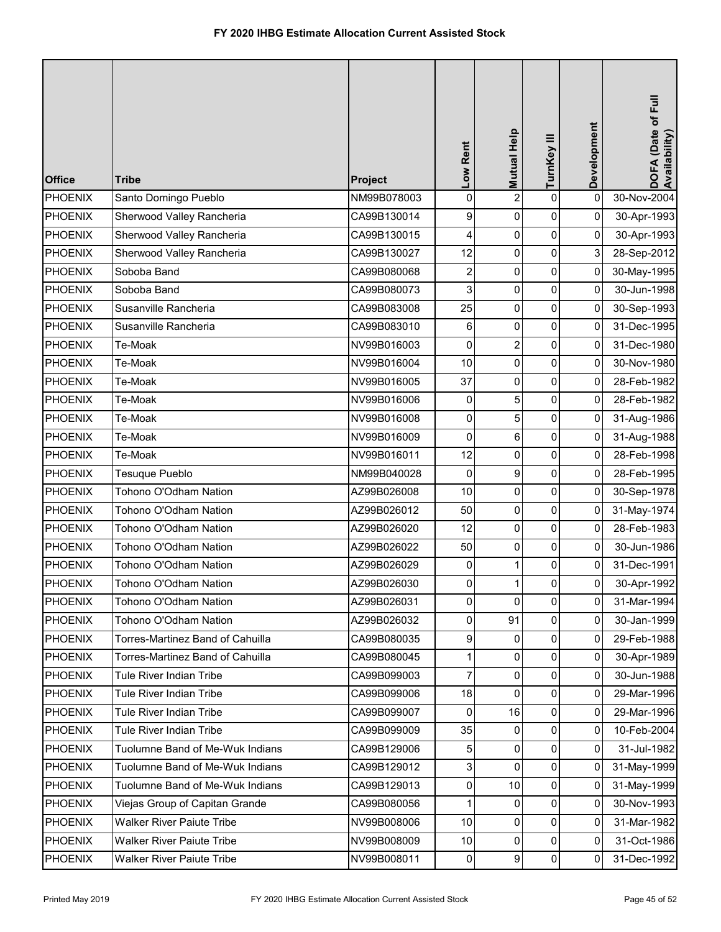| <b>Office</b>  | <b>Tribe</b>                     | Project     | Low Rent       | Mutual Help    | TurnKey III    | Development    | DOFA (Date of Full<br>Availability) |
|----------------|----------------------------------|-------------|----------------|----------------|----------------|----------------|-------------------------------------|
| <b>PHOENIX</b> | Santo Domingo Pueblo             | NM99B078003 | $\pmb{0}$      | $\overline{c}$ | $\mathsf 0$    | $\pmb{0}$      | 30-Nov-2004                         |
| <b>PHOENIX</b> | Sherwood Valley Rancheria        | CA99B130014 | 9              | 0              | 0              | 0              | 30-Apr-1993                         |
| <b>PHOENIX</b> | Sherwood Valley Rancheria        | CA99B130015 | 4              | 0              | $\pmb{0}$      | $\pmb{0}$      | 30-Apr-1993                         |
| <b>PHOENIX</b> | Sherwood Valley Rancheria        | CA99B130027 | 12             | 0              | 0              | 3              | 28-Sep-2012                         |
| <b>PHOENIX</b> | Soboba Band                      | CA99B080068 | $\overline{c}$ | 0              | 0              | $\overline{0}$ | 30-May-1995                         |
| <b>PHOENIX</b> | Soboba Band                      | CA99B080073 | 3              | 0              | 0              | 0              | 30-Jun-1998                         |
| <b>PHOENIX</b> | Susanville Rancheria             | CA99B083008 | 25             | 0              | 0              | 0              | 30-Sep-1993                         |
| <b>PHOENIX</b> | Susanville Rancheria             | CA99B083010 | 6              | 0              | 0              | 0              | 31-Dec-1995                         |
| <b>PHOENIX</b> | Te-Moak                          | NV99B016003 | 0              | $\overline{2}$ | 0              | 0              | 31-Dec-1980                         |
| <b>PHOENIX</b> | Te-Moak                          | NV99B016004 | 10             | 0              | 0              | 0              | 30-Nov-1980                         |
| <b>PHOENIX</b> | Te-Moak                          | NV99B016005 | 37             | 0              | 0              | 0              | 28-Feb-1982                         |
| <b>PHOENIX</b> | Te-Moak                          | NV99B016006 | 0              | 5              | $\pmb{0}$      | 0              | 28-Feb-1982                         |
| <b>PHOENIX</b> | Te-Moak                          | NV99B016008 | 0              | 5              | 0              | 0              | 31-Aug-1986                         |
| <b>PHOENIX</b> | Te-Moak                          | NV99B016009 | 0              | 6              | 0              | $\overline{0}$ | 31-Aug-1988                         |
| <b>PHOENIX</b> | Te-Moak                          | NV99B016011 | 12             | 0              | 0              | 0              | 28-Feb-1998                         |
| <b>PHOENIX</b> | Tesuque Pueblo                   | NM99B040028 | 0              | 9              | 0              | 0              | 28-Feb-1995                         |
| <b>PHOENIX</b> | Tohono O'Odham Nation            | AZ99B026008 | 10             | 0              | $\pmb{0}$      | 0              | 30-Sep-1978                         |
| <b>PHOENIX</b> | Tohono O'Odham Nation            | AZ99B026012 | 50             | 0              | 0              | 0              | 31-May-1974                         |
| <b>PHOENIX</b> | Tohono O'Odham Nation            | AZ99B026020 | 12             | 0              | 0              | 0              | 28-Feb-1983                         |
| <b>PHOENIX</b> | Tohono O'Odham Nation            | AZ99B026022 | 50             | 0              | 0              | 0              | 30-Jun-1986                         |
| <b>PHOENIX</b> | Tohono O'Odham Nation            | AZ99B026029 | 0              | 1              | 0              | 0              | 31-Dec-1991                         |
| PHOENIX        | Tohono O'Odham Nation            | AZ99B026030 | $\mathbf 0$    | 1              | 0              | $\overline{0}$ | 30-Apr-1992                         |
| <b>PHOENIX</b> | Tohono O'Odham Nation            | AZ99B026031 | $\overline{0}$ | 0              | $\mathbf 0$    | 0              | 31-Mar-1994                         |
| <b>PHOENIX</b> | Tohono O'Odham Nation            | AZ99B026032 | 0              | 91             | $\mathbf 0$    | $\overline{0}$ | 30-Jan-1999                         |
| <b>PHOENIX</b> | Torres-Martinez Band of Cahuilla | CA99B080035 | 9              | 0              | 0              | 0              | 29-Feb-1988                         |
| <b>PHOENIX</b> | Torres-Martinez Band of Cahuilla | CA99B080045 | 1              | 0              | 0              | 0              | 30-Apr-1989                         |
| <b>PHOENIX</b> | Tule River Indian Tribe          | CA99B099003 | 7              | 0              | 0              | 0              | 30-Jun-1988                         |
| <b>PHOENIX</b> | Tule River Indian Tribe          | CA99B099006 | 18             | 0              | 0              | $\mathbf{0}$   | 29-Mar-1996                         |
| <b>PHOENIX</b> | Tule River Indian Tribe          | CA99B099007 | $\mathbf 0$    | 16             | $\overline{0}$ | $\overline{0}$ | 29-Mar-1996                         |
| <b>PHOENIX</b> | Tule River Indian Tribe          | CA99B099009 | 35             | 0              | 0              | $\overline{0}$ | 10-Feb-2004                         |
| <b>PHOENIX</b> | Tuolumne Band of Me-Wuk Indians  | CA99B129006 | 5              | 0              | $\overline{0}$ | 0              | 31-Jul-1982                         |
| <b>PHOENIX</b> | Tuolumne Band of Me-Wuk Indians  | CA99B129012 | 3              | 0              | 0              | 0              | 31-May-1999                         |
| PHOENIX        | Tuolumne Band of Me-Wuk Indians  | CA99B129013 | 0              | 10             | 0              | 0              | 31-May-1999                         |
| <b>PHOENIX</b> | Viejas Group of Capitan Grande   | CA99B080056 | 1              | 0              | $\mathbf 0$    | $\overline{0}$ | 30-Nov-1993                         |
| <b>PHOENIX</b> | <b>Walker River Paiute Tribe</b> | NV99B008006 | 10             | 0              | 0              | 0              | 31-Mar-1982                         |
| <b>PHOENIX</b> | Walker River Paiute Tribe        | NV99B008009 | $10$           | 0              | $\overline{0}$ | $\mathbf 0$    | 31-Oct-1986                         |
| <b>PHOENIX</b> | <b>Walker River Paiute Tribe</b> | NV99B008011 | $\pmb{0}$      | 9              | $\overline{0}$ | $\overline{0}$ | 31-Dec-1992                         |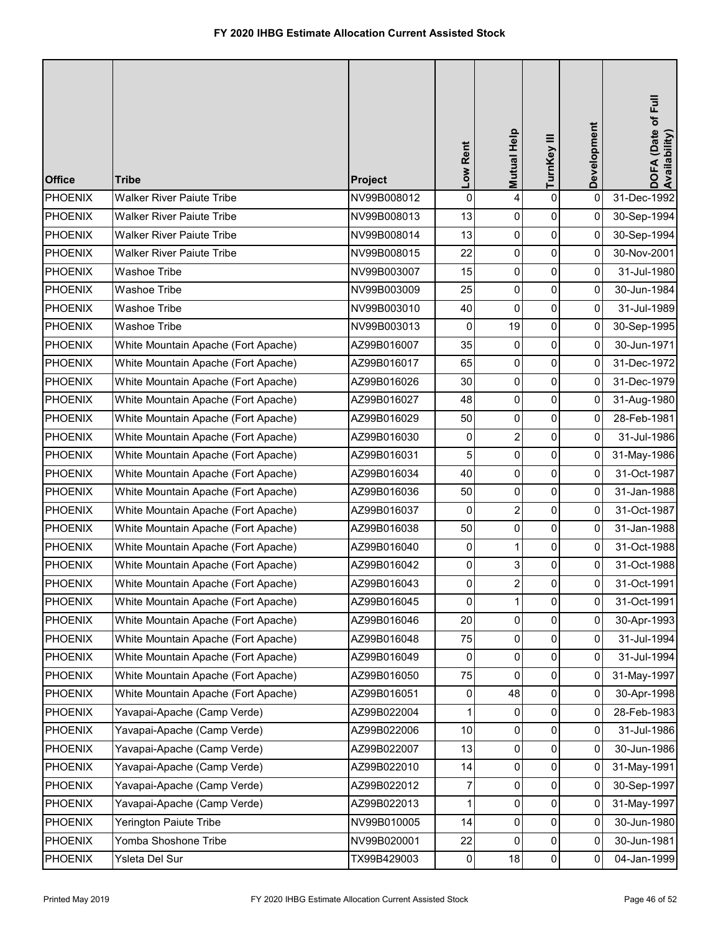| <b>Office</b>  | <b>Tribe</b>                        | Project     | Low Rent    | Mutual Help    | TurnKey III | Development | DOFA (Date of Full<br>Availability) |
|----------------|-------------------------------------|-------------|-------------|----------------|-------------|-------------|-------------------------------------|
| <b>PHOENIX</b> | <b>Walker River Paiute Tribe</b>    | NV99B008012 | 0           | 4              | $\mathsf 0$ | $\pmb{0}$   | 31-Dec-1992                         |
| <b>PHOENIX</b> | <b>Walker River Paiute Tribe</b>    | NV99B008013 | 13          | 0              | 0           | 0           | 30-Sep-1994                         |
| <b>PHOENIX</b> | <b>Walker River Paiute Tribe</b>    | NV99B008014 | 13          | 0              | $\pmb{0}$   | 0           | 30-Sep-1994                         |
| <b>PHOENIX</b> | <b>Walker River Paiute Tribe</b>    | NV99B008015 | 22          | 0              | $\pmb{0}$   | $\mathbf 0$ | 30-Nov-2001                         |
| <b>PHOENIX</b> | Washoe Tribe                        | NV99B003007 | 15          | 0              | 0           | 0           | 31-Jul-1980                         |
| <b>PHOENIX</b> | Washoe Tribe                        | NV99B003009 | 25          | 0              | $\pmb{0}$   | 0           | 30-Jun-1984                         |
| <b>PHOENIX</b> | <b>Washoe Tribe</b>                 | NV99B003010 | 40          | 0              | $\pmb{0}$   | 0           | 31-Jul-1989                         |
| <b>PHOENIX</b> | Washoe Tribe                        | NV99B003013 | 0           | 19             | $\pmb{0}$   | 0           | 30-Sep-1995                         |
| <b>PHOENIX</b> | White Mountain Apache (Fort Apache) | AZ99B016007 | 35          | 0              | $\pmb{0}$   | 0           | 30-Jun-1971                         |
| <b>PHOENIX</b> | White Mountain Apache (Fort Apache) | AZ99B016017 | 65          | 0              | 0           | 0           | 31-Dec-1972                         |
| <b>PHOENIX</b> | White Mountain Apache (Fort Apache) | AZ99B016026 | 30          | 0              | $\pmb{0}$   | 0           | 31-Dec-1979                         |
| <b>PHOENIX</b> | White Mountain Apache (Fort Apache) | AZ99B016027 | 48          | 0              | $\pmb{0}$   | 0           | 31-Aug-1980                         |
| <b>PHOENIX</b> | White Mountain Apache (Fort Apache) | AZ99B016029 | 50          | 0              | $\pmb{0}$   | 0           | 28-Feb-1981                         |
| <b>PHOENIX</b> | White Mountain Apache (Fort Apache) | AZ99B016030 | 0           | $\overline{2}$ | $\pmb{0}$   | 0           | 31-Jul-1986                         |
| <b>PHOENIX</b> | White Mountain Apache (Fort Apache) | AZ99B016031 | 5           | 0              | 0           | 0           | 31-May-1986                         |
| <b>PHOENIX</b> | White Mountain Apache (Fort Apache) | AZ99B016034 | 40          | 0              | $\pmb{0}$   | 0           | 31-Oct-1987                         |
| <b>PHOENIX</b> | White Mountain Apache (Fort Apache) | AZ99B016036 | 50          | 0              | $\pmb{0}$   | 0           | 31-Jan-1988                         |
| <b>PHOENIX</b> | White Mountain Apache (Fort Apache) | AZ99B016037 | 0           | $\overline{2}$ | $\pmb{0}$   | 0           | 31-Oct-1987                         |
| <b>PHOENIX</b> | White Mountain Apache (Fort Apache) | AZ99B016038 | 50          | 0              | $\pmb{0}$   | 0           | 31-Jan-1988                         |
| <b>PHOENIX</b> | White Mountain Apache (Fort Apache) | AZ99B016040 | 0           | 1              | 0           | 0           | 31-Oct-1988                         |
| <b>PHOENIX</b> | White Mountain Apache (Fort Apache) | AZ99B016042 | 0           | 3              | 0           | 0           | 31-Oct-1988                         |
| PHOENIX        | White Mountain Apache (Fort Apache) | AZ99B016043 | $\mathbf 0$ | $\overline{2}$ | 0           | 0           | 31-Oct-1991                         |
| <b>PHOENIX</b> | White Mountain Apache (Fort Apache) | AZ99B016045 | 0           | 1              | $\mathbf 0$ | 0           | 31-Oct-1991                         |
| <b>PHOENIX</b> | White Mountain Apache (Fort Apache) | AZ99B016046 | 20          | $\overline{0}$ | $\pmb{0}$   | $\mathbf 0$ | 30-Apr-1993                         |
| <b>PHOENIX</b> | White Mountain Apache (Fort Apache) | AZ99B016048 | 75          | 0              | 0           | 0           | 31-Jul-1994                         |
| <b>PHOENIX</b> | White Mountain Apache (Fort Apache) | AZ99B016049 | 0           | 0              | 0           | 0           | 31-Jul-1994                         |
| <b>PHOENIX</b> | White Mountain Apache (Fort Apache) | AZ99B016050 | 75          | 0              | 0           | 0           | 31-May-1997                         |
| <b>PHOENIX</b> | White Mountain Apache (Fort Apache) | AZ99B016051 | 0           | 48             | 0           | 0           | 30-Apr-1998                         |
| <b>PHOENIX</b> | Yavapai-Apache (Camp Verde)         | AZ99B022004 | 1           | $\mathbf{0}$   | $\pmb{0}$   | 0           | 28-Feb-1983                         |
| <b>PHOENIX</b> | Yavapai-Apache (Camp Verde)         | AZ99B022006 | 10          | 0              | 0           | 0           | 31-Jul-1986                         |
| <b>PHOENIX</b> | Yavapai-Apache (Camp Verde)         | AZ99B022007 | 13          | 0              | 0           | 0           | 30-Jun-1986                         |
| <b>PHOENIX</b> | Yavapai-Apache (Camp Verde)         | AZ99B022010 | 14          | 0              | 0           | 0           | 31-May-1991                         |
| <b>PHOENIX</b> | Yavapai-Apache (Camp Verde)         | AZ99B022012 | 7           | 0              | 0           | 0           | 30-Sep-1997                         |
| <b>PHOENIX</b> | Yavapai-Apache (Camp Verde)         | AZ99B022013 | 1           | 0              | $\pmb{0}$   | 0           | 31-May-1997                         |
| <b>PHOENIX</b> | Yerington Paiute Tribe              | NV99B010005 | 14          | 0              | 0           | 0           | 30-Jun-1980                         |
| <b>PHOENIX</b> | Yomba Shoshone Tribe                | NV99B020001 | 22          | 0              | $\pmb{0}$   | 0           | 30-Jun-1981                         |
| <b>PHOENIX</b> | Ysleta Del Sur                      | TX99B429003 | 0           | 18             | $\pmb{0}$   | 0           | 04-Jan-1999                         |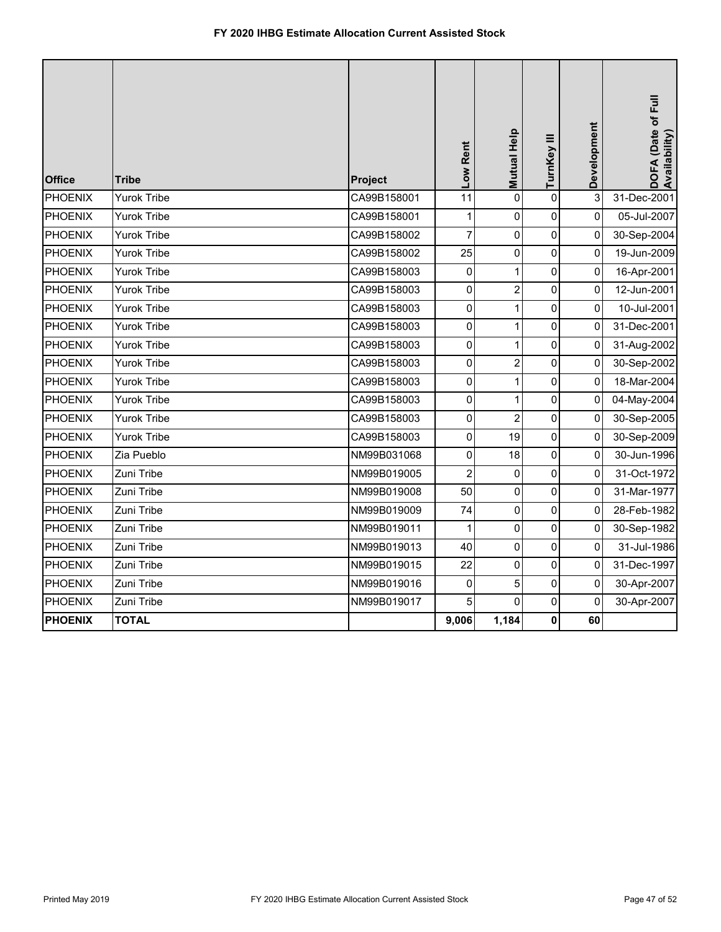| <b>Office</b>  | <b>Tribe</b>       | Project     | Low Rent         | Mutual Help    | TurnKey III | Development | DOFA (Date of Full<br>Availability) |
|----------------|--------------------|-------------|------------------|----------------|-------------|-------------|-------------------------------------|
| PHOENIX        | <b>Yurok Tribe</b> | CA99B158001 | 11               | 0              | $\mathsf 0$ | 3           | 31-Dec-2001                         |
| <b>PHOENIX</b> | <b>Yurok Tribe</b> | CA99B158001 | $\mathbf{1}$     | 0              | $\mathbf 0$ | $\mathbf 0$ | 05-Jul-2007                         |
| PHOENIX        | <b>Yurok Tribe</b> | CA99B158002 | $\overline{7}$   | 0              | $\pmb{0}$   | 0           | 30-Sep-2004                         |
| PHOENIX        | <b>Yurok Tribe</b> | CA99B158002 | 25               | 0              | $\pmb{0}$   | 0           | 19-Jun-2009                         |
| PHOENIX        | <b>Yurok Tribe</b> | CA99B158003 | 0                | $\mathbf{1}$   | 0           | 0           | 16-Apr-2001                         |
| <b>PHOENIX</b> | Yurok Tribe        | CA99B158003 | 0                | $\overline{c}$ | $\mathbf 0$ | 0           | 12-Jun-2001                         |
| PHOENIX        | <b>Yurok Tribe</b> | CA99B158003 | $\mathbf 0$      | $\mathbf{1}$   | $\pmb{0}$   | $\mathbf 0$ | 10-Jul-2001                         |
| <b>PHOENIX</b> | <b>Yurok Tribe</b> | CA99B158003 | 0                | 1              | $\mathbf 0$ | 0           | 31-Dec-2001                         |
| PHOENIX        | <b>Yurok Tribe</b> | CA99B158003 | 0                | $\mathbf{1}$   | $\mathbf 0$ | 0           | 31-Aug-2002                         |
| <b>PHOENIX</b> | <b>Yurok Tribe</b> | CA99B158003 | 0                | $\overline{c}$ | $\mathsf 0$ | 0           | 30-Sep-2002                         |
| PHOENIX        | <b>Yurok Tribe</b> | CA99B158003 | 0                | $\mathbf{1}$   | $\pmb{0}$   | 0           | 18-Mar-2004                         |
| PHOENIX        | <b>Yurok Tribe</b> | CA99B158003 | 0                | $\mathbf{1}$   | $\pmb{0}$   | $\pmb{0}$   | 04-May-2004                         |
| <b>PHOENIX</b> | Yurok Tribe        | CA99B158003 | $\pmb{0}$        | $\overline{2}$ | $\mathbf 0$ | $\pmb{0}$   | 30-Sep-2005                         |
| PHOENIX        | <b>Yurok Tribe</b> | CA99B158003 | 0                | 19             | $\pmb{0}$   | 0           | 30-Sep-2009                         |
| <b>PHOENIX</b> | Zia Pueblo         | NM99B031068 | 0                | 18             | 0           | 0           | 30-Jun-1996                         |
| PHOENIX        | Zuni Tribe         | NM99B019005 | $\boldsymbol{2}$ | 0              | $\pmb{0}$   | 0           | 31-Oct-1972                         |
| PHOENIX        | Zuni Tribe         | NM99B019008 | 50               | 0              | $\pmb{0}$   | 0           | 31-Mar-1977                         |
| <b>PHOENIX</b> | Zuni Tribe         | NM99B019009 | 74               | 0              | $\mathbf 0$ | 0           | 28-Feb-1982                         |
| PHOENIX        | Zuni Tribe         | NM99B019011 | 1                | 0              | $\mathsf 0$ | 0           | 30-Sep-1982                         |
| <b>PHOENIX</b> | Zuni Tribe         | NM99B019013 | 40               | 0              | $\pmb{0}$   | $\mathbf 0$ | 31-Jul-1986                         |
| <b>PHOENIX</b> | Zuni Tribe         | NM99B019015 | 22               | 0              | 0           | 0           | 31-Dec-1997                         |
| <b>PHOENIX</b> | Zuni Tribe         | NM99B019016 | 0                | 5              | $\pmb{0}$   | 0           | 30-Apr-2007                         |
| <b>PHOENIX</b> | Zuni Tribe         | NM99B019017 | 5                | 0              | 0           | 0           | 30-Apr-2007                         |
| <b>PHOENIX</b> | <b>TOTAL</b>       |             | 9,006            | 1,184          | $\pmb{0}$   | 60          |                                     |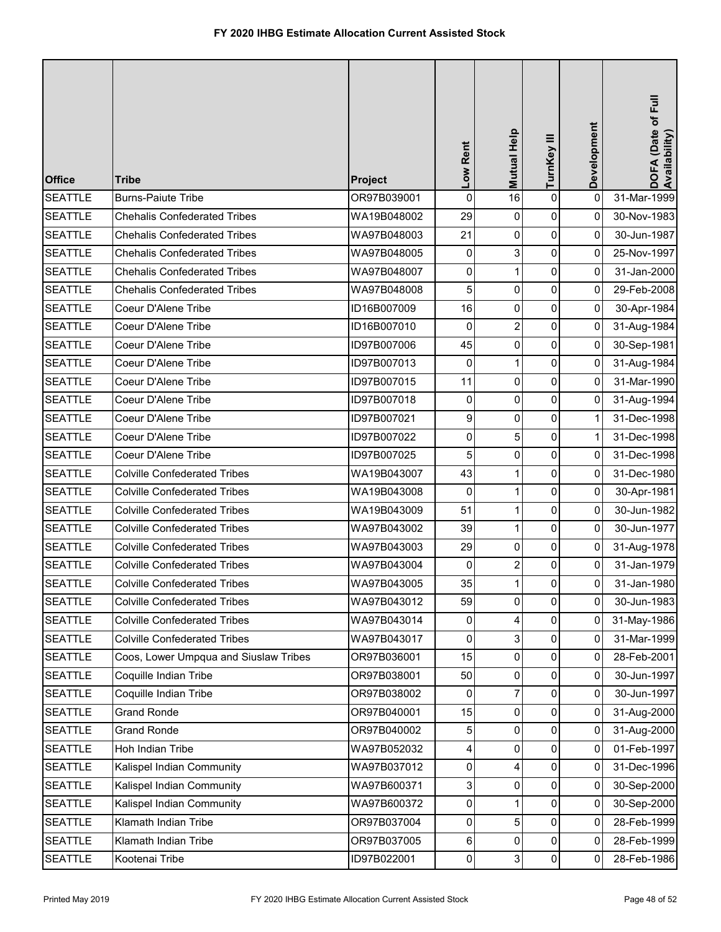| <b>Office</b>  | <b>Tribe</b>                          | Project     | Low Rent            | Mutual Help    | TurnKey III    | Development    | DOFA (Date of Full<br>Availability) |
|----------------|---------------------------------------|-------------|---------------------|----------------|----------------|----------------|-------------------------------------|
| <b>SEATTLE</b> | <b>Burns-Paiute Tribe</b>             | OR97B039001 | 0                   | 16             | $\mathsf 0$    | $\pmb{0}$      | 31-Mar-1999                         |
| <b>SEATTLE</b> | <b>Chehalis Confederated Tribes</b>   | WA19B048002 | 29                  | 0              | $\pmb{0}$      | 0              | 30-Nov-1983                         |
| <b>SEATTLE</b> | <b>Chehalis Confederated Tribes</b>   | WA97B048003 | 21                  | 0              | $\pmb{0}$      | 0              | 30-Jun-1987                         |
| <b>SEATTLE</b> | <b>Chehalis Confederated Tribes</b>   | WA97B048005 | $\pmb{0}$           | 3              | $\pmb{0}$      | $\mathbf 0$    | 25-Nov-1997                         |
| <b>SEATTLE</b> | <b>Chehalis Confederated Tribes</b>   | WA97B048007 | 0                   | 1              | 0              | 0              | 31-Jan-2000                         |
| <b>SEATTLE</b> | <b>Chehalis Confederated Tribes</b>   | WA97B048008 | 5                   | 0              | $\pmb{0}$      | 0              | 29-Feb-2008                         |
| <b>SEATTLE</b> | Coeur D'Alene Tribe                   | ID16B007009 | 16                  | 0              | $\pmb{0}$      | 0              | 30-Apr-1984                         |
| <b>SEATTLE</b> | Coeur D'Alene Tribe                   | ID16B007010 | 0                   | $\overline{a}$ | $\pmb{0}$      | $\pmb{0}$      | 31-Aug-1984                         |
| <b>SEATTLE</b> | Coeur D'Alene Tribe                   | ID97B007006 | 45                  | 0              | $\pmb{0}$      | 0              | 30-Sep-1981                         |
| <b>SEATTLE</b> | Coeur D'Alene Tribe                   | ID97B007013 | 0                   | $\mathbf 1$    | $\mathbf 0$    | 0              | 31-Aug-1984                         |
| <b>SEATTLE</b> | Coeur D'Alene Tribe                   | ID97B007015 | 11                  | 0              | $\pmb{0}$      | 0              | 31-Mar-1990                         |
| <b>SEATTLE</b> | Coeur D'Alene Tribe                   | ID97B007018 | 0                   | 0              | $\pmb{0}$      | 0              | 31-Aug-1994                         |
| <b>SEATTLE</b> | Coeur D'Alene Tribe                   | ID97B007021 | 9                   | 0              | $\pmb{0}$      | 1              | 31-Dec-1998                         |
| <b>SEATTLE</b> | Coeur D'Alene Tribe                   | ID97B007022 | 0                   | 5              | $\pmb{0}$      | 1              | 31-Dec-1998                         |
| <b>SEATTLE</b> | Coeur D'Alene Tribe                   | ID97B007025 | 5                   | 0              | $\pmb{0}$      | 0              | 31-Dec-1998                         |
| <b>SEATTLE</b> | <b>Colville Confederated Tribes</b>   | WA19B043007 | 43                  | $\mathbf{1}$   | $\pmb{0}$      | 0              | 31-Dec-1980                         |
| <b>SEATTLE</b> | <b>Colville Confederated Tribes</b>   | WA19B043008 | 0                   | $\mathbf{1}$   | $\pmb{0}$      | 0              | 30-Apr-1981                         |
| <b>SEATTLE</b> | <b>Colville Confederated Tribes</b>   | WA19B043009 | 51                  | 1              | $\pmb{0}$      | 0              | 30-Jun-1982                         |
| <b>SEATTLE</b> | <b>Colville Confederated Tribes</b>   | WA97B043002 | 39                  | $\mathbf{1}$   | 0              | $\Omega$       | 30-Jun-1977                         |
| <b>SEATTLE</b> | <b>Colville Confederated Tribes</b>   | WA97B043003 | 29                  | 0              | 0              | 0              | 31-Aug-1978                         |
| <b>SEATTLE</b> | <b>Colville Confederated Tribes</b>   | WA97B043004 | 0                   | $\overline{2}$ | 0              | 0              | 31-Jan-1979                         |
| <b>SEATTLE</b> | <b>Colville Confederated Tribes</b>   | WA97B043005 | 35                  | 1              | $\pmb{0}$      | $\overline{0}$ | 31-Jan-1980                         |
| <b>SEATTLE</b> | <b>Colville Confederated Tribes</b>   | WA97B043012 | 59                  | 0              | $\overline{0}$ | 0              | 30-Jun-1983                         |
| <b>SEATTLE</b> | <b>Colville Confederated Tribes</b>   | WA97B043014 | 0                   | 4              | $\pmb{0}$      | 0              | 31-May-1986                         |
| <b>SEATTLE</b> | <b>Colville Confederated Tribes</b>   | WA97B043017 | 0                   | 3              | 0              | 0              | 31-Mar-1999                         |
| <b>SEATTLE</b> | Coos, Lower Umpqua and Siuslaw Tribes | OR97B036001 | 15                  | 0              | 0              | 0              | 28-Feb-2001                         |
| <b>SEATTLE</b> | Coquille Indian Tribe                 | OR97B038001 | 50                  | 0              | 0              | 0              | 30-Jun-1997                         |
| <b>SEATTLE</b> | Coquille Indian Tribe                 | OR97B038002 | 0                   | $\overline{7}$ | 0              | 0              | 30-Jun-1997                         |
| <b>SEATTLE</b> | <b>Grand Ronde</b>                    | OR97B040001 | 15                  | $\Omega$       | $\pmb{0}$      | 0              | 31-Aug-2000                         |
| <b>SEATTLE</b> | <b>Grand Ronde</b>                    | OR97B040002 | 5                   | 0              | 0              | 0              | 31-Aug-2000                         |
| <b>SEATTLE</b> | Hoh Indian Tribe                      | WA97B052032 | 4                   | 0              | 0              | 0              | 01-Feb-1997                         |
| <b>SEATTLE</b> | Kalispel Indian Community             | WA97B037012 | 0                   | 4              | 0              | 0              | 31-Dec-1996                         |
| <b>SEATTLE</b> | Kalispel Indian Community             | WA97B600371 | 3                   | 0              | $\mathbf 0$    | 0              | 30-Sep-2000                         |
| <b>SEATTLE</b> | Kalispel Indian Community             | WA97B600372 | $\mathsf{O}\xspace$ | 1              | $\pmb{0}$      | $\mathbf{0}$   | 30-Sep-2000                         |
| <b>SEATTLE</b> | Klamath Indian Tribe                  | OR97B037004 | 0                   | 5              | 0              | 0              | 28-Feb-1999                         |
| <b>SEATTLE</b> | Klamath Indian Tribe                  | OR97B037005 | $\,6$               | 0              | $\pmb{0}$      | 0              | 28-Feb-1999                         |
| <b>SEATTLE</b> | Kootenai Tribe                        | ID97B022001 | 0                   | 3              | $\pmb{0}$      | 0              | 28-Feb-1986                         |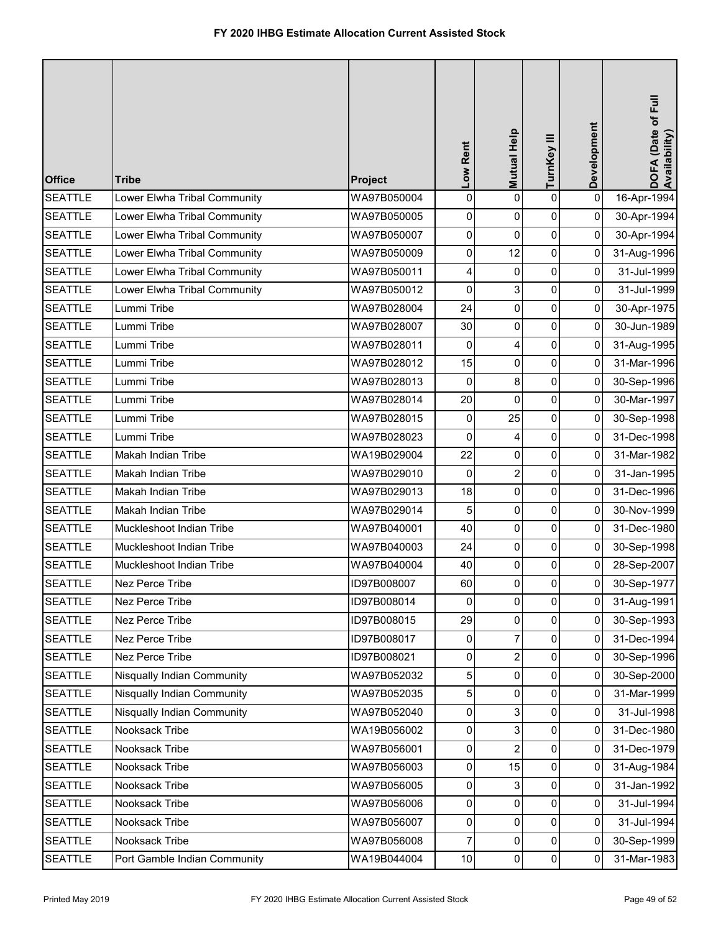| <b>Office</b>  | <b>Tribe</b>                      | Project     | Low Rent    | Mutual Help    | TurnKey III         | Development | DOFA (Date of Full<br>Availability) |
|----------------|-----------------------------------|-------------|-------------|----------------|---------------------|-------------|-------------------------------------|
| <b>SEATTLE</b> | Lower Elwha Tribal Community      | WA97B050004 | 0           | $\Omega$       | $\pmb{0}$           | $\pmb{0}$   | 16-Apr-1994                         |
| <b>SEATTLE</b> | Lower Elwha Tribal Community      | WA97B050005 | 0           | 0              | $\pmb{0}$           | 0           | 30-Apr-1994                         |
| <b>SEATTLE</b> | Lower Elwha Tribal Community      | WA97B050007 | 0           | 0              | $\pmb{0}$           | 0           | 30-Apr-1994                         |
| <b>SEATTLE</b> | Lower Elwha Tribal Community      | WA97B050009 | 0           | 12             | $\pmb{0}$           | 0           | 31-Aug-1996                         |
| <b>SEATTLE</b> | Lower Elwha Tribal Community      | WA97B050011 | 4           | 0              | $\pmb{0}$           | 0           | 31-Jul-1999                         |
| <b>SEATTLE</b> | Lower Elwha Tribal Community      | WA97B050012 | $\mathbf 0$ | 3              | $\pmb{0}$           | 0           | 31-Jul-1999                         |
| <b>SEATTLE</b> | Lummi Tribe                       | WA97B028004 | 24          | 0              | $\pmb{0}$           | 0           | 30-Apr-1975                         |
| <b>SEATTLE</b> | Lummi Tribe                       | WA97B028007 | 30          | 0              | $\pmb{0}$           | 0           | 30-Jun-1989                         |
| <b>SEATTLE</b> | Lummi Tribe                       | WA97B028011 | 0           | 4              | $\pmb{0}$           | 0           | 31-Aug-1995                         |
| <b>SEATTLE</b> | Lummi Tribe                       | WA97B028012 | 15          | 0              | $\pmb{0}$           | 0           | 31-Mar-1996                         |
| <b>SEATTLE</b> | Lummi Tribe                       | WA97B028013 | $\mathbf 0$ | 8              | $\pmb{0}$           | 0           | 30-Sep-1996                         |
| <b>SEATTLE</b> | Lummi Tribe                       | WA97B028014 | 20          | 0              | $\pmb{0}$           | 0           | 30-Mar-1997                         |
| <b>SEATTLE</b> | Lummi Tribe                       | WA97B028015 | 0           | 25             | $\mathsf{O}\xspace$ | 0           | 30-Sep-1998                         |
| <b>SEATTLE</b> | Lummi Tribe                       | WA97B028023 | $\mathbf 0$ | 4              | $\pmb{0}$           | 0           | 31-Dec-1998                         |
| <b>SEATTLE</b> | Makah Indian Tribe                | WA19B029004 | 22          | 0              | $\pmb{0}$           | 0           | 31-Mar-1982                         |
| <b>SEATTLE</b> | Makah Indian Tribe                | WA97B029010 | $\mathbf 0$ | $\overline{2}$ | $\pmb{0}$           | 0           | 31-Jan-1995                         |
| <b>SEATTLE</b> | Makah Indian Tribe                | WA97B029013 | 18          | 0              | $\pmb{0}$           | 0           | 31-Dec-1996                         |
| <b>SEATTLE</b> | Makah Indian Tribe                | WA97B029014 | 5           | 0              | $\pmb{0}$           | 0           | 30-Nov-1999                         |
| <b>SEATTLE</b> | Muckleshoot Indian Tribe          | WA97B040001 | 40          | 0              | $\mathsf 0$         | 0           | 31-Dec-1980                         |
| <b>SEATTLE</b> | Muckleshoot Indian Tribe          | WA97B040003 | 24          | $\overline{0}$ | $\pmb{0}$           | 0           | 30-Sep-1998                         |
| <b>SEATTLE</b> | Muckleshoot Indian Tribe          | WA97B040004 | 40          | 0              | 0                   | 0           | 28-Sep-2007                         |
| <b>SEATTLE</b> | <b>Nez Perce Tribe</b>            | ID97B008007 | 60          | ΩI             | $\pmb{0}$           | 0           | 30-Sep-1977                         |
| <b>SEATTLE</b> | Nez Perce Tribe                   | ID97B008014 | 0           | 0              | $\mathbf 0$         | 0           | 31-Aug-1991                         |
| <b>SEATTLE</b> | Nez Perce Tribe                   | ID97B008015 | 29          | $\mathbf 0$    | $\pmb{0}$           | 0           | 30-Sep-1993                         |
| <b>SEATTLE</b> | Nez Perce Tribe                   | ID97B008017 | 0           | 7              | $\mathbf 0$         | 0           | 31-Dec-1994                         |
| <b>SEATTLE</b> | Nez Perce Tribe                   | ID97B008021 | 0           | $\overline{2}$ | 0                   | 0           | 30-Sep-1996                         |
| <b>SEATTLE</b> | Nisqually Indian Community        | WA97B052032 | 5           | 0              | 0                   | 0           | 30-Sep-2000                         |
| <b>SEATTLE</b> | <b>Nisqually Indian Community</b> | WA97B052035 | 5           | 0              | $\pmb{0}$           | 0           | 31-Mar-1999                         |
| <b>SEATTLE</b> | Nisqually Indian Community        | WA97B052040 | 0           | 3              | $\pmb{0}$           | 0           | 31-Jul-1998                         |
| <b>SEATTLE</b> | Nooksack Tribe                    | WA19B056002 | 0           | 3              | 0                   | 0           | 31-Dec-1980                         |
| <b>SEATTLE</b> | Nooksack Tribe                    | WA97B056001 | 0           | $\overline{2}$ | 0                   | 0           | 31-Dec-1979                         |
| <b>SEATTLE</b> | Nooksack Tribe                    | WA97B056003 | 0           | 15             | 0                   | 0           | 31-Aug-1984                         |
| <b>SEATTLE</b> | Nooksack Tribe                    | WA97B056005 | 0           | 3              | $\pmb{0}$           | 0           | 31-Jan-1992                         |
| <b>SEATTLE</b> | Nooksack Tribe                    | WA97B056006 | 0           | 0              | $\pmb{0}$           | 0           | 31-Jul-1994                         |
| <b>SEATTLE</b> | Nooksack Tribe                    | WA97B056007 | 0           | 0              | 0                   | 0           | 31-Jul-1994                         |
| <b>SEATTLE</b> | Nooksack Tribe                    | WA97B056008 | 7           | 0              | 0                   | 0           | 30-Sep-1999                         |
| <b>SEATTLE</b> | Port Gamble Indian Community      | WA19B044004 | 10          | $\mathbf 0$    | $\pmb{0}$           | 0           | 31-Mar-1983                         |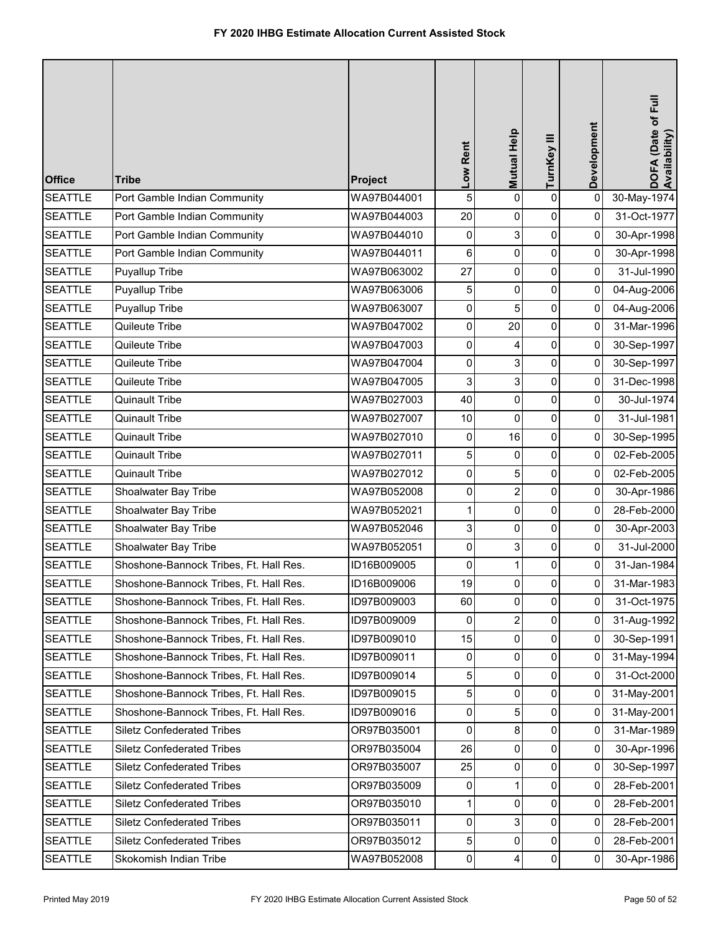| <b>Office</b>  | <b>Tribe</b>                           | Project     | Low Rent | Mutual Help         | TurnKey III         | Development | DOFA (Date of Full<br>Availability) |
|----------------|----------------------------------------|-------------|----------|---------------------|---------------------|-------------|-------------------------------------|
| <b>SEATTLE</b> | Port Gamble Indian Community           | WA97B044001 | 5        | $\Omega$            | $\pmb{0}$           | 0           | 30-May-1974                         |
| <b>SEATTLE</b> | Port Gamble Indian Community           | WA97B044003 | 20       | 0                   | 0                   | 0           | 31-Oct-1977                         |
| <b>SEATTLE</b> | Port Gamble Indian Community           | WA97B044010 | 0        | 3                   | $\pmb{0}$           | 0           | 30-Apr-1998                         |
| <b>SEATTLE</b> | Port Gamble Indian Community           | WA97B044011 | 6        | 0                   | $\pmb{0}$           | 0           | 30-Apr-1998                         |
| <b>SEATTLE</b> | Puyallup Tribe                         | WA97B063002 | 27       | 0                   | $\pmb{0}$           | 0           | 31-Jul-1990                         |
| <b>SEATTLE</b> | Puyallup Tribe                         | WA97B063006 | 5        | 0                   | $\pmb{0}$           | 0           | 04-Aug-2006                         |
| <b>SEATTLE</b> | Puyallup Tribe                         | WA97B063007 | 0        | 5                   | $\pmb{0}$           | 0           | 04-Aug-2006                         |
| <b>SEATTLE</b> | Quileute Tribe                         | WA97B047002 | 0        | 20                  | $\mathsf{O}\xspace$ | 0           | 31-Mar-1996                         |
| <b>SEATTLE</b> | Quileute Tribe                         | WA97B047003 | 0        | 4                   | $\pmb{0}$           | 0           | 30-Sep-1997                         |
| <b>SEATTLE</b> | Quileute Tribe                         | WA97B047004 | 0        | 3                   | $\pmb{0}$           | 0           | 30-Sep-1997                         |
| <b>SEATTLE</b> | Quileute Tribe                         | WA97B047005 | 3        | 3                   | 0                   | 0           | 31-Dec-1998                         |
| <b>SEATTLE</b> | <b>Quinault Tribe</b>                  | WA97B027003 | 40       | 0                   | $\pmb{0}$           | 0           | 30-Jul-1974                         |
| <b>SEATTLE</b> | <b>Quinault Tribe</b>                  | WA97B027007 | 10       | 0                   | $\mathsf{O}\xspace$ | 0           | 31-Jul-1981                         |
| <b>SEATTLE</b> | <b>Quinault Tribe</b>                  | WA97B027010 | 0        | 16                  | $\pmb{0}$           | 0           | 30-Sep-1995                         |
| <b>SEATTLE</b> | <b>Quinault Tribe</b>                  | WA97B027011 | 5        | 0                   | $\pmb{0}$           | 0           | 02-Feb-2005                         |
| <b>SEATTLE</b> | <b>Quinault Tribe</b>                  | WA97B027012 | 0        | 5                   | 0                   | 0           | 02-Feb-2005                         |
| <b>SEATTLE</b> | Shoalwater Bay Tribe                   | WA97B052008 | 0        | $\overline{c}$      | $\pmb{0}$           | 0           | 30-Apr-1986                         |
| <b>SEATTLE</b> | Shoalwater Bay Tribe                   | WA97B052021 | 1        | 0                   | 0                   | 0           | 28-Feb-2000                         |
| <b>SEATTLE</b> | Shoalwater Bay Tribe                   | WA97B052046 | 3        | $\mathbf 0$         | $\pmb{0}$           | 0           | 30-Apr-2003                         |
| <b>SEATTLE</b> | Shoalwater Bay Tribe                   | WA97B052051 | 0        | 3                   | $\pmb{0}$           | 0           | 31-Jul-2000                         |
| <b>SEATTLE</b> | Shoshone-Bannock Tribes, Ft. Hall Res. | ID16B009005 | 0        | 1                   | 0                   | 0           | 31-Jan-1984                         |
| <b>SEATTLE</b> | Shoshone-Bannock Tribes, Ft. Hall Res. | ID16B009006 | 19       | $\Omega$            | $\pmb{0}$           | 0           | 31-Mar-1983                         |
| <b>SEATTLE</b> | Shoshone-Bannock Tribes, Ft. Hall Res. | ID97B009003 | 60       | $\mathsf{O}\xspace$ | $\mathbf 0$         | 0           | 31-Oct-1975                         |
| <b>SEATTLE</b> | Shoshone-Bannock Tribes, Ft. Hall Res. | ID97B009009 | 0        | $\overline{2}$      | $\pmb{0}$           | 0           | 31-Aug-1992                         |
| <b>SEATTLE</b> | Shoshone-Bannock Tribes, Ft. Hall Res. | ID97B009010 | 15       | $\overline{0}$      | 0                   | 0           | 30-Sep-1991                         |
| <b>SEATTLE</b> | Shoshone-Bannock Tribes, Ft. Hall Res. | ID97B009011 | 0        | 0                   | 0                   | 0           | 31-May-1994                         |
| <b>SEATTLE</b> | Shoshone-Bannock Tribes, Ft. Hall Res. | ID97B009014 | 5        | 0                   | 0                   | 0           | 31-Oct-2000                         |
| <b>SEATTLE</b> | Shoshone-Bannock Tribes, Ft. Hall Res. | ID97B009015 | 5        | 0                   | $\pmb{0}$           | 0           | 31-May-2001                         |
| <b>SEATTLE</b> | Shoshone-Bannock Tribes, Ft. Hall Res. | ID97B009016 | 0        | 5                   | $\pmb{0}$           | 0           | 31-May-2001                         |
| <b>SEATTLE</b> | <b>Siletz Confederated Tribes</b>      | OR97B035001 | 0        | 8                   | 0                   | 0           | 31-Mar-1989                         |
| <b>SEATTLE</b> | <b>Siletz Confederated Tribes</b>      | OR97B035004 | 26       | 0                   | 0                   | $\mathbf 0$ | 30-Apr-1996                         |
| <b>SEATTLE</b> | <b>Siletz Confederated Tribes</b>      | OR97B035007 | 25       | 0                   | 0                   | 0           | 30-Sep-1997                         |
| <b>SEATTLE</b> | <b>Siletz Confederated Tribes</b>      | OR97B035009 | 0        | $\mathbf{1}$        | $\pmb{0}$           | $\pmb{0}$   | 28-Feb-2001                         |
| <b>SEATTLE</b> | <b>Siletz Confederated Tribes</b>      | OR97B035010 | 1        | 0                   | $\pmb{0}$           | 0           | 28-Feb-2001                         |
| <b>SEATTLE</b> | <b>Siletz Confederated Tribes</b>      | OR97B035011 | 0        | 3                   | 0                   | 0           | 28-Feb-2001                         |
| <b>SEATTLE</b> | <b>Siletz Confederated Tribes</b>      | OR97B035012 | 5        | 0                   | 0                   | 0           | 28-Feb-2001                         |
| <b>SEATTLE</b> | Skokomish Indian Tribe                 | WA97B052008 | 0        | 4                   | $\pmb{0}$           | 0           | 30-Apr-1986                         |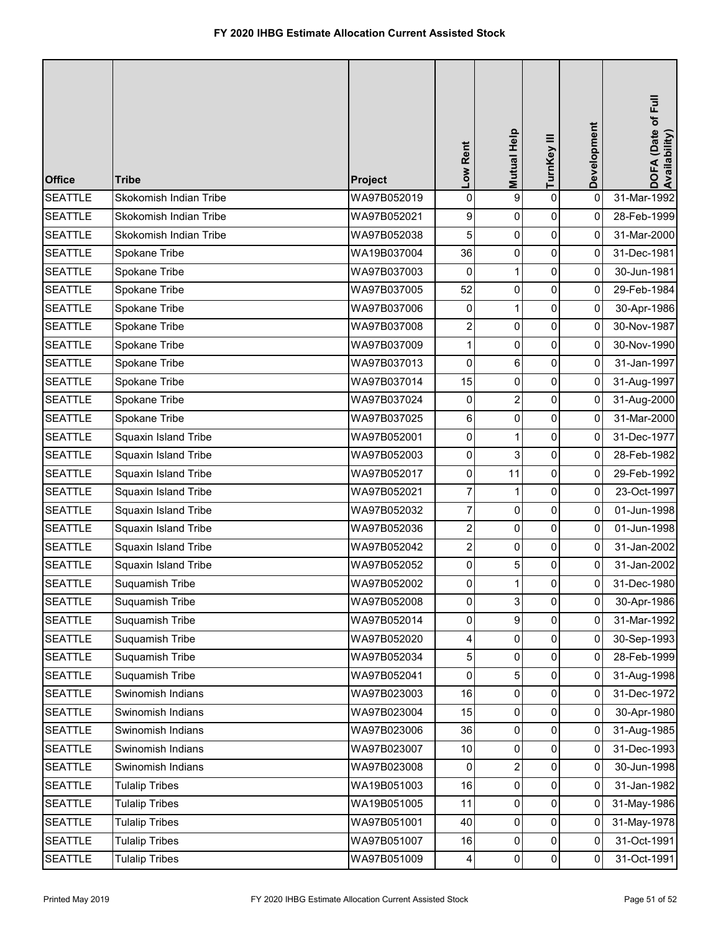| <b>Office</b>  | <b>Tribe</b>           | Project     | Low Rent                | Mutual Help    | TurnKey III    | Development | DOFA (Date of Full<br>Availability) |
|----------------|------------------------|-------------|-------------------------|----------------|----------------|-------------|-------------------------------------|
| <b>SEATTLE</b> | Skokomish Indian Tribe | WA97B052019 | 0                       | $\overline{9}$ | $\pmb{0}$      | $\mathbf 0$ | 31-Mar-1992                         |
| <b>SEATTLE</b> | Skokomish Indian Tribe | WA97B052021 | 9                       | 0              | 0              | 0           | 28-Feb-1999                         |
| <b>SEATTLE</b> | Skokomish Indian Tribe | WA97B052038 | 5                       | 0              | $\pmb{0}$      | 0           | 31-Mar-2000                         |
| <b>SEATTLE</b> | Spokane Tribe          | WA19B037004 | 36                      | 0              | $\pmb{0}$      | 0           | 31-Dec-1981                         |
| <b>SEATTLE</b> | Spokane Tribe          | WA97B037003 | 0                       | 1              | $\pmb{0}$      | 0           | 30-Jun-1981                         |
| <b>SEATTLE</b> | Spokane Tribe          | WA97B037005 | 52                      | 0              | $\pmb{0}$      | 0           | 29-Feb-1984                         |
| <b>SEATTLE</b> | Spokane Tribe          | WA97B037006 | 0                       | 1              | $\pmb{0}$      | 0           | 30-Apr-1986                         |
| <b>SEATTLE</b> | Spokane Tribe          | WA97B037008 | 2                       | 0              | 0              | 0           | 30-Nov-1987                         |
| <b>SEATTLE</b> | Spokane Tribe          | WA97B037009 | 1                       | $\mathbf 0$    | $\pmb{0}$      | 0           | 30-Nov-1990                         |
| <b>SEATTLE</b> | Spokane Tribe          | WA97B037013 | 0                       | 6              | $\pmb{0}$      | 0           | 31-Jan-1997                         |
| <b>SEATTLE</b> | Spokane Tribe          | WA97B037014 | 15                      | 0              | 0              | 0           | 31-Aug-1997                         |
| <b>SEATTLE</b> | Spokane Tribe          | WA97B037024 | 0                       | $\overline{c}$ | $\pmb{0}$      | 0           | 31-Aug-2000                         |
| <b>SEATTLE</b> | Spokane Tribe          | WA97B037025 | 6                       | 0              | 0              | 0           | 31-Mar-2000                         |
| <b>SEATTLE</b> | Squaxin Island Tribe   | WA97B052001 | 0                       | $\mathbf{1}$   | $\pmb{0}$      | 0           | 31-Dec-1977                         |
| <b>SEATTLE</b> | Squaxin Island Tribe   | WA97B052003 | 0                       | 3              | $\pmb{0}$      | 0           | 28-Feb-1982                         |
| <b>SEATTLE</b> | Squaxin Island Tribe   | WA97B052017 | 0                       | 11             | 0              | 0           | 29-Feb-1992                         |
| <b>SEATTLE</b> | Squaxin Island Tribe   | WA97B052021 | 7                       | 1              | $\pmb{0}$      | 0           | 23-Oct-1997                         |
| <b>SEATTLE</b> | Squaxin Island Tribe   | WA97B052032 | 7                       | 0              | 0              | 0           | 01-Jun-1998                         |
| <b>SEATTLE</b> | Squaxin Island Tribe   | WA97B052036 | $\overline{\mathbf{c}}$ | 0              | $\pmb{0}$      | 0           | 01-Jun-1998                         |
| <b>SEATTLE</b> | Squaxin Island Tribe   | WA97B052042 | 2                       | 0              | $\mathbf 0$    | 0           | 31-Jan-2002                         |
| <b>SEATTLE</b> | Squaxin Island Tribe   | WA97B052052 | 0                       | 5              | 0              | 0           | 31-Jan-2002                         |
| <b>SEATTLE</b> | Suquamish Tribe        | WA97B052002 | 0                       |                | $\Omega$       | 0           | 31-Dec-1980                         |
| <b>SEATTLE</b> | Suquamish Tribe        | WA97B052008 | 0                       | 3              | $\mathbf 0$    | 0           | 30-Apr-1986                         |
| <b>SEATTLE</b> | Suquamish Tribe        | WA97B052014 | 0                       | 9              | $\pmb{0}$      | 0           | 31-Mar-1992                         |
| <b>SEATTLE</b> | Suquamish Tribe        | WA97B052020 | 4                       | 0              | $\pmb{0}$      | 0           | 30-Sep-1993                         |
| <b>SEATTLE</b> | Suquamish Tribe        | WA97B052034 | 5                       | 0              | 0              | 0           | 28-Feb-1999                         |
| <b>SEATTLE</b> | Suquamish Tribe        | WA97B052041 | 0                       | 5              | 0              | 0           | 31-Aug-1998                         |
| <b>SEATTLE</b> | Swinomish Indians      | WA97B023003 | 16                      | 0              | $\pmb{0}$      | 0           | 31-Dec-1972                         |
| <b>SEATTLE</b> | Swinomish Indians      | WA97B023004 | 15                      | $\mathbf 0$    | $\pmb{0}$      | 0           | 30-Apr-1980                         |
| <b>SEATTLE</b> | Swinomish Indians      | WA97B023006 | 36                      | 0              | $\pmb{0}$      | 0           | 31-Aug-1985                         |
| <b>SEATTLE</b> | Swinomish Indians      | WA97B023007 | $10$                    | 0              | 0              | 0           | 31-Dec-1993                         |
| <b>SEATTLE</b> | Swinomish Indians      | WA97B023008 | 0                       | $\overline{2}$ | 0              | 0           | 30-Jun-1998                         |
| <b>SEATTLE</b> | <b>Tulalip Tribes</b>  | WA19B051003 | 16                      | 0              | $\pmb{0}$      | $\pmb{0}$   | 31-Jan-1982                         |
| <b>SEATTLE</b> | <b>Tulalip Tribes</b>  | WA19B051005 | 11                      | 0              | $\pmb{0}$      | 0           | 31-May-1986                         |
| <b>SEATTLE</b> | <b>Tulalip Tribes</b>  | WA97B051001 | 40                      | $\overline{0}$ | $\pmb{0}$      | 0           | 31-May-1978                         |
| <b>SEATTLE</b> | <b>Tulalip Tribes</b>  | WA97B051007 | 16                      | $\Omega$       | $\pmb{0}$      | 0           | 31-Oct-1991                         |
| <b>SEATTLE</b> | <b>Tulalip Tribes</b>  | WA97B051009 | 4                       | $\mathbf 0$    | $\overline{0}$ | 0           | 31-Oct-1991                         |